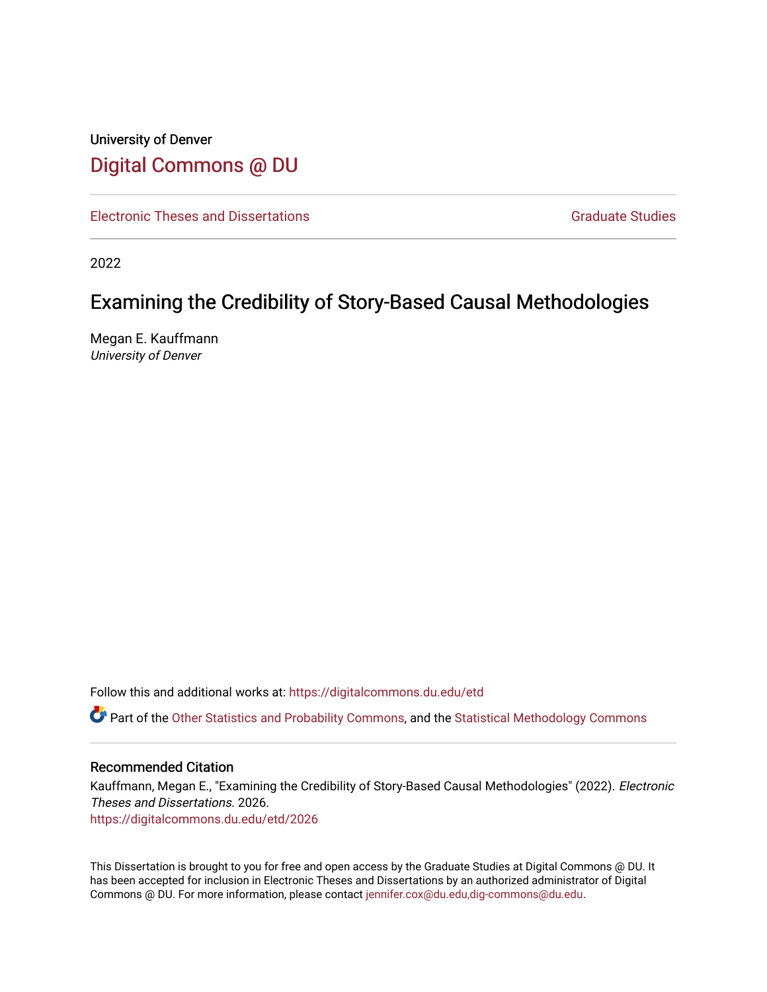# University of Denver [Digital Commons @ DU](https://digitalcommons.du.edu/)

[Electronic Theses and Dissertations](https://digitalcommons.du.edu/etd) [Graduate Studies](https://digitalcommons.du.edu/graduate) Graduate Studies

2022

# Examining the Credibility of Story-Based Causal Methodologies

Megan E. Kauffmann University of Denver

Follow this and additional works at: [https://digitalcommons.du.edu/etd](https://digitalcommons.du.edu/etd?utm_source=digitalcommons.du.edu%2Fetd%2F2026&utm_medium=PDF&utm_campaign=PDFCoverPages) 

Part of the [Other Statistics and Probability Commons,](https://network.bepress.com/hgg/discipline/215?utm_source=digitalcommons.du.edu%2Fetd%2F2026&utm_medium=PDF&utm_campaign=PDFCoverPages) and the Statistical Methodology Commons

## Recommended Citation

Kauffmann, Megan E., "Examining the Credibility of Story-Based Causal Methodologies" (2022). Electronic Theses and Dissertations. 2026.

[https://digitalcommons.du.edu/etd/2026](https://digitalcommons.du.edu/etd/2026?utm_source=digitalcommons.du.edu%2Fetd%2F2026&utm_medium=PDF&utm_campaign=PDFCoverPages)

This Dissertation is brought to you for free and open access by the Graduate Studies at Digital Commons @ DU. It has been accepted for inclusion in Electronic Theses and Dissertations by an authorized administrator of Digital Commons @ DU. For more information, please contact [jennifer.cox@du.edu,dig-commons@du.edu.](mailto:jennifer.cox@du.edu,dig-commons@du.edu)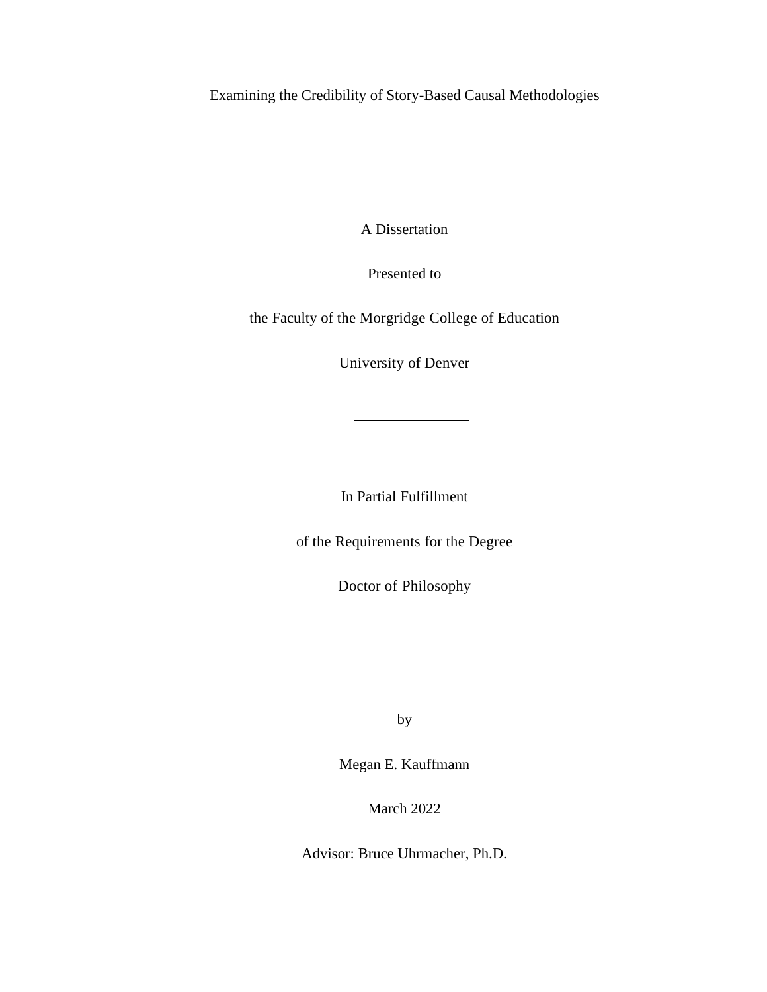Examining the Credibility of Story-Based Causal Methodologies

A Dissertation

Presented to

the Faculty of the Morgridge College of Education

University of Denver

and a

 $\overline{\phantom{a}}$ 

In Partial Fulfillment

of the Requirements for the Degree

Doctor of Philosophy

by

Megan E. Kauffmann

March 2022

Advisor: Bruce Uhrmacher, Ph.D.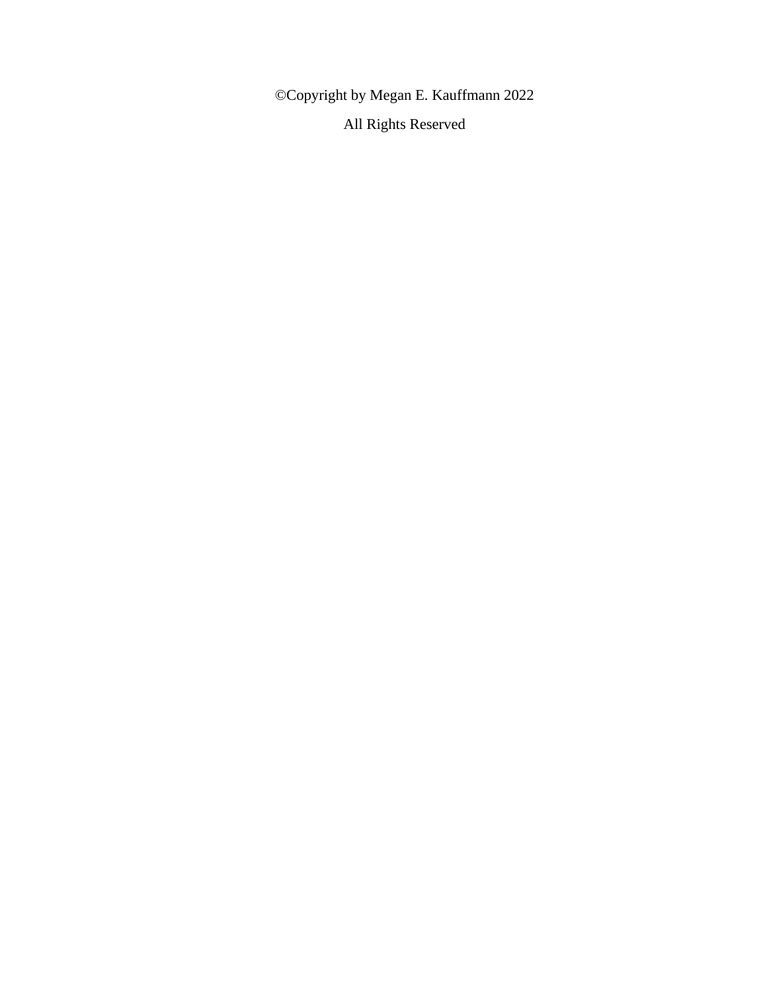©Copyright by Megan E. Kauffmann 2022 All Rights Reserved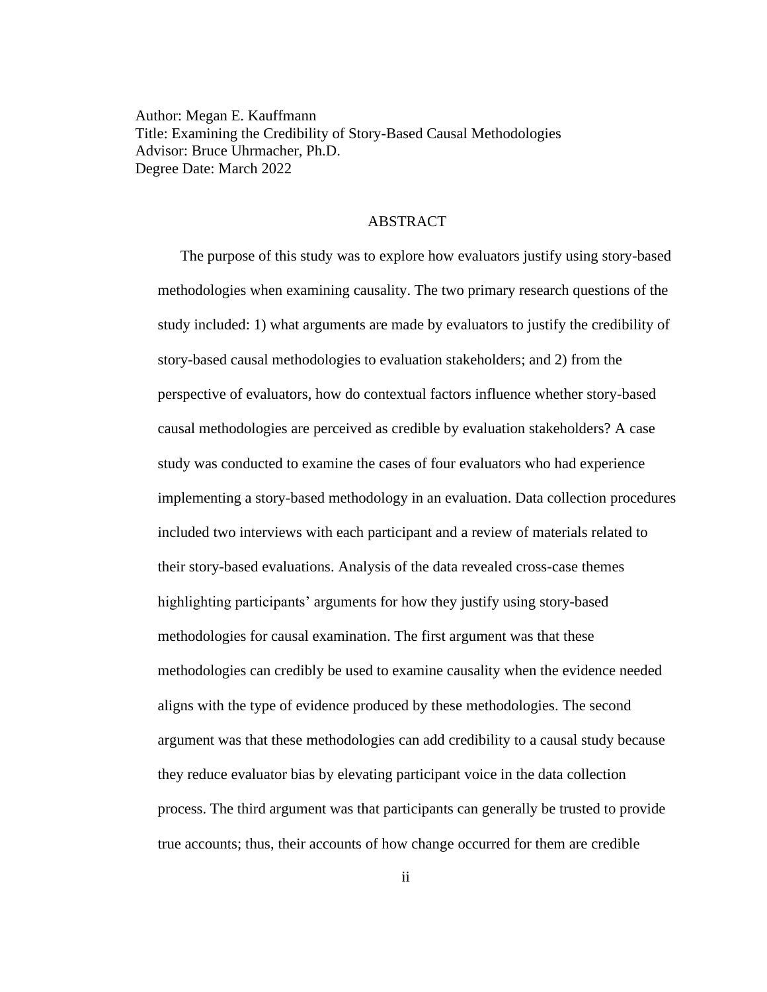Author: Megan E. Kauffmann Title: Examining the Credibility of Story-Based Causal Methodologies Advisor: Bruce Uhrmacher, Ph.D. Degree Date: March 2022

## ABSTRACT

The purpose of this study was to explore how evaluators justify using story-based methodologies when examining causality. The two primary research questions of the study included: 1) what arguments are made by evaluators to justify the credibility of story-based causal methodologies to evaluation stakeholders; and 2) from the perspective of evaluators, how do contextual factors influence whether story-based causal methodologies are perceived as credible by evaluation stakeholders? A case study was conducted to examine the cases of four evaluators who had experience implementing a story-based methodology in an evaluation. Data collection procedures included two interviews with each participant and a review of materials related to their story-based evaluations. Analysis of the data revealed cross-case themes highlighting participants' arguments for how they justify using story-based methodologies for causal examination. The first argument was that these methodologies can credibly be used to examine causality when the evidence needed aligns with the type of evidence produced by these methodologies. The second argument was that these methodologies can add credibility to a causal study because they reduce evaluator bias by elevating participant voice in the data collection process. The third argument was that participants can generally be trusted to provide true accounts; thus, their accounts of how change occurred for them are credible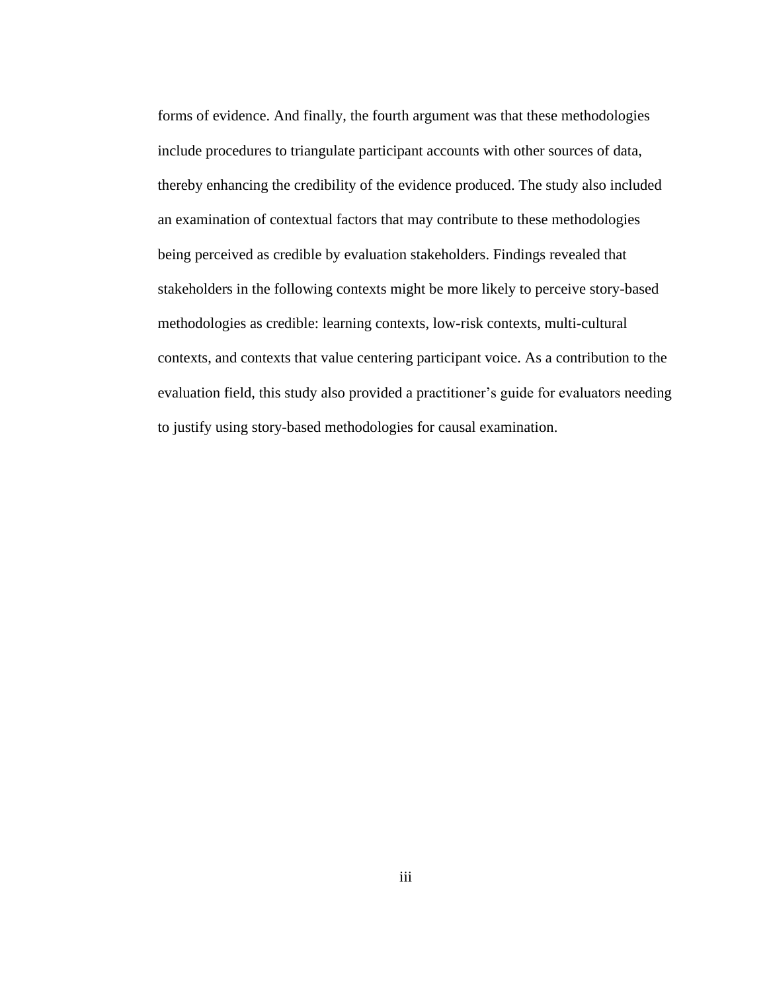forms of evidence. And finally, the fourth argument was that these methodologies include procedures to triangulate participant accounts with other sources of data, thereby enhancing the credibility of the evidence produced. The study also included an examination of contextual factors that may contribute to these methodologies being perceived as credible by evaluation stakeholders. Findings revealed that stakeholders in the following contexts might be more likely to perceive story-based methodologies as credible: learning contexts, low-risk contexts, multi-cultural contexts, and contexts that value centering participant voice. As a contribution to the evaluation field, this study also provided a practitioner's guide for evaluators needing to justify using story-based methodologies for causal examination.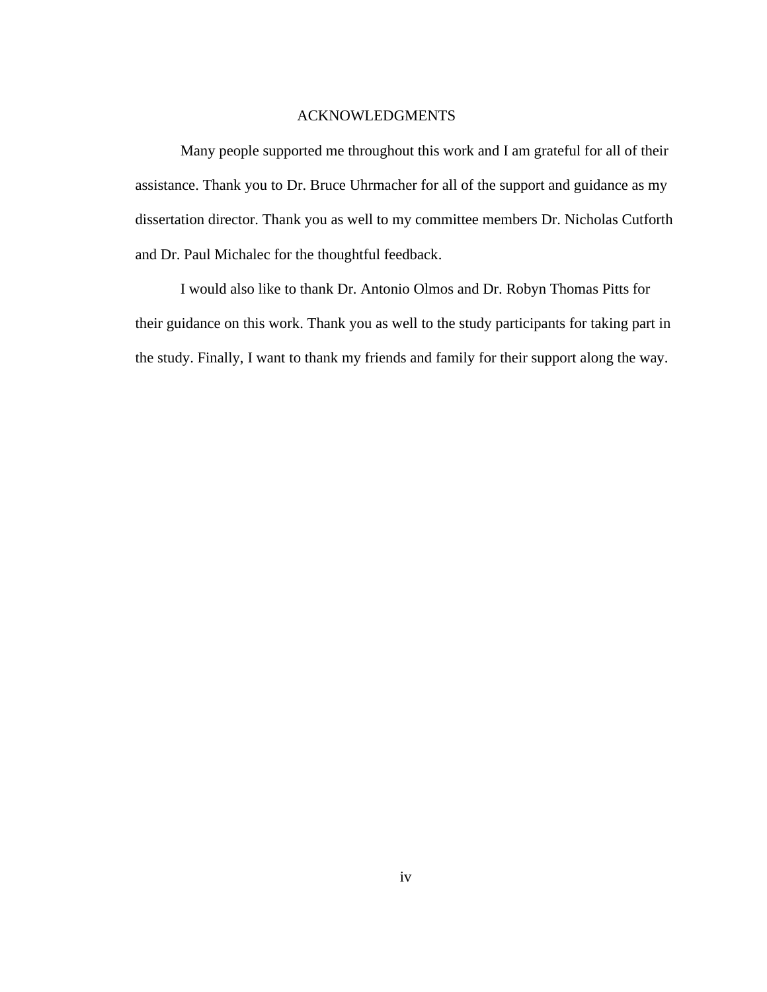#### ACKNOWLEDGMENTS

Many people supported me throughout this work and I am grateful for all of their assistance. Thank you to Dr. Bruce Uhrmacher for all of the support and guidance as my dissertation director. Thank you as well to my committee members Dr. Nicholas Cutforth and Dr. Paul Michalec for the thoughtful feedback.

I would also like to thank Dr. Antonio Olmos and Dr. Robyn Thomas Pitts for their guidance on this work. Thank you as well to the study participants for taking part in the study. Finally, I want to thank my friends and family for their support along the way.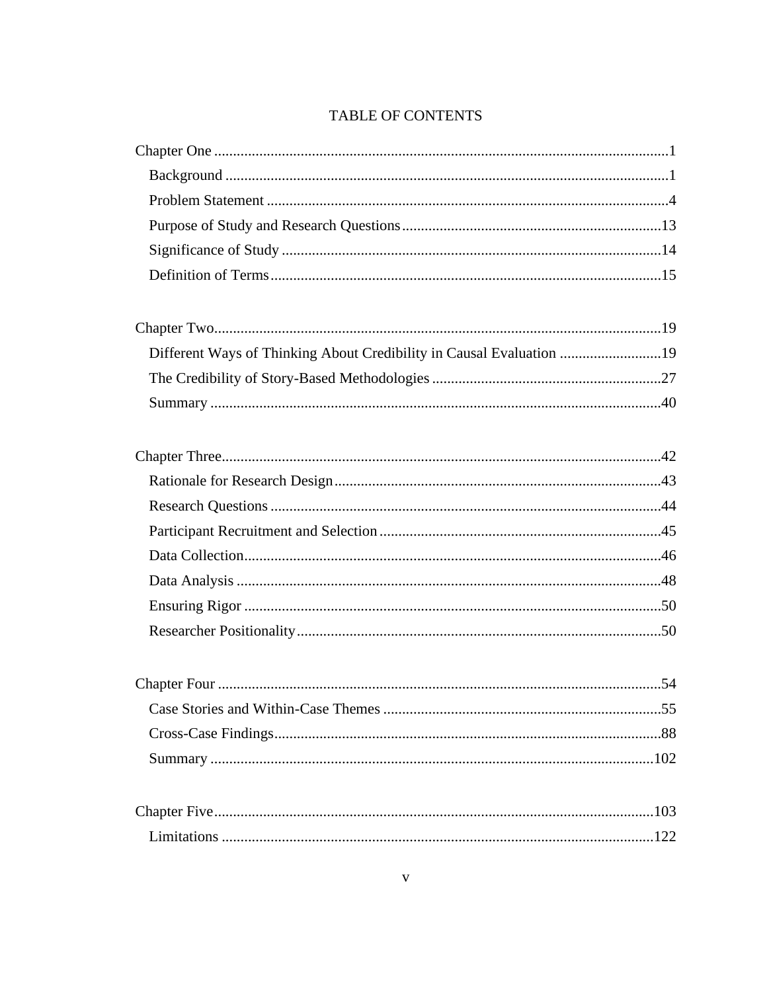## TABLE OF CONTENTS

| Different Ways of Thinking About Credibility in Causal Evaluation 19 |  |  |  |
|----------------------------------------------------------------------|--|--|--|
|                                                                      |  |  |  |
|                                                                      |  |  |  |
|                                                                      |  |  |  |
|                                                                      |  |  |  |
|                                                                      |  |  |  |
|                                                                      |  |  |  |
|                                                                      |  |  |  |
|                                                                      |  |  |  |
|                                                                      |  |  |  |
|                                                                      |  |  |  |
|                                                                      |  |  |  |
|                                                                      |  |  |  |
|                                                                      |  |  |  |
|                                                                      |  |  |  |
|                                                                      |  |  |  |
|                                                                      |  |  |  |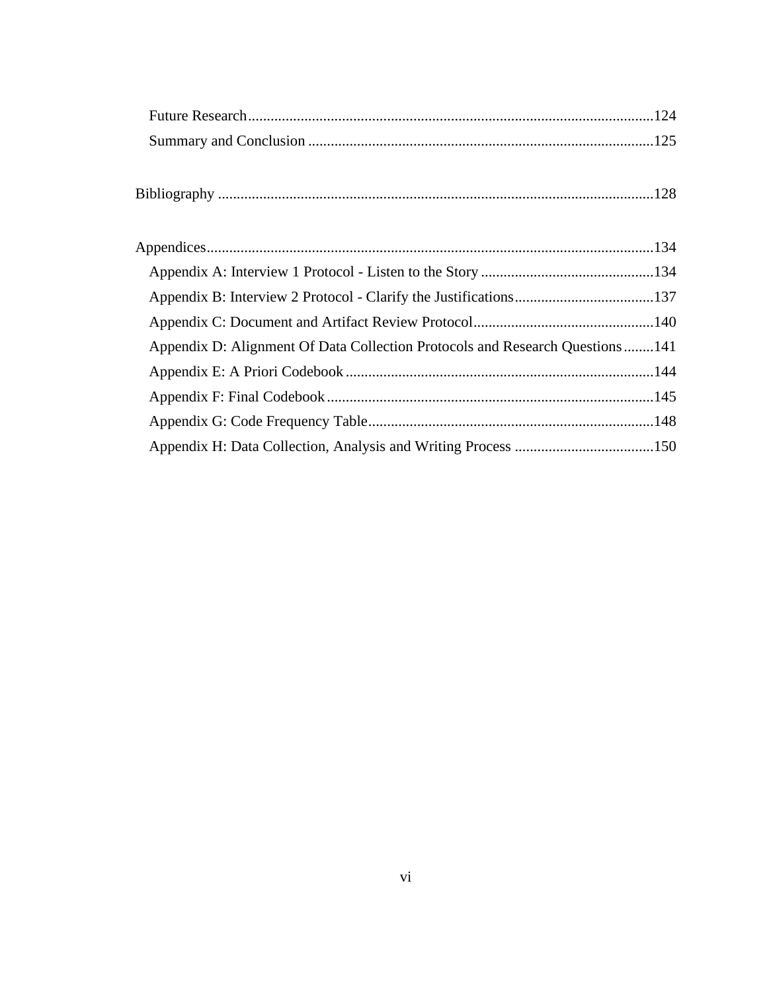| Appendix D: Alignment Of Data Collection Protocols and Research Questions141 |  |
|------------------------------------------------------------------------------|--|
|                                                                              |  |
|                                                                              |  |
|                                                                              |  |
|                                                                              |  |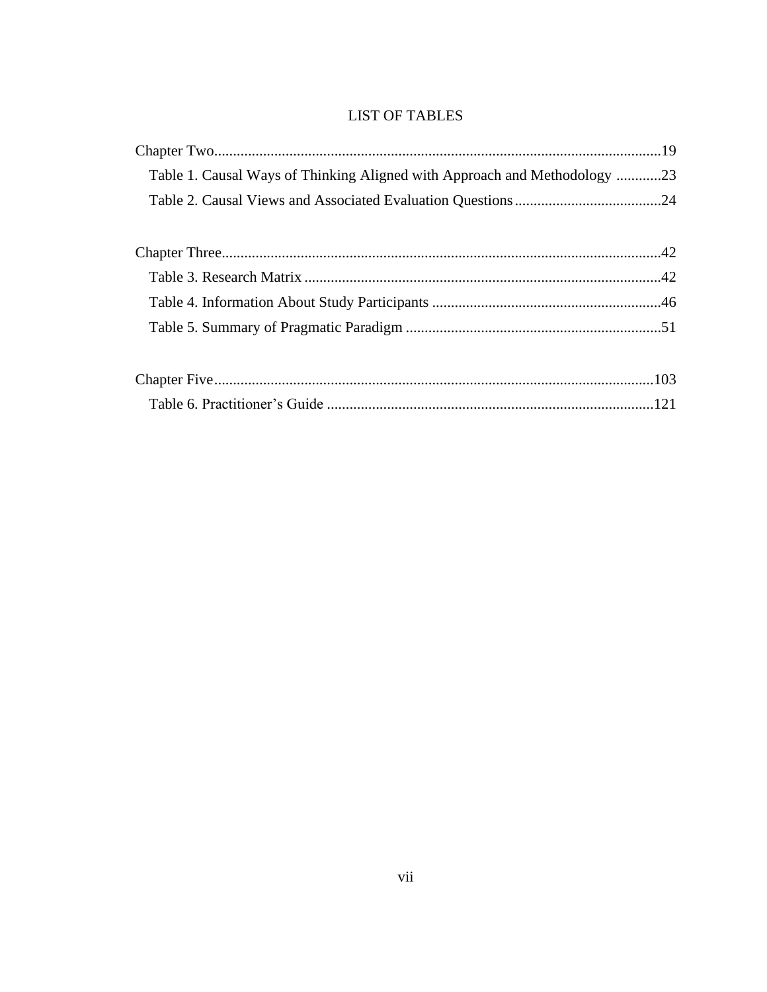## **LIST OF TABLES**

| Table 1. Causal Ways of Thinking Aligned with Approach and Methodology 23 |  |
|---------------------------------------------------------------------------|--|
|                                                                           |  |
|                                                                           |  |
|                                                                           |  |
|                                                                           |  |
|                                                                           |  |
|                                                                           |  |
|                                                                           |  |
|                                                                           |  |
|                                                                           |  |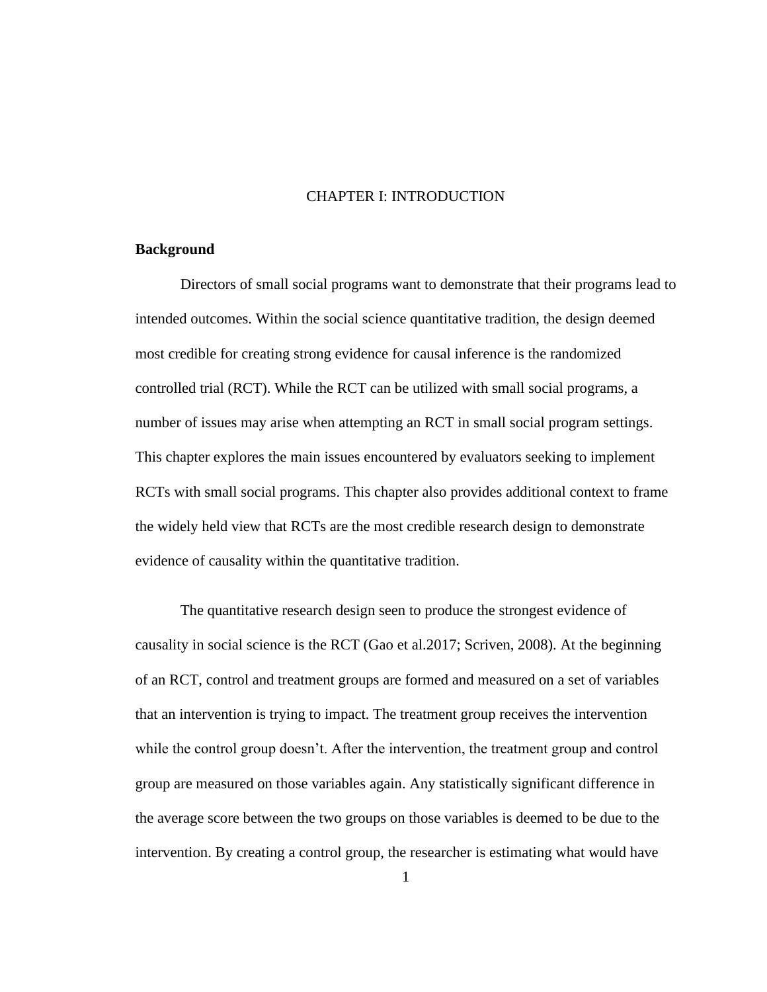## CHAPTER I: INTRODUCTION

## <span id="page-9-1"></span><span id="page-9-0"></span>**Background**

Directors of small social programs want to demonstrate that their programs lead to intended outcomes. Within the social science quantitative tradition, the design deemed most credible for creating strong evidence for causal inference is the randomized controlled trial (RCT). While the RCT can be utilized with small social programs, a number of issues may arise when attempting an RCT in small social program settings. This chapter explores the main issues encountered by evaluators seeking to implement RCTs with small social programs. This chapter also provides additional context to frame the widely held view that RCTs are the most credible research design to demonstrate evidence of causality within the quantitative tradition.

The quantitative research design seen to produce the strongest evidence of causality in social science is the RCT (Gao et al.2017; Scriven, 2008). At the beginning of an RCT, control and treatment groups are formed and measured on a set of variables that an intervention is trying to impact. The treatment group receives the intervention while the control group doesn't. After the intervention, the treatment group and control group are measured on those variables again. Any statistically significant difference in the average score between the two groups on those variables is deemed to be due to the intervention. By creating a control group, the researcher is estimating what would have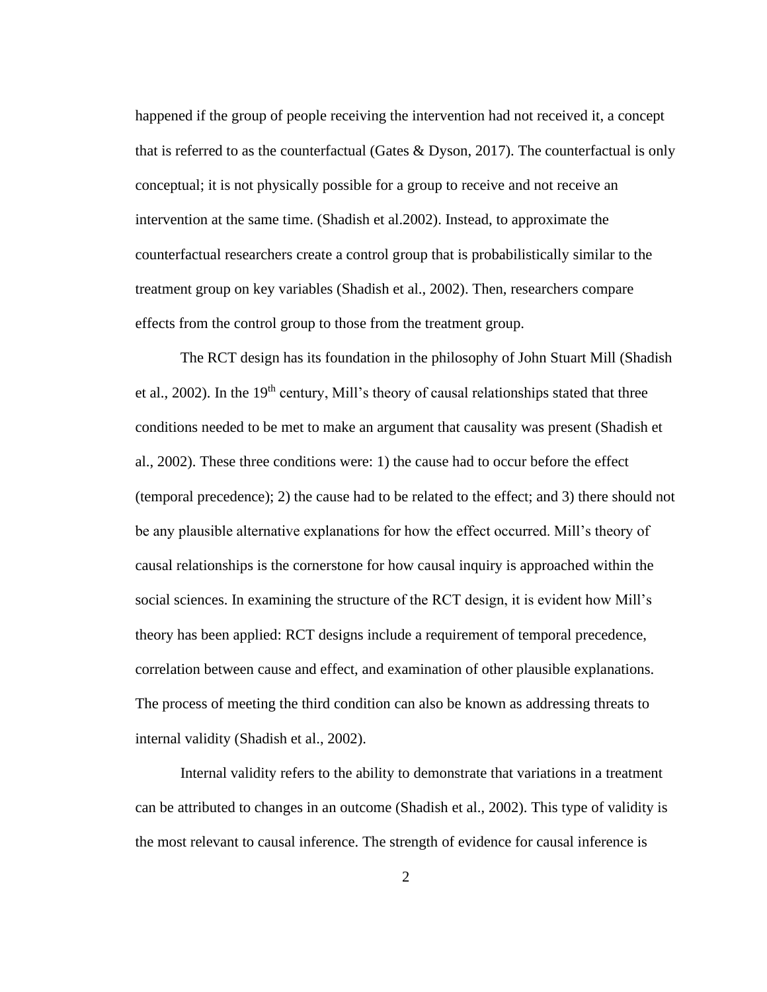happened if the group of people receiving the intervention had not received it, a concept that is referred to as the counterfactual (Gates & Dyson, 2017). The counterfactual is only conceptual; it is not physically possible for a group to receive and not receive an intervention at the same time. (Shadish et al.2002). Instead, to approximate the counterfactual researchers create a control group that is probabilistically similar to the treatment group on key variables (Shadish et al., 2002). Then, researchers compare effects from the control group to those from the treatment group.

The RCT design has its foundation in the philosophy of John Stuart Mill (Shadish et al., 2002). In the  $19<sup>th</sup>$  century, Mill's theory of causal relationships stated that three conditions needed to be met to make an argument that causality was present (Shadish et al., 2002). These three conditions were: 1) the cause had to occur before the effect (temporal precedence); 2) the cause had to be related to the effect; and 3) there should not be any plausible alternative explanations for how the effect occurred. Mill's theory of causal relationships is the cornerstone for how causal inquiry is approached within the social sciences. In examining the structure of the RCT design, it is evident how Mill's theory has been applied: RCT designs include a requirement of temporal precedence, correlation between cause and effect, and examination of other plausible explanations. The process of meeting the third condition can also be known as addressing threats to internal validity (Shadish et al., 2002).

Internal validity refers to the ability to demonstrate that variations in a treatment can be attributed to changes in an outcome (Shadish et al., 2002). This type of validity is the most relevant to causal inference. The strength of evidence for causal inference is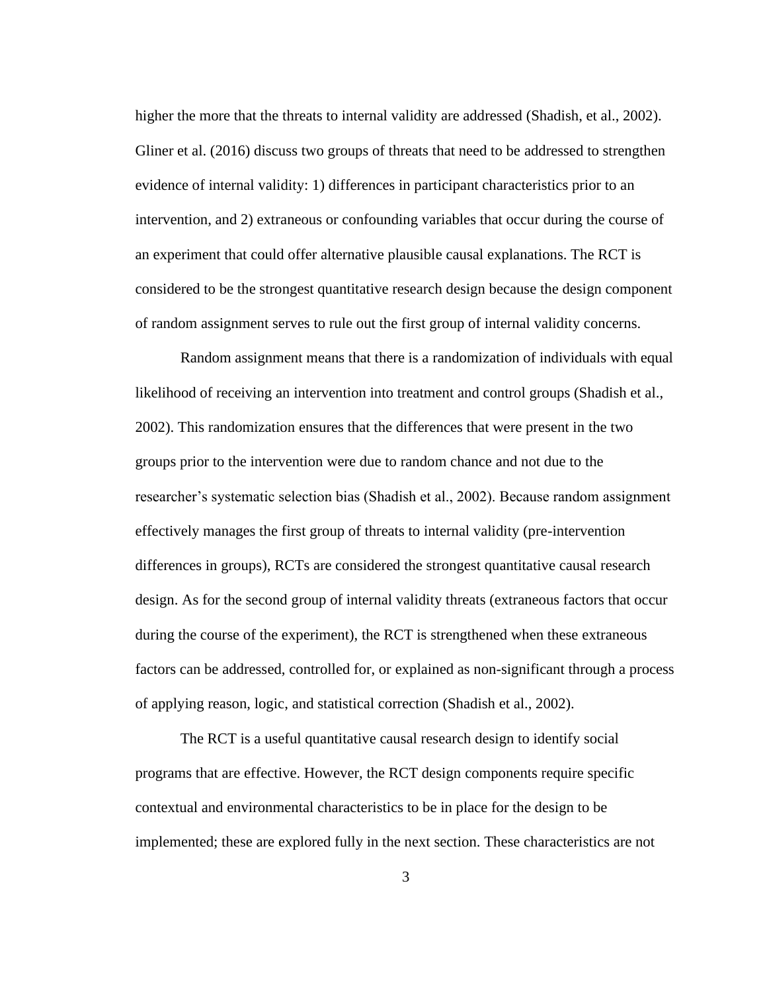higher the more that the threats to internal validity are addressed (Shadish, et al., 2002). Gliner et al. (2016) discuss two groups of threats that need to be addressed to strengthen evidence of internal validity: 1) differences in participant characteristics prior to an intervention, and 2) extraneous or confounding variables that occur during the course of an experiment that could offer alternative plausible causal explanations. The RCT is considered to be the strongest quantitative research design because the design component of random assignment serves to rule out the first group of internal validity concerns.

Random assignment means that there is a randomization of individuals with equal likelihood of receiving an intervention into treatment and control groups (Shadish et al., 2002). This randomization ensures that the differences that were present in the two groups prior to the intervention were due to random chance and not due to the researcher's systematic selection bias (Shadish et al., 2002). Because random assignment effectively manages the first group of threats to internal validity (pre-intervention differences in groups), RCTs are considered the strongest quantitative causal research design. As for the second group of internal validity threats (extraneous factors that occur during the course of the experiment), the RCT is strengthened when these extraneous factors can be addressed, controlled for, or explained as non-significant through a process of applying reason, logic, and statistical correction (Shadish et al., 2002).

The RCT is a useful quantitative causal research design to identify social programs that are effective. However, the RCT design components require specific contextual and environmental characteristics to be in place for the design to be implemented; these are explored fully in the next section. These characteristics are not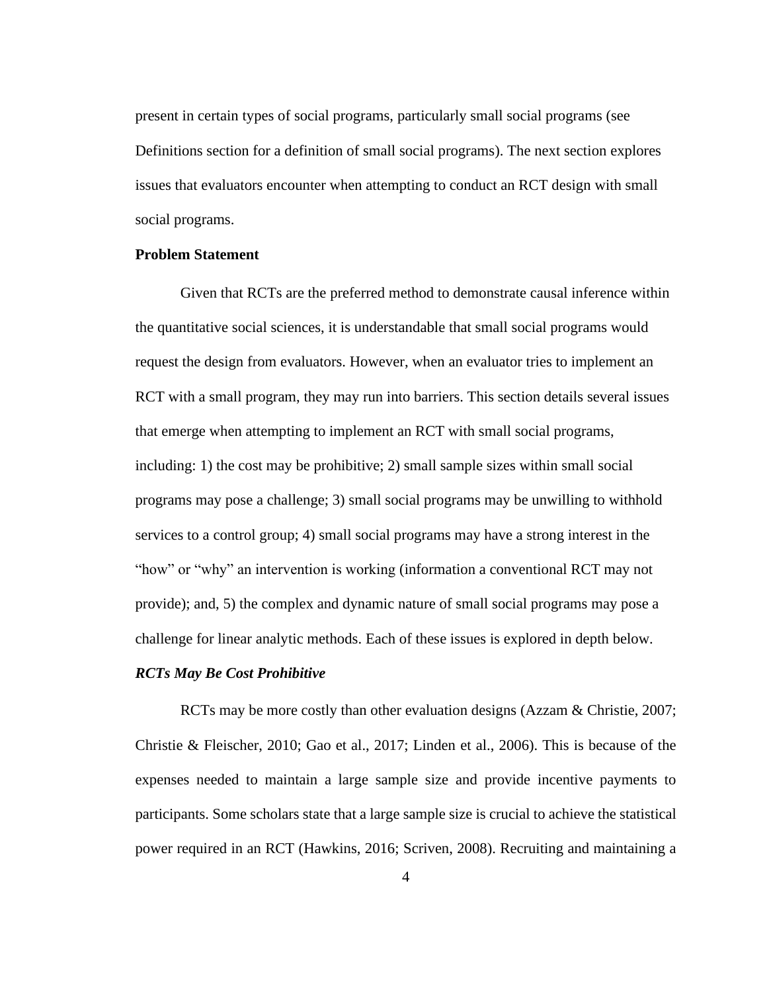present in certain types of social programs, particularly small social programs (see Definitions section for a definition of small social programs). The next section explores issues that evaluators encounter when attempting to conduct an RCT design with small social programs.

#### <span id="page-12-0"></span>**Problem Statement**

Given that RCTs are the preferred method to demonstrate causal inference within the quantitative social sciences, it is understandable that small social programs would request the design from evaluators. However, when an evaluator tries to implement an RCT with a small program, they may run into barriers. This section details several issues that emerge when attempting to implement an RCT with small social programs, including: 1) the cost may be prohibitive; 2) small sample sizes within small social programs may pose a challenge; 3) small social programs may be unwilling to withhold services to a control group; 4) small social programs may have a strong interest in the "how" or "why" an intervention is working (information a conventional RCT may not provide); and, 5) the complex and dynamic nature of small social programs may pose a challenge for linear analytic methods. Each of these issues is explored in depth below.

#### *RCTs May Be Cost Prohibitive*

RCTs may be more costly than other evaluation designs (Azzam & Christie, 2007; Christie & Fleischer, 2010; Gao et al., 2017; Linden et al., 2006). This is because of the expenses needed to maintain a large sample size and provide incentive payments to participants. Some scholars state that a large sample size is crucial to achieve the statistical power required in an RCT (Hawkins, 2016; Scriven, 2008). Recruiting and maintaining a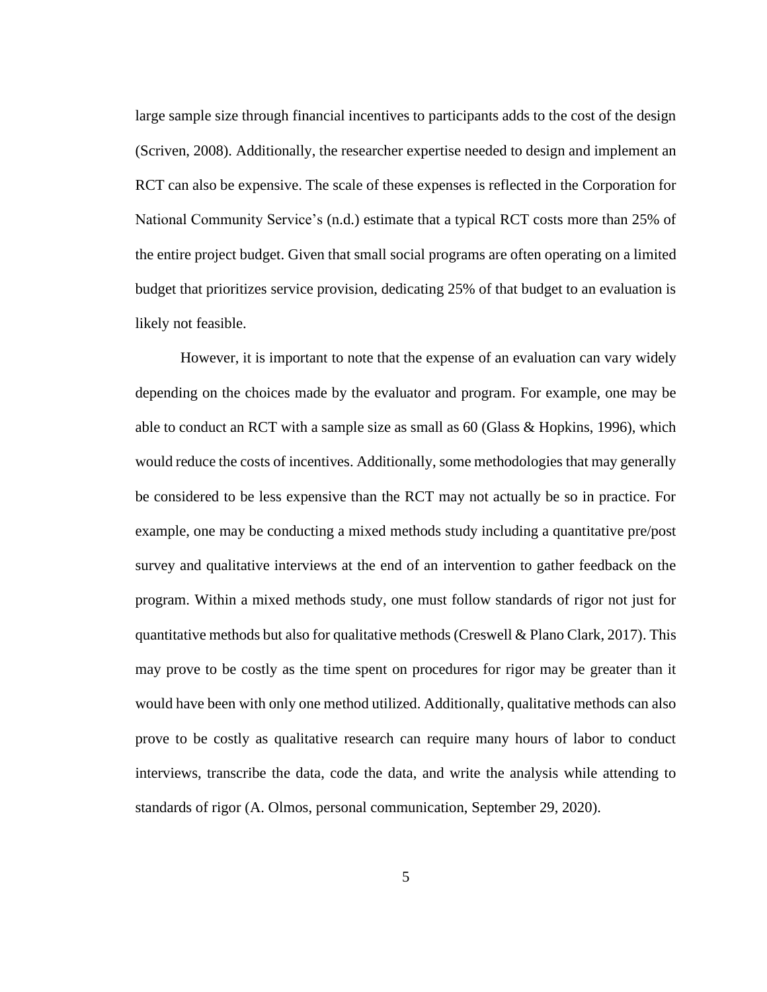large sample size through financial incentives to participants adds to the cost of the design (Scriven, 2008). Additionally, the researcher expertise needed to design and implement an RCT can also be expensive. The scale of these expenses is reflected in the Corporation for National Community Service's (n.d.) estimate that a typical RCT costs more than 25% of the entire project budget. Given that small social programs are often operating on a limited budget that prioritizes service provision, dedicating 25% of that budget to an evaluation is likely not feasible.

However, it is important to note that the expense of an evaluation can vary widely depending on the choices made by the evaluator and program. For example, one may be able to conduct an RCT with a sample size as small as 60 (Glass & Hopkins, 1996), which would reduce the costs of incentives. Additionally, some methodologies that may generally be considered to be less expensive than the RCT may not actually be so in practice. For example, one may be conducting a mixed methods study including a quantitative pre/post survey and qualitative interviews at the end of an intervention to gather feedback on the program. Within a mixed methods study, one must follow standards of rigor not just for quantitative methods but also for qualitative methods (Creswell & Plano Clark, 2017). This may prove to be costly as the time spent on procedures for rigor may be greater than it would have been with only one method utilized. Additionally, qualitative methods can also prove to be costly as qualitative research can require many hours of labor to conduct interviews, transcribe the data, code the data, and write the analysis while attending to standards of rigor (A. Olmos, personal communication, September 29, 2020).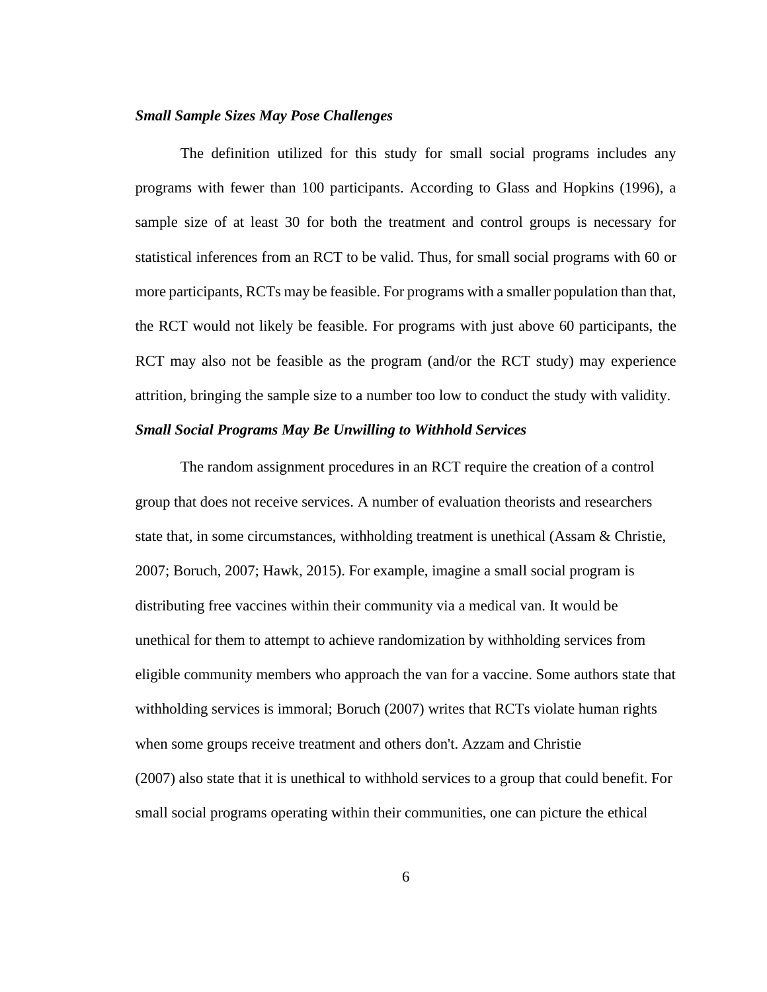## *Small Sample Sizes May Pose Challenges*

The definition utilized for this study for small social programs includes any programs with fewer than 100 participants. According to Glass and Hopkins (1996), a sample size of at least 30 for both the treatment and control groups is necessary for statistical inferences from an RCT to be valid. Thus, for small social programs with 60 or more participants, RCTs may be feasible. For programs with a smaller population than that, the RCT would not likely be feasible. For programs with just above 60 participants, the RCT may also not be feasible as the program (and/or the RCT study) may experience attrition, bringing the sample size to a number too low to conduct the study with validity.

## *Small Social Programs May Be Unwilling to Withhold Services*

The random assignment procedures in an RCT require the creation of a control group that does not receive services. A number of evaluation theorists and researchers state that, in some circumstances, withholding treatment is unethical (Assam & Christie, 2007; Boruch, 2007; Hawk, 2015). For example, imagine a small social program is distributing free vaccines within their community via a medical van. It would be unethical for them to attempt to achieve randomization by withholding services from eligible community members who approach the van for a vaccine. Some authors state that withholding services is immoral; Boruch (2007) writes that RCTs violate human rights when some groups receive treatment and others don't. Azzam and Christie (2007) also state that it is unethical to withhold services to a group that could benefit. For small social programs operating within their communities, one can picture the ethical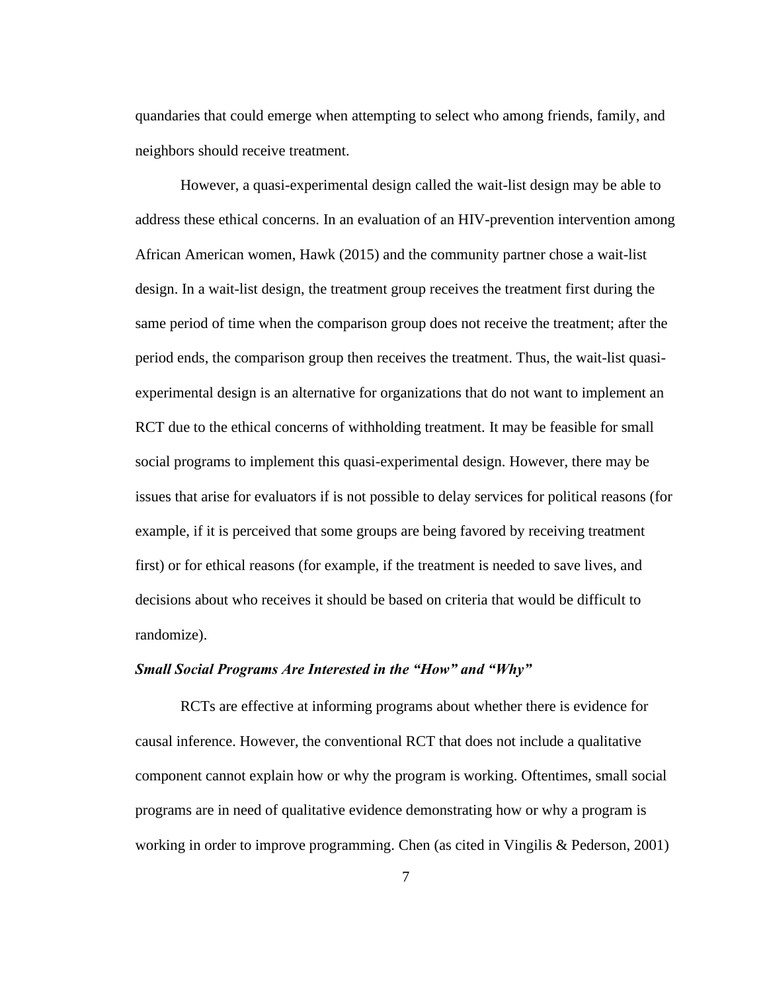quandaries that could emerge when attempting to select who among friends, family, and neighbors should receive treatment.

However, a quasi-experimental design called the wait-list design may be able to address these ethical concerns. In an evaluation of an HIV-prevention intervention among African American women, Hawk (2015) and the community partner chose a wait-list design. In a wait-list design, the treatment group receives the treatment first during the same period of time when the comparison group does not receive the treatment; after the period ends, the comparison group then receives the treatment. Thus, the wait-list quasiexperimental design is an alternative for organizations that do not want to implement an RCT due to the ethical concerns of withholding treatment. It may be feasible for small social programs to implement this quasi-experimental design. However, there may be issues that arise for evaluators if is not possible to delay services for political reasons (for example, if it is perceived that some groups are being favored by receiving treatment first) or for ethical reasons (for example, if the treatment is needed to save lives, and decisions about who receives it should be based on criteria that would be difficult to randomize).

## *Small Social Programs Are Interested in the "How" and "Why"*

RCTs are effective at informing programs about whether there is evidence for causal inference. However, the conventional RCT that does not include a qualitative component cannot explain how or why the program is working. Oftentimes, small social programs are in need of qualitative evidence demonstrating how or why a program is working in order to improve programming. Chen (as cited in Vingilis & Pederson, 2001)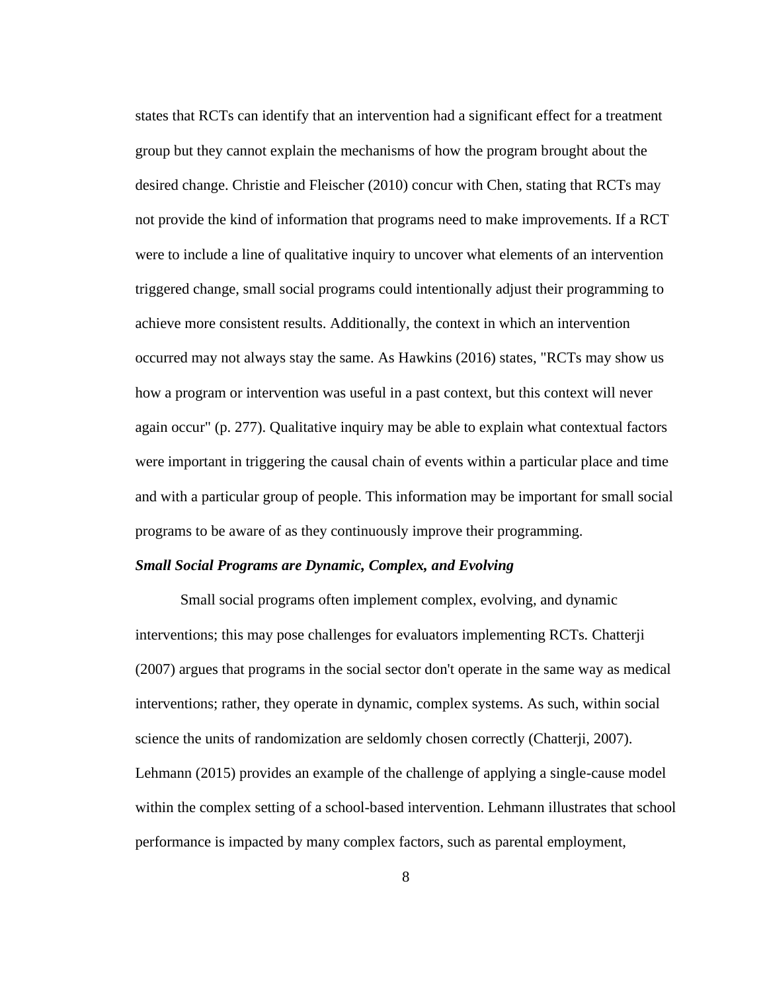states that RCTs can identify that an intervention had a significant effect for a treatment group but they cannot explain the mechanisms of how the program brought about the desired change. Christie and Fleischer (2010) concur with Chen, stating that RCTs may not provide the kind of information that programs need to make improvements. If a RCT were to include a line of qualitative inquiry to uncover what elements of an intervention triggered change, small social programs could intentionally adjust their programming to achieve more consistent results. Additionally, the context in which an intervention occurred may not always stay the same. As Hawkins (2016) states, "RCTs may show us how a program or intervention was useful in a past context, but this context will never again occur" (p. 277). Qualitative inquiry may be able to explain what contextual factors were important in triggering the causal chain of events within a particular place and time and with a particular group of people. This information may be important for small social programs to be aware of as they continuously improve their programming.

## *Small Social Programs are Dynamic, Complex, and Evolving*

Small social programs often implement complex, evolving, and dynamic interventions; this may pose challenges for evaluators implementing RCTs*.* Chatterji (2007) argues that programs in the social sector don't operate in the same way as medical interventions; rather, they operate in dynamic, complex systems. As such, within social science the units of randomization are seldomly chosen correctly (Chatterji, 2007). Lehmann (2015) provides an example of the challenge of applying a single-cause model within the complex setting of a school-based intervention. Lehmann illustrates that school performance is impacted by many complex factors, such as parental employment,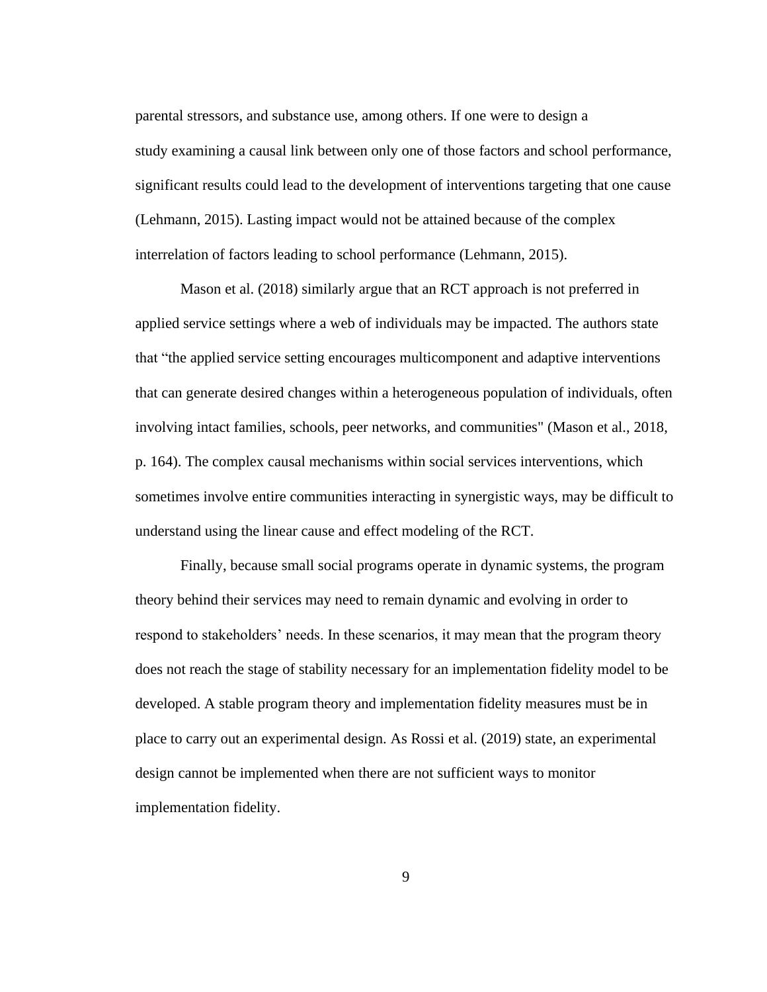parental stressors, and substance use, among others. If one were to design a study examining a causal link between only one of those factors and school performance, significant results could lead to the development of interventions targeting that one cause (Lehmann, 2015). Lasting impact would not be attained because of the complex interrelation of factors leading to school performance (Lehmann, 2015).

Mason et al. (2018) similarly argue that an RCT approach is not preferred in applied service settings where a web of individuals may be impacted. The authors state that "the applied service setting encourages multicomponent and adaptive interventions that can generate desired changes within a heterogeneous population of individuals, often involving intact families, schools, peer networks, and communities" (Mason et al., 2018, p. 164). The complex causal mechanisms within social services interventions, which sometimes involve entire communities interacting in synergistic ways, may be difficult to understand using the linear cause and effect modeling of the RCT.

Finally, because small social programs operate in dynamic systems, the program theory behind their services may need to remain dynamic and evolving in order to respond to stakeholders' needs. In these scenarios, it may mean that the program theory does not reach the stage of stability necessary for an implementation fidelity model to be developed. A stable program theory and implementation fidelity measures must be in place to carry out an experimental design. As Rossi et al. (2019) state, an experimental design cannot be implemented when there are not sufficient ways to monitor implementation fidelity.

9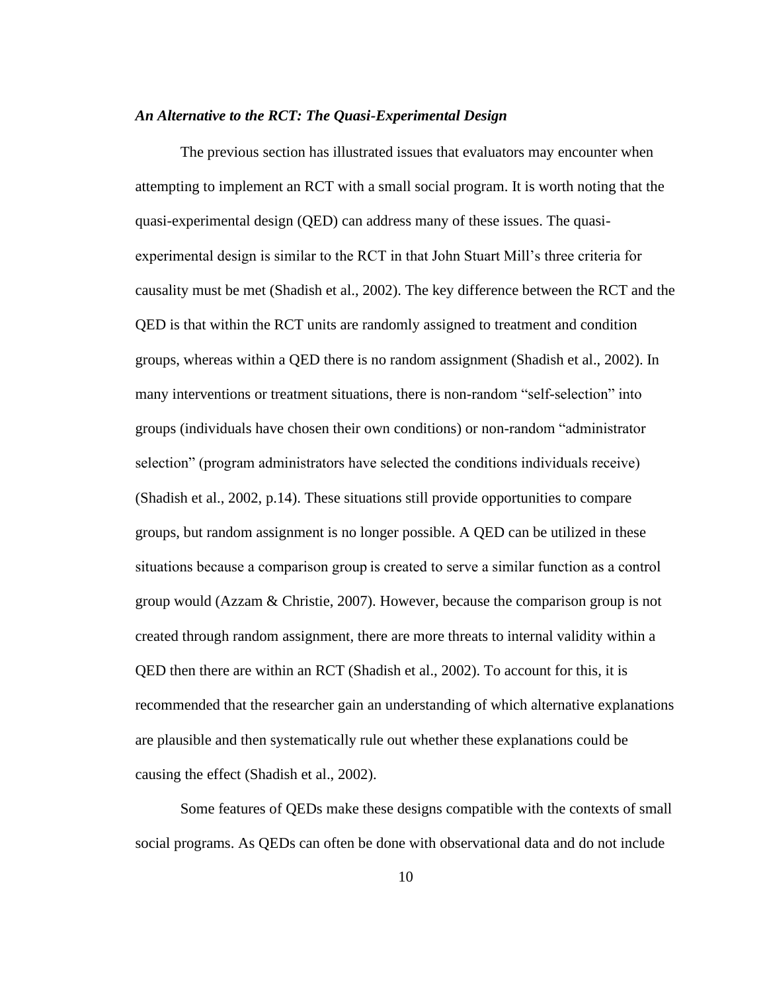## *An Alternative to the RCT: The Quasi-Experimental Design*

The previous section has illustrated issues that evaluators may encounter when attempting to implement an RCT with a small social program. It is worth noting that the quasi-experimental design (QED) can address many of these issues. The quasiexperimental design is similar to the RCT in that John Stuart Mill's three criteria for causality must be met (Shadish et al., 2002). The key difference between the RCT and the QED is that within the RCT units are randomly assigned to treatment and condition groups, whereas within a QED there is no random assignment (Shadish et al., 2002). In many interventions or treatment situations, there is non-random "self-selection" into groups (individuals have chosen their own conditions) or non-random "administrator selection" (program administrators have selected the conditions individuals receive) (Shadish et al., 2002, p.14). These situations still provide opportunities to compare groups, but random assignment is no longer possible. A QED can be utilized in these situations because a comparison group is created to serve a similar function as a control group would (Azzam & Christie, 2007). However, because the comparison group is not created through random assignment, there are more threats to internal validity within a QED then there are within an RCT (Shadish et al., 2002). To account for this, it is recommended that the researcher gain an understanding of which alternative explanations are plausible and then systematically rule out whether these explanations could be causing the effect (Shadish et al., 2002).

Some features of QEDs make these designs compatible with the contexts of small social programs. As QEDs can often be done with observational data and do not include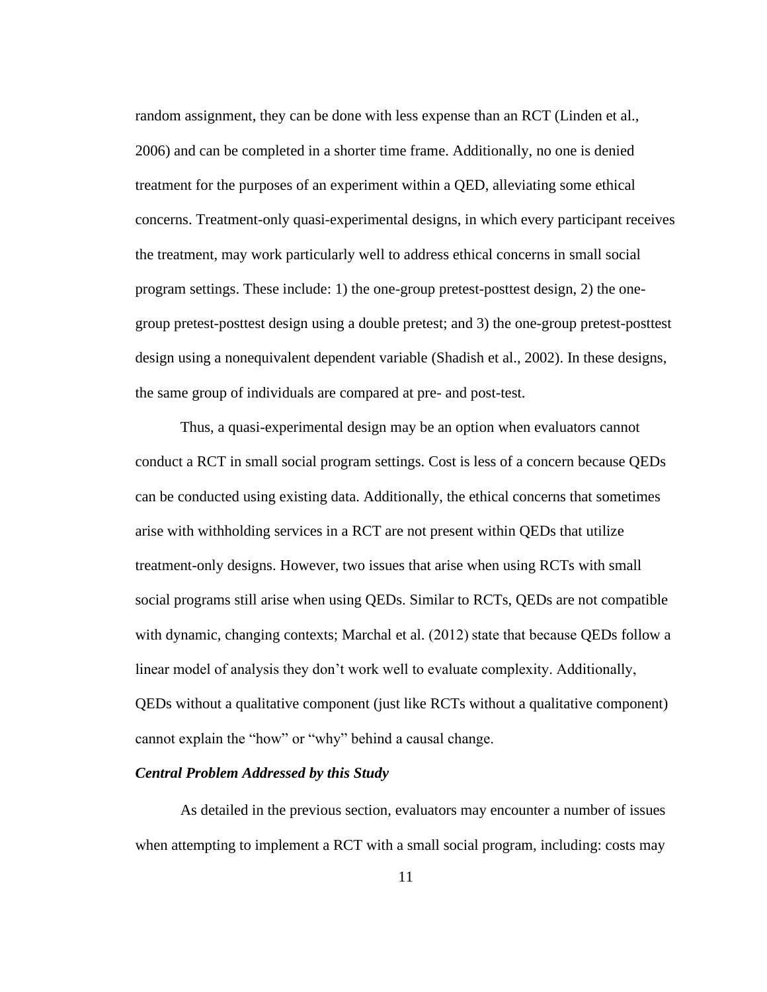random assignment, they can be done with less expense than an RCT (Linden et al., 2006) and can be completed in a shorter time frame. Additionally, no one is denied treatment for the purposes of an experiment within a QED, alleviating some ethical concerns. Treatment-only quasi-experimental designs, in which every participant receives the treatment, may work particularly well to address ethical concerns in small social program settings. These include: 1) the one-group pretest-posttest design, 2) the onegroup pretest-posttest design using a double pretest; and 3) the one-group pretest-posttest design using a nonequivalent dependent variable (Shadish et al., 2002). In these designs, the same group of individuals are compared at pre- and post-test.

Thus, a quasi-experimental design may be an option when evaluators cannot conduct a RCT in small social program settings. Cost is less of a concern because QEDs can be conducted using existing data. Additionally, the ethical concerns that sometimes arise with withholding services in a RCT are not present within QEDs that utilize treatment-only designs. However, two issues that arise when using RCTs with small social programs still arise when using QEDs. Similar to RCTs, QEDs are not compatible with dynamic, changing contexts; Marchal et al. (2012) state that because QEDs follow a linear model of analysis they don't work well to evaluate complexity. Additionally, QEDs without a qualitative component (just like RCTs without a qualitative component) cannot explain the "how" or "why" behind a causal change.

## *Central Problem Addressed by this Study*

As detailed in the previous section, evaluators may encounter a number of issues when attempting to implement a RCT with a small social program, including: costs may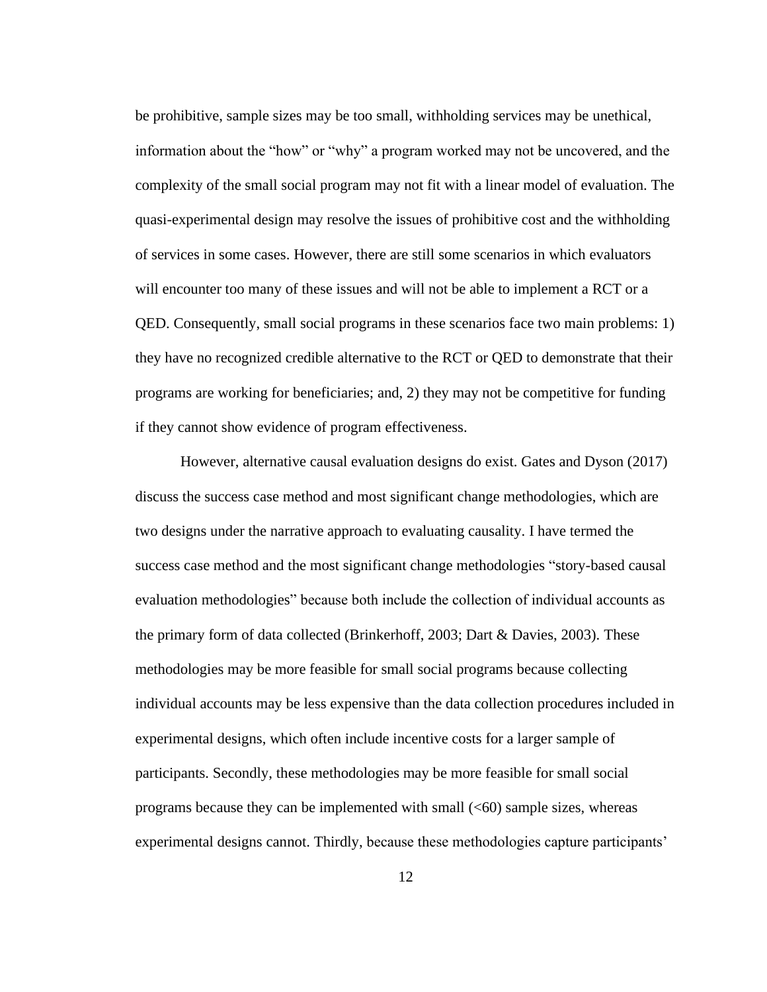be prohibitive, sample sizes may be too small, withholding services may be unethical, information about the "how" or "why" a program worked may not be uncovered, and the complexity of the small social program may not fit with a linear model of evaluation. The quasi-experimental design may resolve the issues of prohibitive cost and the withholding of services in some cases. However, there are still some scenarios in which evaluators will encounter too many of these issues and will not be able to implement a RCT or a QED. Consequently, small social programs in these scenarios face two main problems: 1) they have no recognized credible alternative to the RCT or QED to demonstrate that their programs are working for beneficiaries; and, 2) they may not be competitive for funding if they cannot show evidence of program effectiveness.

However, alternative causal evaluation designs do exist. Gates and Dyson (2017) discuss the success case method and most significant change methodologies, which are two designs under the narrative approach to evaluating causality. I have termed the success case method and the most significant change methodologies "story-based causal evaluation methodologies" because both include the collection of individual accounts as the primary form of data collected (Brinkerhoff, 2003; Dart & Davies, 2003). These methodologies may be more feasible for small social programs because collecting individual accounts may be less expensive than the data collection procedures included in experimental designs, which often include incentive costs for a larger sample of participants. Secondly, these methodologies may be more feasible for small social programs because they can be implemented with small  $( $60$ ) sample sizes, whereas$ experimental designs cannot. Thirdly, because these methodologies capture participants'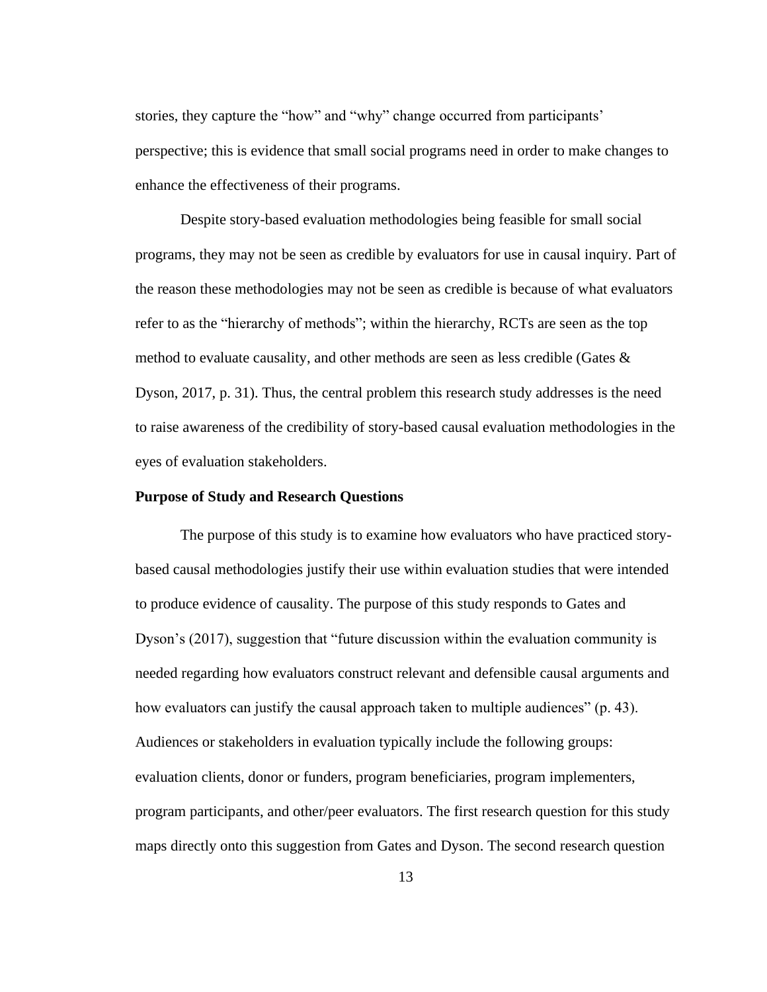stories, they capture the "how" and "why" change occurred from participants' perspective; this is evidence that small social programs need in order to make changes to enhance the effectiveness of their programs.

Despite story-based evaluation methodologies being feasible for small social programs, they may not be seen as credible by evaluators for use in causal inquiry. Part of the reason these methodologies may not be seen as credible is because of what evaluators refer to as the "hierarchy of methods"; within the hierarchy, RCTs are seen as the top method to evaluate causality, and other methods are seen as less credible (Gates & Dyson, 2017, p. 31). Thus, the central problem this research study addresses is the need to raise awareness of the credibility of story-based causal evaluation methodologies in the eyes of evaluation stakeholders.

### <span id="page-21-0"></span>**Purpose of Study and Research Questions**

The purpose of this study is to examine how evaluators who have practiced storybased causal methodologies justify their use within evaluation studies that were intended to produce evidence of causality. The purpose of this study responds to Gates and Dyson's (2017), suggestion that "future discussion within the evaluation community is needed regarding how evaluators construct relevant and defensible causal arguments and how evaluators can justify the causal approach taken to multiple audiences" (p. 43). Audiences or stakeholders in evaluation typically include the following groups: evaluation clients, donor or funders, program beneficiaries, program implementers, program participants, and other/peer evaluators. The first research question for this study maps directly onto this suggestion from Gates and Dyson. The second research question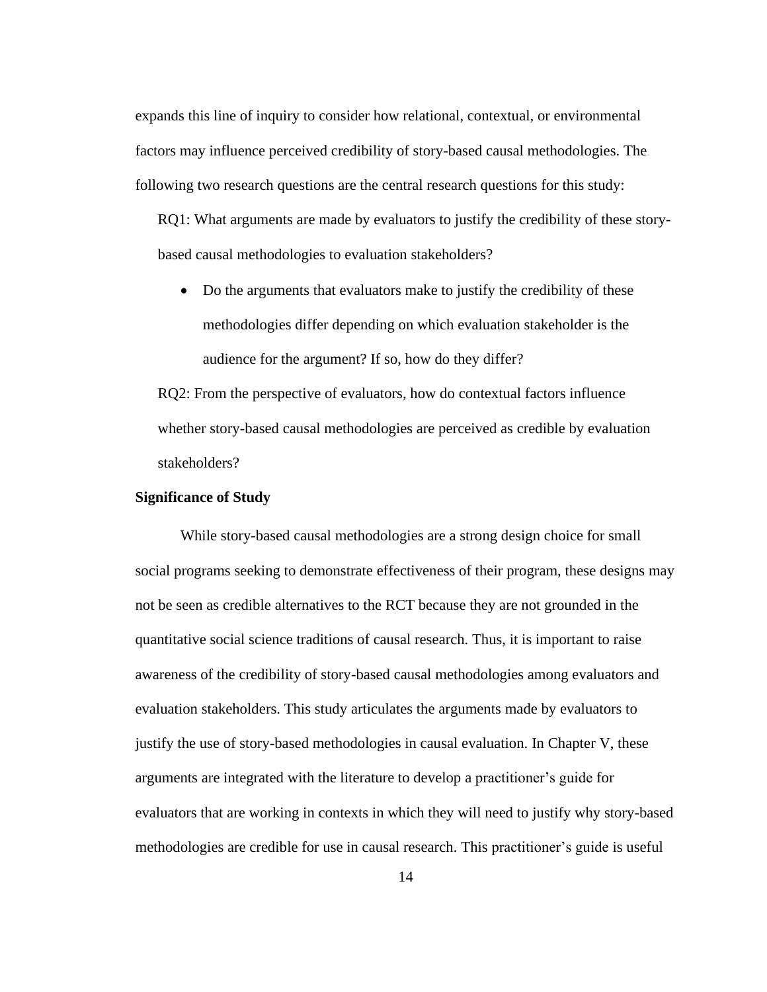expands this line of inquiry to consider how relational, contextual, or environmental factors may influence perceived credibility of story-based causal methodologies. The following two research questions are the central research questions for this study:

RQ1: What arguments are made by evaluators to justify the credibility of these storybased causal methodologies to evaluation stakeholders?

• Do the arguments that evaluators make to justify the credibility of these methodologies differ depending on which evaluation stakeholder is the audience for the argument? If so, how do they differ?

RQ2: From the perspective of evaluators, how do contextual factors influence whether story-based causal methodologies are perceived as credible by evaluation stakeholders?

### <span id="page-22-0"></span>**Significance of Study**

While story-based causal methodologies are a strong design choice for small social programs seeking to demonstrate effectiveness of their program, these designs may not be seen as credible alternatives to the RCT because they are not grounded in the quantitative social science traditions of causal research. Thus, it is important to raise awareness of the credibility of story-based causal methodologies among evaluators and evaluation stakeholders. This study articulates the arguments made by evaluators to justify the use of story-based methodologies in causal evaluation. In Chapter V, these arguments are integrated with the literature to develop a practitioner's guide for evaluators that are working in contexts in which they will need to justify why story-based methodologies are credible for use in causal research. This practitioner's guide is useful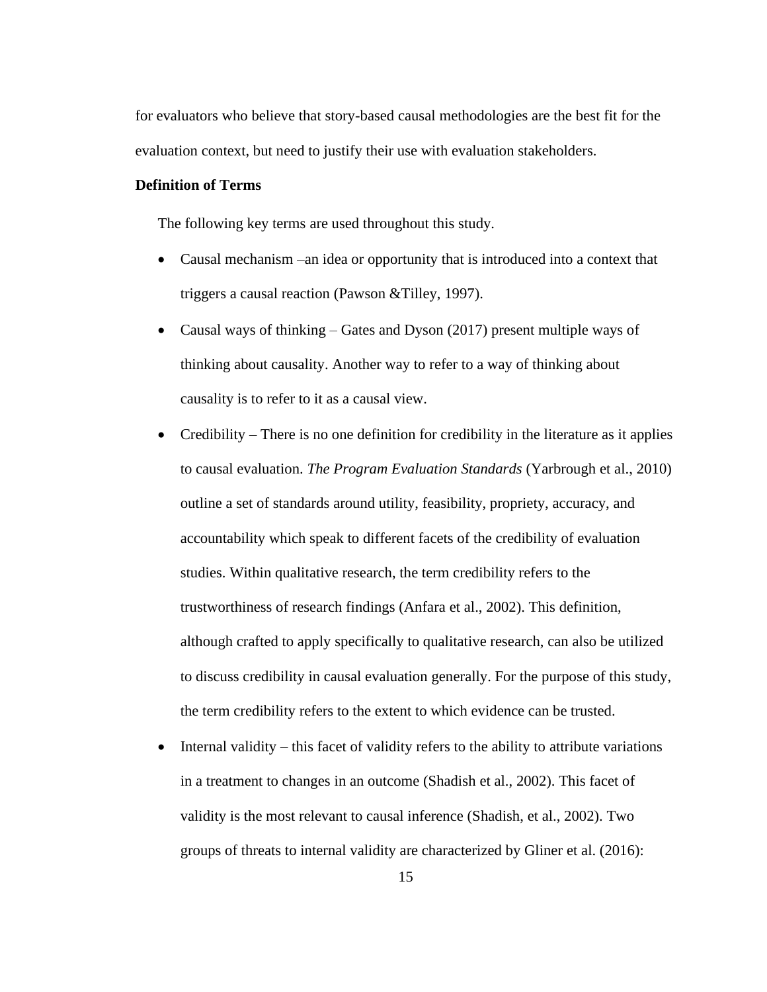for evaluators who believe that story-based causal methodologies are the best fit for the evaluation context, but need to justify their use with evaluation stakeholders.

## <span id="page-23-0"></span>**Definition of Terms**

The following key terms are used throughout this study.

- Causal mechanism –an idea or opportunity that is introduced into a context that triggers a causal reaction (Pawson &Tilley, 1997).
- Causal ways of thinking Gates and Dyson (2017) present multiple ways of thinking about causality. Another way to refer to a way of thinking about causality is to refer to it as a causal view.
- Credibility There is no one definition for credibility in the literature as it applies to causal evaluation. *The Program Evaluation Standards* (Yarbrough et al., 2010) outline a set of standards around utility, feasibility, propriety, accuracy, and accountability which speak to different facets of the credibility of evaluation studies. Within qualitative research, the term credibility refers to the trustworthiness of research findings (Anfara et al., 2002). This definition, although crafted to apply specifically to qualitative research, can also be utilized to discuss credibility in causal evaluation generally. For the purpose of this study, the term credibility refers to the extent to which evidence can be trusted.
- Internal validity this facet of validity refers to the ability to attribute variations in a treatment to changes in an outcome (Shadish et al., 2002). This facet of validity is the most relevant to causal inference (Shadish, et al., 2002). Two groups of threats to internal validity are characterized by Gliner et al. (2016):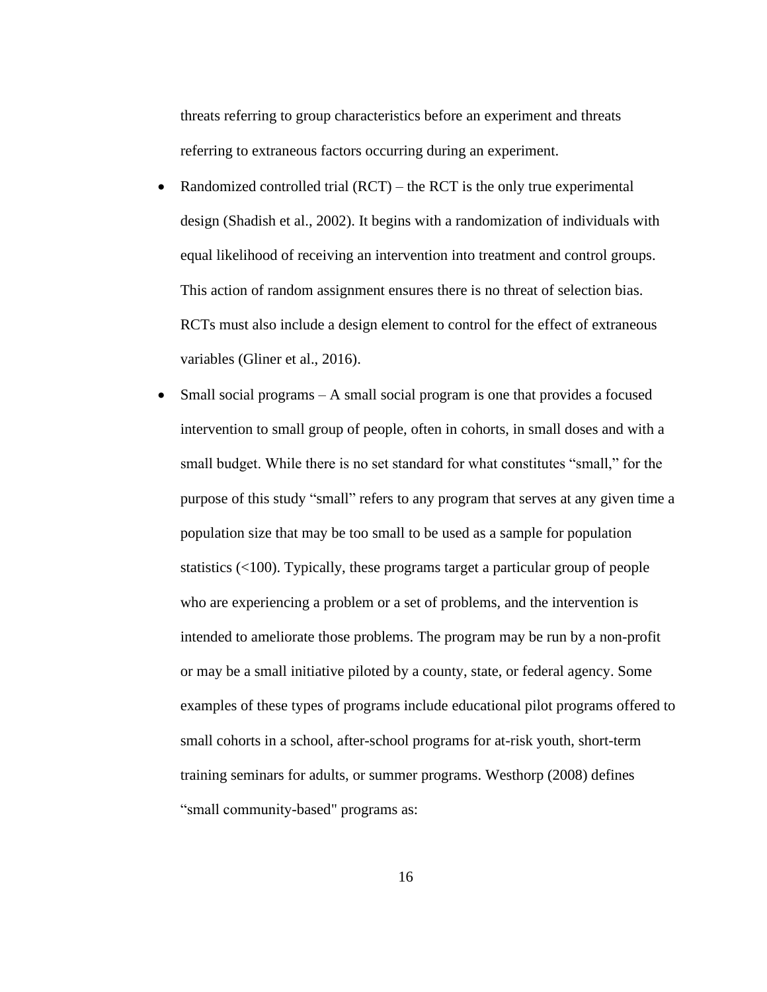threats referring to group characteristics before an experiment and threats referring to extraneous factors occurring during an experiment.

- Randomized controlled trial  $(RCT)$  the RCT is the only true experimental design (Shadish et al., 2002). It begins with a randomization of individuals with equal likelihood of receiving an intervention into treatment and control groups. This action of random assignment ensures there is no threat of selection bias. RCTs must also include a design element to control for the effect of extraneous variables (Gliner et al., 2016).
- Small social programs A small social program is one that provides a focused intervention to small group of people, often in cohorts, in small doses and with a small budget. While there is no set standard for what constitutes "small," for the purpose of this study "small" refers to any program that serves at any given time a population size that may be too small to be used as a sample for population statistics (<100). Typically, these programs target a particular group of people who are experiencing a problem or a set of problems, and the intervention is intended to ameliorate those problems. The program may be run by a non-profit or may be a small initiative piloted by a county, state, or federal agency. Some examples of these types of programs include educational pilot programs offered to small cohorts in a school, after-school programs for at-risk youth, short-term training seminars for adults, or summer programs. Westhorp (2008) defines "small community-based" programs as: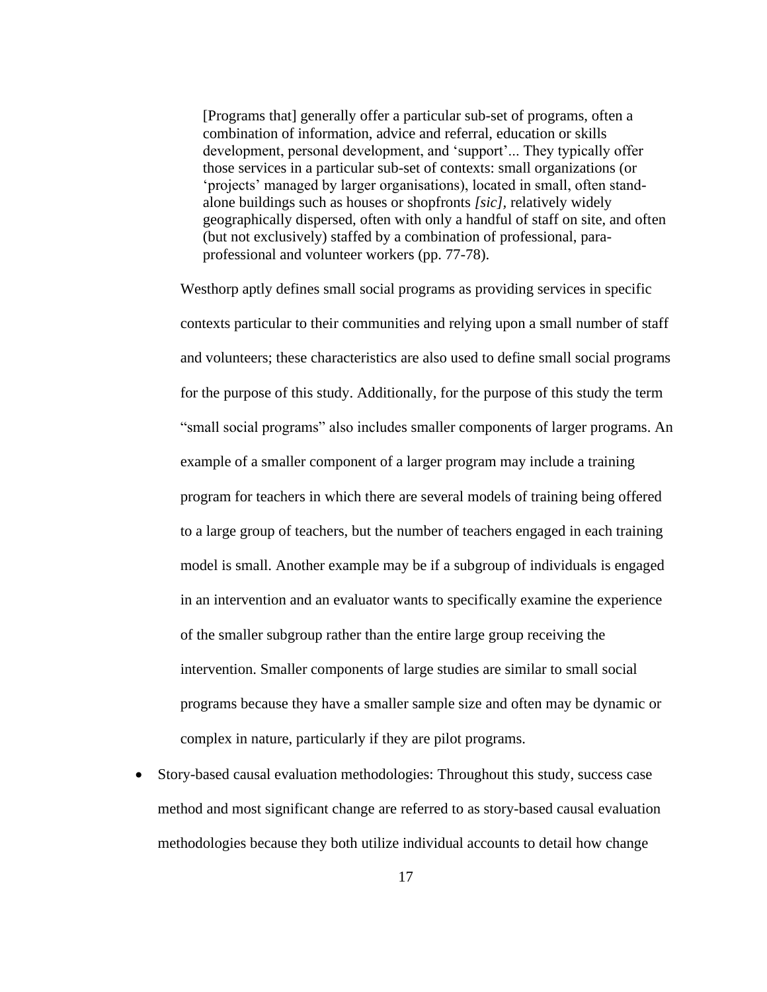[Programs that] generally offer a particular sub-set of programs, often a combination of information, advice and referral, education or skills development, personal development, and 'support'... They typically offer those services in a particular sub-set of contexts: small organizations (or 'projects' managed by larger organisations), located in small, often standalone buildings such as houses or shopfronts *[sic],* relatively widely geographically dispersed, often with only a handful of staff on site, and often (but not exclusively) staffed by a combination of professional, paraprofessional and volunteer workers (pp. 77-78).

Westhorp aptly defines small social programs as providing services in specific contexts particular to their communities and relying upon a small number of staff and volunteers; these characteristics are also used to define small social programs for the purpose of this study. Additionally, for the purpose of this study the term "small social programs" also includes smaller components of larger programs. An example of a smaller component of a larger program may include a training program for teachers in which there are several models of training being offered to a large group of teachers, but the number of teachers engaged in each training model is small. Another example may be if a subgroup of individuals is engaged in an intervention and an evaluator wants to specifically examine the experience of the smaller subgroup rather than the entire large group receiving the intervention. Smaller components of large studies are similar to small social programs because they have a smaller sample size and often may be dynamic or complex in nature, particularly if they are pilot programs.

• Story-based causal evaluation methodologies: Throughout this study, success case method and most significant change are referred to as story-based causal evaluation methodologies because they both utilize individual accounts to detail how change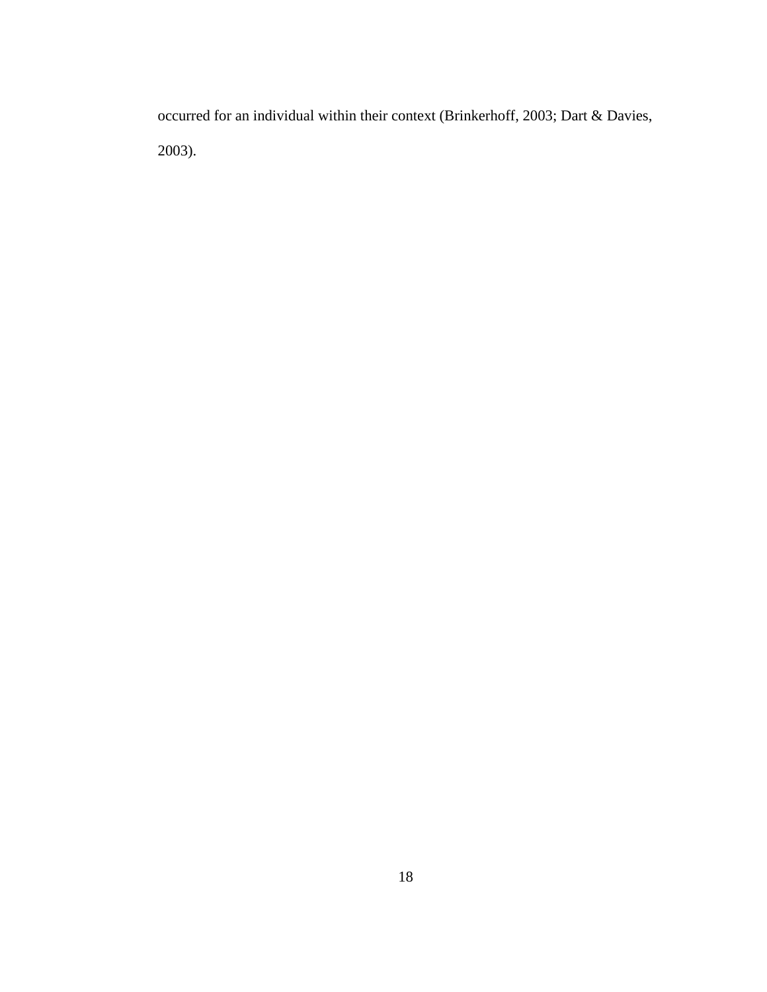<span id="page-26-0"></span>occurred for an individual within their context (Brinkerhoff, 2003; Dart & Davies, 2003).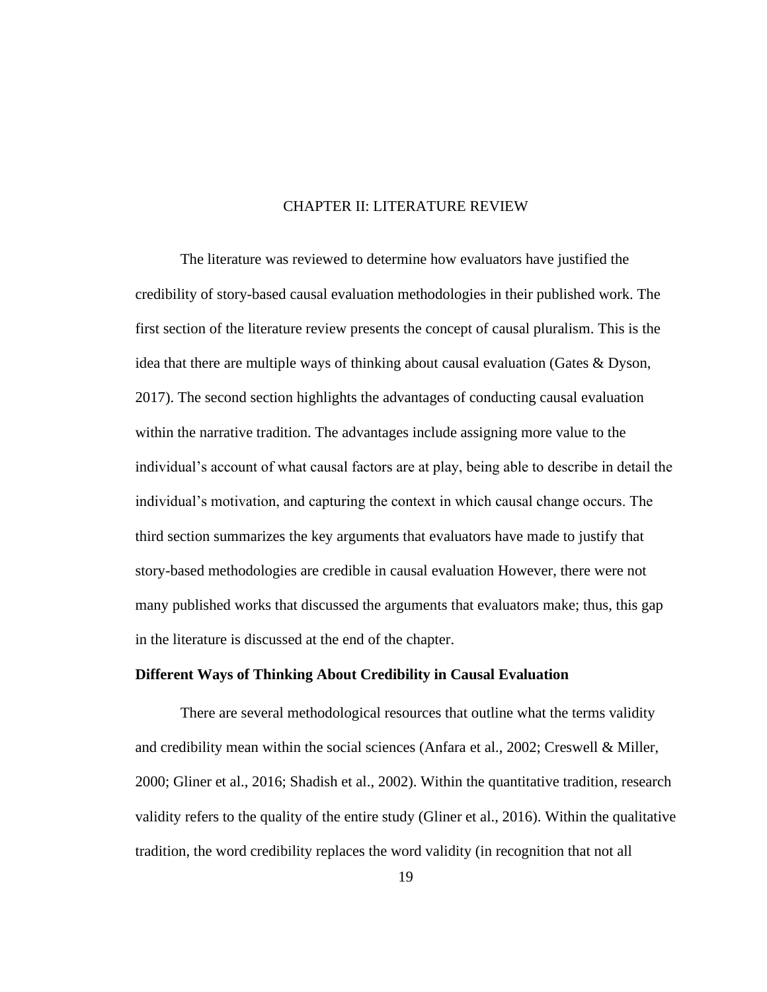## CHAPTER II: LITERATURE REVIEW

The literature was reviewed to determine how evaluators have justified the credibility of story-based causal evaluation methodologies in their published work. The first section of the literature review presents the concept of causal pluralism. This is the idea that there are multiple ways of thinking about causal evaluation (Gates & Dyson, 2017). The second section highlights the advantages of conducting causal evaluation within the narrative tradition. The advantages include assigning more value to the individual's account of what causal factors are at play, being able to describe in detail the individual's motivation, and capturing the context in which causal change occurs. The third section summarizes the key arguments that evaluators have made to justify that story-based methodologies are credible in causal evaluation However, there were not many published works that discussed the arguments that evaluators make; thus, this gap in the literature is discussed at the end of the chapter.

## <span id="page-27-0"></span>**Different Ways of Thinking About Credibility in Causal Evaluation**

There are several methodological resources that outline what the terms validity and credibility mean within the social sciences (Anfara et al., 2002; Creswell & Miller, 2000; Gliner et al., 2016; Shadish et al., 2002). Within the quantitative tradition, research validity refers to the quality of the entire study (Gliner et al., 2016). Within the qualitative tradition, the word credibility replaces the word validity (in recognition that not all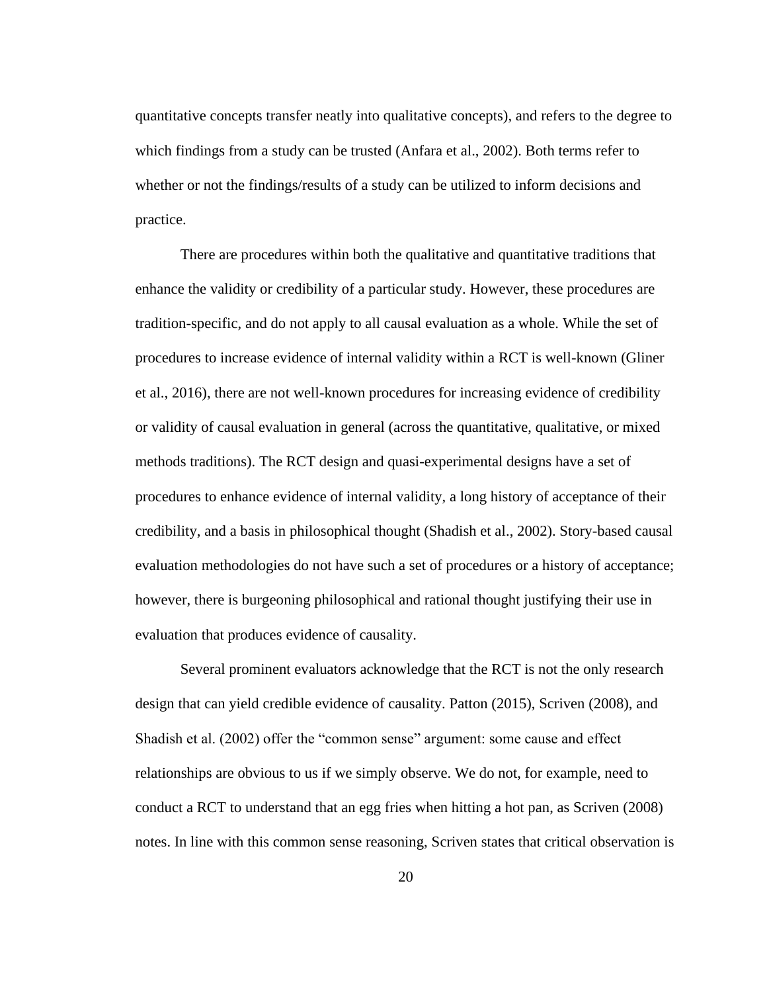quantitative concepts transfer neatly into qualitative concepts), and refers to the degree to which findings from a study can be trusted (Anfara et al., 2002). Both terms refer to whether or not the findings/results of a study can be utilized to inform decisions and practice.

There are procedures within both the qualitative and quantitative traditions that enhance the validity or credibility of a particular study. However, these procedures are tradition-specific, and do not apply to all causal evaluation as a whole. While the set of procedures to increase evidence of internal validity within a RCT is well-known (Gliner et al., 2016), there are not well-known procedures for increasing evidence of credibility or validity of causal evaluation in general (across the quantitative, qualitative, or mixed methods traditions). The RCT design and quasi-experimental designs have a set of procedures to enhance evidence of internal validity, a long history of acceptance of their credibility, and a basis in philosophical thought (Shadish et al., 2002). Story-based causal evaluation methodologies do not have such a set of procedures or a history of acceptance; however, there is burgeoning philosophical and rational thought justifying their use in evaluation that produces evidence of causality.

Several prominent evaluators acknowledge that the RCT is not the only research design that can yield credible evidence of causality. Patton (2015), Scriven (2008), and Shadish et al. (2002) offer the "common sense" argument: some cause and effect relationships are obvious to us if we simply observe. We do not, for example, need to conduct a RCT to understand that an egg fries when hitting a hot pan, as Scriven (2008) notes. In line with this common sense reasoning, Scriven states that critical observation is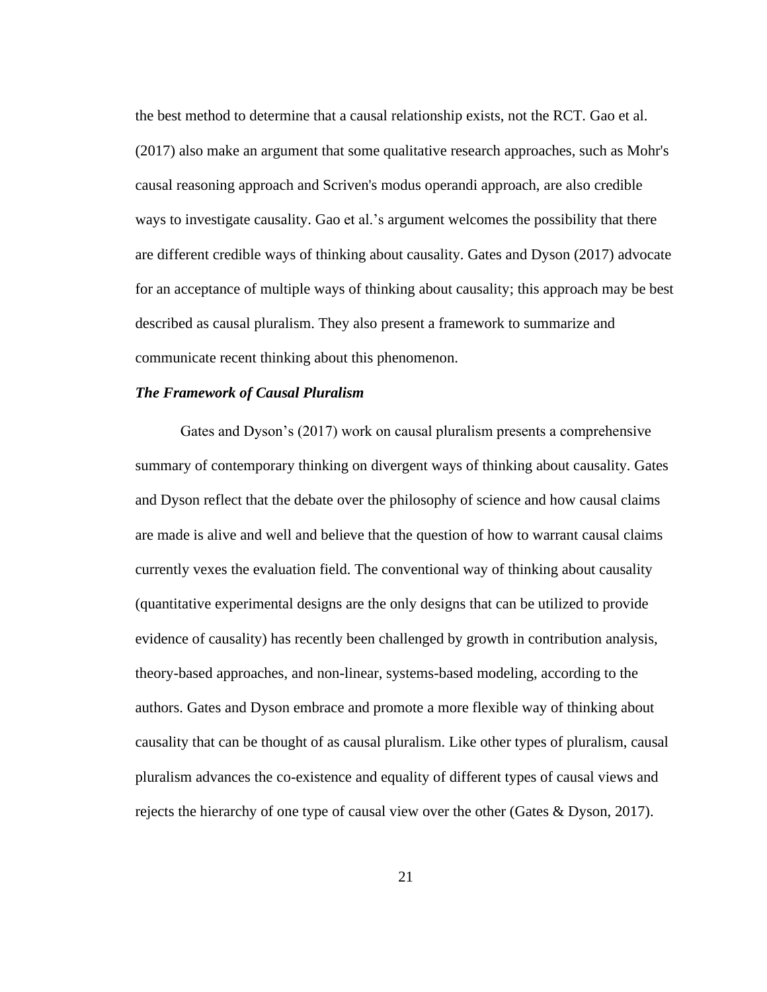the best method to determine that a causal relationship exists, not the RCT. Gao et al. (2017) also make an argument that some qualitative research approaches, such as Mohr's causal reasoning approach and Scriven's modus operandi approach, are also credible ways to investigate causality. Gao et al.'s argument welcomes the possibility that there are different credible ways of thinking about causality. Gates and Dyson (2017) advocate for an acceptance of multiple ways of thinking about causality; this approach may be best described as causal pluralism. They also present a framework to summarize and communicate recent thinking about this phenomenon.

## *The Framework of Causal Pluralism*

Gates and Dyson's (2017) work on causal pluralism presents a comprehensive summary of contemporary thinking on divergent ways of thinking about causality. Gates and Dyson reflect that the debate over the philosophy of science and how causal claims are made is alive and well and believe that the question of how to warrant causal claims currently vexes the evaluation field. The conventional way of thinking about causality (quantitative experimental designs are the only designs that can be utilized to provide evidence of causality) has recently been challenged by growth in contribution analysis, theory-based approaches, and non-linear, systems-based modeling, according to the authors. Gates and Dyson embrace and promote a more flexible way of thinking about causality that can be thought of as causal pluralism. Like other types of pluralism, causal pluralism advances the co-existence and equality of different types of causal views and rejects the hierarchy of one type of causal view over the other (Gates & Dyson, 2017).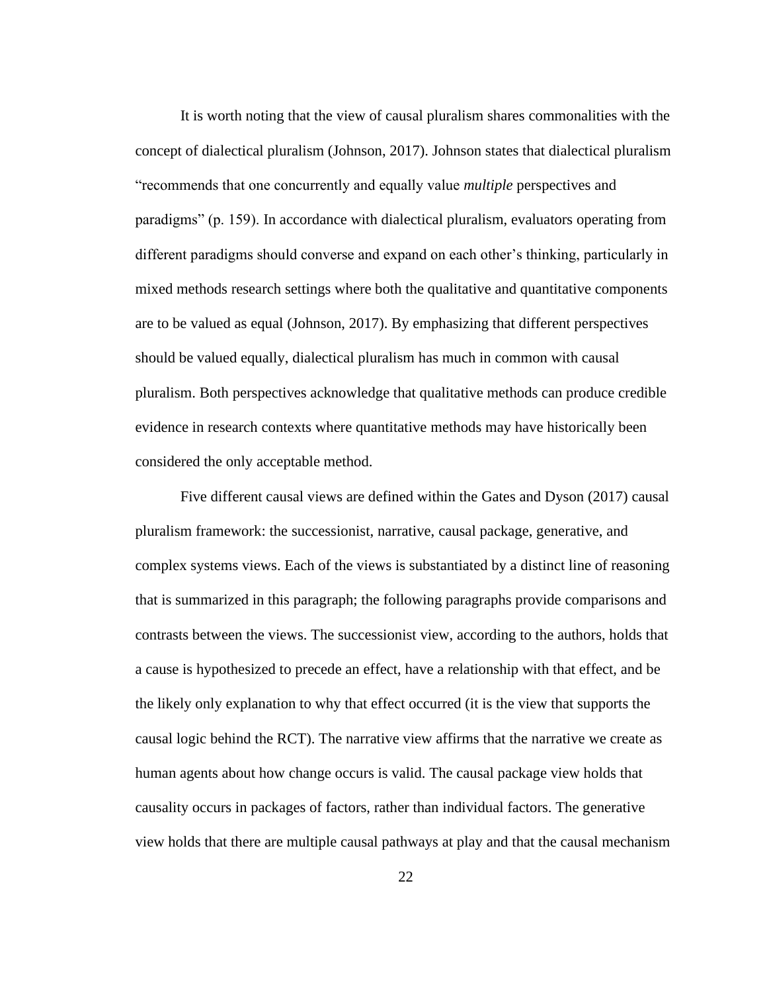It is worth noting that the view of causal pluralism shares commonalities with the concept of dialectical pluralism (Johnson, 2017). Johnson states that dialectical pluralism "recommends that one concurrently and equally value *multiple* perspectives and paradigms" (p. 159). In accordance with dialectical pluralism, evaluators operating from different paradigms should converse and expand on each other's thinking, particularly in mixed methods research settings where both the qualitative and quantitative components are to be valued as equal (Johnson, 2017). By emphasizing that different perspectives should be valued equally, dialectical pluralism has much in common with causal pluralism. Both perspectives acknowledge that qualitative methods can produce credible evidence in research contexts where quantitative methods may have historically been considered the only acceptable method.

Five different causal views are defined within the Gates and Dyson (2017) causal pluralism framework: the successionist, narrative, causal package, generative, and complex systems views. Each of the views is substantiated by a distinct line of reasoning that is summarized in this paragraph; the following paragraphs provide comparisons and contrasts between the views. The successionist view, according to the authors, holds that a cause is hypothesized to precede an effect, have a relationship with that effect, and be the likely only explanation to why that effect occurred (it is the view that supports the causal logic behind the RCT). The narrative view affirms that the narrative we create as human agents about how change occurs is valid. The causal package view holds that causality occurs in packages of factors, rather than individual factors. The generative view holds that there are multiple causal pathways at play and that the causal mechanism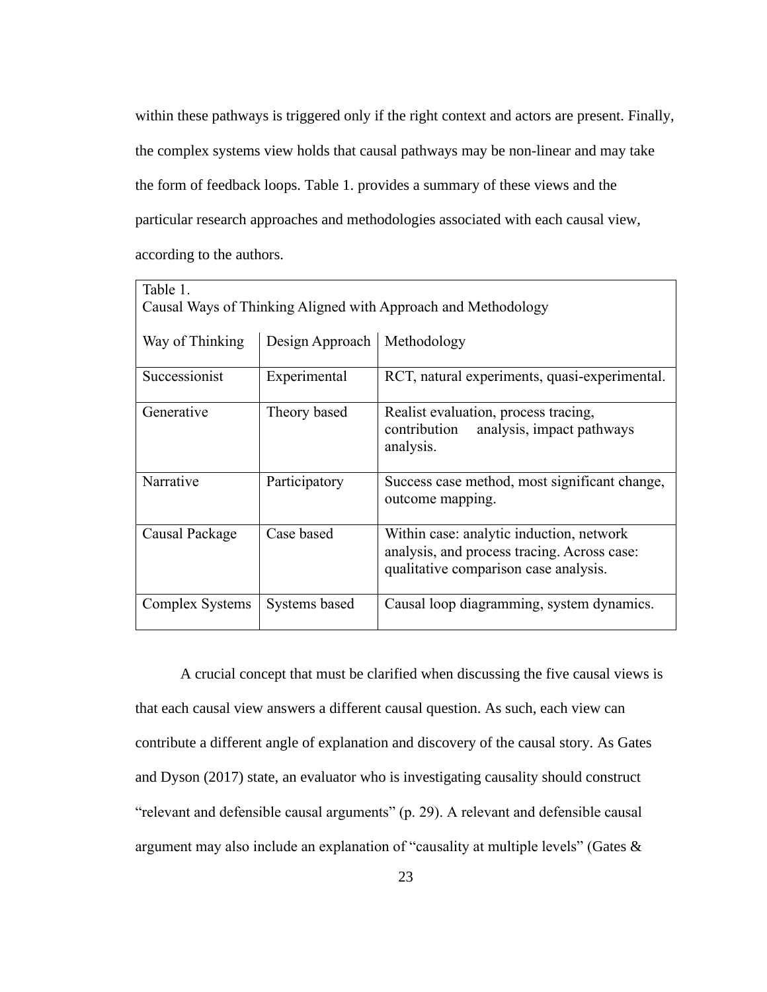within these pathways is triggered only if the right context and actors are present. Finally, the complex systems view holds that causal pathways may be non-linear and may take the form of feedback loops. Table 1. provides a summary of these views and the particular research approaches and methodologies associated with each causal view, according to the authors.

| Table 1.                                                      |                 |                                                                                                                                  |  |  |
|---------------------------------------------------------------|-----------------|----------------------------------------------------------------------------------------------------------------------------------|--|--|
| Causal Ways of Thinking Aligned with Approach and Methodology |                 |                                                                                                                                  |  |  |
| Way of Thinking                                               | Design Approach | Methodology                                                                                                                      |  |  |
| Successionist                                                 | Experimental    | RCT, natural experiments, quasi-experimental.                                                                                    |  |  |
| Generative                                                    | Theory based    | Realist evaluation, process tracing,<br>analysis, impact pathways<br>contribution<br>analysis.                                   |  |  |
| Narrative                                                     | Participatory   | Success case method, most significant change,<br>outcome mapping.                                                                |  |  |
| Causal Package                                                | Case based      | Within case: analytic induction, network<br>analysis, and process tracing. Across case:<br>qualitative comparison case analysis. |  |  |
| Complex Systems                                               | Systems based   | Causal loop diagramming, system dynamics.                                                                                        |  |  |

A crucial concept that must be clarified when discussing the five causal views is that each causal view answers a different causal question. As such, each view can contribute a different angle of explanation and discovery of the causal story. As Gates and Dyson (2017) state, an evaluator who is investigating causality should construct "relevant and defensible causal arguments" (p. 29). A relevant and defensible causal argument may also include an explanation of "causality at multiple levels" (Gates &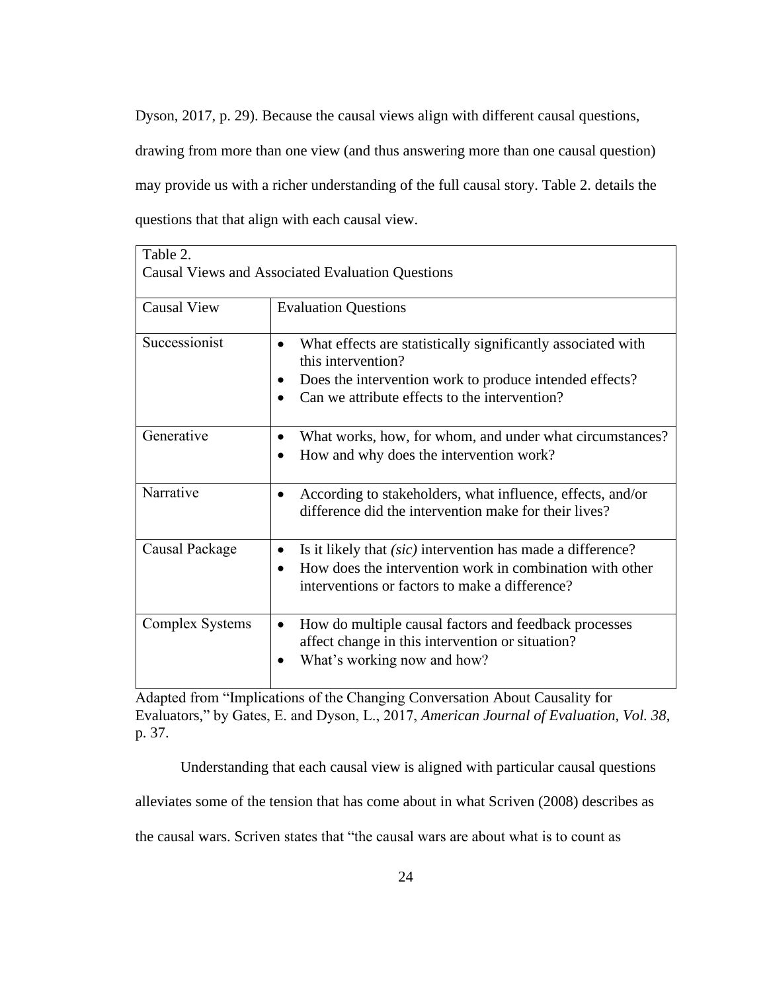Dyson, 2017, p. 29). Because the causal views align with different causal questions, drawing from more than one view (and thus answering more than one causal question) may provide us with a richer understanding of the full causal story. Table 2. details the questions that that align with each causal view.

| Table 2.           |                                                                                                                                                                                                            |
|--------------------|------------------------------------------------------------------------------------------------------------------------------------------------------------------------------------------------------------|
|                    | <b>Causal Views and Associated Evaluation Questions</b>                                                                                                                                                    |
| <b>Causal View</b> | <b>Evaluation Questions</b>                                                                                                                                                                                |
| Successionist      | What effects are statistically significantly associated with<br>this intervention?<br>Does the intervention work to produce intended effects?<br>Can we attribute effects to the intervention?             |
| Generative         | What works, how, for whom, and under what circumstances?<br>How and why does the intervention work?                                                                                                        |
| Narrative          | According to stakeholders, what influence, effects, and/or<br>$\bullet$<br>difference did the intervention make for their lives?                                                                           |
| Causal Package     | Is it likely that <i>(sic)</i> intervention has made a difference?<br>$\bullet$<br>How does the intervention work in combination with other<br>$\bullet$<br>interventions or factors to make a difference? |
| Complex Systems    | How do multiple causal factors and feedback processes<br>affect change in this intervention or situation?<br>What's working now and how?                                                                   |

Adapted from "Implications of the Changing Conversation About Causality for Evaluators," by Gates, E. and Dyson, L., 2017, *American Journal of Evaluation, Vol. 38*, p. 37.

Understanding that each causal view is aligned with particular causal questions

alleviates some of the tension that has come about in what Scriven (2008) describes as

the causal wars. Scriven states that "the causal wars are about what is to count as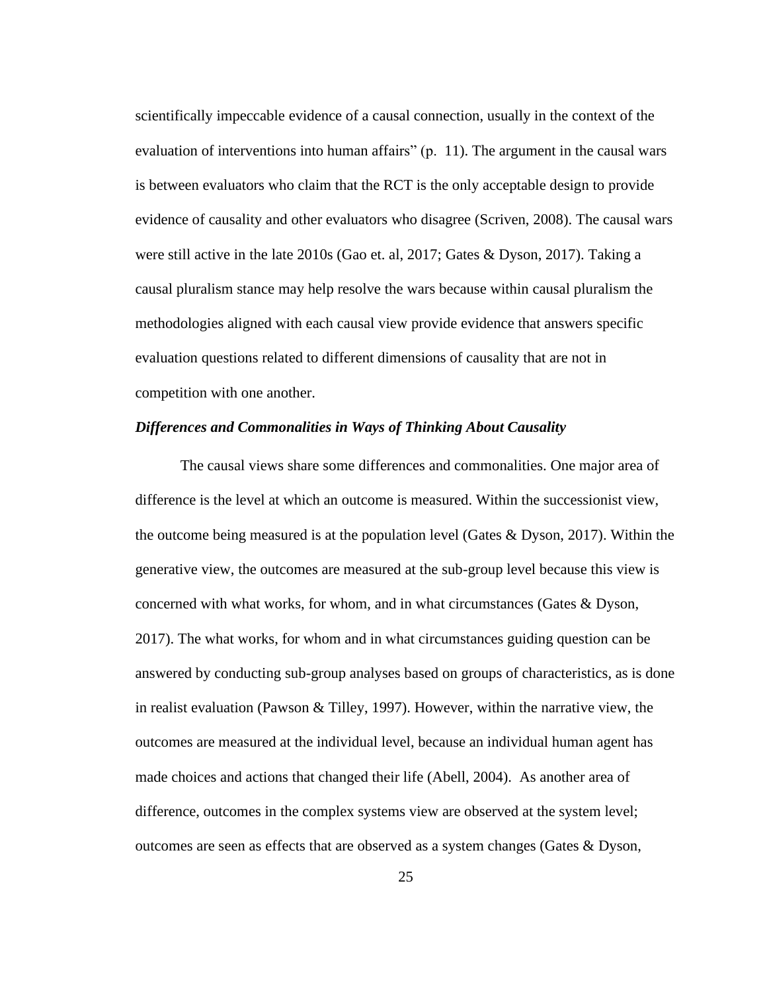scientifically impeccable evidence of a causal connection, usually in the context of the evaluation of interventions into human affairs" (p. 11). The argument in the causal wars is between evaluators who claim that the RCT is the only acceptable design to provide evidence of causality and other evaluators who disagree (Scriven, 2008). The causal wars were still active in the late 2010s (Gao et. al, 2017; Gates & Dyson, 2017). Taking a causal pluralism stance may help resolve the wars because within causal pluralism the methodologies aligned with each causal view provide evidence that answers specific evaluation questions related to different dimensions of causality that are not in competition with one another.

## *Differences and Commonalities in Ways of Thinking About Causality*

The causal views share some differences and commonalities. One major area of difference is the level at which an outcome is measured. Within the successionist view, the outcome being measured is at the population level (Gates & Dyson, 2017). Within the generative view, the outcomes are measured at the sub-group level because this view is concerned with what works, for whom, and in what circumstances (Gates & Dyson, 2017). The what works, for whom and in what circumstances guiding question can be answered by conducting sub-group analyses based on groups of characteristics, as is done in realist evaluation (Pawson & Tilley, 1997). However, within the narrative view, the outcomes are measured at the individual level, because an individual human agent has made choices and actions that changed their life (Abell, 2004). As another area of difference, outcomes in the complex systems view are observed at the system level; outcomes are seen as effects that are observed as a system changes (Gates & Dyson,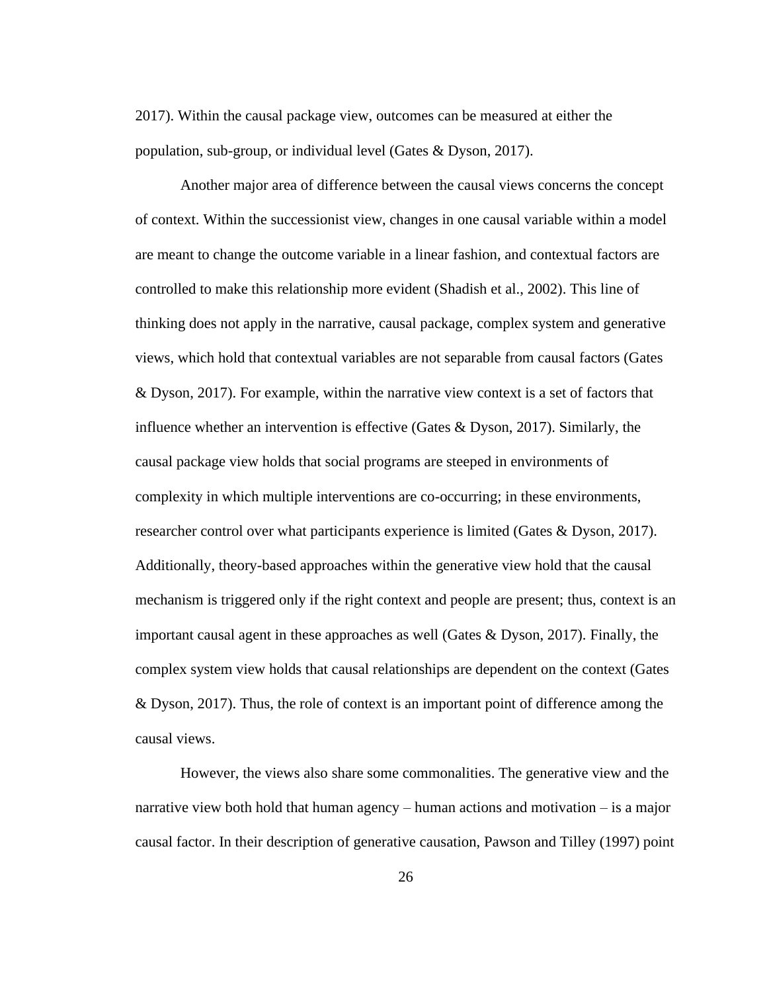2017). Within the causal package view, outcomes can be measured at either the population, sub-group, or individual level (Gates & Dyson, 2017).

Another major area of difference between the causal views concerns the concept of context. Within the successionist view, changes in one causal variable within a model are meant to change the outcome variable in a linear fashion, and contextual factors are controlled to make this relationship more evident (Shadish et al., 2002). This line of thinking does not apply in the narrative, causal package, complex system and generative views, which hold that contextual variables are not separable from causal factors (Gates & Dyson, 2017). For example, within the narrative view context is a set of factors that influence whether an intervention is effective (Gates  $& Dyson, 2017$ ). Similarly, the causal package view holds that social programs are steeped in environments of complexity in which multiple interventions are co-occurring; in these environments, researcher control over what participants experience is limited (Gates & Dyson, 2017). Additionally, theory-based approaches within the generative view hold that the causal mechanism is triggered only if the right context and people are present; thus, context is an important causal agent in these approaches as well (Gates  $& Dyson, 2017$ ). Finally, the complex system view holds that causal relationships are dependent on the context (Gates & Dyson, 2017). Thus, the role of context is an important point of difference among the causal views.

However, the views also share some commonalities. The generative view and the narrative view both hold that human agency – human actions and motivation – is a major causal factor. In their description of generative causation, Pawson and Tilley (1997) point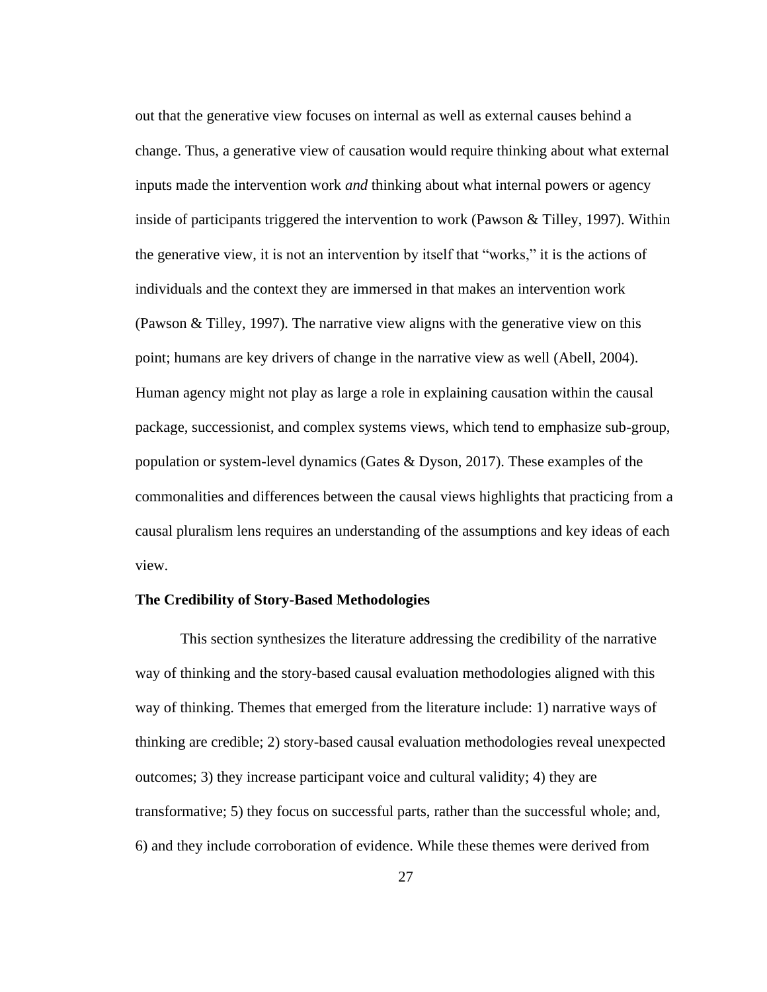out that the generative view focuses on internal as well as external causes behind a change. Thus, a generative view of causation would require thinking about what external inputs made the intervention work *and* thinking about what internal powers or agency inside of participants triggered the intervention to work (Pawson & Tilley, 1997). Within the generative view, it is not an intervention by itself that "works," it is the actions of individuals and the context they are immersed in that makes an intervention work (Pawson & Tilley, 1997). The narrative view aligns with the generative view on this point; humans are key drivers of change in the narrative view as well (Abell, 2004). Human agency might not play as large a role in explaining causation within the causal package, successionist, and complex systems views, which tend to emphasize sub-group, population or system-level dynamics (Gates & Dyson, 2017). These examples of the commonalities and differences between the causal views highlights that practicing from a causal pluralism lens requires an understanding of the assumptions and key ideas of each view.

## <span id="page-35-0"></span>**The Credibility of Story-Based Methodologies**

This section synthesizes the literature addressing the credibility of the narrative way of thinking and the story-based causal evaluation methodologies aligned with this way of thinking. Themes that emerged from the literature include: 1) narrative ways of thinking are credible; 2) story-based causal evaluation methodologies reveal unexpected outcomes; 3) they increase participant voice and cultural validity; 4) they are transformative; 5) they focus on successful parts, rather than the successful whole; and, 6) and they include corroboration of evidence. While these themes were derived from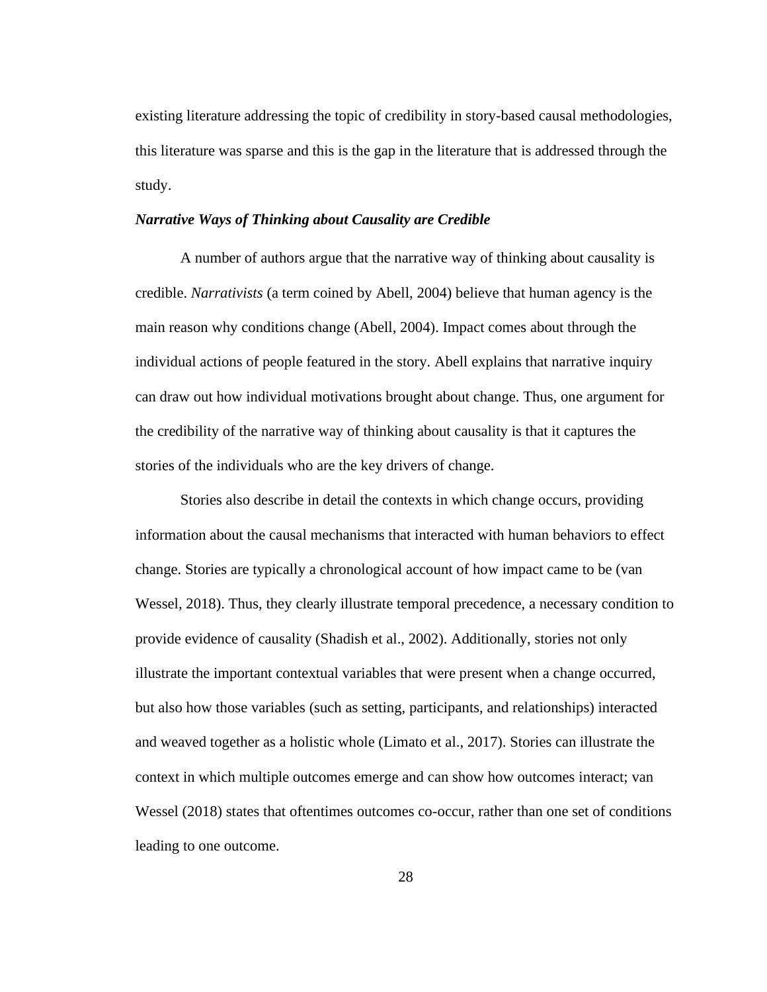existing literature addressing the topic of credibility in story-based causal methodologies, this literature was sparse and this is the gap in the literature that is addressed through the study.

## *Narrative Ways of Thinking about Causality are Credible*

A number of authors argue that the narrative way of thinking about causality is credible. *Narrativists* (a term coined by Abell, 2004) believe that human agency is the main reason why conditions change (Abell, 2004). Impact comes about through the individual actions of people featured in the story. Abell explains that narrative inquiry can draw out how individual motivations brought about change. Thus, one argument for the credibility of the narrative way of thinking about causality is that it captures the stories of the individuals who are the key drivers of change.

Stories also describe in detail the contexts in which change occurs, providing information about the causal mechanisms that interacted with human behaviors to effect change. Stories are typically a chronological account of how impact came to be (van Wessel, 2018). Thus, they clearly illustrate temporal precedence, a necessary condition to provide evidence of causality (Shadish et al., 2002). Additionally, stories not only illustrate the important contextual variables that were present when a change occurred, but also how those variables (such as setting, participants, and relationships) interacted and weaved together as a holistic whole (Limato et al., 2017). Stories can illustrate the context in which multiple outcomes emerge and can show how outcomes interact; van Wessel (2018) states that oftentimes outcomes co-occur, rather than one set of conditions leading to one outcome.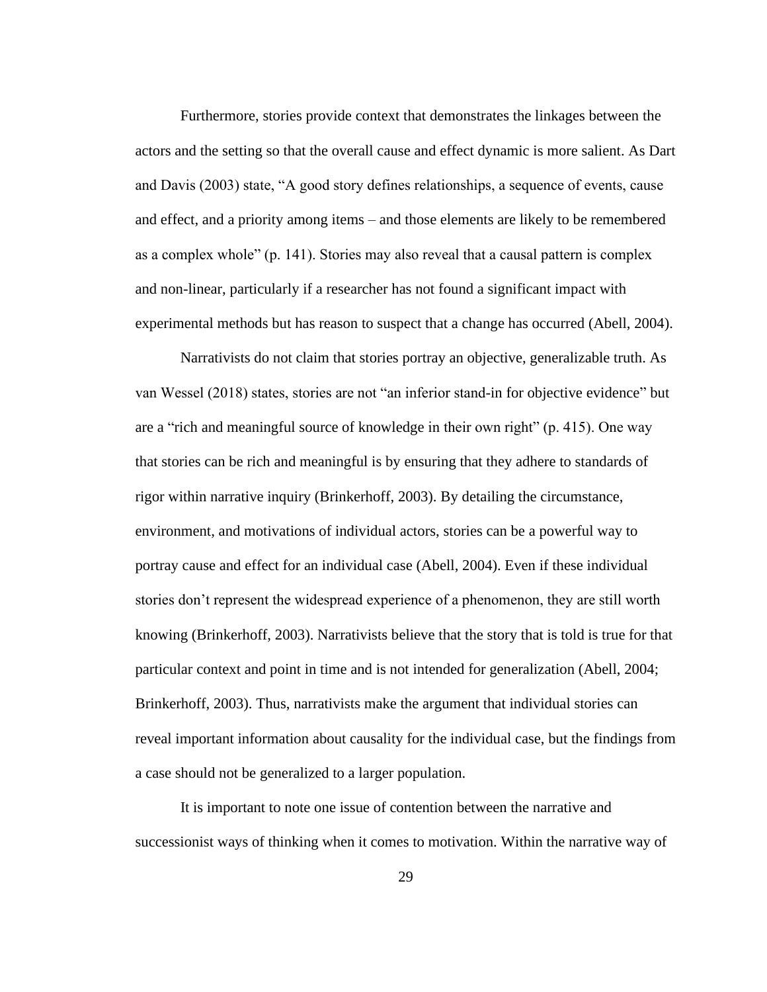Furthermore, stories provide context that demonstrates the linkages between the actors and the setting so that the overall cause and effect dynamic is more salient. As Dart and Davis (2003) state, "A good story defines relationships, a sequence of events, cause and effect, and a priority among items – and those elements are likely to be remembered as a complex whole" (p. 141). Stories may also reveal that a causal pattern is complex and non-linear, particularly if a researcher has not found a significant impact with experimental methods but has reason to suspect that a change has occurred (Abell, 2004).

Narrativists do not claim that stories portray an objective, generalizable truth. As van Wessel (2018) states, stories are not "an inferior stand-in for objective evidence" but are a "rich and meaningful source of knowledge in their own right" (p. 415). One way that stories can be rich and meaningful is by ensuring that they adhere to standards of rigor within narrative inquiry (Brinkerhoff, 2003). By detailing the circumstance, environment, and motivations of individual actors, stories can be a powerful way to portray cause and effect for an individual case (Abell, 2004). Even if these individual stories don't represent the widespread experience of a phenomenon, they are still worth knowing (Brinkerhoff, 2003). Narrativists believe that the story that is told is true for that particular context and point in time and is not intended for generalization (Abell, 2004; Brinkerhoff, 2003). Thus, narrativists make the argument that individual stories can reveal important information about causality for the individual case, but the findings from a case should not be generalized to a larger population.

It is important to note one issue of contention between the narrative and successionist ways of thinking when it comes to motivation. Within the narrative way of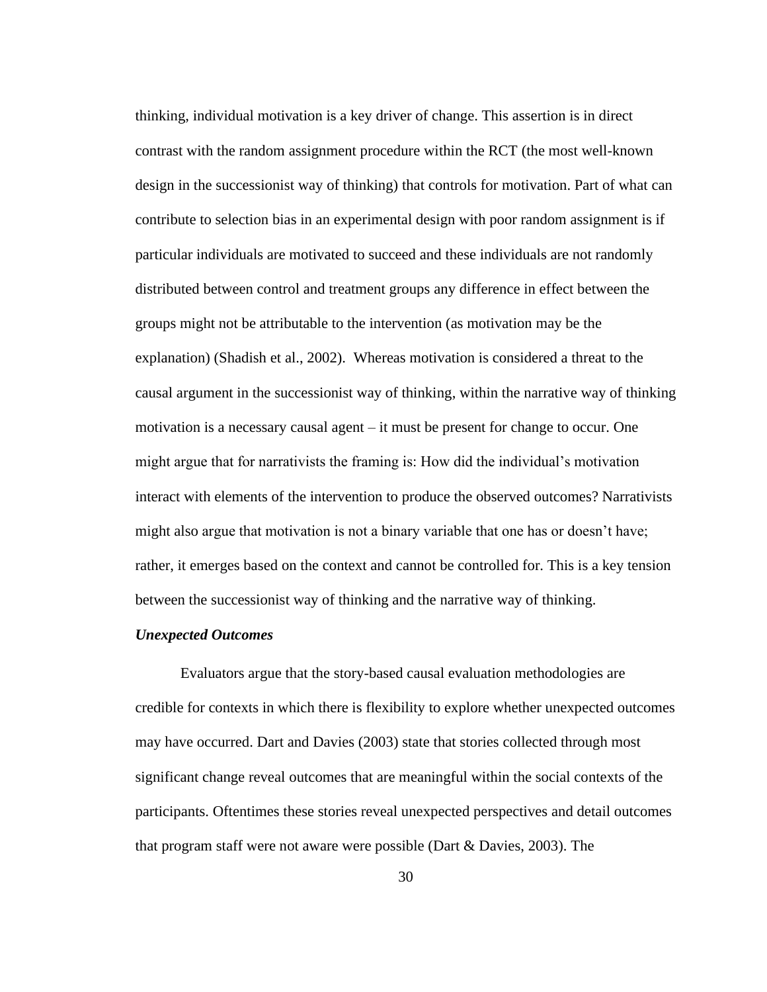thinking, individual motivation is a key driver of change. This assertion is in direct contrast with the random assignment procedure within the RCT (the most well-known design in the successionist way of thinking) that controls for motivation. Part of what can contribute to selection bias in an experimental design with poor random assignment is if particular individuals are motivated to succeed and these individuals are not randomly distributed between control and treatment groups any difference in effect between the groups might not be attributable to the intervention (as motivation may be the explanation) (Shadish et al., 2002). Whereas motivation is considered a threat to the causal argument in the successionist way of thinking, within the narrative way of thinking motivation is a necessary causal agent – it must be present for change to occur. One might argue that for narrativists the framing is: How did the individual's motivation interact with elements of the intervention to produce the observed outcomes? Narrativists might also argue that motivation is not a binary variable that one has or doesn't have; rather, it emerges based on the context and cannot be controlled for. This is a key tension between the successionist way of thinking and the narrative way of thinking.

### *Unexpected Outcomes*

Evaluators argue that the story-based causal evaluation methodologies are credible for contexts in which there is flexibility to explore whether unexpected outcomes may have occurred. Dart and Davies (2003) state that stories collected through most significant change reveal outcomes that are meaningful within the social contexts of the participants. Oftentimes these stories reveal unexpected perspectives and detail outcomes that program staff were not aware were possible (Dart & Davies, 2003). The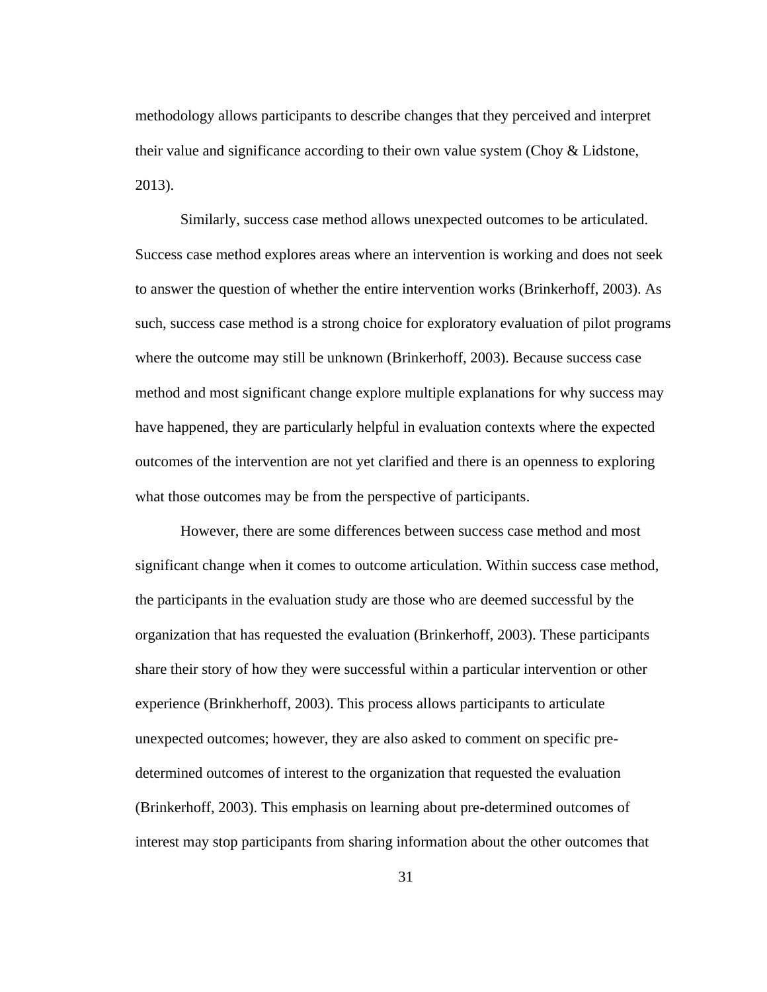methodology allows participants to describe changes that they perceived and interpret their value and significance according to their own value system (Choy & Lidstone, 2013).

Similarly, success case method allows unexpected outcomes to be articulated. Success case method explores areas where an intervention is working and does not seek to answer the question of whether the entire intervention works (Brinkerhoff, 2003). As such, success case method is a strong choice for exploratory evaluation of pilot programs where the outcome may still be unknown (Brinkerhoff, 2003). Because success case method and most significant change explore multiple explanations for why success may have happened, they are particularly helpful in evaluation contexts where the expected outcomes of the intervention are not yet clarified and there is an openness to exploring what those outcomes may be from the perspective of participants.

However, there are some differences between success case method and most significant change when it comes to outcome articulation. Within success case method, the participants in the evaluation study are those who are deemed successful by the organization that has requested the evaluation (Brinkerhoff, 2003). These participants share their story of how they were successful within a particular intervention or other experience (Brinkherhoff, 2003). This process allows participants to articulate unexpected outcomes; however, they are also asked to comment on specific predetermined outcomes of interest to the organization that requested the evaluation (Brinkerhoff, 2003). This emphasis on learning about pre-determined outcomes of interest may stop participants from sharing information about the other outcomes that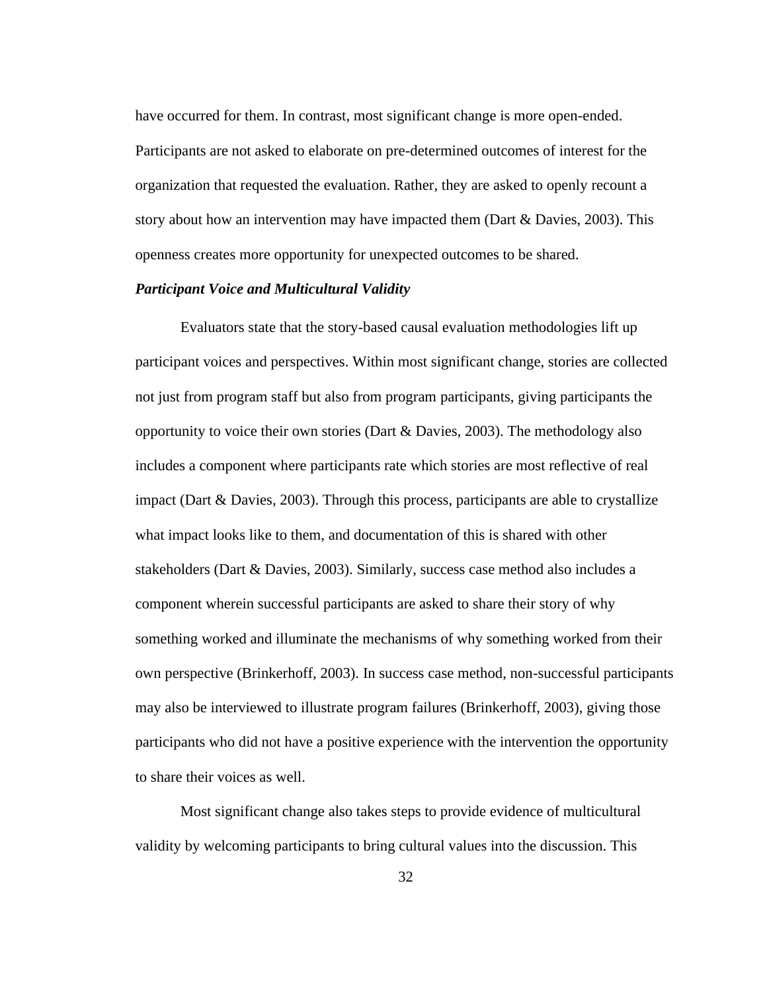have occurred for them. In contrast, most significant change is more open-ended. Participants are not asked to elaborate on pre-determined outcomes of interest for the organization that requested the evaluation. Rather, they are asked to openly recount a story about how an intervention may have impacted them (Dart & Davies, 2003). This openness creates more opportunity for unexpected outcomes to be shared.

## *Participant Voice and Multicultural Validity*

Evaluators state that the story-based causal evaluation methodologies lift up participant voices and perspectives. Within most significant change, stories are collected not just from program staff but also from program participants, giving participants the opportunity to voice their own stories (Dart  $\&$  Davies, 2003). The methodology also includes a component where participants rate which stories are most reflective of real impact (Dart & Davies, 2003). Through this process, participants are able to crystallize what impact looks like to them, and documentation of this is shared with other stakeholders (Dart & Davies, 2003). Similarly, success case method also includes a component wherein successful participants are asked to share their story of why something worked and illuminate the mechanisms of why something worked from their own perspective (Brinkerhoff, 2003). In success case method, non-successful participants may also be interviewed to illustrate program failures (Brinkerhoff, 2003), giving those participants who did not have a positive experience with the intervention the opportunity to share their voices as well.

Most significant change also takes steps to provide evidence of multicultural validity by welcoming participants to bring cultural values into the discussion. This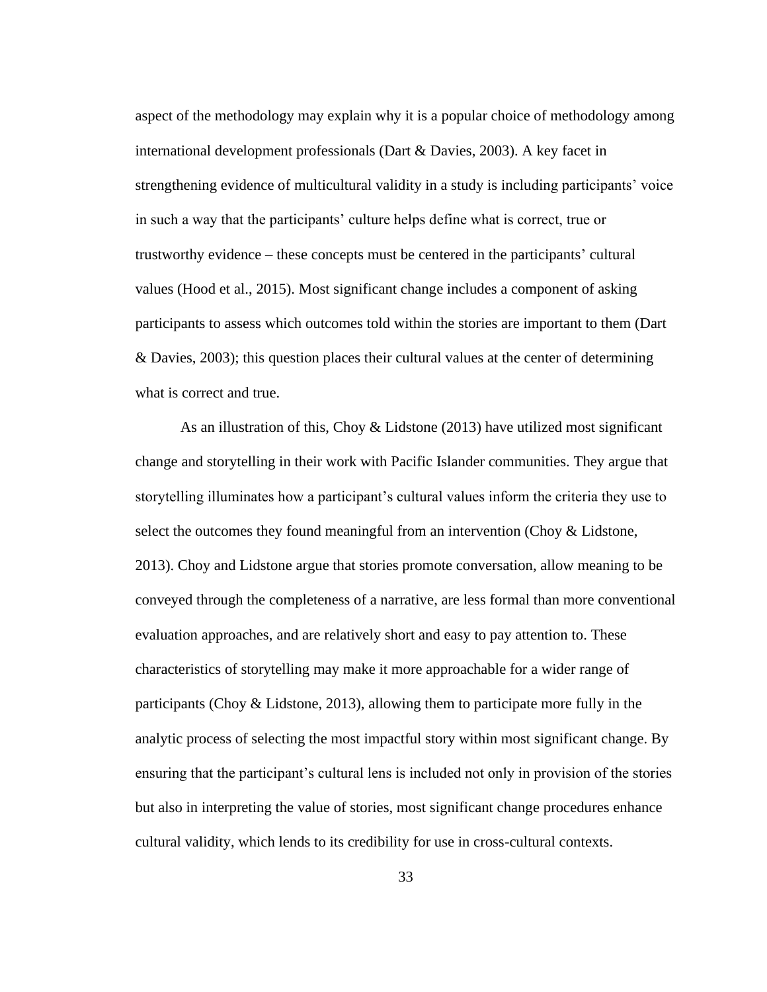aspect of the methodology may explain why it is a popular choice of methodology among international development professionals (Dart & Davies, 2003). A key facet in strengthening evidence of multicultural validity in a study is including participants' voice in such a way that the participants' culture helps define what is correct, true or trustworthy evidence – these concepts must be centered in the participants' cultural values (Hood et al., 2015). Most significant change includes a component of asking participants to assess which outcomes told within the stories are important to them (Dart & Davies, 2003); this question places their cultural values at the center of determining what is correct and true.

As an illustration of this, Choy & Lidstone (2013) have utilized most significant change and storytelling in their work with Pacific Islander communities. They argue that storytelling illuminates how a participant's cultural values inform the criteria they use to select the outcomes they found meaningful from an intervention (Choy & Lidstone, 2013). Choy and Lidstone argue that stories promote conversation, allow meaning to be conveyed through the completeness of a narrative, are less formal than more conventional evaluation approaches, and are relatively short and easy to pay attention to. These characteristics of storytelling may make it more approachable for a wider range of participants (Choy & Lidstone, 2013), allowing them to participate more fully in the analytic process of selecting the most impactful story within most significant change. By ensuring that the participant's cultural lens is included not only in provision of the stories but also in interpreting the value of stories, most significant change procedures enhance cultural validity, which lends to its credibility for use in cross-cultural contexts.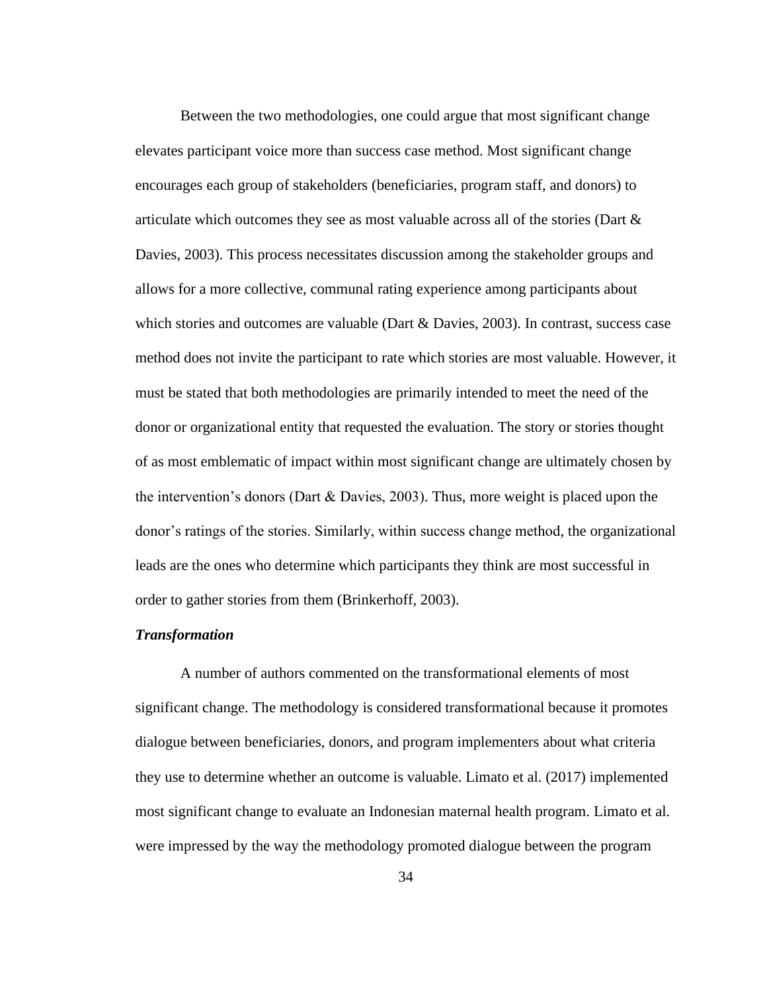Between the two methodologies, one could argue that most significant change elevates participant voice more than success case method. Most significant change encourages each group of stakeholders (beneficiaries, program staff, and donors) to articulate which outcomes they see as most valuable across all of the stories (Dart & Davies, 2003). This process necessitates discussion among the stakeholder groups and allows for a more collective, communal rating experience among participants about which stories and outcomes are valuable (Dart & Davies, 2003). In contrast, success case method does not invite the participant to rate which stories are most valuable. However, it must be stated that both methodologies are primarily intended to meet the need of the donor or organizational entity that requested the evaluation. The story or stories thought of as most emblematic of impact within most significant change are ultimately chosen by the intervention's donors (Dart  $&$  Davies, 2003). Thus, more weight is placed upon the donor's ratings of the stories. Similarly, within success change method, the organizational leads are the ones who determine which participants they think are most successful in order to gather stories from them (Brinkerhoff, 2003).

### *Transformation*

A number of authors commented on the transformational elements of most significant change. The methodology is considered transformational because it promotes dialogue between beneficiaries, donors, and program implementers about what criteria they use to determine whether an outcome is valuable. Limato et al. (2017) implemented most significant change to evaluate an Indonesian maternal health program. Limato et al. were impressed by the way the methodology promoted dialogue between the program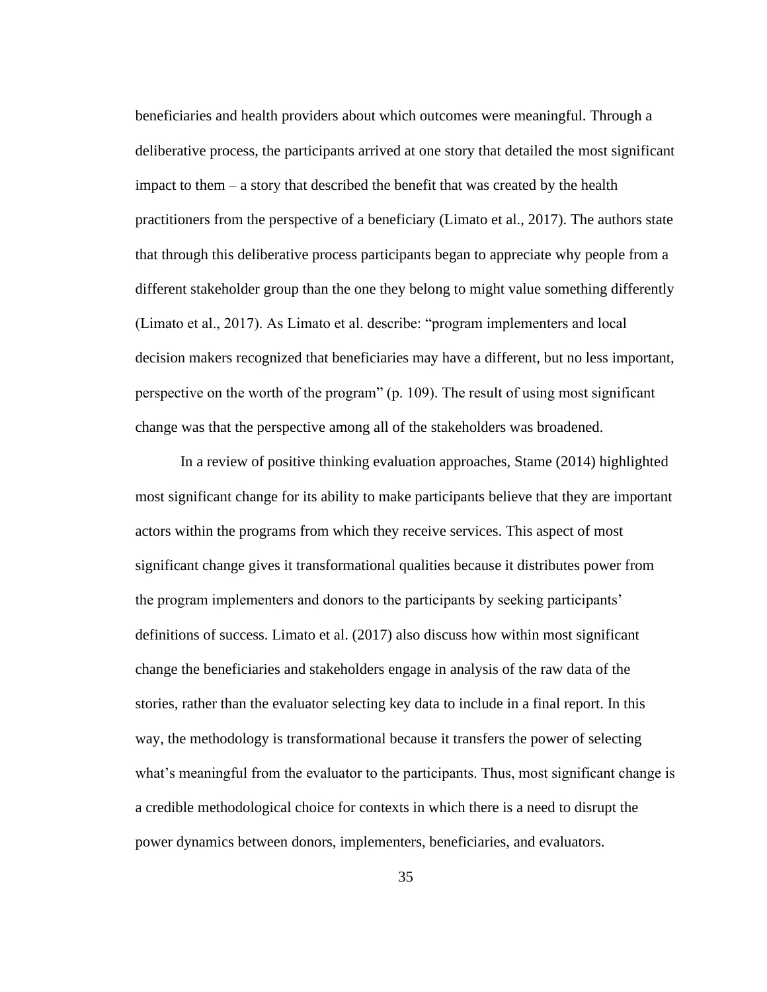beneficiaries and health providers about which outcomes were meaningful. Through a deliberative process, the participants arrived at one story that detailed the most significant impact to them – a story that described the benefit that was created by the health practitioners from the perspective of a beneficiary (Limato et al., 2017). The authors state that through this deliberative process participants began to appreciate why people from a different stakeholder group than the one they belong to might value something differently (Limato et al., 2017). As Limato et al. describe: "program implementers and local decision makers recognized that beneficiaries may have a different, but no less important, perspective on the worth of the program" (p. 109). The result of using most significant change was that the perspective among all of the stakeholders was broadened.

In a review of positive thinking evaluation approaches, Stame (2014) highlighted most significant change for its ability to make participants believe that they are important actors within the programs from which they receive services. This aspect of most significant change gives it transformational qualities because it distributes power from the program implementers and donors to the participants by seeking participants' definitions of success. Limato et al. (2017) also discuss how within most significant change the beneficiaries and stakeholders engage in analysis of the raw data of the stories, rather than the evaluator selecting key data to include in a final report. In this way, the methodology is transformational because it transfers the power of selecting what's meaningful from the evaluator to the participants. Thus, most significant change is a credible methodological choice for contexts in which there is a need to disrupt the power dynamics between donors, implementers, beneficiaries, and evaluators.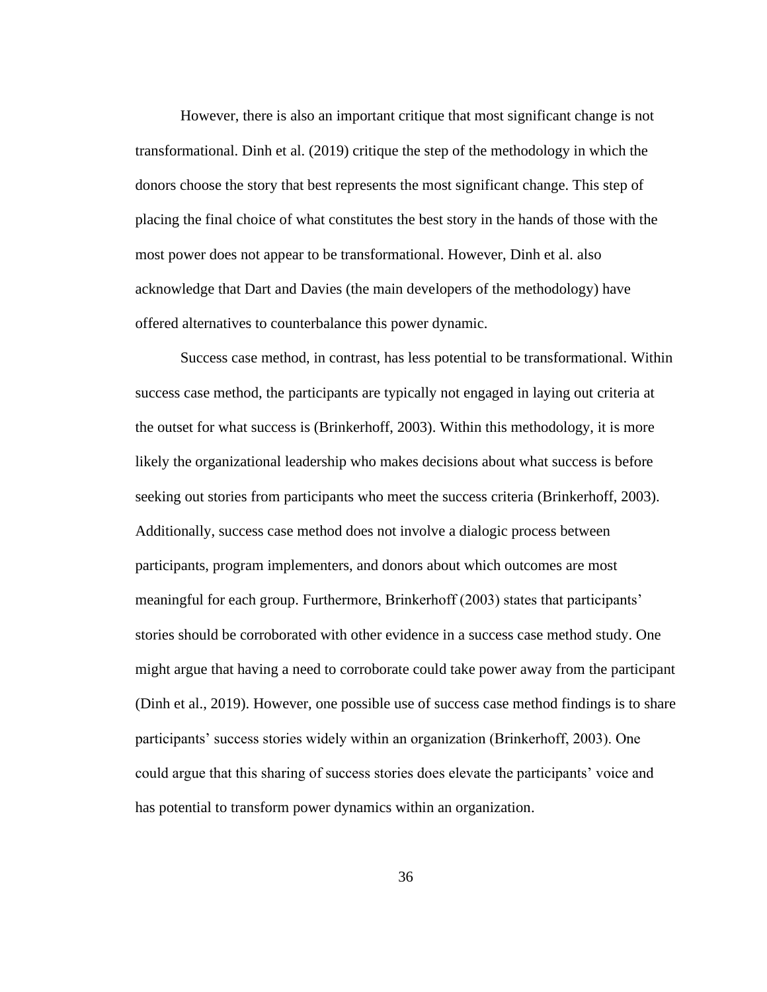However, there is also an important critique that most significant change is not transformational. Dinh et al. (2019) critique the step of the methodology in which the donors choose the story that best represents the most significant change. This step of placing the final choice of what constitutes the best story in the hands of those with the most power does not appear to be transformational. However, Dinh et al. also acknowledge that Dart and Davies (the main developers of the methodology) have offered alternatives to counterbalance this power dynamic.

Success case method, in contrast, has less potential to be transformational. Within success case method, the participants are typically not engaged in laying out criteria at the outset for what success is (Brinkerhoff, 2003). Within this methodology, it is more likely the organizational leadership who makes decisions about what success is before seeking out stories from participants who meet the success criteria (Brinkerhoff, 2003). Additionally, success case method does not involve a dialogic process between participants, program implementers, and donors about which outcomes are most meaningful for each group. Furthermore, Brinkerhoff (2003) states that participants' stories should be corroborated with other evidence in a success case method study. One might argue that having a need to corroborate could take power away from the participant (Dinh et al., 2019). However, one possible use of success case method findings is to share participants' success stories widely within an organization (Brinkerhoff, 2003). One could argue that this sharing of success stories does elevate the participants' voice and has potential to transform power dynamics within an organization.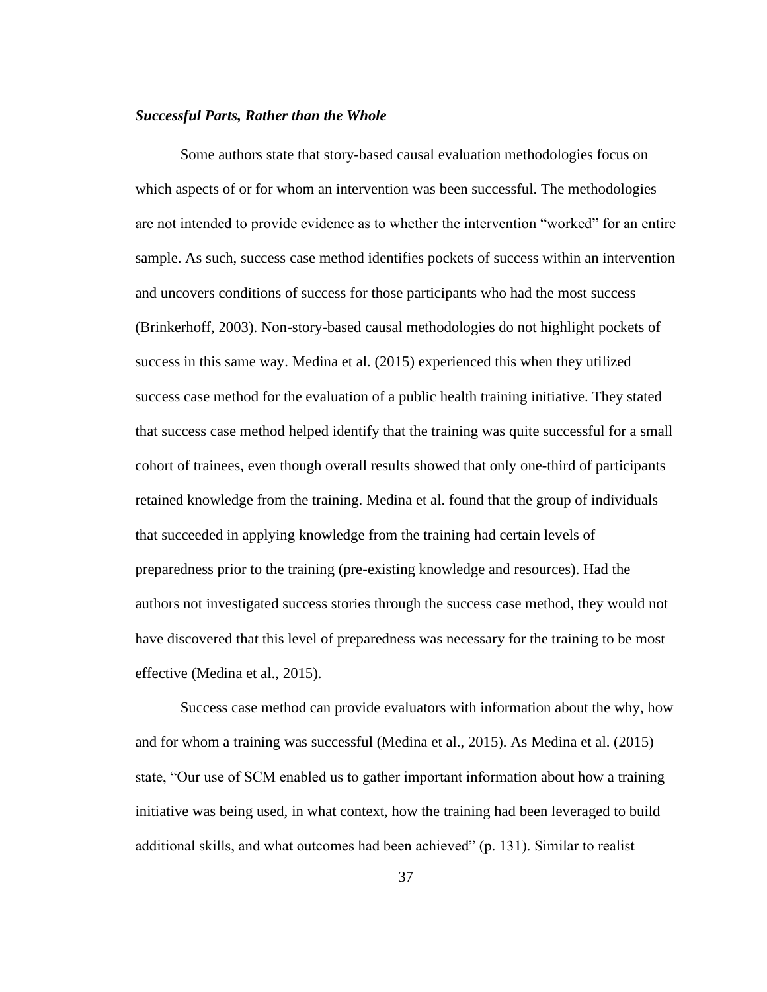## *Successful Parts, Rather than the Whole*

Some authors state that story-based causal evaluation methodologies focus on which aspects of or for whom an intervention was been successful. The methodologies are not intended to provide evidence as to whether the intervention "worked" for an entire sample. As such, success case method identifies pockets of success within an intervention and uncovers conditions of success for those participants who had the most success (Brinkerhoff, 2003). Non-story-based causal methodologies do not highlight pockets of success in this same way. Medina et al. (2015) experienced this when they utilized success case method for the evaluation of a public health training initiative. They stated that success case method helped identify that the training was quite successful for a small cohort of trainees, even though overall results showed that only one-third of participants retained knowledge from the training. Medina et al. found that the group of individuals that succeeded in applying knowledge from the training had certain levels of preparedness prior to the training (pre-existing knowledge and resources). Had the authors not investigated success stories through the success case method, they would not have discovered that this level of preparedness was necessary for the training to be most effective (Medina et al., 2015).

Success case method can provide evaluators with information about the why, how and for whom a training was successful (Medina et al., 2015). As Medina et al. (2015) state, "Our use of SCM enabled us to gather important information about how a training initiative was being used, in what context, how the training had been leveraged to build additional skills, and what outcomes had been achieved" (p. 131). Similar to realist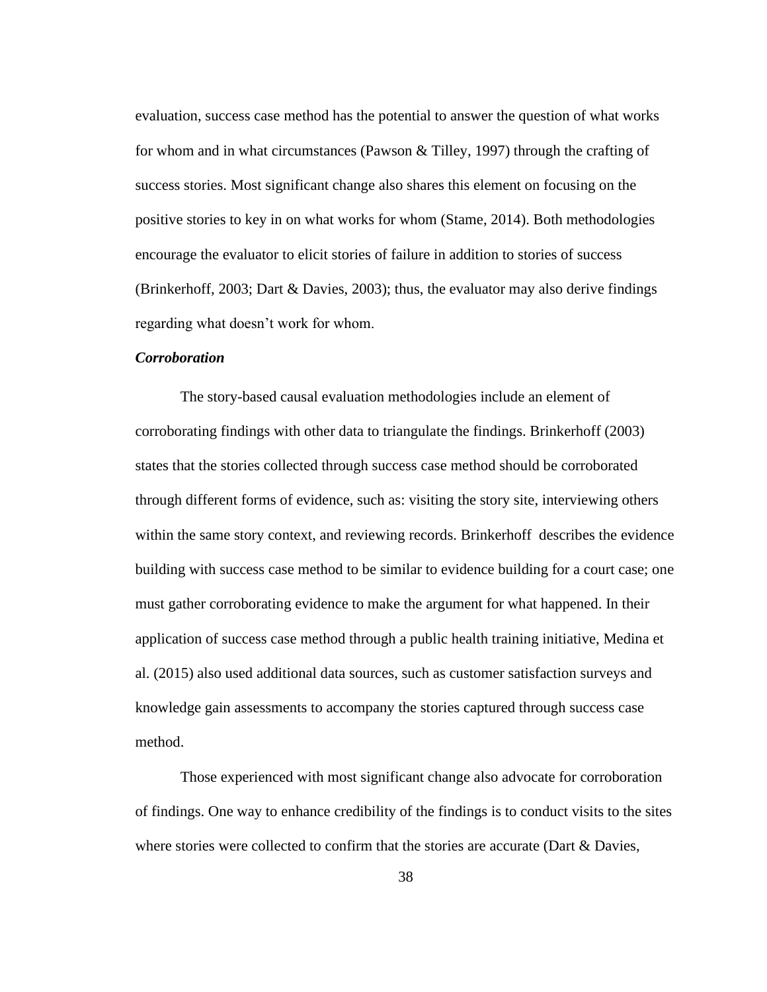evaluation, success case method has the potential to answer the question of what works for whom and in what circumstances (Pawson & Tilley, 1997) through the crafting of success stories. Most significant change also shares this element on focusing on the positive stories to key in on what works for whom (Stame, 2014). Both methodologies encourage the evaluator to elicit stories of failure in addition to stories of success (Brinkerhoff, 2003; Dart & Davies, 2003); thus, the evaluator may also derive findings regarding what doesn't work for whom.

#### *Corroboration*

The story-based causal evaluation methodologies include an element of corroborating findings with other data to triangulate the findings. Brinkerhoff (2003) states that the stories collected through success case method should be corroborated through different forms of evidence, such as: visiting the story site, interviewing others within the same story context, and reviewing records. Brinkerhoff describes the evidence building with success case method to be similar to evidence building for a court case; one must gather corroborating evidence to make the argument for what happened. In their application of success case method through a public health training initiative, Medina et al. (2015) also used additional data sources, such as customer satisfaction surveys and knowledge gain assessments to accompany the stories captured through success case method.

Those experienced with most significant change also advocate for corroboration of findings. One way to enhance credibility of the findings is to conduct visits to the sites where stories were collected to confirm that the stories are accurate (Dart & Davies,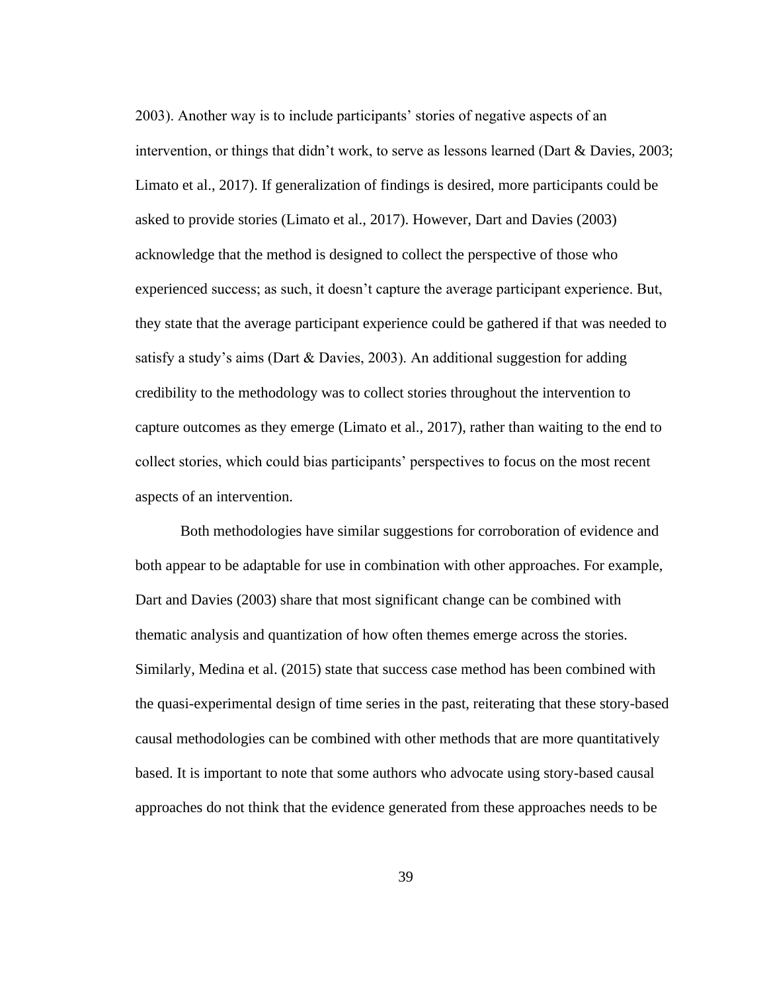2003). Another way is to include participants' stories of negative aspects of an intervention, or things that didn't work, to serve as lessons learned (Dart & Davies, 2003; Limato et al., 2017). If generalization of findings is desired, more participants could be asked to provide stories (Limato et al., 2017). However, Dart and Davies (2003) acknowledge that the method is designed to collect the perspective of those who experienced success; as such, it doesn't capture the average participant experience. But, they state that the average participant experience could be gathered if that was needed to satisfy a study's aims (Dart & Davies, 2003). An additional suggestion for adding credibility to the methodology was to collect stories throughout the intervention to capture outcomes as they emerge (Limato et al., 2017), rather than waiting to the end to collect stories, which could bias participants' perspectives to focus on the most recent aspects of an intervention.

Both methodologies have similar suggestions for corroboration of evidence and both appear to be adaptable for use in combination with other approaches. For example, Dart and Davies (2003) share that most significant change can be combined with thematic analysis and quantization of how often themes emerge across the stories. Similarly, Medina et al. (2015) state that success case method has been combined with the quasi-experimental design of time series in the past, reiterating that these story-based causal methodologies can be combined with other methods that are more quantitatively based. It is important to note that some authors who advocate using story-based causal approaches do not think that the evidence generated from these approaches needs to be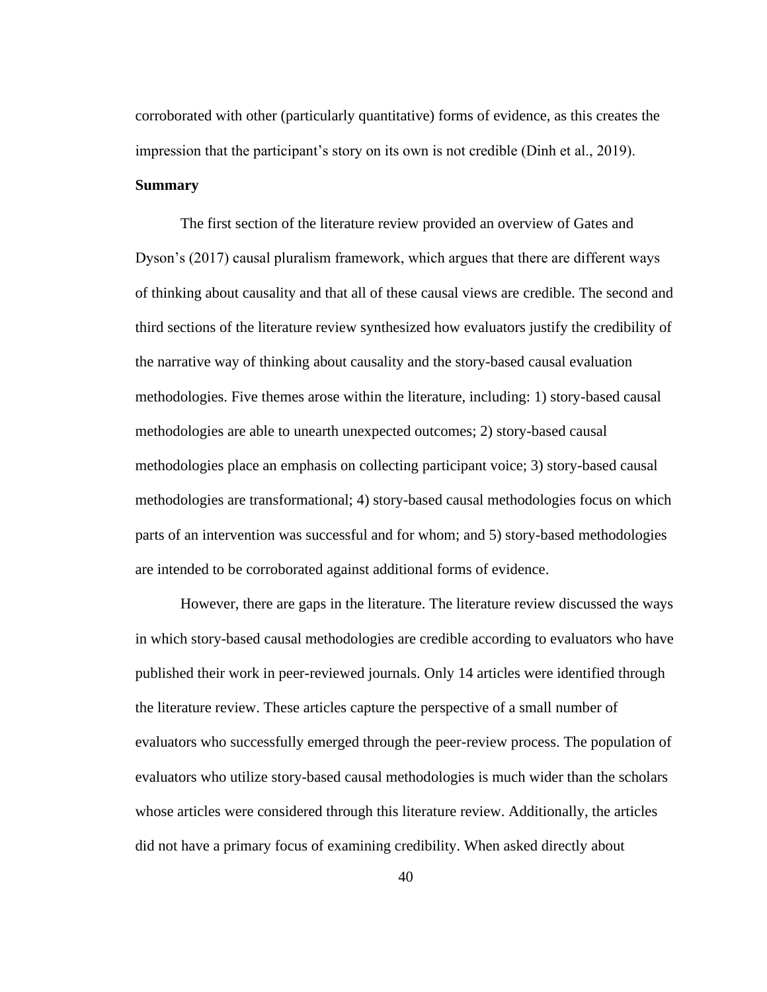corroborated with other (particularly quantitative) forms of evidence, as this creates the impression that the participant's story on its own is not credible (Dinh et al., 2019). **Summary**

The first section of the literature review provided an overview of Gates and Dyson's (2017) causal pluralism framework, which argues that there are different ways of thinking about causality and that all of these causal views are credible. The second and third sections of the literature review synthesized how evaluators justify the credibility of the narrative way of thinking about causality and the story-based causal evaluation methodologies. Five themes arose within the literature, including: 1) story-based causal methodologies are able to unearth unexpected outcomes; 2) story-based causal methodologies place an emphasis on collecting participant voice; 3) story-based causal methodologies are transformational; 4) story-based causal methodologies focus on which parts of an intervention was successful and for whom; and 5) story-based methodologies are intended to be corroborated against additional forms of evidence.

However, there are gaps in the literature. The literature review discussed the ways in which story-based causal methodologies are credible according to evaluators who have published their work in peer-reviewed journals. Only 14 articles were identified through the literature review. These articles capture the perspective of a small number of evaluators who successfully emerged through the peer-review process. The population of evaluators who utilize story-based causal methodologies is much wider than the scholars whose articles were considered through this literature review. Additionally, the articles did not have a primary focus of examining credibility. When asked directly about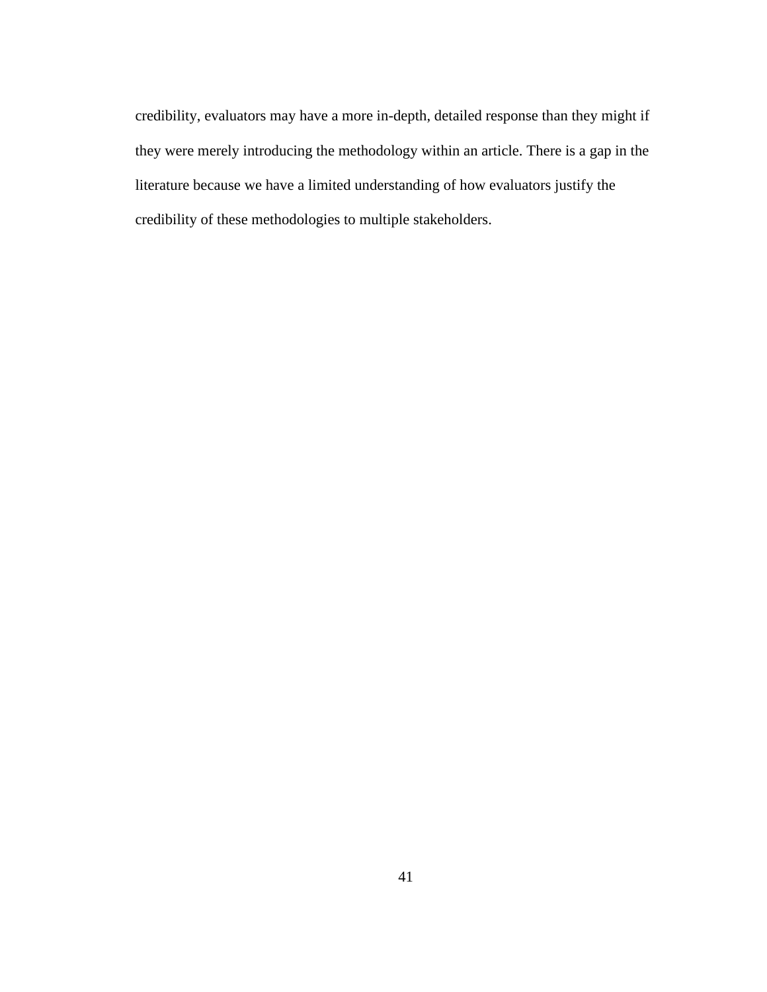credibility, evaluators may have a more in-depth, detailed response than they might if they were merely introducing the methodology within an article. There is a gap in the literature because we have a limited understanding of how evaluators justify the credibility of these methodologies to multiple stakeholders.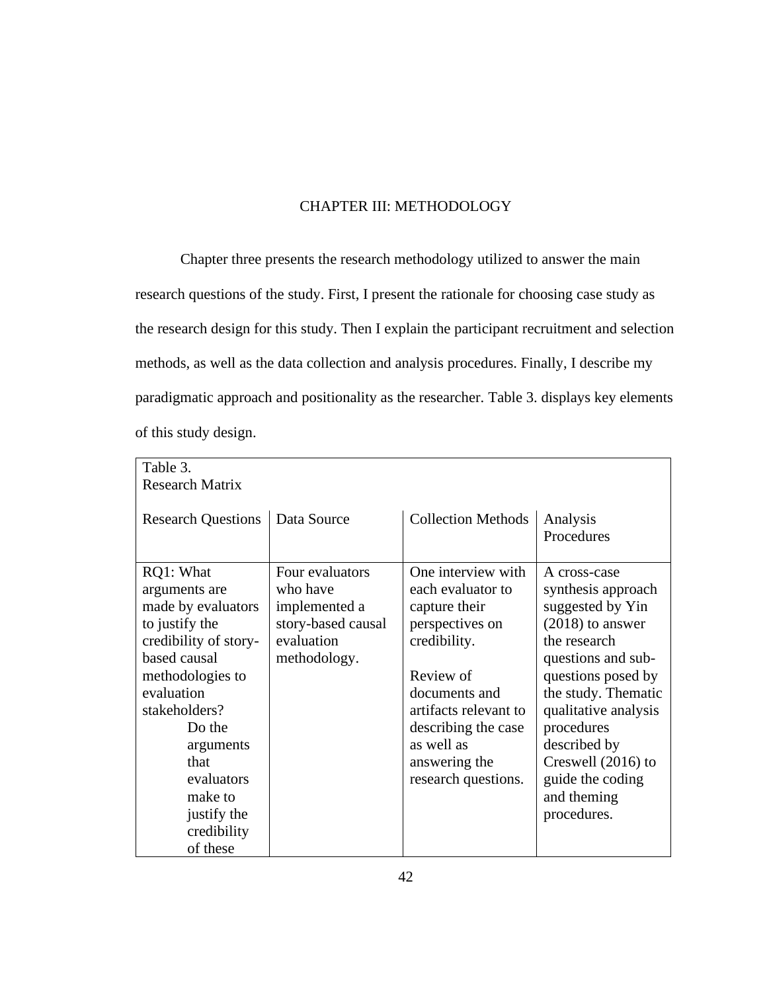# CHAPTER III: METHODOLOGY

Chapter three presents the research methodology utilized to answer the main research questions of the study. First, I present the rationale for choosing case study as the research design for this study. Then I explain the participant recruitment and selection methods, as well as the data collection and analysis procedures. Finally, I describe my paradigmatic approach and positionality as the researcher. Table 3. displays key elements of this study design.

| Table 3.<br><b>Research Matrix</b>                                                                                                                                                                                                                               |                                                                                                  |                                                                                                                                                                                                                                 |                                                                                                                                                                                                                                                                                               |
|------------------------------------------------------------------------------------------------------------------------------------------------------------------------------------------------------------------------------------------------------------------|--------------------------------------------------------------------------------------------------|---------------------------------------------------------------------------------------------------------------------------------------------------------------------------------------------------------------------------------|-----------------------------------------------------------------------------------------------------------------------------------------------------------------------------------------------------------------------------------------------------------------------------------------------|
| <b>Research Questions</b>                                                                                                                                                                                                                                        | Data Source                                                                                      | <b>Collection Methods</b>                                                                                                                                                                                                       | Analysis<br>Procedures                                                                                                                                                                                                                                                                        |
| RQ1: What<br>arguments are<br>made by evaluators<br>to justify the<br>credibility of story-<br>based causal<br>methodologies to<br>evaluation<br>stakeholders?<br>Do the<br>arguments<br>that<br>evaluators<br>make to<br>justify the<br>credibility<br>of these | Four evaluators<br>who have<br>implemented a<br>story-based causal<br>evaluation<br>methodology. | One interview with<br>each evaluator to<br>capture their<br>perspectives on<br>credibility.<br>Review of<br>documents and<br>artifacts relevant to<br>describing the case<br>as well as<br>answering the<br>research questions. | A cross-case<br>synthesis approach<br>suggested by Yin<br>$(2018)$ to answer<br>the research<br>questions and sub-<br>questions posed by<br>the study. Thematic<br>qualitative analysis<br>procedures<br>described by<br>Creswell (2016) to<br>guide the coding<br>and theming<br>procedures. |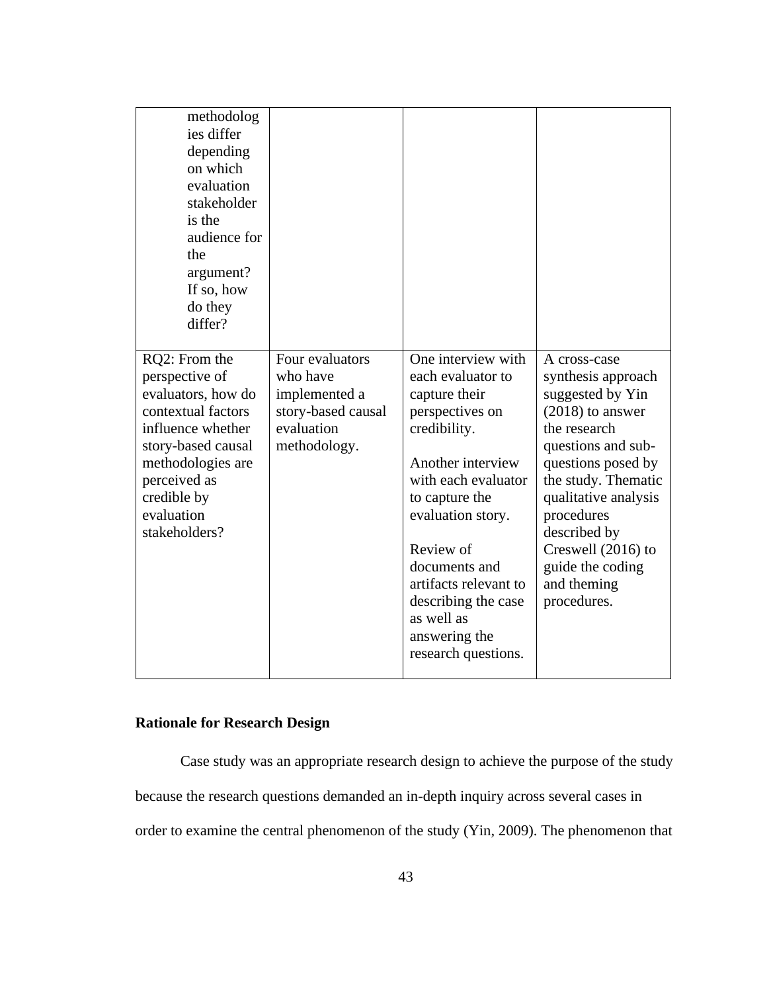| methodolog<br>ies differ<br>depending<br>on which<br>evaluation<br>stakeholder<br>is the<br>audience for<br>the<br>argument?<br>If so, how<br>do they<br>differ?                                          |                                                                                                  |                                                                                                                                                                                                                                                                                                                    |                                                                                                                                                                                                                                                                                                 |
|-----------------------------------------------------------------------------------------------------------------------------------------------------------------------------------------------------------|--------------------------------------------------------------------------------------------------|--------------------------------------------------------------------------------------------------------------------------------------------------------------------------------------------------------------------------------------------------------------------------------------------------------------------|-------------------------------------------------------------------------------------------------------------------------------------------------------------------------------------------------------------------------------------------------------------------------------------------------|
| RQ2: From the<br>perspective of<br>evaluators, how do<br>contextual factors<br>influence whether<br>story-based causal<br>methodologies are<br>perceived as<br>credible by<br>evaluation<br>stakeholders? | Four evaluators<br>who have<br>implemented a<br>story-based causal<br>evaluation<br>methodology. | One interview with<br>each evaluator to<br>capture their<br>perspectives on<br>credibility.<br>Another interview<br>with each evaluator<br>to capture the<br>evaluation story.<br>Review of<br>documents and<br>artifacts relevant to<br>describing the case<br>as well as<br>answering the<br>research questions. | A cross-case<br>synthesis approach<br>suggested by Yin<br>$(2018)$ to answer<br>the research<br>questions and sub-<br>questions posed by<br>the study. Thematic<br>qualitative analysis<br>procedures<br>described by<br>Creswell $(2016)$ to<br>guide the coding<br>and theming<br>procedures. |

# **Rationale for Research Design**

Case study was an appropriate research design to achieve the purpose of the study because the research questions demanded an in-depth inquiry across several cases in order to examine the central phenomenon of the study (Yin, 2009). The phenomenon that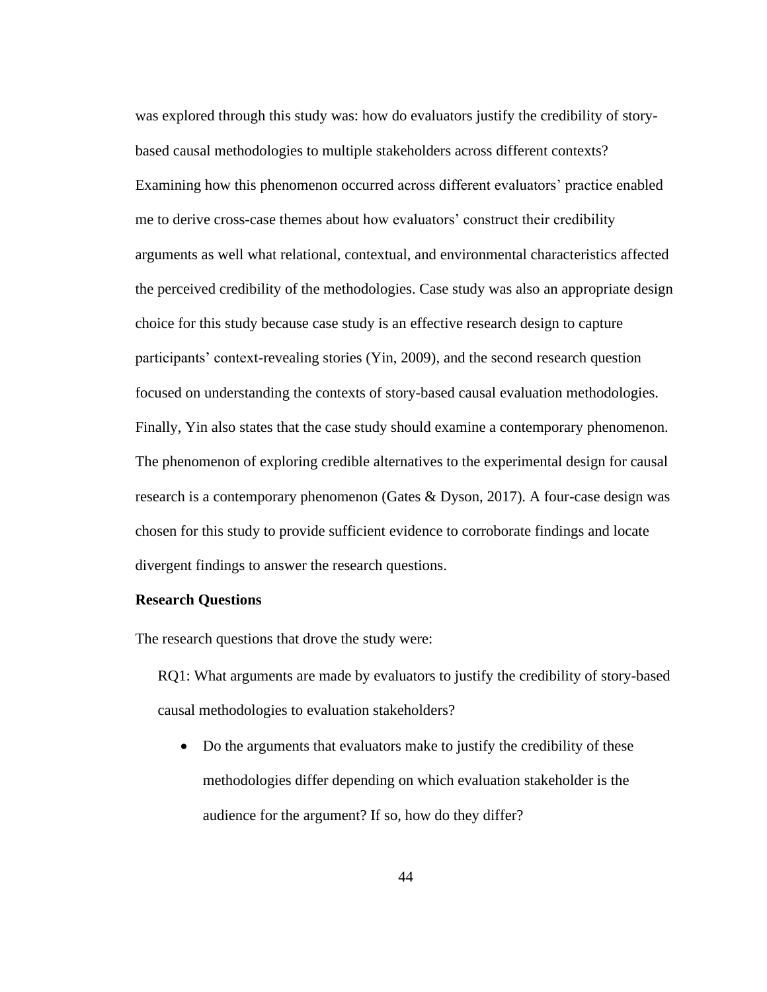was explored through this study was: how do evaluators justify the credibility of storybased causal methodologies to multiple stakeholders across different contexts? Examining how this phenomenon occurred across different evaluators' practice enabled me to derive cross-case themes about how evaluators' construct their credibility arguments as well what relational, contextual, and environmental characteristics affected the perceived credibility of the methodologies. Case study was also an appropriate design choice for this study because case study is an effective research design to capture participants' context-revealing stories (Yin, 2009), and the second research question focused on understanding the contexts of story-based causal evaluation methodologies. Finally, Yin also states that the case study should examine a contemporary phenomenon. The phenomenon of exploring credible alternatives to the experimental design for causal research is a contemporary phenomenon (Gates & Dyson, 2017). A four-case design was chosen for this study to provide sufficient evidence to corroborate findings and locate divergent findings to answer the research questions.

#### **Research Questions**

The research questions that drove the study were:

RQ1: What arguments are made by evaluators to justify the credibility of story-based causal methodologies to evaluation stakeholders?

• Do the arguments that evaluators make to justify the credibility of these methodologies differ depending on which evaluation stakeholder is the audience for the argument? If so, how do they differ?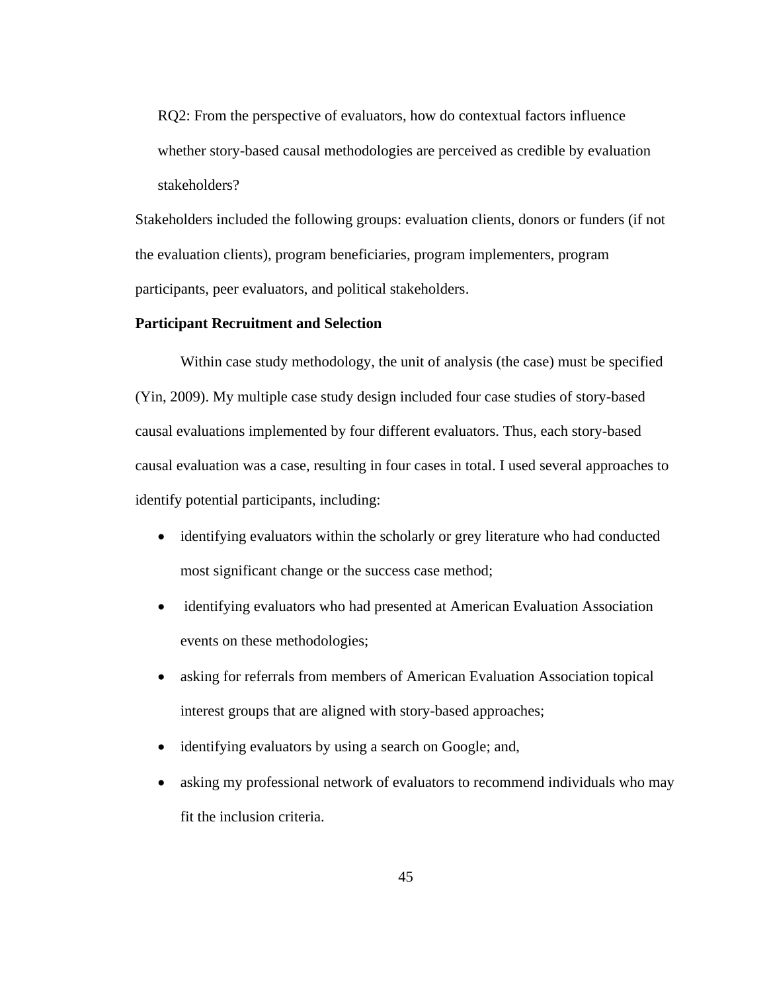RQ2: From the perspective of evaluators, how do contextual factors influence whether story-based causal methodologies are perceived as credible by evaluation stakeholders?

Stakeholders included the following groups: evaluation clients, donors or funders (if not the evaluation clients), program beneficiaries, program implementers, program participants, peer evaluators, and political stakeholders.

## **Participant Recruitment and Selection**

Within case study methodology, the unit of analysis (the case) must be specified (Yin, 2009). My multiple case study design included four case studies of story-based causal evaluations implemented by four different evaluators. Thus, each story-based causal evaluation was a case, resulting in four cases in total. I used several approaches to identify potential participants, including:

- identifying evaluators within the scholarly or grey literature who had conducted most significant change or the success case method;
- identifying evaluators who had presented at American Evaluation Association events on these methodologies;
- asking for referrals from members of American Evaluation Association topical interest groups that are aligned with story-based approaches;
- identifying evaluators by using a search on Google; and,
- asking my professional network of evaluators to recommend individuals who may fit the inclusion criteria.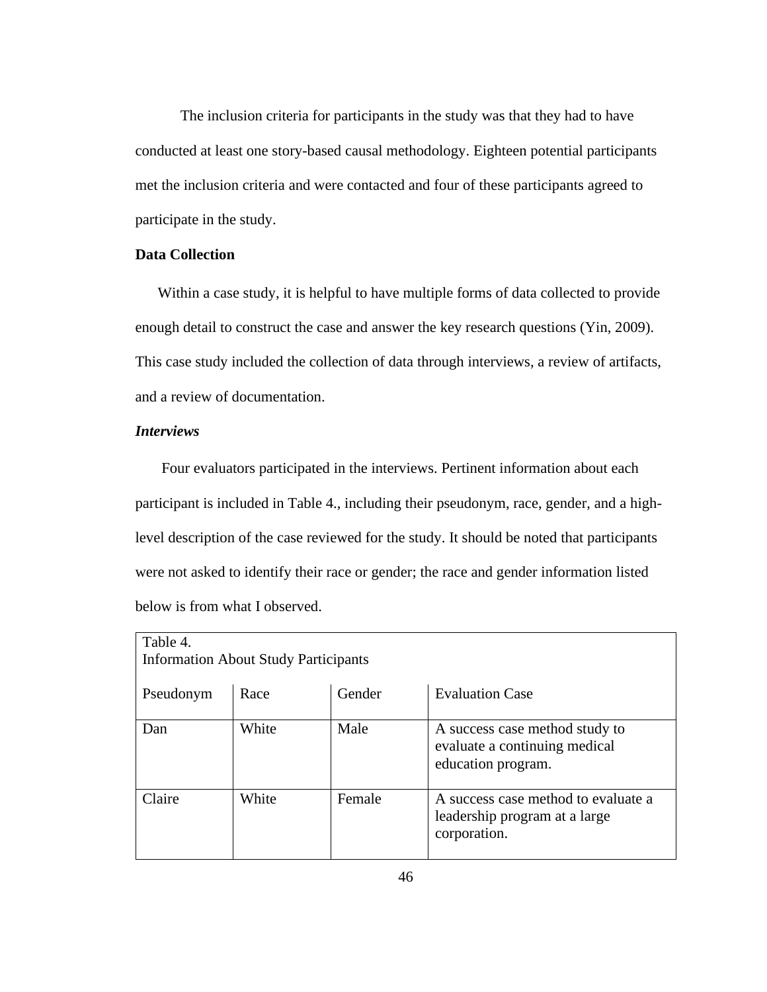The inclusion criteria for participants in the study was that they had to have conducted at least one story-based causal methodology. Eighteen potential participants met the inclusion criteria and were contacted and four of these participants agreed to participate in the study.

# **Data Collection**

Within a case study, it is helpful to have multiple forms of data collected to provide enough detail to construct the case and answer the key research questions (Yin, 2009). This case study included the collection of data through interviews, a review of artifacts, and a review of documentation.

## *Interviews*

Four evaluators participated in the interviews. Pertinent information about each participant is included in Table 4., including their pseudonym, race, gender, and a highlevel description of the case reviewed for the study. It should be noted that participants were not asked to identify their race or gender; the race and gender information listed below is from what I observed.

| Table 4.  | <b>Information About Study Participants</b> |        |                                                                                       |
|-----------|---------------------------------------------|--------|---------------------------------------------------------------------------------------|
|           |                                             |        |                                                                                       |
| Pseudonym | Race                                        | Gender | <b>Evaluation Case</b>                                                                |
| Dan       | White                                       | Male   | A success case method study to<br>evaluate a continuing medical<br>education program. |
| Claire    | White                                       | Female | A success case method to evaluate a<br>leadership program at a large<br>corporation.  |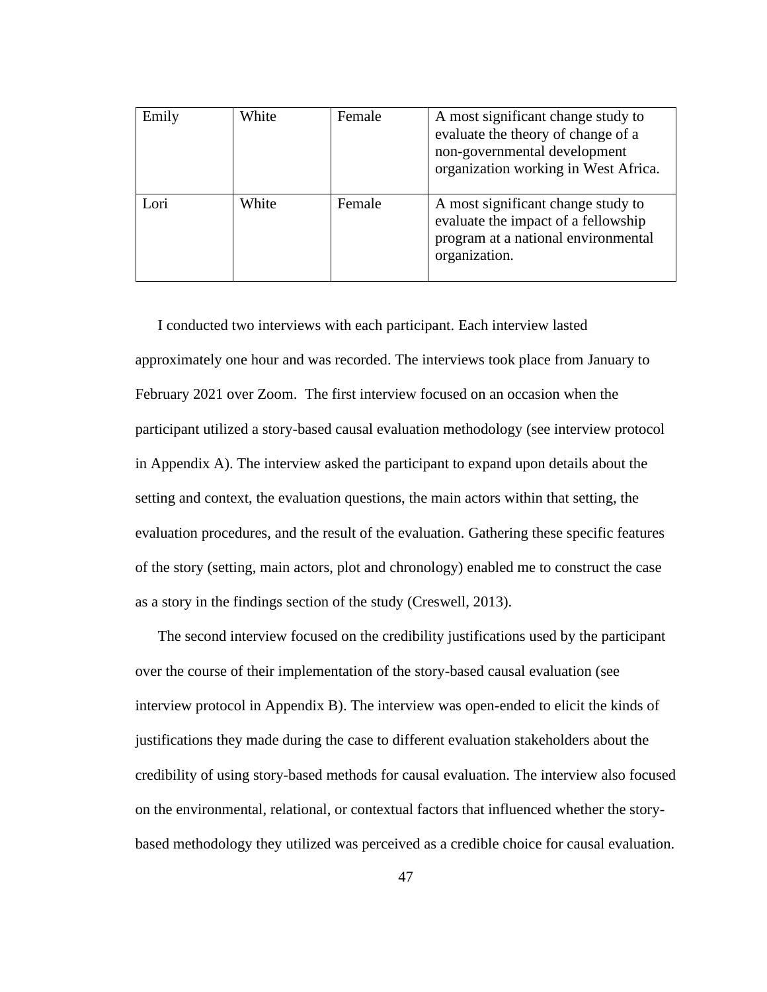| Emily | White | Female | A most significant change study to<br>evaluate the theory of change of a<br>non-governmental development<br>organization working in West Africa. |
|-------|-------|--------|--------------------------------------------------------------------------------------------------------------------------------------------------|
| ori   | White | Female | A most significant change study to<br>evaluate the impact of a fellowship<br>program at a national environmental<br>organization.                |

I conducted two interviews with each participant. Each interview lasted approximately one hour and was recorded. The interviews took place from January to February 2021 over Zoom. The first interview focused on an occasion when the participant utilized a story-based causal evaluation methodology (see interview protocol in Appendix A). The interview asked the participant to expand upon details about the setting and context, the evaluation questions, the main actors within that setting, the evaluation procedures, and the result of the evaluation. Gathering these specific features of the story (setting, main actors, plot and chronology) enabled me to construct the case as a story in the findings section of the study (Creswell, 2013).

The second interview focused on the credibility justifications used by the participant over the course of their implementation of the story-based causal evaluation (see interview protocol in Appendix B). The interview was open-ended to elicit the kinds of justifications they made during the case to different evaluation stakeholders about the credibility of using story-based methods for causal evaluation. The interview also focused on the environmental, relational, or contextual factors that influenced whether the storybased methodology they utilized was perceived as a credible choice for causal evaluation.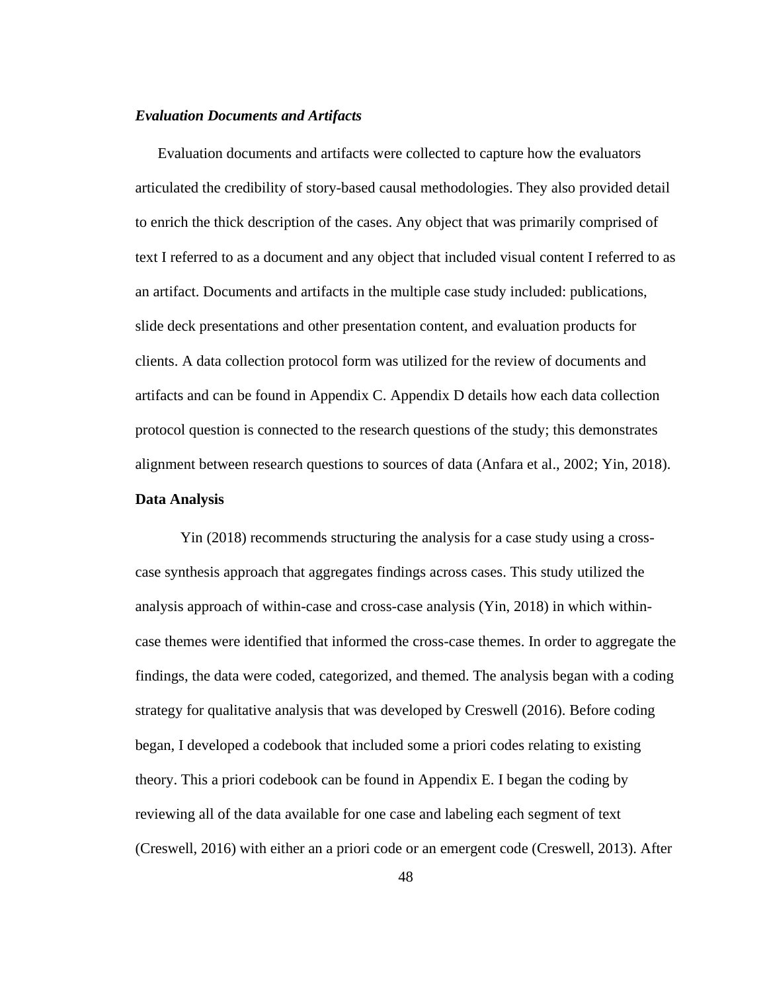## *Evaluation Documents and Artifacts*

Evaluation documents and artifacts were collected to capture how the evaluators articulated the credibility of story-based causal methodologies. They also provided detail to enrich the thick description of the cases. Any object that was primarily comprised of text I referred to as a document and any object that included visual content I referred to as an artifact. Documents and artifacts in the multiple case study included: publications, slide deck presentations and other presentation content, and evaluation products for clients. A data collection protocol form was utilized for the review of documents and artifacts and can be found in Appendix C. Appendix D details how each data collection protocol question is connected to the research questions of the study; this demonstrates alignment between research questions to sources of data (Anfara et al., 2002; Yin, 2018).

#### **Data Analysis**

Yin (2018) recommends structuring the analysis for a case study using a crosscase synthesis approach that aggregates findings across cases. This study utilized the analysis approach of within-case and cross-case analysis (Yin, 2018) in which withincase themes were identified that informed the cross-case themes. In order to aggregate the findings, the data were coded, categorized, and themed. The analysis began with a coding strategy for qualitative analysis that was developed by Creswell (2016). Before coding began, I developed a codebook that included some a priori codes relating to existing theory. This a priori codebook can be found in Appendix E. I began the coding by reviewing all of the data available for one case and labeling each segment of text (Creswell, 2016) with either an a priori code or an emergent code (Creswell, 2013). After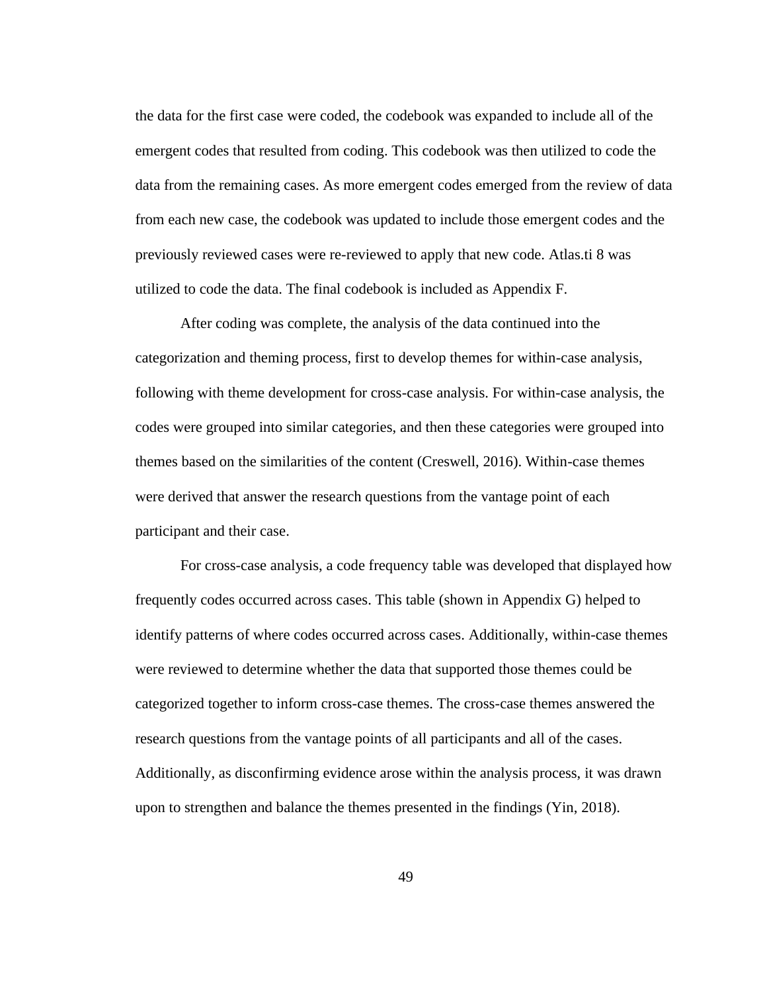the data for the first case were coded, the codebook was expanded to include all of the emergent codes that resulted from coding. This codebook was then utilized to code the data from the remaining cases. As more emergent codes emerged from the review of data from each new case, the codebook was updated to include those emergent codes and the previously reviewed cases were re-reviewed to apply that new code. Atlas.ti 8 was utilized to code the data. The final codebook is included as Appendix F.

After coding was complete, the analysis of the data continued into the categorization and theming process, first to develop themes for within-case analysis, following with theme development for cross-case analysis. For within-case analysis, the codes were grouped into similar categories, and then these categories were grouped into themes based on the similarities of the content (Creswell, 2016). Within-case themes were derived that answer the research questions from the vantage point of each participant and their case.

For cross-case analysis, a code frequency table was developed that displayed how frequently codes occurred across cases. This table (shown in Appendix G) helped to identify patterns of where codes occurred across cases. Additionally, within-case themes were reviewed to determine whether the data that supported those themes could be categorized together to inform cross-case themes. The cross-case themes answered the research questions from the vantage points of all participants and all of the cases. Additionally, as disconfirming evidence arose within the analysis process, it was drawn upon to strengthen and balance the themes presented in the findings (Yin, 2018).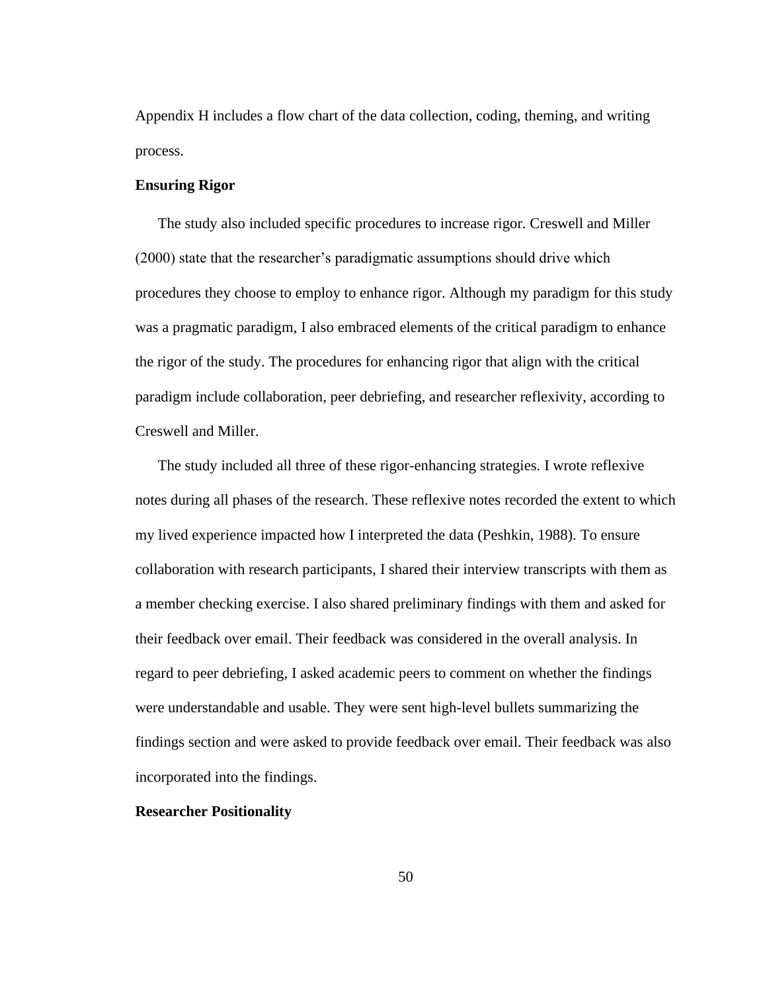Appendix H includes a flow chart of the data collection, coding, theming, and writing process.

## **Ensuring Rigor**

The study also included specific procedures to increase rigor. Creswell and Miller (2000) state that the researcher's paradigmatic assumptions should drive which procedures they choose to employ to enhance rigor. Although my paradigm for this study was a pragmatic paradigm, I also embraced elements of the critical paradigm to enhance the rigor of the study. The procedures for enhancing rigor that align with the critical paradigm include collaboration, peer debriefing, and researcher reflexivity, according to Creswell and Miller.

The study included all three of these rigor-enhancing strategies. I wrote reflexive notes during all phases of the research. These reflexive notes recorded the extent to which my lived experience impacted how I interpreted the data (Peshkin, 1988). To ensure collaboration with research participants, I shared their interview transcripts with them as a member checking exercise. I also shared preliminary findings with them and asked for their feedback over email. Their feedback was considered in the overall analysis. In regard to peer debriefing, I asked academic peers to comment on whether the findings were understandable and usable. They were sent high-level bullets summarizing the findings section and were asked to provide feedback over email. Their feedback was also incorporated into the findings.

#### **Researcher Positionality**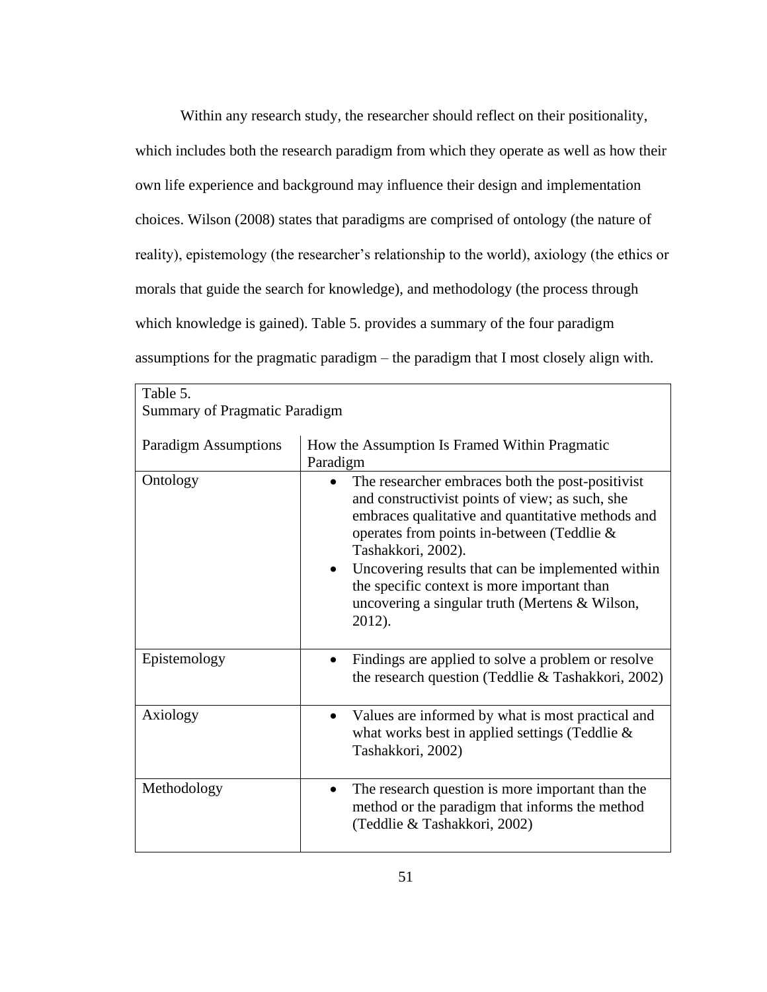Within any research study, the researcher should reflect on their positionality, which includes both the research paradigm from which they operate as well as how their own life experience and background may influence their design and implementation choices. Wilson (2008) states that paradigms are comprised of ontology (the nature of reality), epistemology (the researcher's relationship to the world), axiology (the ethics or morals that guide the search for knowledge), and methodology (the process through which knowledge is gained). Table 5. provides a summary of the four paradigm assumptions for the pragmatic paradigm – the paradigm that I most closely align with.

| Table 5.                             |                                                                                                                                                                                                                                                                                                                                                                                              |
|--------------------------------------|----------------------------------------------------------------------------------------------------------------------------------------------------------------------------------------------------------------------------------------------------------------------------------------------------------------------------------------------------------------------------------------------|
| <b>Summary of Pragmatic Paradigm</b> |                                                                                                                                                                                                                                                                                                                                                                                              |
| <b>Paradigm Assumptions</b>          | How the Assumption Is Framed Within Pragmatic<br>Paradigm                                                                                                                                                                                                                                                                                                                                    |
| Ontology                             | The researcher embraces both the post-positivist<br>and constructivist points of view; as such, she<br>embraces qualitative and quantitative methods and<br>operates from points in-between (Teddlie &<br>Tashakkori, 2002).<br>Uncovering results that can be implemented within<br>the specific context is more important than<br>uncovering a singular truth (Mertens & Wilson,<br>2012). |
| Epistemology                         | Findings are applied to solve a problem or resolve<br>the research question (Teddlie & Tashakkori, 2002)                                                                                                                                                                                                                                                                                     |
| Axiology                             | Values are informed by what is most practical and<br>what works best in applied settings (Teddlie &<br>Tashakkori, 2002)                                                                                                                                                                                                                                                                     |
| Methodology                          | The research question is more important than the<br>method or the paradigm that informs the method<br>(Teddlie & Tashakkori, 2002)                                                                                                                                                                                                                                                           |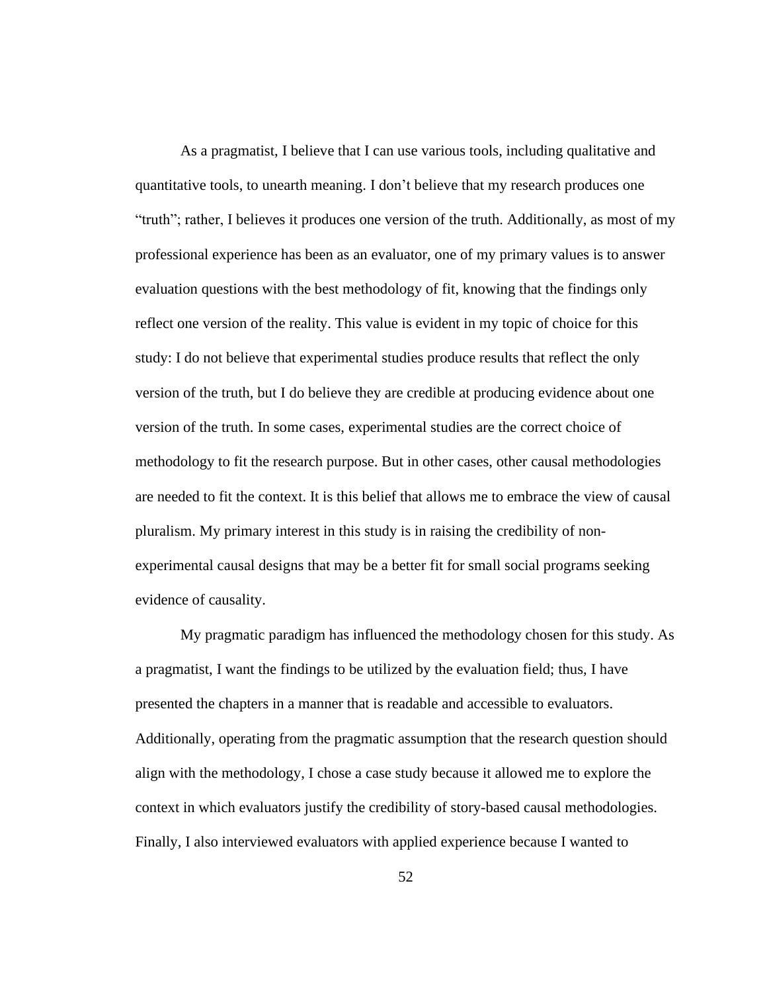As a pragmatist, I believe that I can use various tools, including qualitative and quantitative tools, to unearth meaning. I don't believe that my research produces one "truth"; rather, I believes it produces one version of the truth. Additionally, as most of my professional experience has been as an evaluator, one of my primary values is to answer evaluation questions with the best methodology of fit, knowing that the findings only reflect one version of the reality. This value is evident in my topic of choice for this study: I do not believe that experimental studies produce results that reflect the only version of the truth, but I do believe they are credible at producing evidence about one version of the truth. In some cases, experimental studies are the correct choice of methodology to fit the research purpose. But in other cases, other causal methodologies are needed to fit the context. It is this belief that allows me to embrace the view of causal pluralism. My primary interest in this study is in raising the credibility of nonexperimental causal designs that may be a better fit for small social programs seeking evidence of causality.

My pragmatic paradigm has influenced the methodology chosen for this study. As a pragmatist, I want the findings to be utilized by the evaluation field; thus, I have presented the chapters in a manner that is readable and accessible to evaluators. Additionally, operating from the pragmatic assumption that the research question should align with the methodology, I chose a case study because it allowed me to explore the context in which evaluators justify the credibility of story-based causal methodologies. Finally, I also interviewed evaluators with applied experience because I wanted to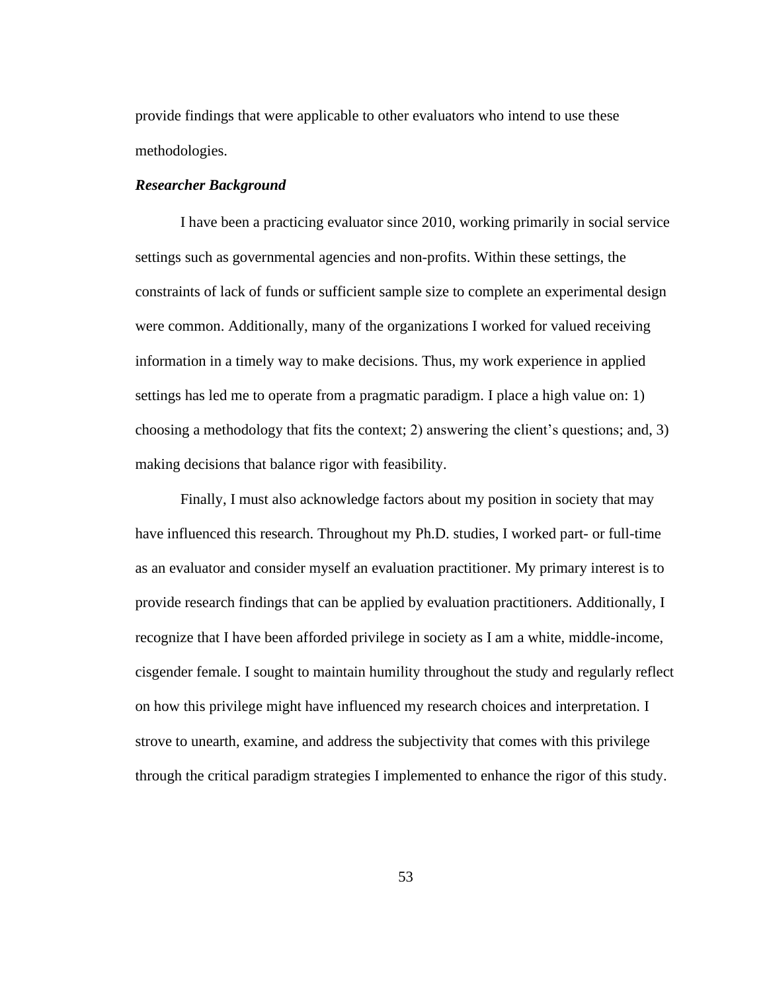provide findings that were applicable to other evaluators who intend to use these methodologies.

#### *Researcher Background*

I have been a practicing evaluator since 2010, working primarily in social service settings such as governmental agencies and non-profits. Within these settings, the constraints of lack of funds or sufficient sample size to complete an experimental design were common. Additionally, many of the organizations I worked for valued receiving information in a timely way to make decisions. Thus, my work experience in applied settings has led me to operate from a pragmatic paradigm. I place a high value on: 1) choosing a methodology that fits the context; 2) answering the client's questions; and, 3) making decisions that balance rigor with feasibility.

Finally, I must also acknowledge factors about my position in society that may have influenced this research. Throughout my Ph.D. studies, I worked part- or full-time as an evaluator and consider myself an evaluation practitioner. My primary interest is to provide research findings that can be applied by evaluation practitioners. Additionally, I recognize that I have been afforded privilege in society as I am a white, middle-income, cisgender female. I sought to maintain humility throughout the study and regularly reflect on how this privilege might have influenced my research choices and interpretation. I strove to unearth, examine, and address the subjectivity that comes with this privilege through the critical paradigm strategies I implemented to enhance the rigor of this study.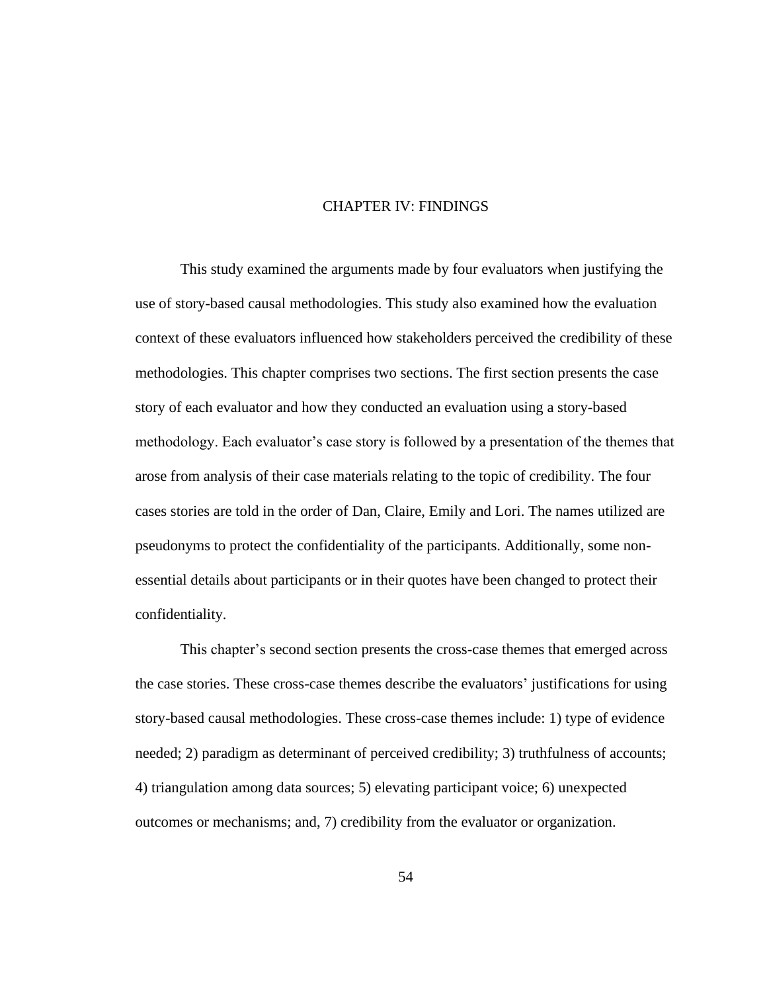## CHAPTER IV: FINDINGS

This study examined the arguments made by four evaluators when justifying the use of story-based causal methodologies. This study also examined how the evaluation context of these evaluators influenced how stakeholders perceived the credibility of these methodologies. This chapter comprises two sections. The first section presents the case story of each evaluator and how they conducted an evaluation using a story-based methodology. Each evaluator's case story is followed by a presentation of the themes that arose from analysis of their case materials relating to the topic of credibility. The four cases stories are told in the order of Dan, Claire, Emily and Lori. The names utilized are pseudonyms to protect the confidentiality of the participants. Additionally, some nonessential details about participants or in their quotes have been changed to protect their confidentiality.

This chapter's second section presents the cross-case themes that emerged across the case stories. These cross-case themes describe the evaluators' justifications for using story-based causal methodologies. These cross-case themes include: 1) type of evidence needed; 2) paradigm as determinant of perceived credibility; 3) truthfulness of accounts; 4) triangulation among data sources; 5) elevating participant voice; 6) unexpected outcomes or mechanisms; and, 7) credibility from the evaluator or organization.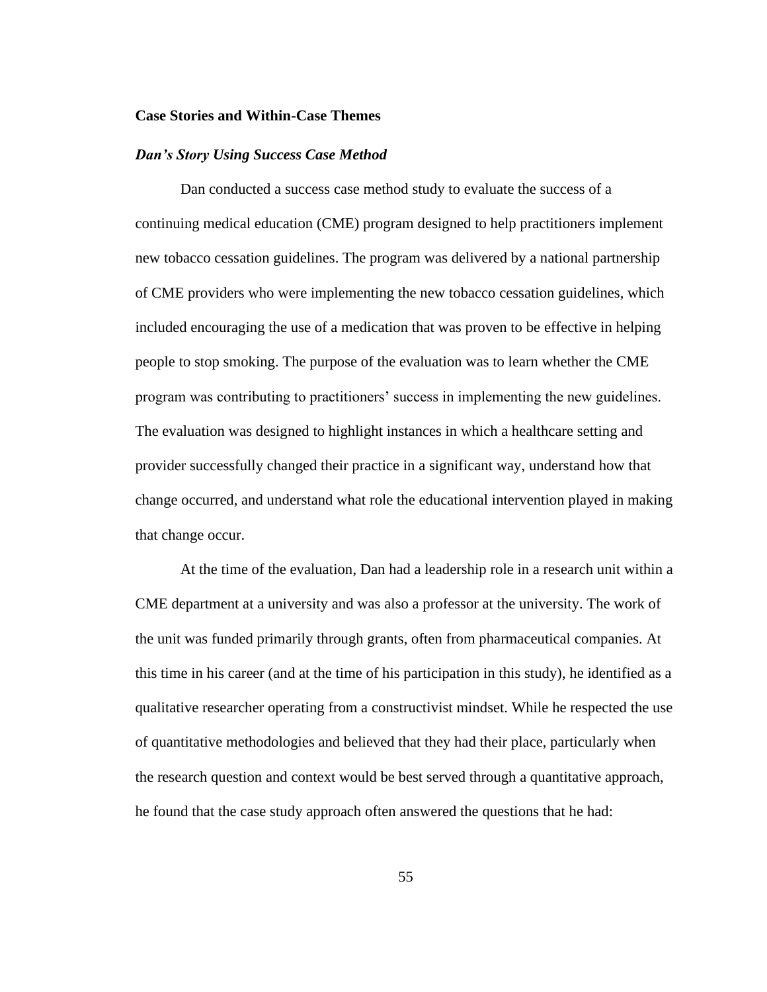#### **Case Stories and Within-Case Themes**

## *Dan's Story Using Success Case Method*

Dan conducted a success case method study to evaluate the success of a continuing medical education (CME) program designed to help practitioners implement new tobacco cessation guidelines. The program was delivered by a national partnership of CME providers who were implementing the new tobacco cessation guidelines, which included encouraging the use of a medication that was proven to be effective in helping people to stop smoking. The purpose of the evaluation was to learn whether the CME program was contributing to practitioners' success in implementing the new guidelines. The evaluation was designed to highlight instances in which a healthcare setting and provider successfully changed their practice in a significant way, understand how that change occurred, and understand what role the educational intervention played in making that change occur.

At the time of the evaluation, Dan had a leadership role in a research unit within a CME department at a university and was also a professor at the university. The work of the unit was funded primarily through grants, often from pharmaceutical companies. At this time in his career (and at the time of his participation in this study), he identified as a qualitative researcher operating from a constructivist mindset. While he respected the use of quantitative methodologies and believed that they had their place, particularly when the research question and context would be best served through a quantitative approach, he found that the case study approach often answered the questions that he had: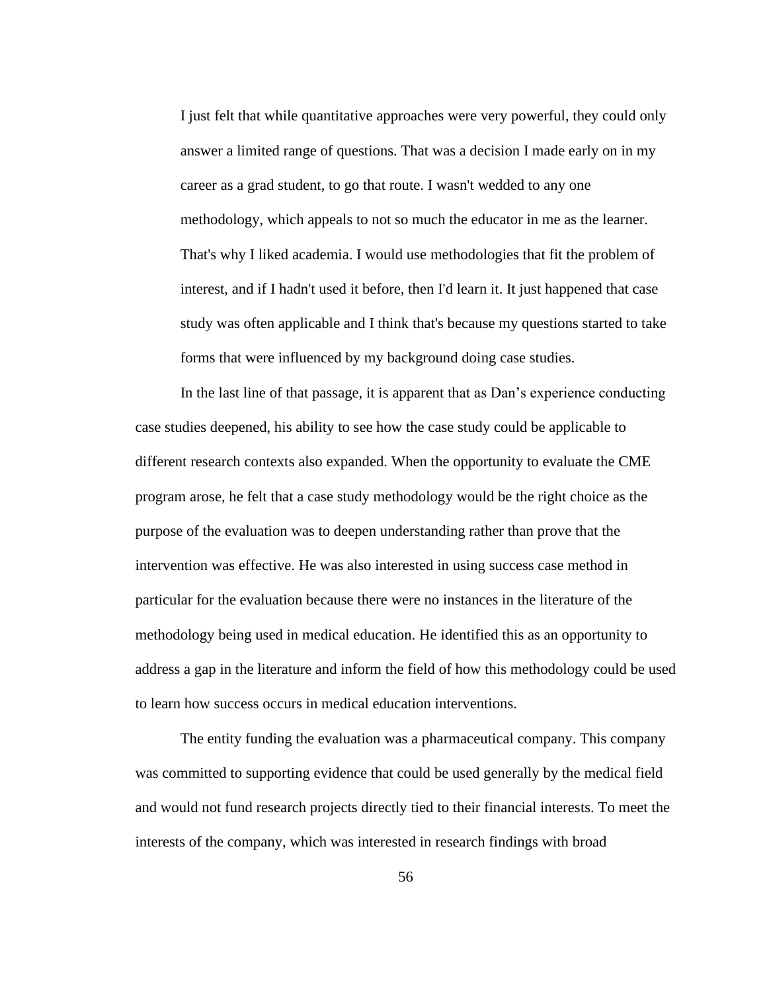I just felt that while quantitative approaches were very powerful, they could only answer a limited range of questions. That was a decision I made early on in my career as a grad student, to go that route. I wasn't wedded to any one methodology, which appeals to not so much the educator in me as the learner. That's why I liked academia. I would use methodologies that fit the problem of interest, and if I hadn't used it before, then I'd learn it. It just happened that case study was often applicable and I think that's because my questions started to take forms that were influenced by my background doing case studies.

In the last line of that passage, it is apparent that as Dan's experience conducting case studies deepened, his ability to see how the case study could be applicable to different research contexts also expanded. When the opportunity to evaluate the CME program arose, he felt that a case study methodology would be the right choice as the purpose of the evaluation was to deepen understanding rather than prove that the intervention was effective. He was also interested in using success case method in particular for the evaluation because there were no instances in the literature of the methodology being used in medical education. He identified this as an opportunity to address a gap in the literature and inform the field of how this methodology could be used to learn how success occurs in medical education interventions.

The entity funding the evaluation was a pharmaceutical company. This company was committed to supporting evidence that could be used generally by the medical field and would not fund research projects directly tied to their financial interests. To meet the interests of the company, which was interested in research findings with broad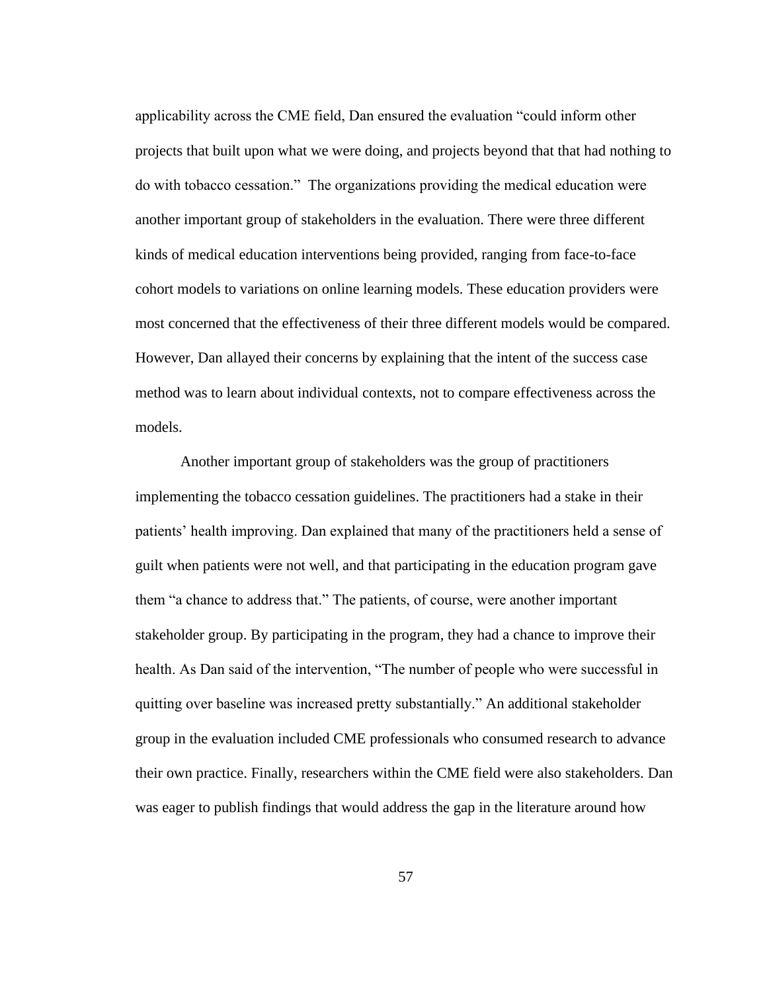applicability across the CME field, Dan ensured the evaluation "could inform other projects that built upon what we were doing, and projects beyond that that had nothing to do with tobacco cessation." The organizations providing the medical education were another important group of stakeholders in the evaluation. There were three different kinds of medical education interventions being provided, ranging from face-to-face cohort models to variations on online learning models. These education providers were most concerned that the effectiveness of their three different models would be compared. However, Dan allayed their concerns by explaining that the intent of the success case method was to learn about individual contexts, not to compare effectiveness across the models.

Another important group of stakeholders was the group of practitioners implementing the tobacco cessation guidelines. The practitioners had a stake in their patients' health improving. Dan explained that many of the practitioners held a sense of guilt when patients were not well, and that participating in the education program gave them "a chance to address that." The patients, of course, were another important stakeholder group. By participating in the program, they had a chance to improve their health. As Dan said of the intervention, "The number of people who were successful in quitting over baseline was increased pretty substantially." An additional stakeholder group in the evaluation included CME professionals who consumed research to advance their own practice. Finally, researchers within the CME field were also stakeholders. Dan was eager to publish findings that would address the gap in the literature around how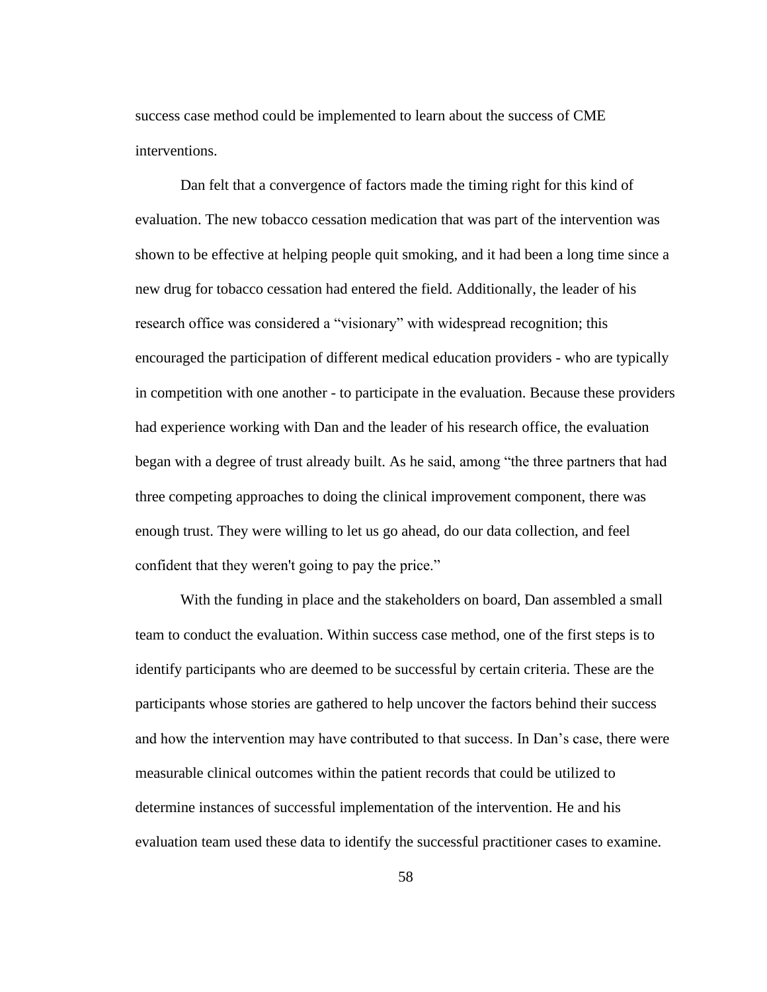success case method could be implemented to learn about the success of CME interventions.

Dan felt that a convergence of factors made the timing right for this kind of evaluation. The new tobacco cessation medication that was part of the intervention was shown to be effective at helping people quit smoking, and it had been a long time since a new drug for tobacco cessation had entered the field. Additionally, the leader of his research office was considered a "visionary" with widespread recognition; this encouraged the participation of different medical education providers - who are typically in competition with one another - to participate in the evaluation. Because these providers had experience working with Dan and the leader of his research office, the evaluation began with a degree of trust already built. As he said, among "the three partners that had three competing approaches to doing the clinical improvement component, there was enough trust. They were willing to let us go ahead, do our data collection, and feel confident that they weren't going to pay the price."

With the funding in place and the stakeholders on board, Dan assembled a small team to conduct the evaluation. Within success case method, one of the first steps is to identify participants who are deemed to be successful by certain criteria. These are the participants whose stories are gathered to help uncover the factors behind their success and how the intervention may have contributed to that success. In Dan's case, there were measurable clinical outcomes within the patient records that could be utilized to determine instances of successful implementation of the intervention. He and his evaluation team used these data to identify the successful practitioner cases to examine.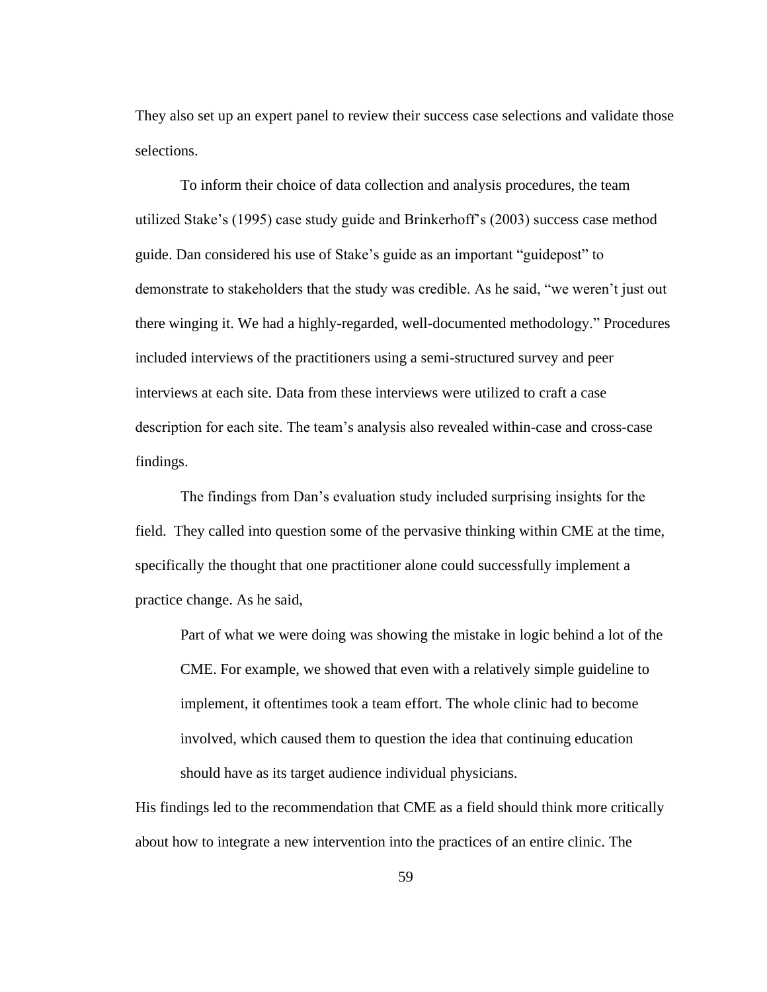They also set up an expert panel to review their success case selections and validate those selections.

To inform their choice of data collection and analysis procedures, the team utilized Stake's (1995) case study guide and Brinkerhoff's (2003) success case method guide. Dan considered his use of Stake's guide as an important "guidepost" to demonstrate to stakeholders that the study was credible. As he said, "we weren't just out there winging it. We had a highly-regarded, well-documented methodology." Procedures included interviews of the practitioners using a semi-structured survey and peer interviews at each site. Data from these interviews were utilized to craft a case description for each site. The team's analysis also revealed within-case and cross-case findings.

The findings from Dan's evaluation study included surprising insights for the field. They called into question some of the pervasive thinking within CME at the time, specifically the thought that one practitioner alone could successfully implement a practice change. As he said,

Part of what we were doing was showing the mistake in logic behind a lot of the CME. For example, we showed that even with a relatively simple guideline to implement, it oftentimes took a team effort. The whole clinic had to become involved, which caused them to question the idea that continuing education should have as its target audience individual physicians.

His findings led to the recommendation that CME as a field should think more critically about how to integrate a new intervention into the practices of an entire clinic. The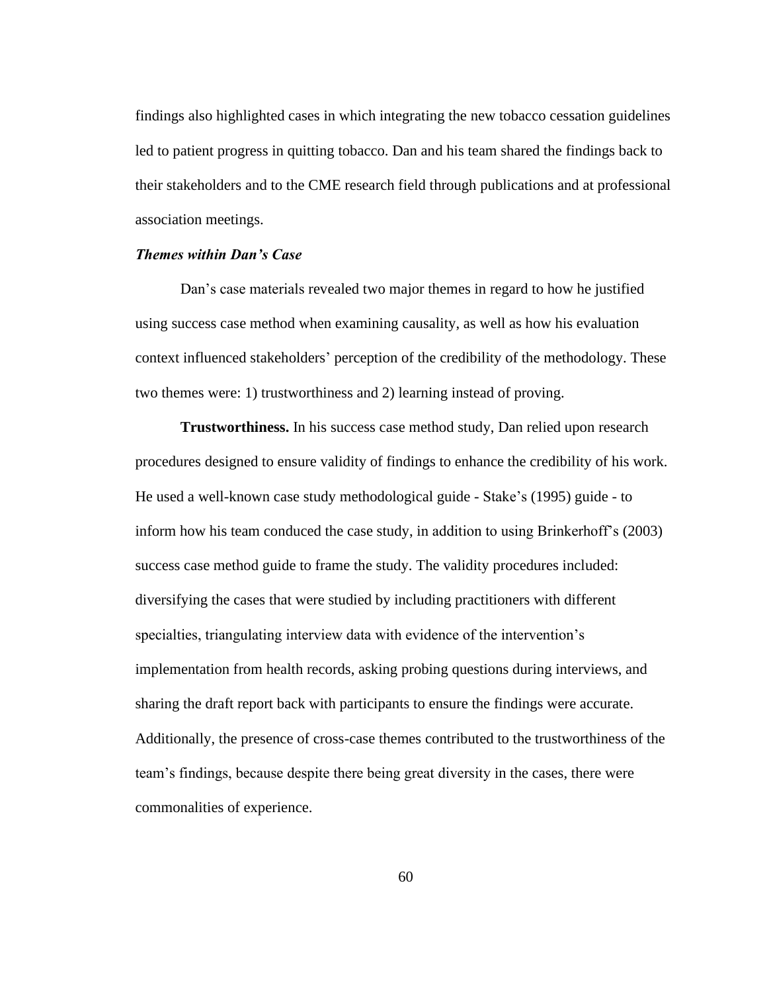findings also highlighted cases in which integrating the new tobacco cessation guidelines led to patient progress in quitting tobacco. Dan and his team shared the findings back to their stakeholders and to the CME research field through publications and at professional association meetings.

## *Themes within Dan's Case*

Dan's case materials revealed two major themes in regard to how he justified using success case method when examining causality, as well as how his evaluation context influenced stakeholders' perception of the credibility of the methodology. These two themes were: 1) trustworthiness and 2) learning instead of proving.

**Trustworthiness.** In his success case method study, Dan relied upon research procedures designed to ensure validity of findings to enhance the credibility of his work. He used a well-known case study methodological guide - Stake's (1995) guide - to inform how his team conduced the case study, in addition to using Brinkerhoff's (2003) success case method guide to frame the study. The validity procedures included: diversifying the cases that were studied by including practitioners with different specialties, triangulating interview data with evidence of the intervention's implementation from health records, asking probing questions during interviews, and sharing the draft report back with participants to ensure the findings were accurate. Additionally, the presence of cross-case themes contributed to the trustworthiness of the team's findings, because despite there being great diversity in the cases, there were commonalities of experience.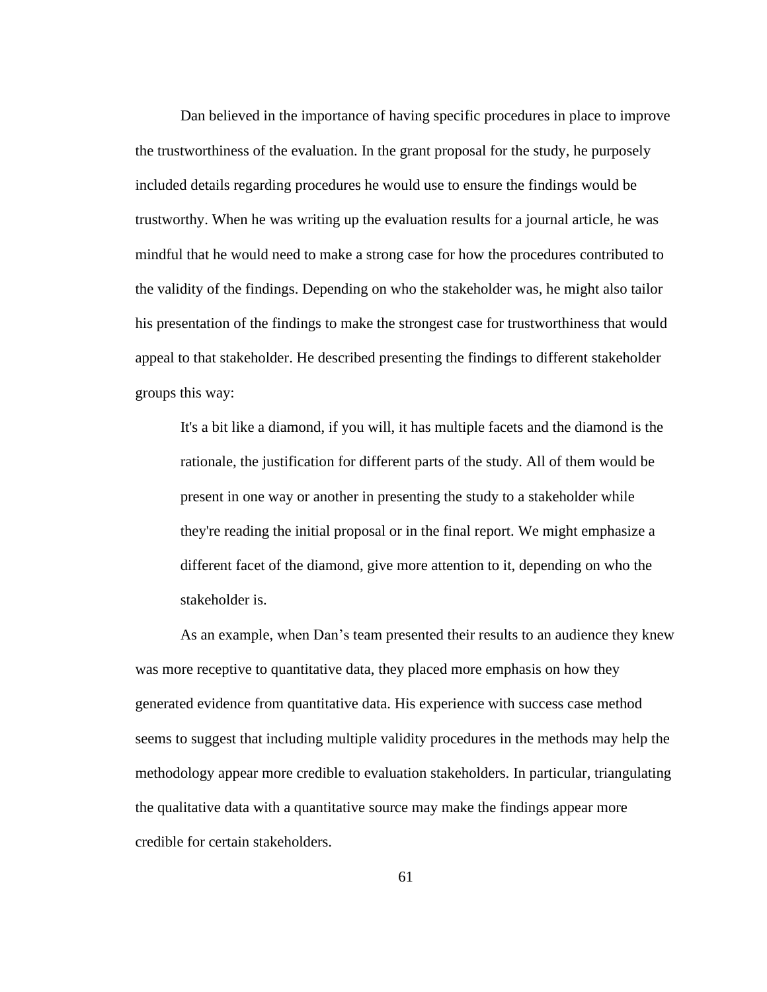Dan believed in the importance of having specific procedures in place to improve the trustworthiness of the evaluation. In the grant proposal for the study, he purposely included details regarding procedures he would use to ensure the findings would be trustworthy. When he was writing up the evaluation results for a journal article, he was mindful that he would need to make a strong case for how the procedures contributed to the validity of the findings. Depending on who the stakeholder was, he might also tailor his presentation of the findings to make the strongest case for trustworthiness that would appeal to that stakeholder. He described presenting the findings to different stakeholder groups this way:

It's a bit like a diamond, if you will, it has multiple facets and the diamond is the rationale, the justification for different parts of the study. All of them would be present in one way or another in presenting the study to a stakeholder while they're reading the initial proposal or in the final report. We might emphasize a different facet of the diamond, give more attention to it, depending on who the stakeholder is.

As an example, when Dan's team presented their results to an audience they knew was more receptive to quantitative data, they placed more emphasis on how they generated evidence from quantitative data. His experience with success case method seems to suggest that including multiple validity procedures in the methods may help the methodology appear more credible to evaluation stakeholders. In particular, triangulating the qualitative data with a quantitative source may make the findings appear more credible for certain stakeholders.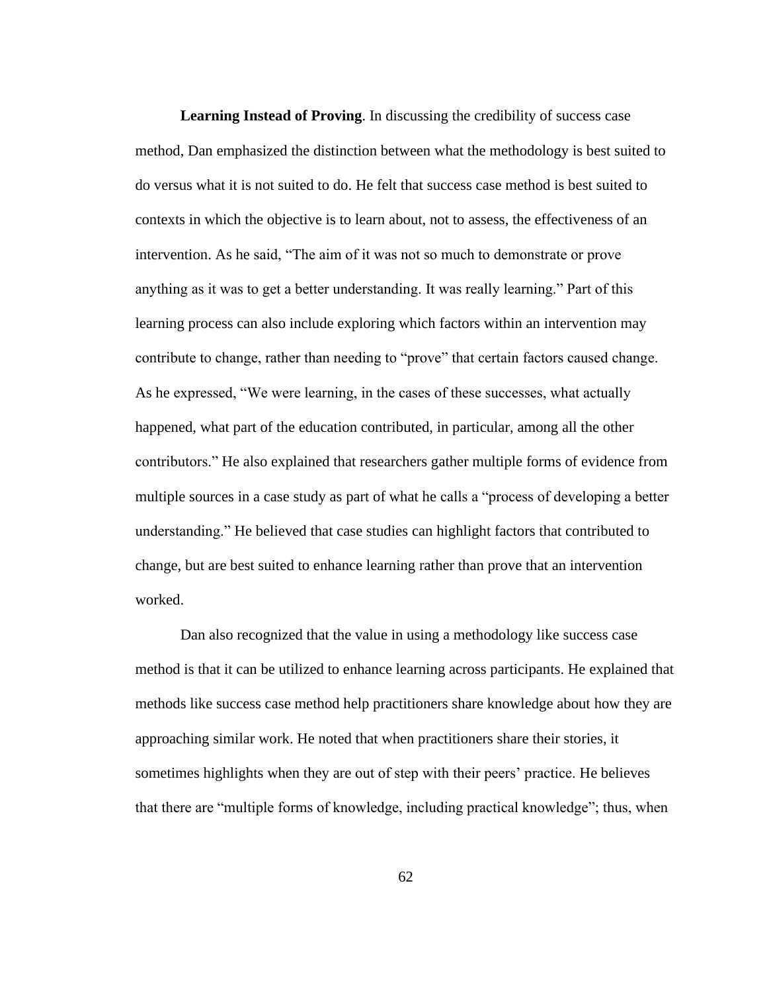**Learning Instead of Proving**. In discussing the credibility of success case method, Dan emphasized the distinction between what the methodology is best suited to do versus what it is not suited to do. He felt that success case method is best suited to contexts in which the objective is to learn about, not to assess, the effectiveness of an intervention. As he said, "The aim of it was not so much to demonstrate or prove anything as it was to get a better understanding. It was really learning." Part of this learning process can also include exploring which factors within an intervention may contribute to change, rather than needing to "prove" that certain factors caused change. As he expressed, "We were learning, in the cases of these successes, what actually happened, what part of the education contributed, in particular, among all the other contributors." He also explained that researchers gather multiple forms of evidence from multiple sources in a case study as part of what he calls a "process of developing a better understanding." He believed that case studies can highlight factors that contributed to change, but are best suited to enhance learning rather than prove that an intervention worked.

Dan also recognized that the value in using a methodology like success case method is that it can be utilized to enhance learning across participants. He explained that methods like success case method help practitioners share knowledge about how they are approaching similar work. He noted that when practitioners share their stories, it sometimes highlights when they are out of step with their peers' practice. He believes that there are "multiple forms of knowledge, including practical knowledge"; thus, when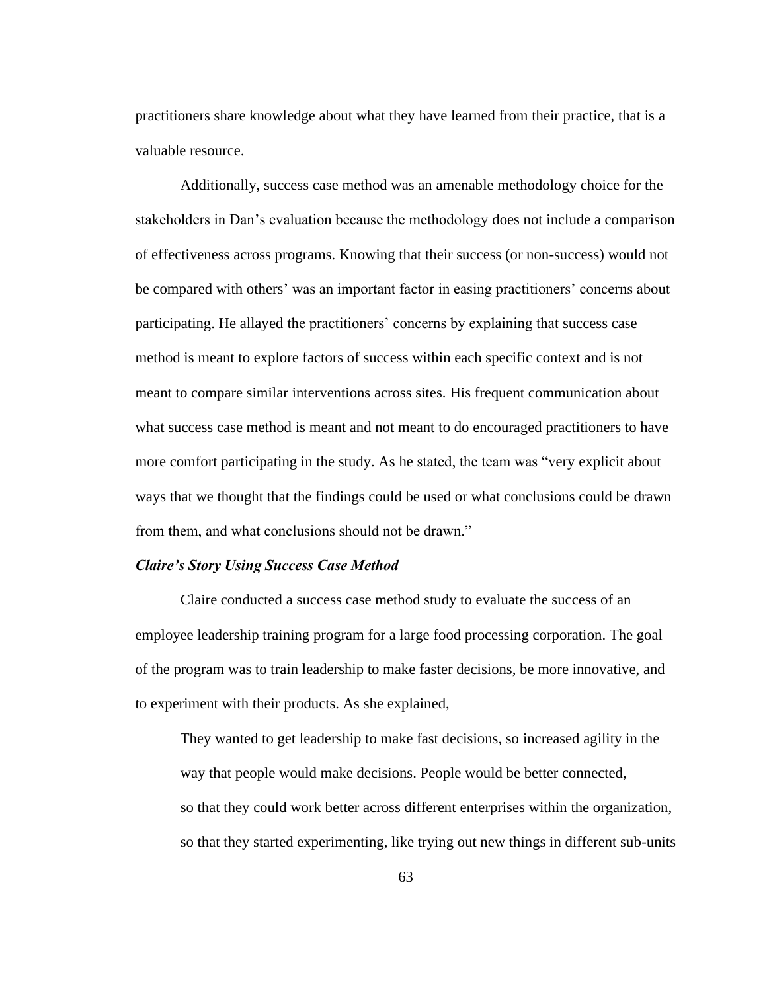practitioners share knowledge about what they have learned from their practice, that is a valuable resource.

Additionally, success case method was an amenable methodology choice for the stakeholders in Dan's evaluation because the methodology does not include a comparison of effectiveness across programs. Knowing that their success (or non-success) would not be compared with others' was an important factor in easing practitioners' concerns about participating. He allayed the practitioners' concerns by explaining that success case method is meant to explore factors of success within each specific context and is not meant to compare similar interventions across sites. His frequent communication about what success case method is meant and not meant to do encouraged practitioners to have more comfort participating in the study. As he stated, the team was "very explicit about ways that we thought that the findings could be used or what conclusions could be drawn from them, and what conclusions should not be drawn."

## *Claire's Story Using Success Case Method*

Claire conducted a success case method study to evaluate the success of an employee leadership training program for a large food processing corporation. The goal of the program was to train leadership to make faster decisions, be more innovative, and to experiment with their products. As she explained,

They wanted to get leadership to make fast decisions, so increased agility in the way that people would make decisions. People would be better connected, so that they could work better across different enterprises within the organization, so that they started experimenting, like trying out new things in different sub-units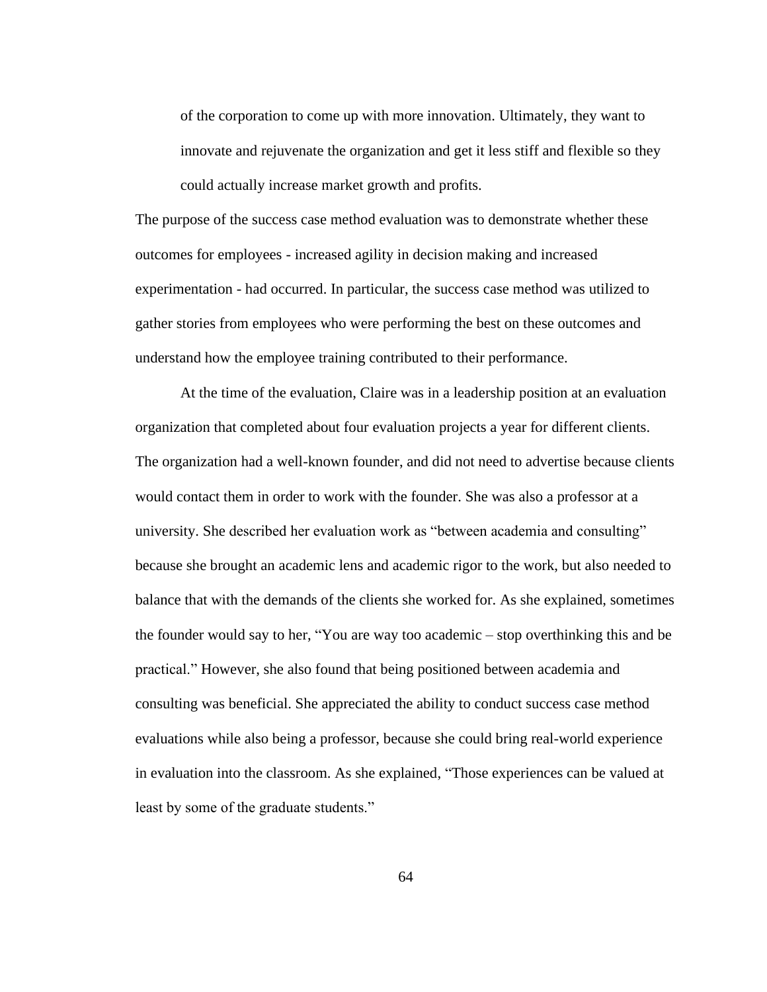of the corporation to come up with more innovation. Ultimately, they want to innovate and rejuvenate the organization and get it less stiff and flexible so they could actually increase market growth and profits.

The purpose of the success case method evaluation was to demonstrate whether these outcomes for employees - increased agility in decision making and increased experimentation - had occurred. In particular, the success case method was utilized to gather stories from employees who were performing the best on these outcomes and understand how the employee training contributed to their performance.

At the time of the evaluation, Claire was in a leadership position at an evaluation organization that completed about four evaluation projects a year for different clients. The organization had a well-known founder, and did not need to advertise because clients would contact them in order to work with the founder. She was also a professor at a university. She described her evaluation work as "between academia and consulting" because she brought an academic lens and academic rigor to the work, but also needed to balance that with the demands of the clients she worked for. As she explained, sometimes the founder would say to her, "You are way too academic – stop overthinking this and be practical." However, she also found that being positioned between academia and consulting was beneficial. She appreciated the ability to conduct success case method evaluations while also being a professor, because she could bring real-world experience in evaluation into the classroom. As she explained, "Those experiences can be valued at least by some of the graduate students."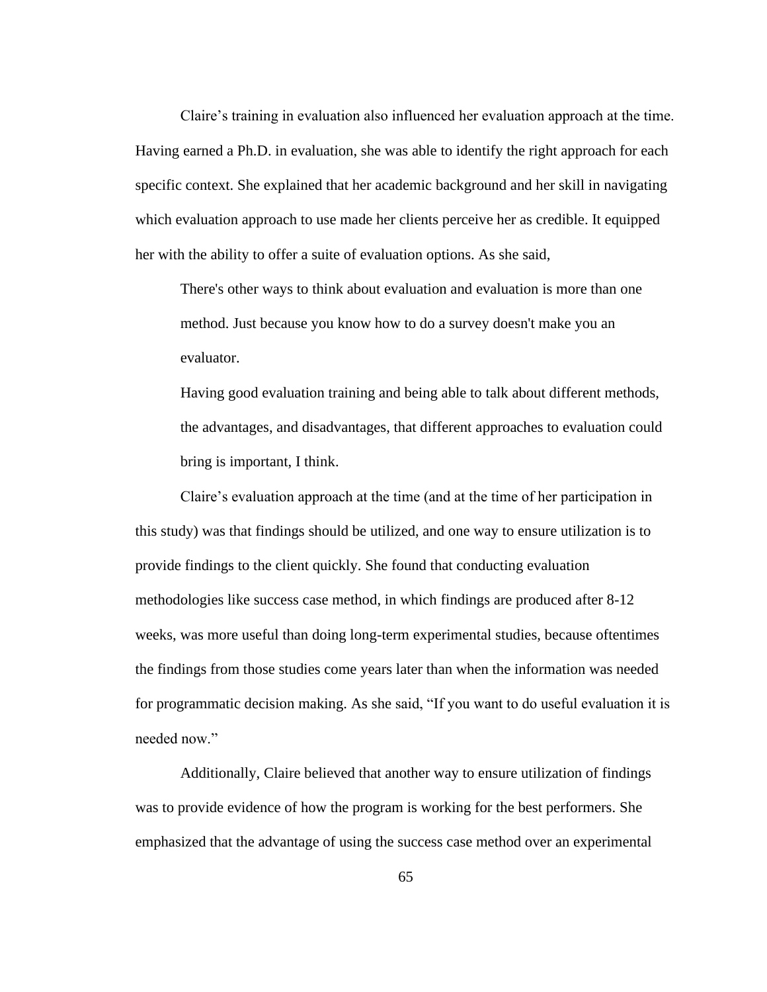Claire's training in evaluation also influenced her evaluation approach at the time. Having earned a Ph.D. in evaluation, she was able to identify the right approach for each specific context. She explained that her academic background and her skill in navigating which evaluation approach to use made her clients perceive her as credible. It equipped her with the ability to offer a suite of evaluation options. As she said,

There's other ways to think about evaluation and evaluation is more than one method. Just because you know how to do a survey doesn't make you an evaluator.

Having good evaluation training and being able to talk about different methods, the advantages, and disadvantages, that different approaches to evaluation could bring is important, I think.

Claire's evaluation approach at the time (and at the time of her participation in this study) was that findings should be utilized, and one way to ensure utilization is to provide findings to the client quickly. She found that conducting evaluation methodologies like success case method, in which findings are produced after 8-12 weeks, was more useful than doing long-term experimental studies, because oftentimes the findings from those studies come years later than when the information was needed for programmatic decision making. As she said, "If you want to do useful evaluation it is needed now."

Additionally, Claire believed that another way to ensure utilization of findings was to provide evidence of how the program is working for the best performers. She emphasized that the advantage of using the success case method over an experimental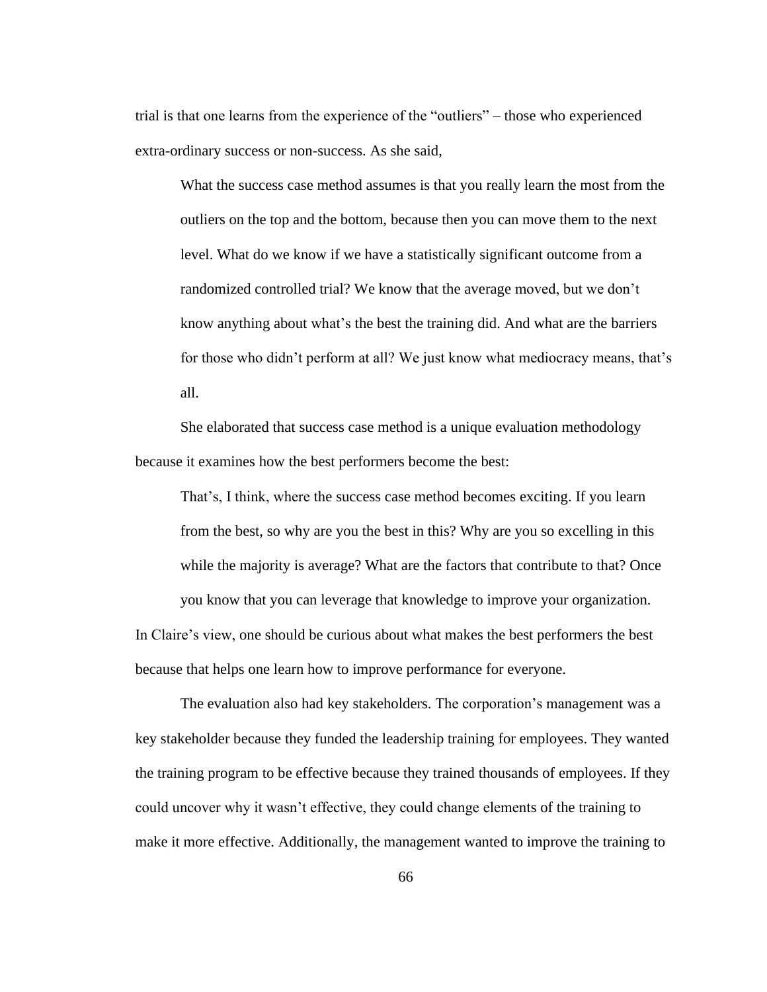trial is that one learns from the experience of the "outliers" – those who experienced extra-ordinary success or non-success. As she said,

What the success case method assumes is that you really learn the most from the outliers on the top and the bottom, because then you can move them to the next level. What do we know if we have a statistically significant outcome from a randomized controlled trial? We know that the average moved, but we don't know anything about what's the best the training did. And what are the barriers for those who didn't perform at all? We just know what mediocracy means, that's all.

She elaborated that success case method is a unique evaluation methodology because it examines how the best performers become the best:

That's, I think, where the success case method becomes exciting. If you learn from the best, so why are you the best in this? Why are you so excelling in this while the majority is average? What are the factors that contribute to that? Once you know that you can leverage that knowledge to improve your organization.

In Claire's view, one should be curious about what makes the best performers the best because that helps one learn how to improve performance for everyone.

The evaluation also had key stakeholders. The corporation's management was a key stakeholder because they funded the leadership training for employees. They wanted the training program to be effective because they trained thousands of employees. If they could uncover why it wasn't effective, they could change elements of the training to make it more effective. Additionally, the management wanted to improve the training to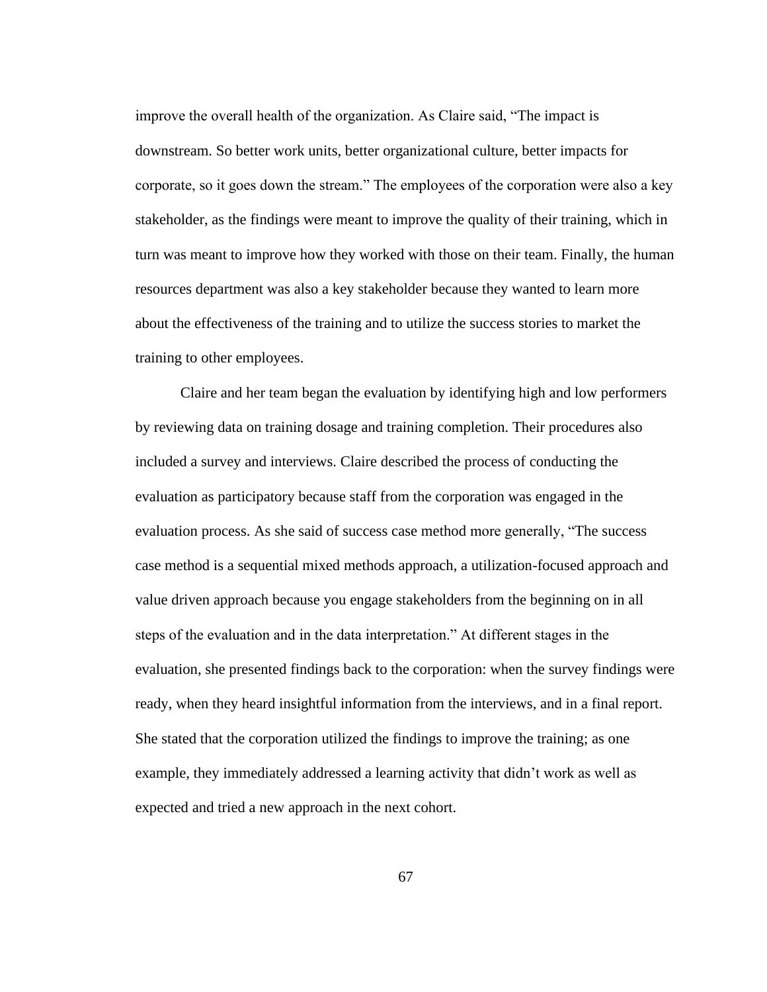improve the overall health of the organization. As Claire said, "The impact is downstream. So better work units, better organizational culture, better impacts for corporate, so it goes down the stream." The employees of the corporation were also a key stakeholder, as the findings were meant to improve the quality of their training, which in turn was meant to improve how they worked with those on their team. Finally, the human resources department was also a key stakeholder because they wanted to learn more about the effectiveness of the training and to utilize the success stories to market the training to other employees.

Claire and her team began the evaluation by identifying high and low performers by reviewing data on training dosage and training completion. Their procedures also included a survey and interviews. Claire described the process of conducting the evaluation as participatory because staff from the corporation was engaged in the evaluation process. As she said of success case method more generally, "The success case method is a sequential mixed methods approach, a utilization-focused approach and value driven approach because you engage stakeholders from the beginning on in all steps of the evaluation and in the data interpretation." At different stages in the evaluation, she presented findings back to the corporation: when the survey findings were ready, when they heard insightful information from the interviews, and in a final report. She stated that the corporation utilized the findings to improve the training; as one example, they immediately addressed a learning activity that didn't work as well as expected and tried a new approach in the next cohort.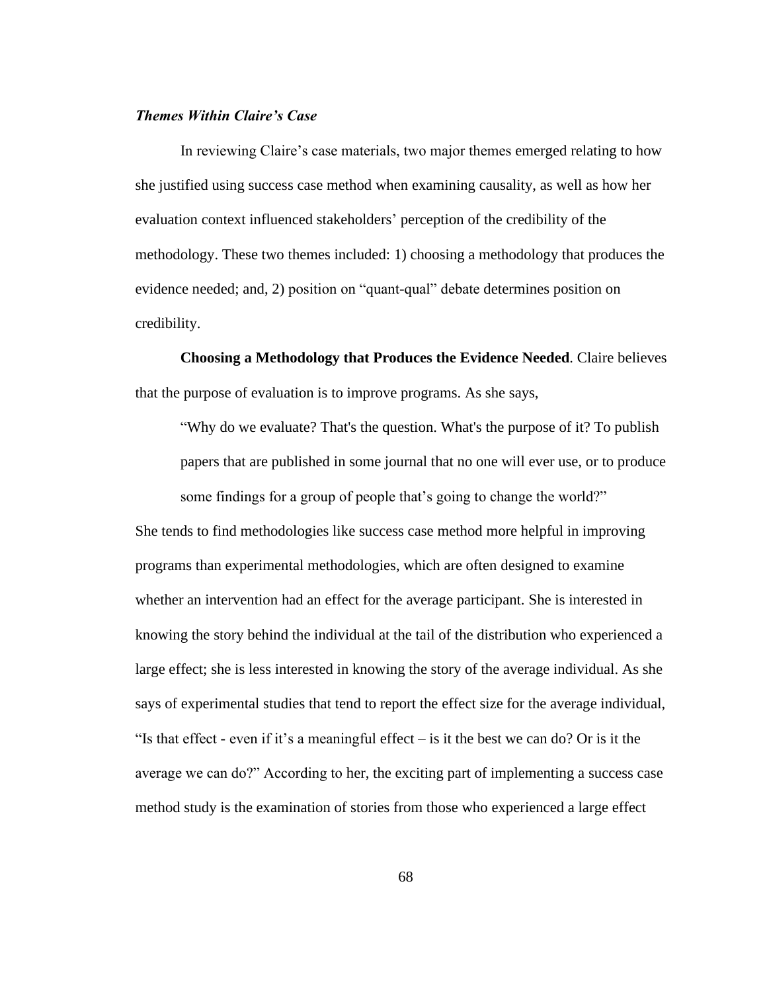# *Themes Within Claire's Case*

In reviewing Claire's case materials, two major themes emerged relating to how she justified using success case method when examining causality, as well as how her evaluation context influenced stakeholders' perception of the credibility of the methodology. These two themes included: 1) choosing a methodology that produces the evidence needed; and, 2) position on "quant-qual" debate determines position on credibility.

**Choosing a Methodology that Produces the Evidence Needed**. Claire believes that the purpose of evaluation is to improve programs. As she says,

"Why do we evaluate? That's the question. What's the purpose of it? To publish papers that are published in some journal that no one will ever use, or to produce some findings for a group of people that's going to change the world?"

She tends to find methodologies like success case method more helpful in improving programs than experimental methodologies, which are often designed to examine whether an intervention had an effect for the average participant. She is interested in knowing the story behind the individual at the tail of the distribution who experienced a large effect; she is less interested in knowing the story of the average individual. As she says of experimental studies that tend to report the effect size for the average individual, "Is that effect - even if it's a meaningful effect – is it the best we can do? Or is it the average we can do?" According to her, the exciting part of implementing a success case method study is the examination of stories from those who experienced a large effect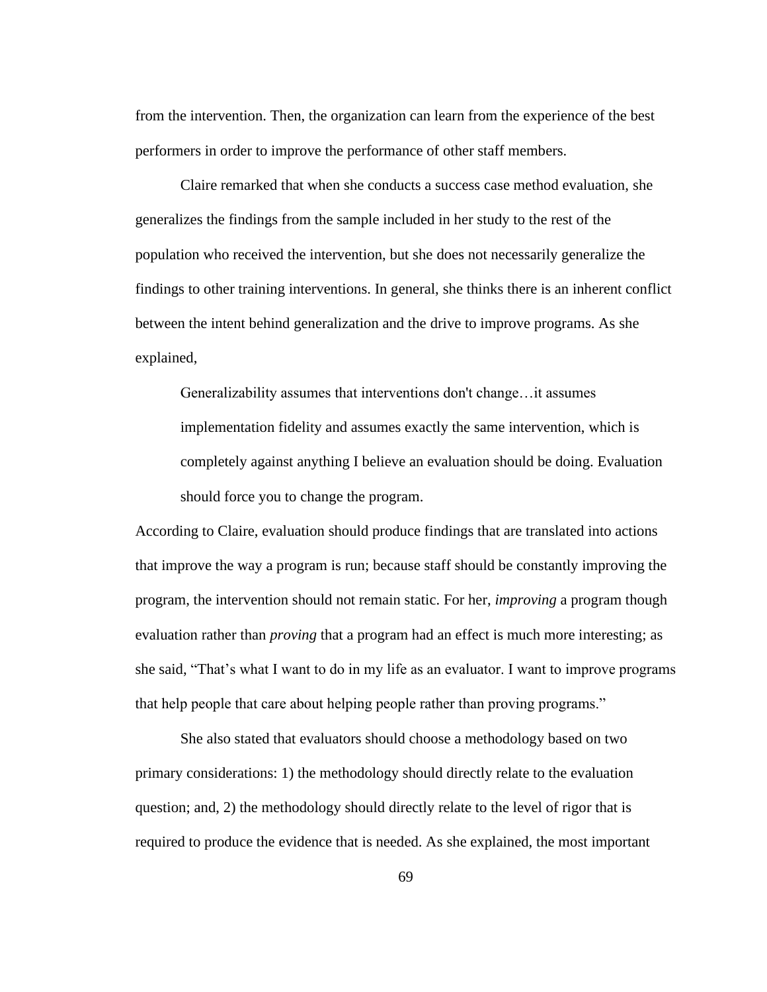from the intervention. Then, the organization can learn from the experience of the best performers in order to improve the performance of other staff members.

Claire remarked that when she conducts a success case method evaluation, she generalizes the findings from the sample included in her study to the rest of the population who received the intervention, but she does not necessarily generalize the findings to other training interventions. In general, she thinks there is an inherent conflict between the intent behind generalization and the drive to improve programs. As she explained,

Generalizability assumes that interventions don't change…it assumes implementation fidelity and assumes exactly the same intervention, which is completely against anything I believe an evaluation should be doing. Evaluation should force you to change the program.

According to Claire, evaluation should produce findings that are translated into actions that improve the way a program is run; because staff should be constantly improving the program, the intervention should not remain static. For her, *improving* a program though evaluation rather than *proving* that a program had an effect is much more interesting; as she said, "That's what I want to do in my life as an evaluator. I want to improve programs that help people that care about helping people rather than proving programs."

She also stated that evaluators should choose a methodology based on two primary considerations: 1) the methodology should directly relate to the evaluation question; and, 2) the methodology should directly relate to the level of rigor that is required to produce the evidence that is needed. As she explained, the most important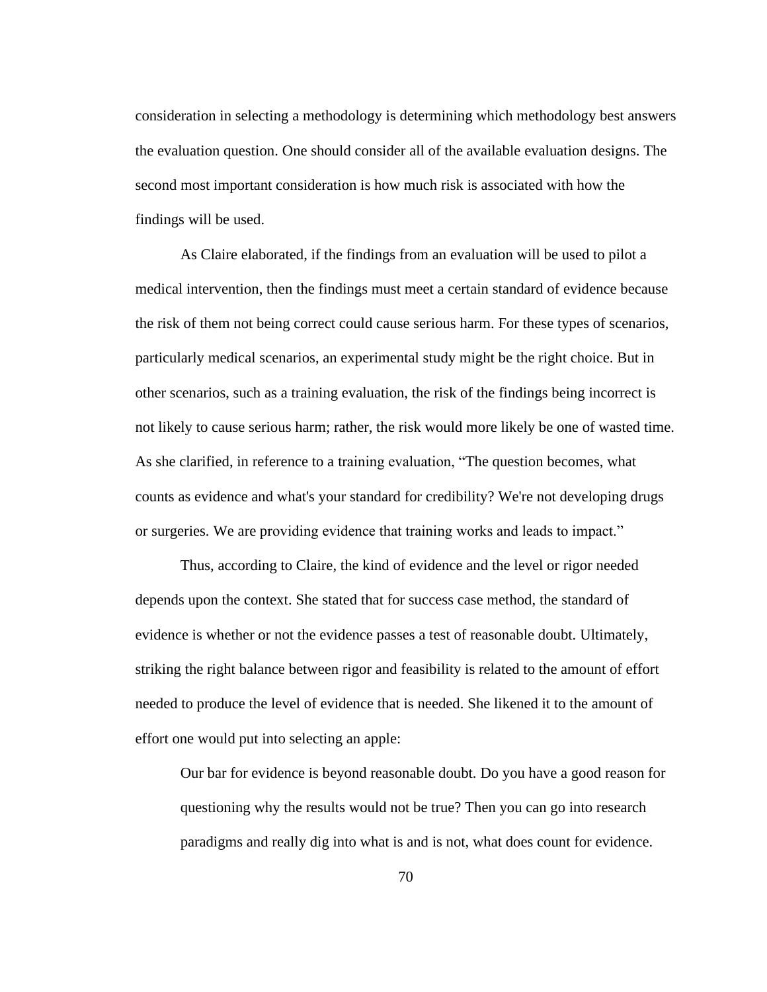consideration in selecting a methodology is determining which methodology best answers the evaluation question. One should consider all of the available evaluation designs. The second most important consideration is how much risk is associated with how the findings will be used.

As Claire elaborated, if the findings from an evaluation will be used to pilot a medical intervention, then the findings must meet a certain standard of evidence because the risk of them not being correct could cause serious harm. For these types of scenarios, particularly medical scenarios, an experimental study might be the right choice. But in other scenarios, such as a training evaluation, the risk of the findings being incorrect is not likely to cause serious harm; rather, the risk would more likely be one of wasted time. As she clarified, in reference to a training evaluation, "The question becomes, what counts as evidence and what's your standard for credibility? We're not developing drugs or surgeries. We are providing evidence that training works and leads to impact."

Thus, according to Claire, the kind of evidence and the level or rigor needed depends upon the context. She stated that for success case method, the standard of evidence is whether or not the evidence passes a test of reasonable doubt. Ultimately, striking the right balance between rigor and feasibility is related to the amount of effort needed to produce the level of evidence that is needed. She likened it to the amount of effort one would put into selecting an apple:

Our bar for evidence is beyond reasonable doubt. Do you have a good reason for questioning why the results would not be true? Then you can go into research paradigms and really dig into what is and is not, what does count for evidence.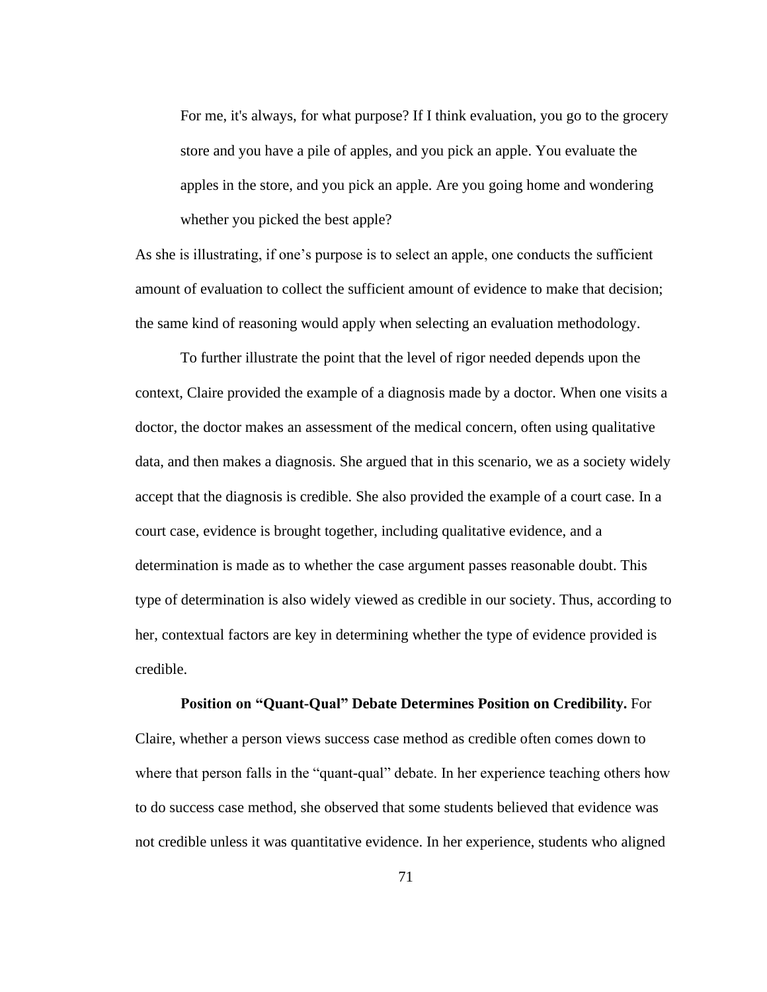For me, it's always, for what purpose? If I think evaluation, you go to the grocery store and you have a pile of apples, and you pick an apple. You evaluate the apples in the store, and you pick an apple. Are you going home and wondering whether you picked the best apple?

As she is illustrating, if one's purpose is to select an apple, one conducts the sufficient amount of evaluation to collect the sufficient amount of evidence to make that decision; the same kind of reasoning would apply when selecting an evaluation methodology.

To further illustrate the point that the level of rigor needed depends upon the context, Claire provided the example of a diagnosis made by a doctor. When one visits a doctor, the doctor makes an assessment of the medical concern, often using qualitative data, and then makes a diagnosis. She argued that in this scenario, we as a society widely accept that the diagnosis is credible. She also provided the example of a court case. In a court case, evidence is brought together, including qualitative evidence, and a determination is made as to whether the case argument passes reasonable doubt. This type of determination is also widely viewed as credible in our society. Thus, according to her, contextual factors are key in determining whether the type of evidence provided is credible.

#### **Position on "Quant-Qual" Debate Determines Position on Credibility.** For

Claire, whether a person views success case method as credible often comes down to where that person falls in the "quant-qual" debate. In her experience teaching others how to do success case method, she observed that some students believed that evidence was not credible unless it was quantitative evidence. In her experience, students who aligned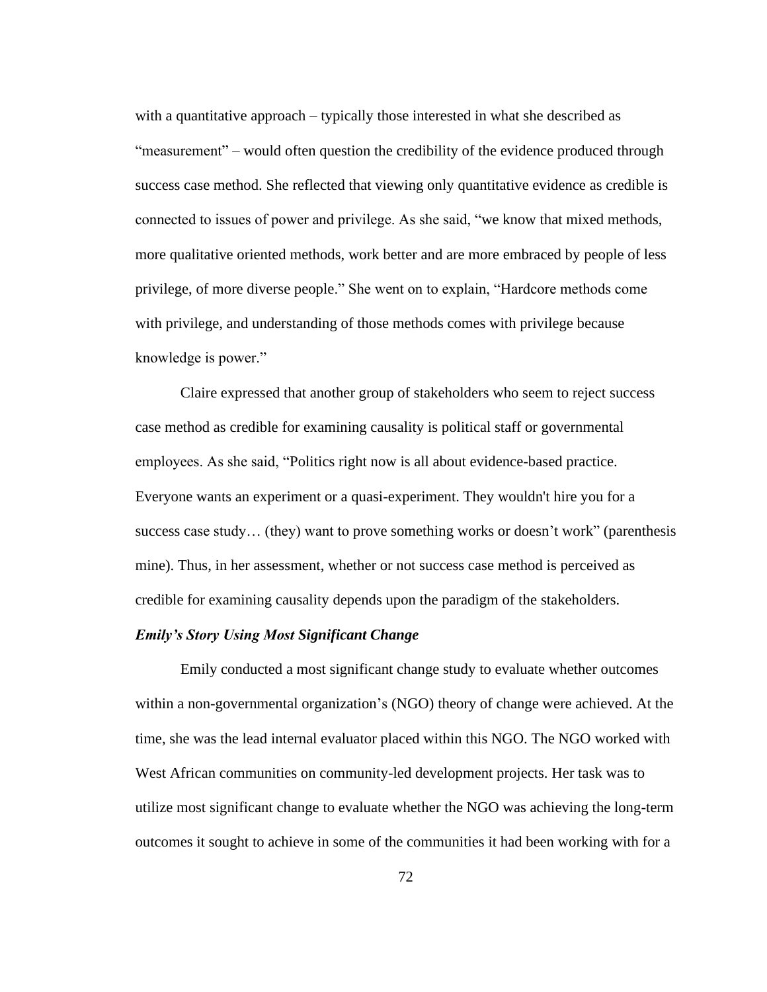with a quantitative approach – typically those interested in what she described as "measurement" – would often question the credibility of the evidence produced through success case method. She reflected that viewing only quantitative evidence as credible is connected to issues of power and privilege. As she said, "we know that mixed methods, more qualitative oriented methods, work better and are more embraced by people of less privilege, of more diverse people." She went on to explain, "Hardcore methods come with privilege, and understanding of those methods comes with privilege because knowledge is power."

Claire expressed that another group of stakeholders who seem to reject success case method as credible for examining causality is political staff or governmental employees. As she said, "Politics right now is all about evidence-based practice. Everyone wants an experiment or a quasi-experiment. They wouldn't hire you for a success case study… (they) want to prove something works or doesn't work" (parenthesis mine). Thus, in her assessment, whether or not success case method is perceived as credible for examining causality depends upon the paradigm of the stakeholders.

# *Emily's Story Using Most Significant Change*

Emily conducted a most significant change study to evaluate whether outcomes within a non-governmental organization's (NGO) theory of change were achieved. At the time, she was the lead internal evaluator placed within this NGO. The NGO worked with West African communities on community-led development projects. Her task was to utilize most significant change to evaluate whether the NGO was achieving the long-term outcomes it sought to achieve in some of the communities it had been working with for a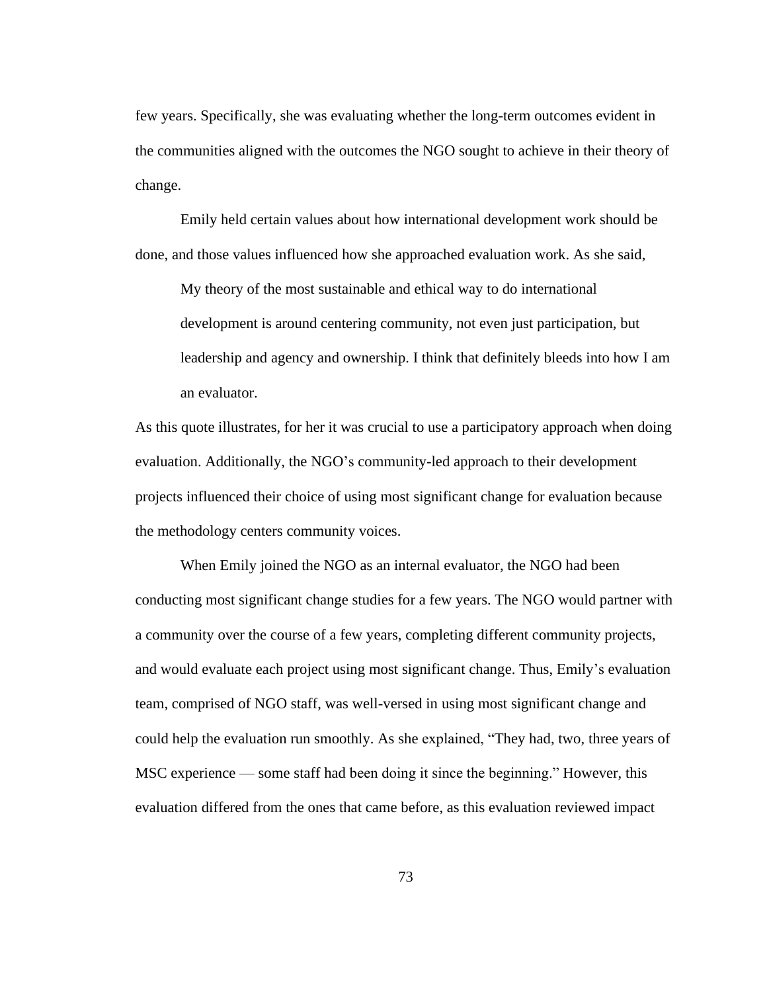few years. Specifically, she was evaluating whether the long-term outcomes evident in the communities aligned with the outcomes the NGO sought to achieve in their theory of change.

Emily held certain values about how international development work should be done, and those values influenced how she approached evaluation work. As she said,

My theory of the most sustainable and ethical way to do international development is around centering community, not even just participation, but leadership and agency and ownership. I think that definitely bleeds into how I am an evaluator.

As this quote illustrates, for her it was crucial to use a participatory approach when doing evaluation. Additionally, the NGO's community-led approach to their development projects influenced their choice of using most significant change for evaluation because the methodology centers community voices.

When Emily joined the NGO as an internal evaluator, the NGO had been conducting most significant change studies for a few years. The NGO would partner with a community over the course of a few years, completing different community projects, and would evaluate each project using most significant change. Thus, Emily's evaluation team, comprised of NGO staff, was well-versed in using most significant change and could help the evaluation run smoothly. As she explained, "They had, two, three years of MSC experience — some staff had been doing it since the beginning." However, this evaluation differed from the ones that came before, as this evaluation reviewed impact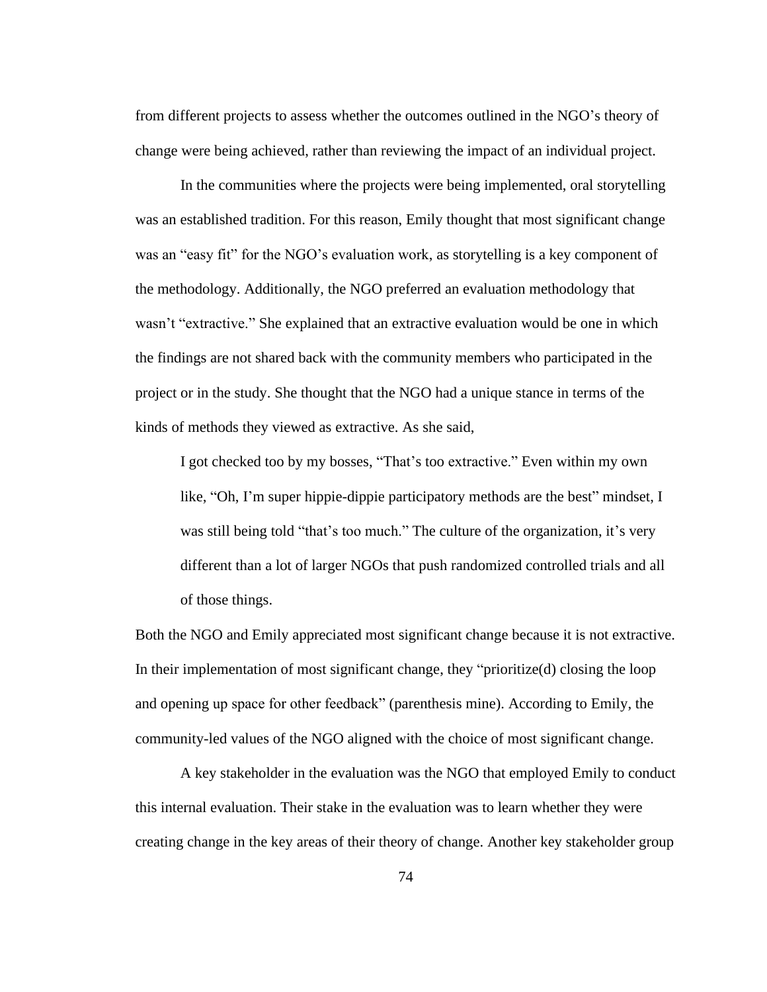from different projects to assess whether the outcomes outlined in the NGO's theory of change were being achieved, rather than reviewing the impact of an individual project.

In the communities where the projects were being implemented, oral storytelling was an established tradition. For this reason, Emily thought that most significant change was an "easy fit" for the NGO's evaluation work, as storytelling is a key component of the methodology. Additionally, the NGO preferred an evaluation methodology that wasn't "extractive." She explained that an extractive evaluation would be one in which the findings are not shared back with the community members who participated in the project or in the study. She thought that the NGO had a unique stance in terms of the kinds of methods they viewed as extractive. As she said,

I got checked too by my bosses, "That's too extractive." Even within my own like, "Oh, I'm super hippie-dippie participatory methods are the best" mindset, I was still being told "that's too much." The culture of the organization, it's very different than a lot of larger NGOs that push randomized controlled trials and all of those things.

Both the NGO and Emily appreciated most significant change because it is not extractive. In their implementation of most significant change, they "prioritize(d) closing the loop and opening up space for other feedback" (parenthesis mine). According to Emily, the community-led values of the NGO aligned with the choice of most significant change.

A key stakeholder in the evaluation was the NGO that employed Emily to conduct this internal evaluation. Their stake in the evaluation was to learn whether they were creating change in the key areas of their theory of change. Another key stakeholder group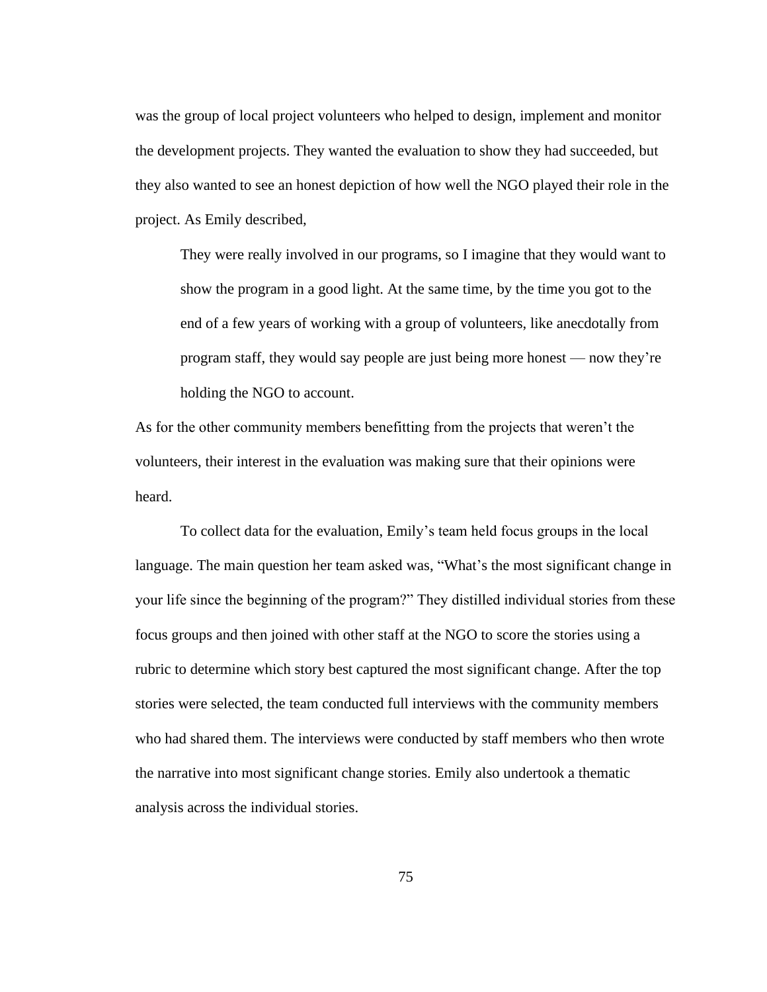was the group of local project volunteers who helped to design, implement and monitor the development projects. They wanted the evaluation to show they had succeeded, but they also wanted to see an honest depiction of how well the NGO played their role in the project. As Emily described,

They were really involved in our programs, so I imagine that they would want to show the program in a good light. At the same time, by the time you got to the end of a few years of working with a group of volunteers, like anecdotally from program staff, they would say people are just being more honest — now they're holding the NGO to account.

As for the other community members benefitting from the projects that weren't the volunteers, their interest in the evaluation was making sure that their opinions were heard.

To collect data for the evaluation, Emily's team held focus groups in the local language. The main question her team asked was, "What's the most significant change in your life since the beginning of the program?" They distilled individual stories from these focus groups and then joined with other staff at the NGO to score the stories using a rubric to determine which story best captured the most significant change. After the top stories were selected, the team conducted full interviews with the community members who had shared them. The interviews were conducted by staff members who then wrote the narrative into most significant change stories. Emily also undertook a thematic analysis across the individual stories.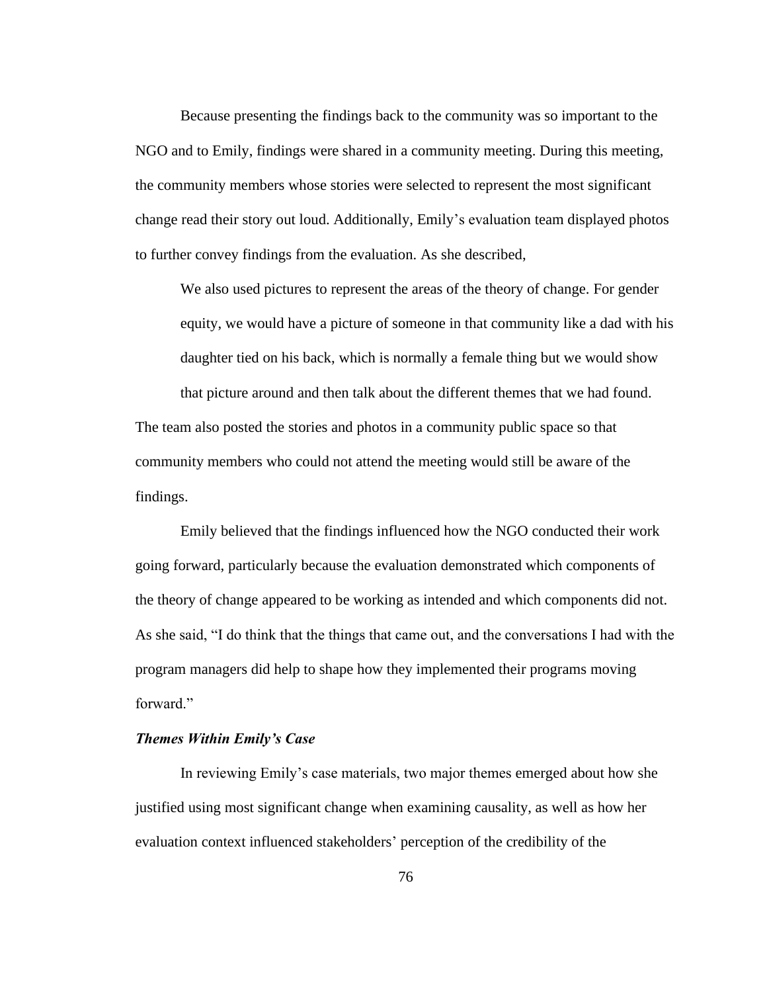Because presenting the findings back to the community was so important to the NGO and to Emily, findings were shared in a community meeting. During this meeting, the community members whose stories were selected to represent the most significant change read their story out loud. Additionally, Emily's evaluation team displayed photos to further convey findings from the evaluation. As she described,

We also used pictures to represent the areas of the theory of change. For gender equity, we would have a picture of someone in that community like a dad with his daughter tied on his back, which is normally a female thing but we would show that picture around and then talk about the different themes that we had found.

The team also posted the stories and photos in a community public space so that community members who could not attend the meeting would still be aware of the findings.

Emily believed that the findings influenced how the NGO conducted their work going forward, particularly because the evaluation demonstrated which components of the theory of change appeared to be working as intended and which components did not. As she said, "I do think that the things that came out, and the conversations I had with the program managers did help to shape how they implemented their programs moving forward."

# *Themes Within Emily's Case*

In reviewing Emily's case materials, two major themes emerged about how she justified using most significant change when examining causality, as well as how her evaluation context influenced stakeholders' perception of the credibility of the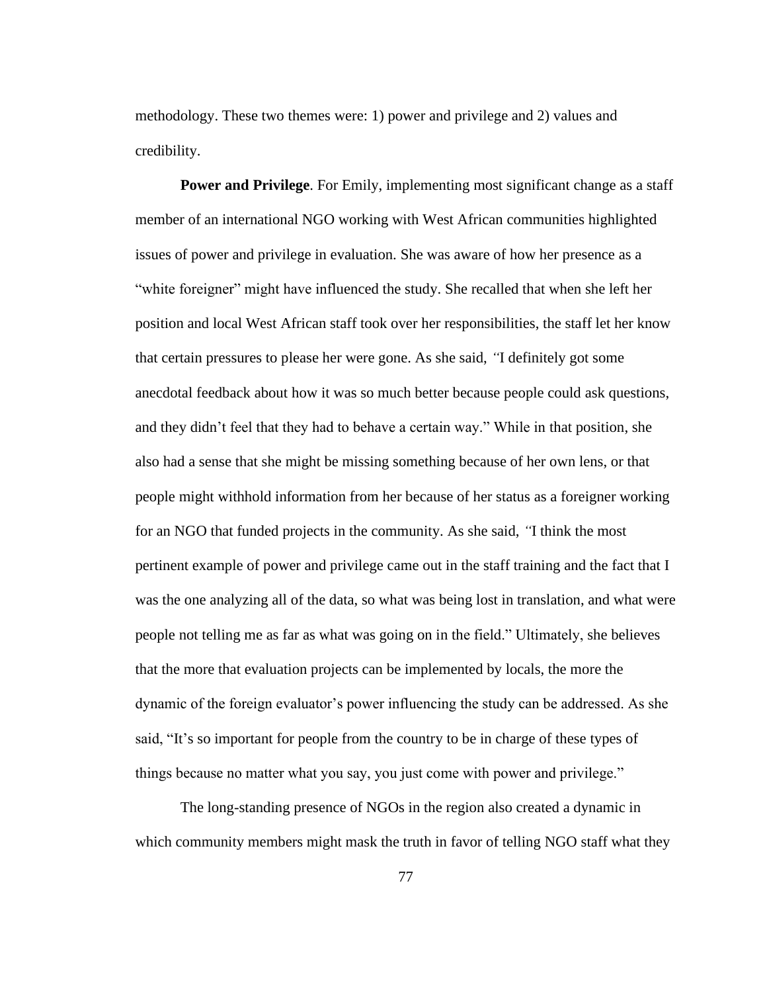methodology. These two themes were: 1) power and privilege and 2) values and credibility.

**Power and Privilege.** For Emily, implementing most significant change as a staff member of an international NGO working with West African communities highlighted issues of power and privilege in evaluation. She was aware of how her presence as a "white foreigner" might have influenced the study. She recalled that when she left her position and local West African staff took over her responsibilities, the staff let her know that certain pressures to please her were gone. As she said, *"*I definitely got some anecdotal feedback about how it was so much better because people could ask questions, and they didn't feel that they had to behave a certain way." While in that position, she also had a sense that she might be missing something because of her own lens, or that people might withhold information from her because of her status as a foreigner working for an NGO that funded projects in the community. As she said, *"*I think the most pertinent example of power and privilege came out in the staff training and the fact that I was the one analyzing all of the data, so what was being lost in translation, and what were people not telling me as far as what was going on in the field." Ultimately, she believes that the more that evaluation projects can be implemented by locals, the more the dynamic of the foreign evaluator's power influencing the study can be addressed. As she said, "It's so important for people from the country to be in charge of these types of things because no matter what you say, you just come with power and privilege."

The long-standing presence of NGOs in the region also created a dynamic in which community members might mask the truth in favor of telling NGO staff what they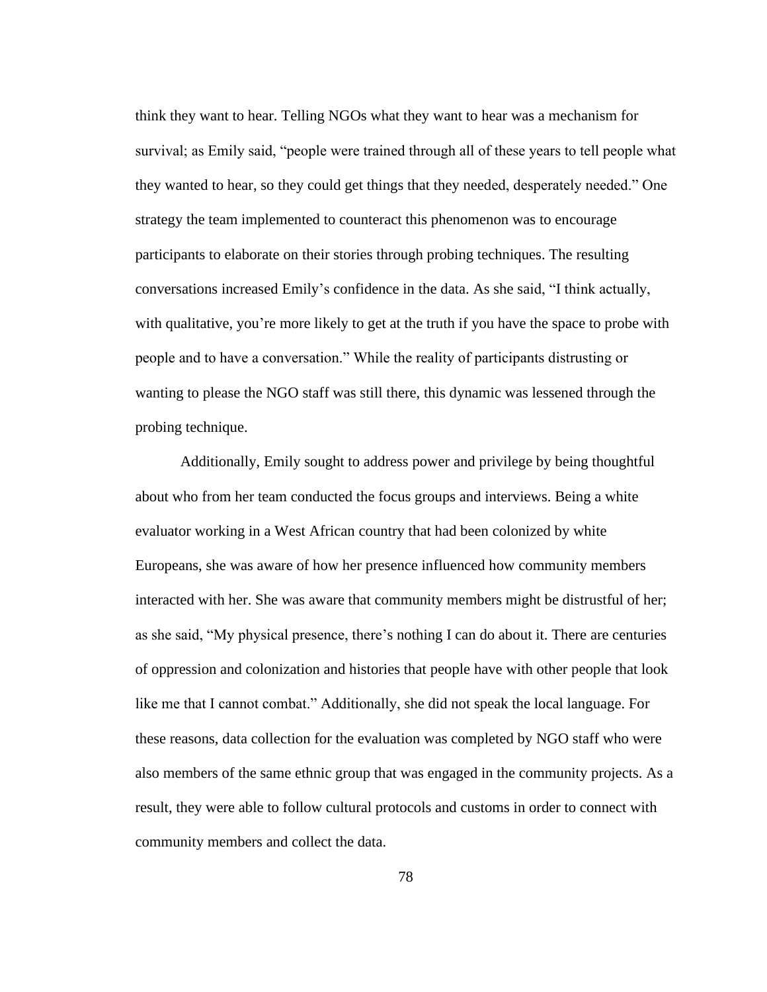think they want to hear. Telling NGOs what they want to hear was a mechanism for survival; as Emily said, "people were trained through all of these years to tell people what they wanted to hear, so they could get things that they needed, desperately needed." One strategy the team implemented to counteract this phenomenon was to encourage participants to elaborate on their stories through probing techniques. The resulting conversations increased Emily's confidence in the data. As she said, "I think actually, with qualitative, you're more likely to get at the truth if you have the space to probe with people and to have a conversation." While the reality of participants distrusting or wanting to please the NGO staff was still there, this dynamic was lessened through the probing technique.

Additionally, Emily sought to address power and privilege by being thoughtful about who from her team conducted the focus groups and interviews. Being a white evaluator working in a West African country that had been colonized by white Europeans, she was aware of how her presence influenced how community members interacted with her. She was aware that community members might be distrustful of her; as she said, "My physical presence, there's nothing I can do about it. There are centuries of oppression and colonization and histories that people have with other people that look like me that I cannot combat." Additionally, she did not speak the local language. For these reasons, data collection for the evaluation was completed by NGO staff who were also members of the same ethnic group that was engaged in the community projects. As a result, they were able to follow cultural protocols and customs in order to connect with community members and collect the data.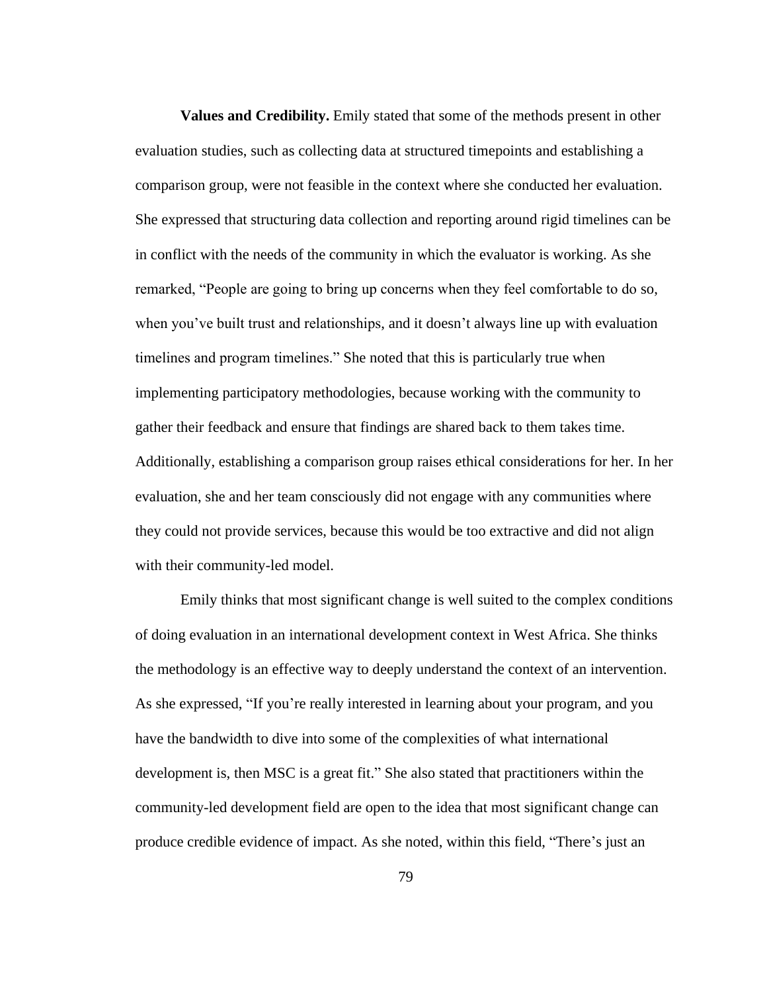**Values and Credibility.** Emily stated that some of the methods present in other evaluation studies, such as collecting data at structured timepoints and establishing a comparison group, were not feasible in the context where she conducted her evaluation. She expressed that structuring data collection and reporting around rigid timelines can be in conflict with the needs of the community in which the evaluator is working. As she remarked, "People are going to bring up concerns when they feel comfortable to do so, when you've built trust and relationships, and it doesn't always line up with evaluation timelines and program timelines." She noted that this is particularly true when implementing participatory methodologies, because working with the community to gather their feedback and ensure that findings are shared back to them takes time. Additionally, establishing a comparison group raises ethical considerations for her. In her evaluation, she and her team consciously did not engage with any communities where they could not provide services, because this would be too extractive and did not align with their community-led model.

Emily thinks that most significant change is well suited to the complex conditions of doing evaluation in an international development context in West Africa. She thinks the methodology is an effective way to deeply understand the context of an intervention. As she expressed, "If you're really interested in learning about your program, and you have the bandwidth to dive into some of the complexities of what international development is, then MSC is a great fit." She also stated that practitioners within the community-led development field are open to the idea that most significant change can produce credible evidence of impact. As she noted, within this field, "There's just an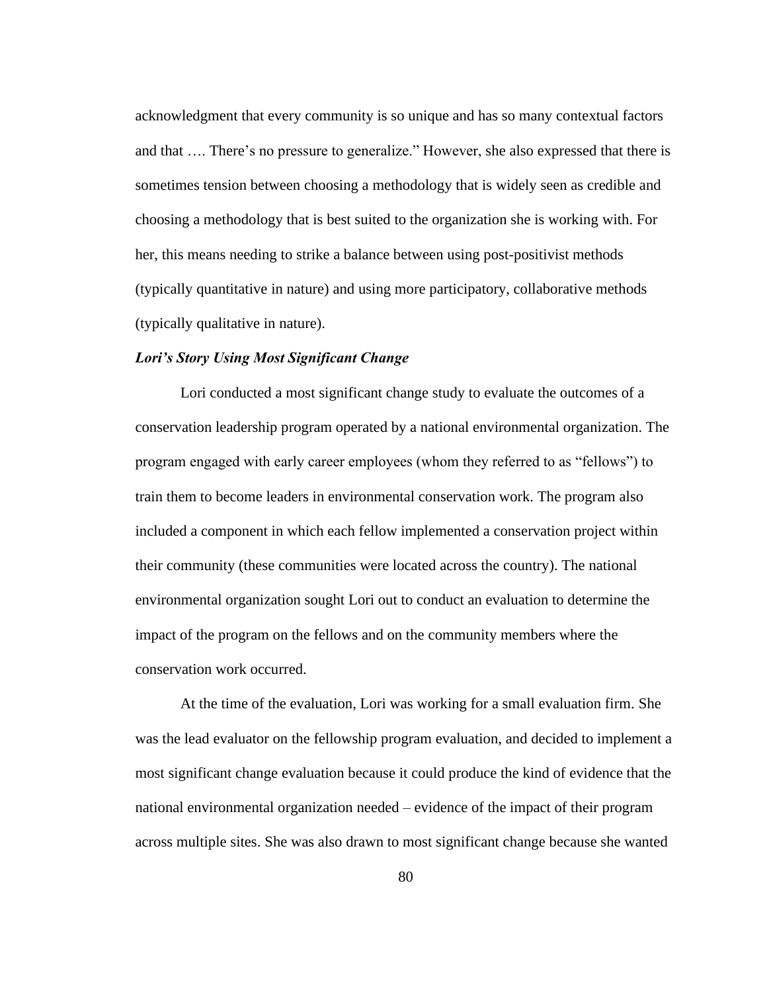acknowledgment that every community is so unique and has so many contextual factors and that …. There's no pressure to generalize." However, she also expressed that there is sometimes tension between choosing a methodology that is widely seen as credible and choosing a methodology that is best suited to the organization she is working with. For her, this means needing to strike a balance between using post-positivist methods (typically quantitative in nature) and using more participatory, collaborative methods (typically qualitative in nature).

# *Lori's Story Using Most Significant Change*

Lori conducted a most significant change study to evaluate the outcomes of a conservation leadership program operated by a national environmental organization. The program engaged with early career employees (whom they referred to as "fellows") to train them to become leaders in environmental conservation work. The program also included a component in which each fellow implemented a conservation project within their community (these communities were located across the country). The national environmental organization sought Lori out to conduct an evaluation to determine the impact of the program on the fellows and on the community members where the conservation work occurred.

At the time of the evaluation, Lori was working for a small evaluation firm. She was the lead evaluator on the fellowship program evaluation, and decided to implement a most significant change evaluation because it could produce the kind of evidence that the national environmental organization needed – evidence of the impact of their program across multiple sites. She was also drawn to most significant change because she wanted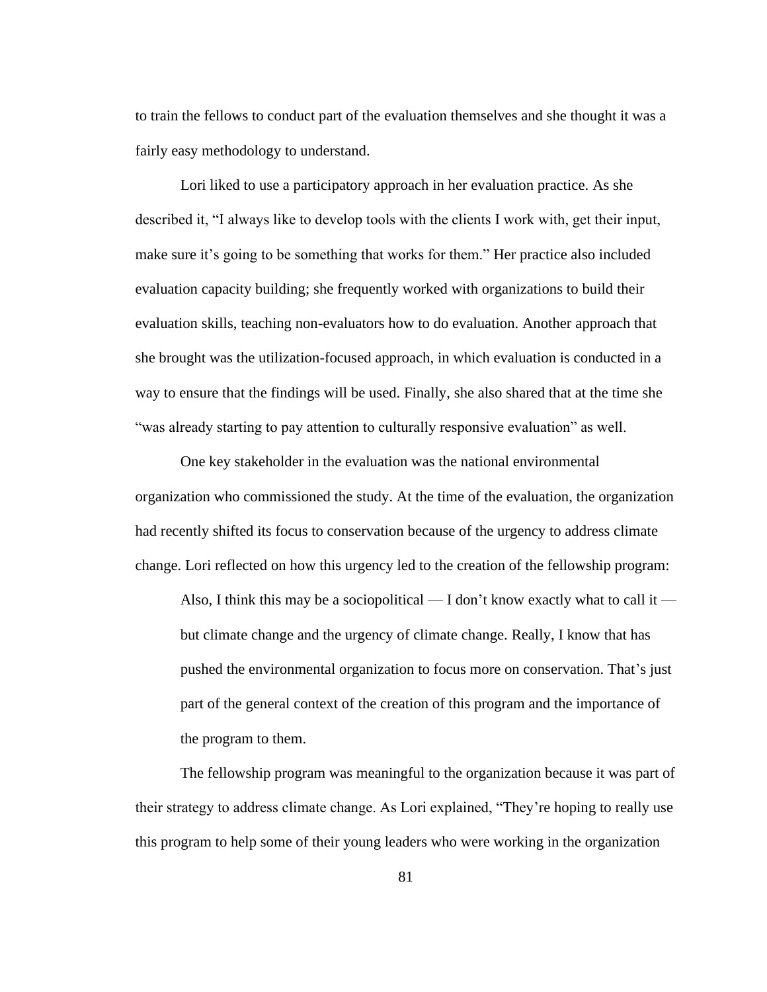to train the fellows to conduct part of the evaluation themselves and she thought it was a fairly easy methodology to understand.

Lori liked to use a participatory approach in her evaluation practice. As she described it, "I always like to develop tools with the clients I work with, get their input, make sure it's going to be something that works for them." Her practice also included evaluation capacity building; she frequently worked with organizations to build their evaluation skills, teaching non-evaluators how to do evaluation. Another approach that she brought was the utilization-focused approach, in which evaluation is conducted in a way to ensure that the findings will be used. Finally, she also shared that at the time she "was already starting to pay attention to culturally responsive evaluation" as well.

One key stakeholder in the evaluation was the national environmental organization who commissioned the study. At the time of the evaluation, the organization had recently shifted its focus to conservation because of the urgency to address climate change. Lori reflected on how this urgency led to the creation of the fellowship program:

Also, I think this may be a sociopolitical — I don't know exactly what to call it but climate change and the urgency of climate change. Really, I know that has pushed the environmental organization to focus more on conservation. That's just part of the general context of the creation of this program and the importance of the program to them.

The fellowship program was meaningful to the organization because it was part of their strategy to address climate change. As Lori explained, "They're hoping to really use this program to help some of their young leaders who were working in the organization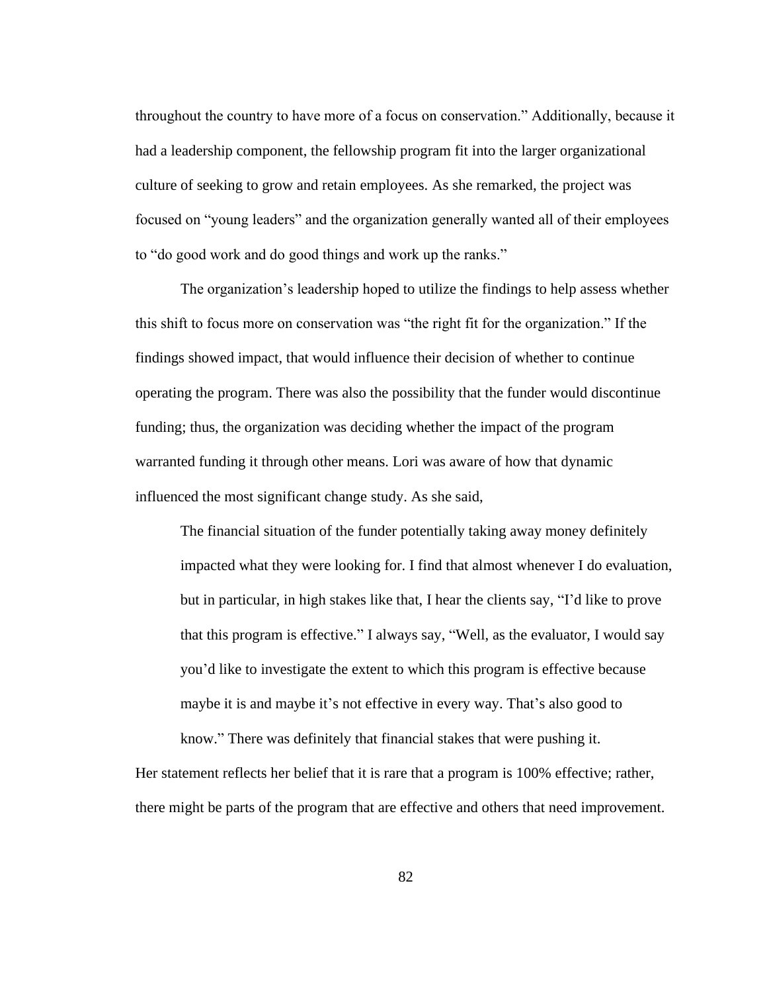throughout the country to have more of a focus on conservation." Additionally, because it had a leadership component, the fellowship program fit into the larger organizational culture of seeking to grow and retain employees. As she remarked, the project was focused on "young leaders" and the organization generally wanted all of their employees to "do good work and do good things and work up the ranks."

The organization's leadership hoped to utilize the findings to help assess whether this shift to focus more on conservation was "the right fit for the organization." If the findings showed impact, that would influence their decision of whether to continue operating the program. There was also the possibility that the funder would discontinue funding; thus, the organization was deciding whether the impact of the program warranted funding it through other means. Lori was aware of how that dynamic influenced the most significant change study. As she said,

The financial situation of the funder potentially taking away money definitely impacted what they were looking for. I find that almost whenever I do evaluation, but in particular, in high stakes like that, I hear the clients say, "I'd like to prove that this program is effective." I always say, "Well, as the evaluator, I would say you'd like to investigate the extent to which this program is effective because maybe it is and maybe it's not effective in every way. That's also good to know." There was definitely that financial stakes that were pushing it.

Her statement reflects her belief that it is rare that a program is 100% effective; rather, there might be parts of the program that are effective and others that need improvement.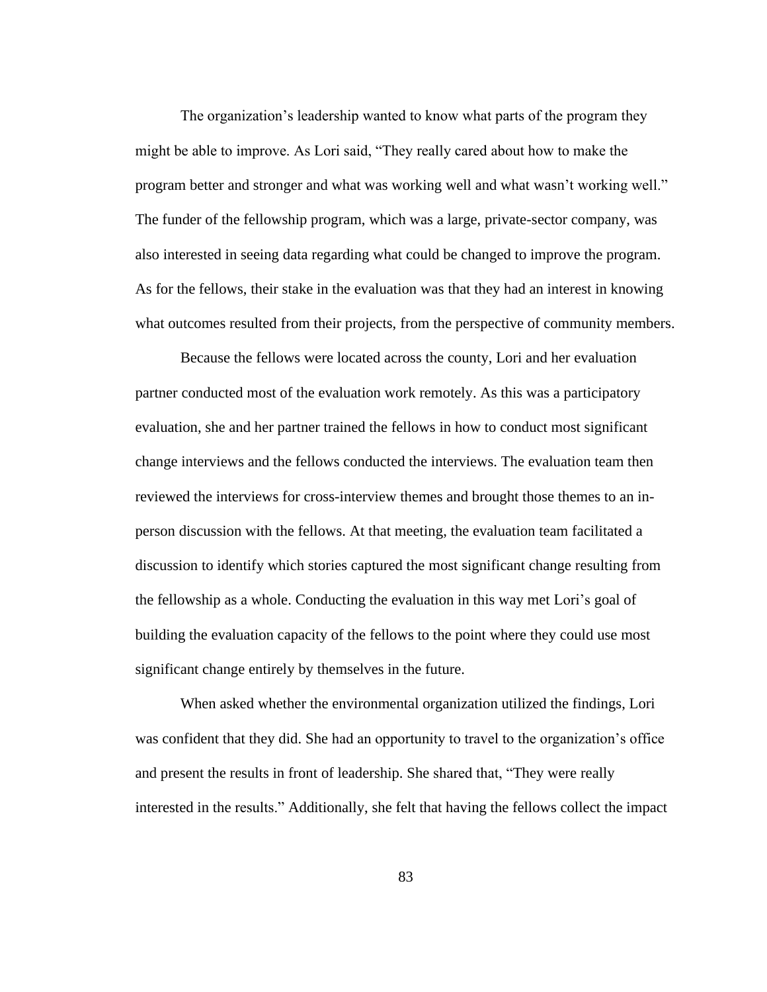The organization's leadership wanted to know what parts of the program they might be able to improve. As Lori said, "They really cared about how to make the program better and stronger and what was working well and what wasn't working well." The funder of the fellowship program, which was a large, private-sector company, was also interested in seeing data regarding what could be changed to improve the program. As for the fellows, their stake in the evaluation was that they had an interest in knowing what outcomes resulted from their projects, from the perspective of community members.

Because the fellows were located across the county, Lori and her evaluation partner conducted most of the evaluation work remotely. As this was a participatory evaluation, she and her partner trained the fellows in how to conduct most significant change interviews and the fellows conducted the interviews. The evaluation team then reviewed the interviews for cross-interview themes and brought those themes to an inperson discussion with the fellows. At that meeting, the evaluation team facilitated a discussion to identify which stories captured the most significant change resulting from the fellowship as a whole. Conducting the evaluation in this way met Lori's goal of building the evaluation capacity of the fellows to the point where they could use most significant change entirely by themselves in the future.

When asked whether the environmental organization utilized the findings, Lori was confident that they did. She had an opportunity to travel to the organization's office and present the results in front of leadership. She shared that, "They were really interested in the results." Additionally, she felt that having the fellows collect the impact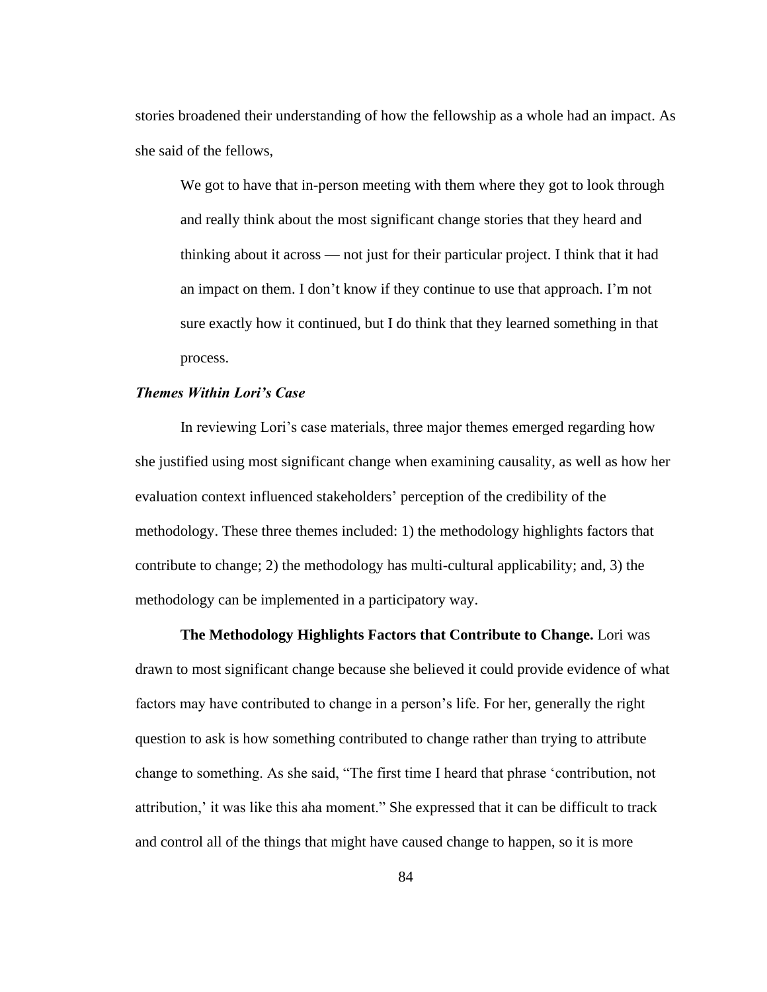stories broadened their understanding of how the fellowship as a whole had an impact. As she said of the fellows,

We got to have that in-person meeting with them where they got to look through and really think about the most significant change stories that they heard and thinking about it across — not just for their particular project. I think that it had an impact on them. I don't know if they continue to use that approach. I'm not sure exactly how it continued, but I do think that they learned something in that process.

# *Themes Within Lori's Case*

In reviewing Lori's case materials, three major themes emerged regarding how she justified using most significant change when examining causality, as well as how her evaluation context influenced stakeholders' perception of the credibility of the methodology. These three themes included: 1) the methodology highlights factors that contribute to change; 2) the methodology has multi-cultural applicability; and, 3) the methodology can be implemented in a participatory way.

**The Methodology Highlights Factors that Contribute to Change.** Lori was drawn to most significant change because she believed it could provide evidence of what factors may have contributed to change in a person's life. For her, generally the right question to ask is how something contributed to change rather than trying to attribute change to something. As she said, "The first time I heard that phrase 'contribution, not attribution,' it was like this aha moment." She expressed that it can be difficult to track and control all of the things that might have caused change to happen, so it is more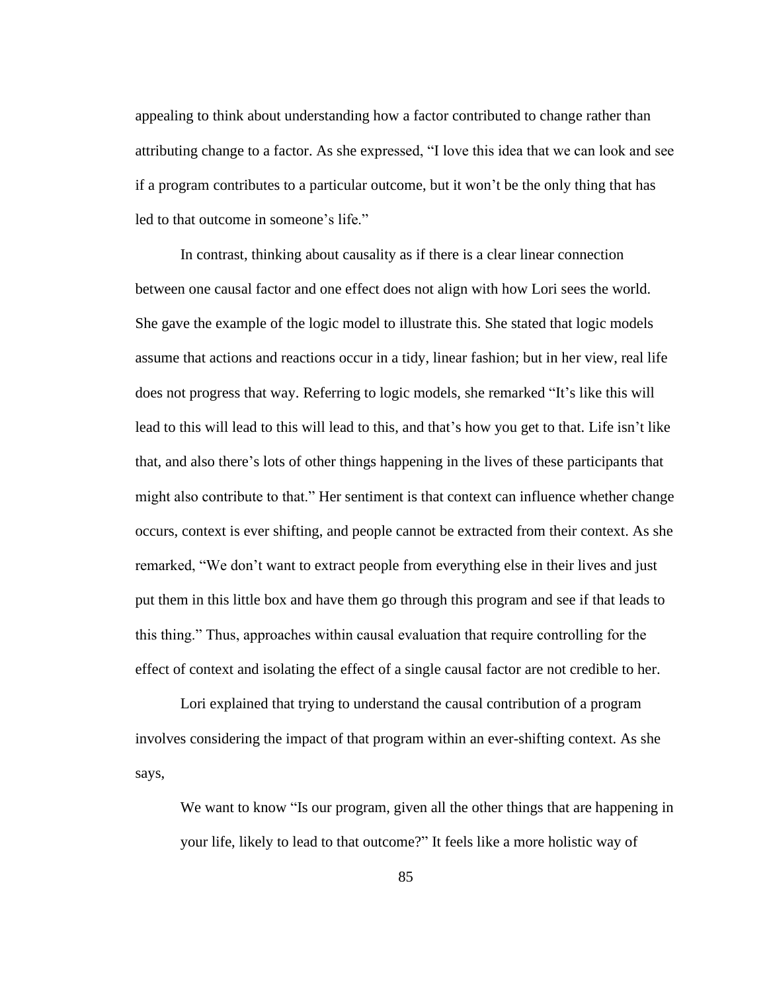appealing to think about understanding how a factor contributed to change rather than attributing change to a factor. As she expressed, "I love this idea that we can look and see if a program contributes to a particular outcome, but it won't be the only thing that has led to that outcome in someone's life."

In contrast, thinking about causality as if there is a clear linear connection between one causal factor and one effect does not align with how Lori sees the world. She gave the example of the logic model to illustrate this. She stated that logic models assume that actions and reactions occur in a tidy, linear fashion; but in her view, real life does not progress that way. Referring to logic models, she remarked "It's like this will lead to this will lead to this will lead to this, and that's how you get to that. Life isn't like that, and also there's lots of other things happening in the lives of these participants that might also contribute to that." Her sentiment is that context can influence whether change occurs, context is ever shifting, and people cannot be extracted from their context. As she remarked, "We don't want to extract people from everything else in their lives and just put them in this little box and have them go through this program and see if that leads to this thing." Thus, approaches within causal evaluation that require controlling for the effect of context and isolating the effect of a single causal factor are not credible to her.

Lori explained that trying to understand the causal contribution of a program involves considering the impact of that program within an ever-shifting context. As she says,

We want to know "Is our program, given all the other things that are happening in your life, likely to lead to that outcome?" It feels like a more holistic way of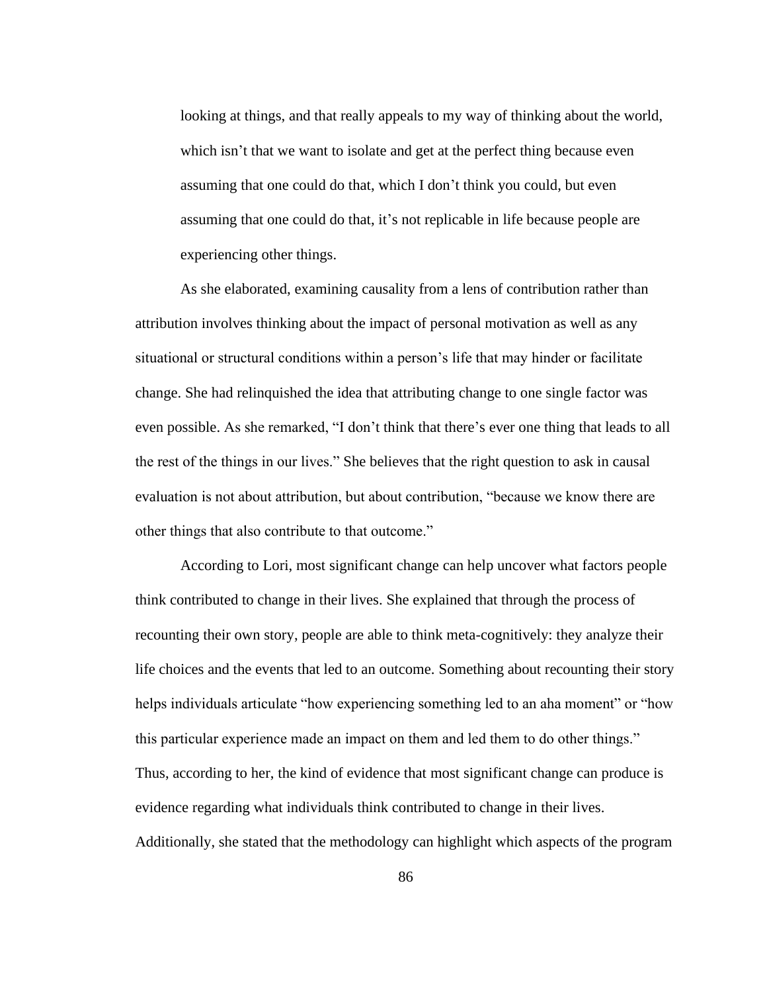looking at things, and that really appeals to my way of thinking about the world, which isn't that we want to isolate and get at the perfect thing because even assuming that one could do that, which I don't think you could, but even assuming that one could do that, it's not replicable in life because people are experiencing other things.

As she elaborated, examining causality from a lens of contribution rather than attribution involves thinking about the impact of personal motivation as well as any situational or structural conditions within a person's life that may hinder or facilitate change. She had relinquished the idea that attributing change to one single factor was even possible. As she remarked, "I don't think that there's ever one thing that leads to all the rest of the things in our lives." She believes that the right question to ask in causal evaluation is not about attribution, but about contribution, "because we know there are other things that also contribute to that outcome."

According to Lori, most significant change can help uncover what factors people think contributed to change in their lives. She explained that through the process of recounting their own story, people are able to think meta-cognitively: they analyze their life choices and the events that led to an outcome. Something about recounting their story helps individuals articulate "how experiencing something led to an aha moment" or "how this particular experience made an impact on them and led them to do other things." Thus, according to her, the kind of evidence that most significant change can produce is evidence regarding what individuals think contributed to change in their lives. Additionally, she stated that the methodology can highlight which aspects of the program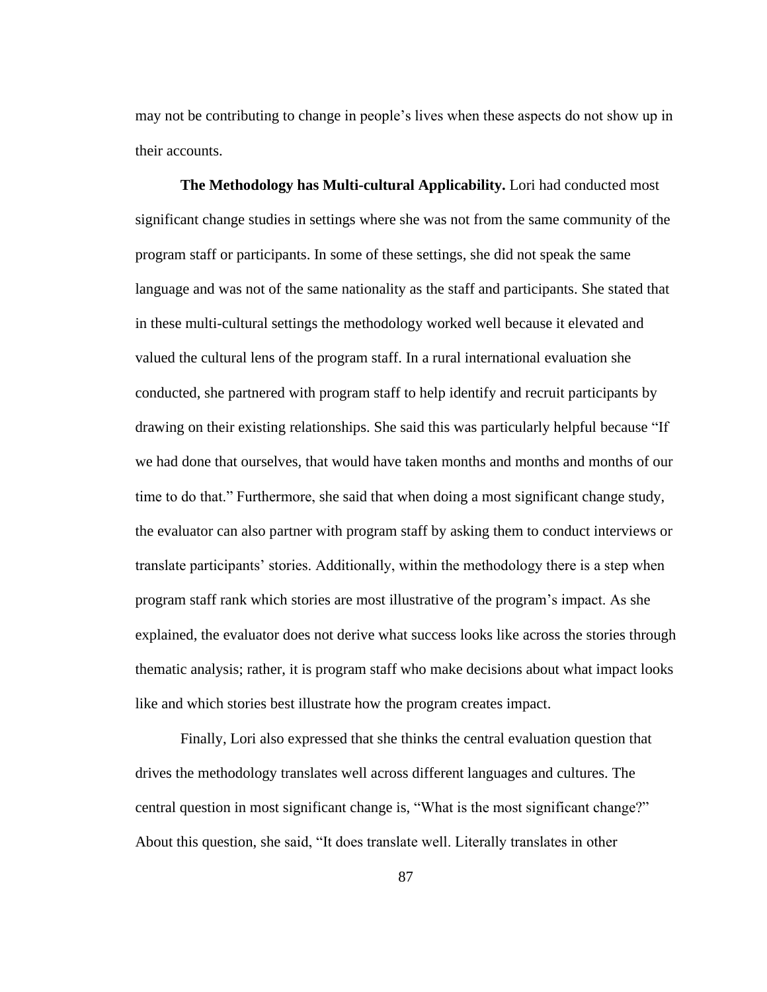may not be contributing to change in people's lives when these aspects do not show up in their accounts.

**The Methodology has Multi-cultural Applicability.** Lori had conducted most significant change studies in settings where she was not from the same community of the program staff or participants. In some of these settings, she did not speak the same language and was not of the same nationality as the staff and participants. She stated that in these multi-cultural settings the methodology worked well because it elevated and valued the cultural lens of the program staff. In a rural international evaluation she conducted, she partnered with program staff to help identify and recruit participants by drawing on their existing relationships. She said this was particularly helpful because "If we had done that ourselves, that would have taken months and months and months of our time to do that." Furthermore, she said that when doing a most significant change study, the evaluator can also partner with program staff by asking them to conduct interviews or translate participants' stories. Additionally, within the methodology there is a step when program staff rank which stories are most illustrative of the program's impact. As she explained, the evaluator does not derive what success looks like across the stories through thematic analysis; rather, it is program staff who make decisions about what impact looks like and which stories best illustrate how the program creates impact.

Finally, Lori also expressed that she thinks the central evaluation question that drives the methodology translates well across different languages and cultures. The central question in most significant change is, "What is the most significant change?" About this question, she said, "It does translate well. Literally translates in other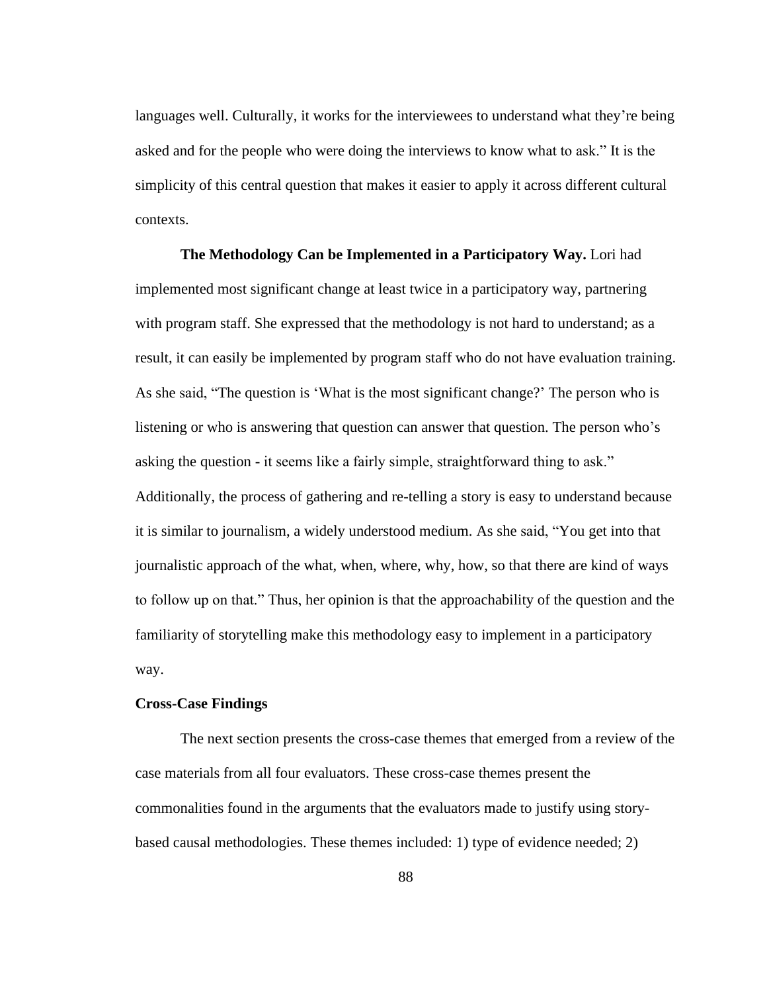languages well. Culturally, it works for the interviewees to understand what they're being asked and for the people who were doing the interviews to know what to ask." It is the simplicity of this central question that makes it easier to apply it across different cultural contexts.

**The Methodology Can be Implemented in a Participatory Way.** Lori had implemented most significant change at least twice in a participatory way, partnering with program staff. She expressed that the methodology is not hard to understand; as a result, it can easily be implemented by program staff who do not have evaluation training. As she said, "The question is 'What is the most significant change?' The person who is listening or who is answering that question can answer that question. The person who's asking the question - it seems like a fairly simple, straightforward thing to ask." Additionally, the process of gathering and re-telling a story is easy to understand because it is similar to journalism, a widely understood medium. As she said, "You get into that journalistic approach of the what, when, where, why, how, so that there are kind of ways to follow up on that." Thus, her opinion is that the approachability of the question and the familiarity of storytelling make this methodology easy to implement in a participatory way.

## **Cross-Case Findings**

The next section presents the cross-case themes that emerged from a review of the case materials from all four evaluators. These cross-case themes present the commonalities found in the arguments that the evaluators made to justify using storybased causal methodologies. These themes included: 1) type of evidence needed; 2)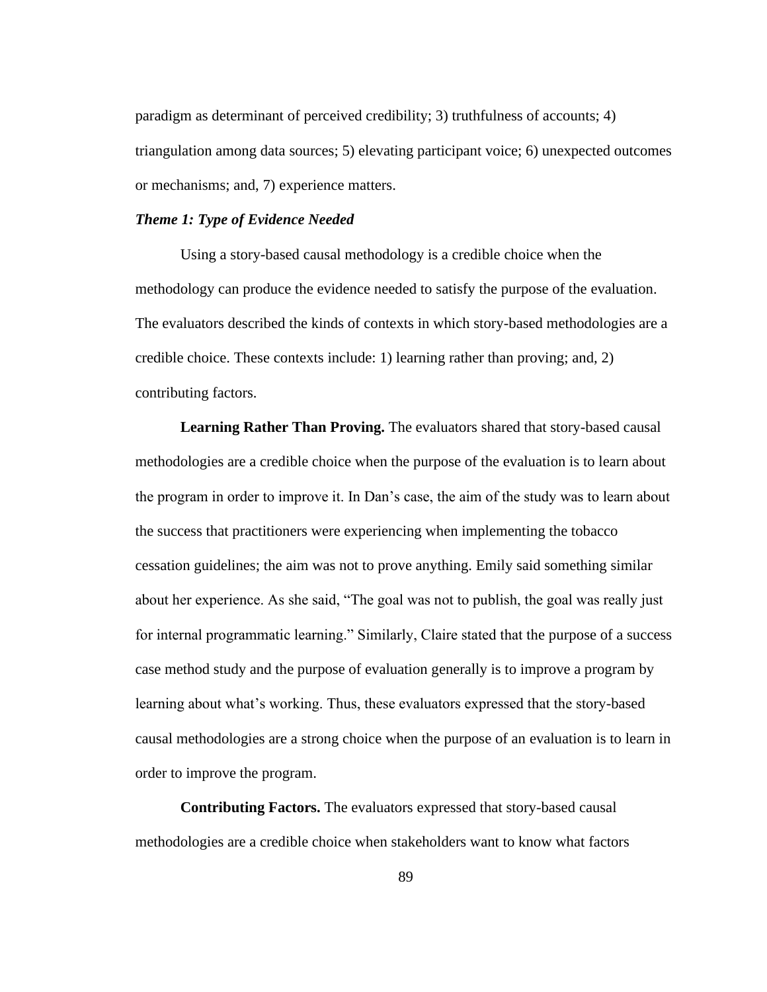paradigm as determinant of perceived credibility; 3) truthfulness of accounts; 4) triangulation among data sources; 5) elevating participant voice; 6) unexpected outcomes or mechanisms; and, 7) experience matters.

# *Theme 1: Type of Evidence Needed*

Using a story-based causal methodology is a credible choice when the methodology can produce the evidence needed to satisfy the purpose of the evaluation. The evaluators described the kinds of contexts in which story-based methodologies are a credible choice. These contexts include: 1) learning rather than proving; and, 2) contributing factors.

**Learning Rather Than Proving.** The evaluators shared that story-based causal methodologies are a credible choice when the purpose of the evaluation is to learn about the program in order to improve it. In Dan's case, the aim of the study was to learn about the success that practitioners were experiencing when implementing the tobacco cessation guidelines; the aim was not to prove anything. Emily said something similar about her experience. As she said, "The goal was not to publish, the goal was really just for internal programmatic learning." Similarly, Claire stated that the purpose of a success case method study and the purpose of evaluation generally is to improve a program by learning about what's working. Thus, these evaluators expressed that the story-based causal methodologies are a strong choice when the purpose of an evaluation is to learn in order to improve the program.

**Contributing Factors.** The evaluators expressed that story-based causal methodologies are a credible choice when stakeholders want to know what factors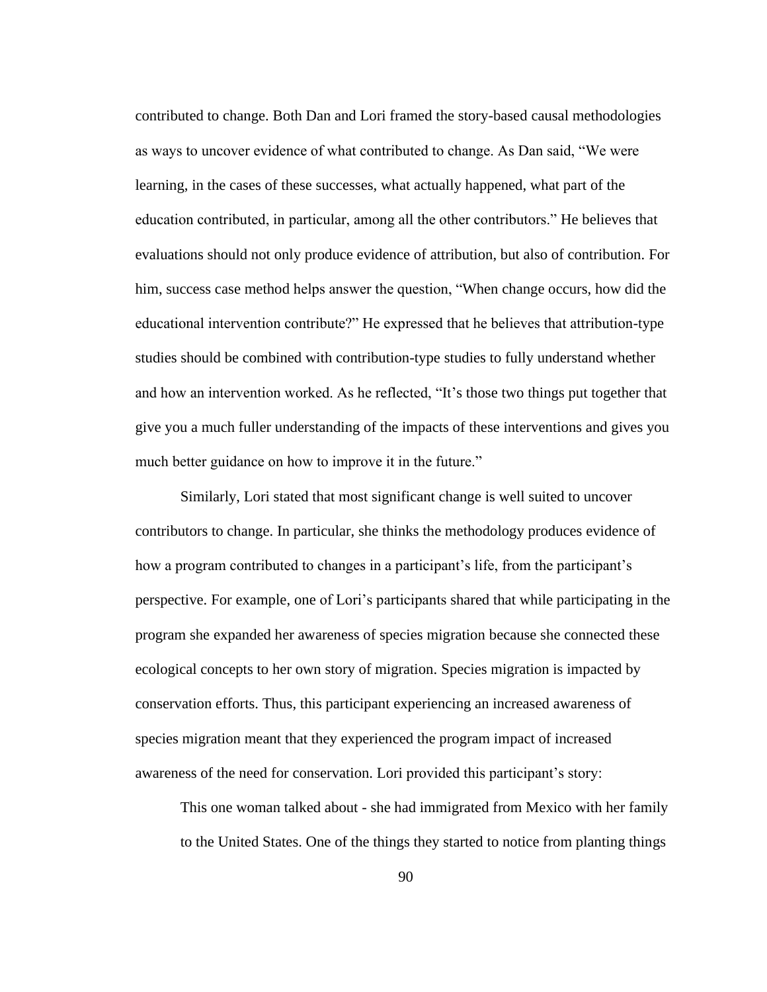contributed to change. Both Dan and Lori framed the story-based causal methodologies as ways to uncover evidence of what contributed to change. As Dan said, "We were learning, in the cases of these successes, what actually happened, what part of the education contributed, in particular, among all the other contributors." He believes that evaluations should not only produce evidence of attribution, but also of contribution. For him, success case method helps answer the question, "When change occurs, how did the educational intervention contribute?" He expressed that he believes that attribution-type studies should be combined with contribution-type studies to fully understand whether and how an intervention worked. As he reflected, "It's those two things put together that give you a much fuller understanding of the impacts of these interventions and gives you much better guidance on how to improve it in the future."

Similarly, Lori stated that most significant change is well suited to uncover contributors to change. In particular, she thinks the methodology produces evidence of how a program contributed to changes in a participant's life, from the participant's perspective. For example, one of Lori's participants shared that while participating in the program she expanded her awareness of species migration because she connected these ecological concepts to her own story of migration. Species migration is impacted by conservation efforts. Thus, this participant experiencing an increased awareness of species migration meant that they experienced the program impact of increased awareness of the need for conservation. Lori provided this participant's story:

This one woman talked about - she had immigrated from Mexico with her family to the United States. One of the things they started to notice from planting things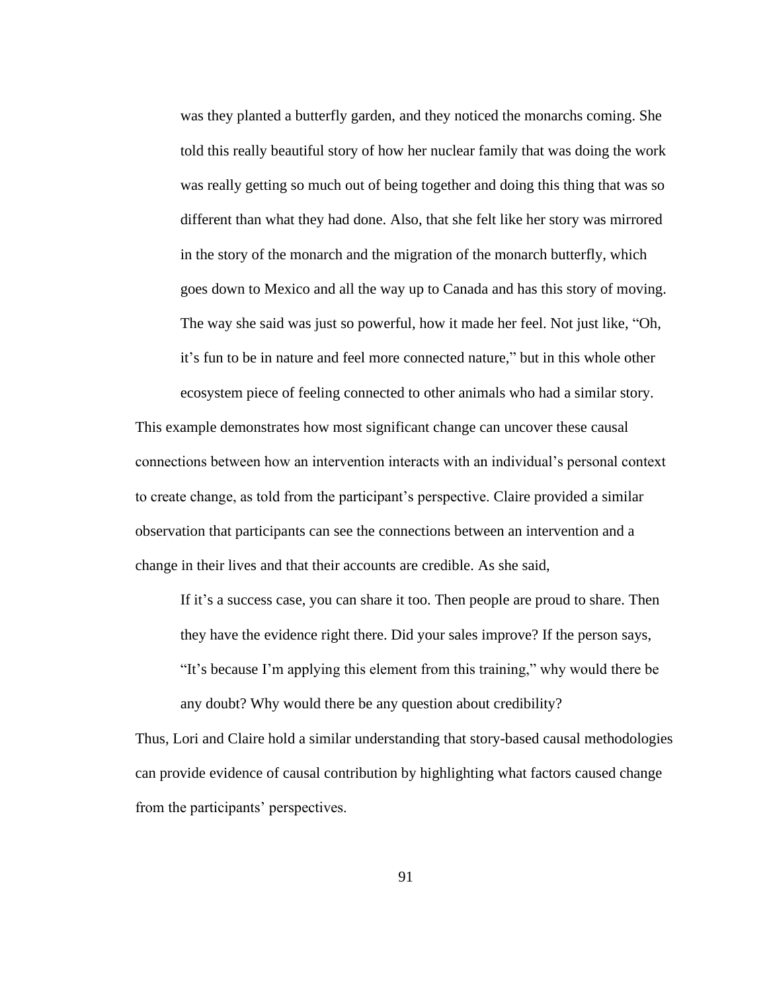was they planted a butterfly garden, and they noticed the monarchs coming. She told this really beautiful story of how her nuclear family that was doing the work was really getting so much out of being together and doing this thing that was so different than what they had done. Also, that she felt like her story was mirrored in the story of the monarch and the migration of the monarch butterfly, which goes down to Mexico and all the way up to Canada and has this story of moving. The way she said was just so powerful, how it made her feel. Not just like, "Oh, it's fun to be in nature and feel more connected nature," but in this whole other ecosystem piece of feeling connected to other animals who had a similar story.

This example demonstrates how most significant change can uncover these causal connections between how an intervention interacts with an individual's personal context to create change, as told from the participant's perspective. Claire provided a similar observation that participants can see the connections between an intervention and a change in their lives and that their accounts are credible. As she said,

If it's a success case, you can share it too. Then people are proud to share. Then they have the evidence right there. Did your sales improve? If the person says, "It's because I'm applying this element from this training," why would there be any doubt? Why would there be any question about credibility?

Thus, Lori and Claire hold a similar understanding that story-based causal methodologies can provide evidence of causal contribution by highlighting what factors caused change from the participants' perspectives.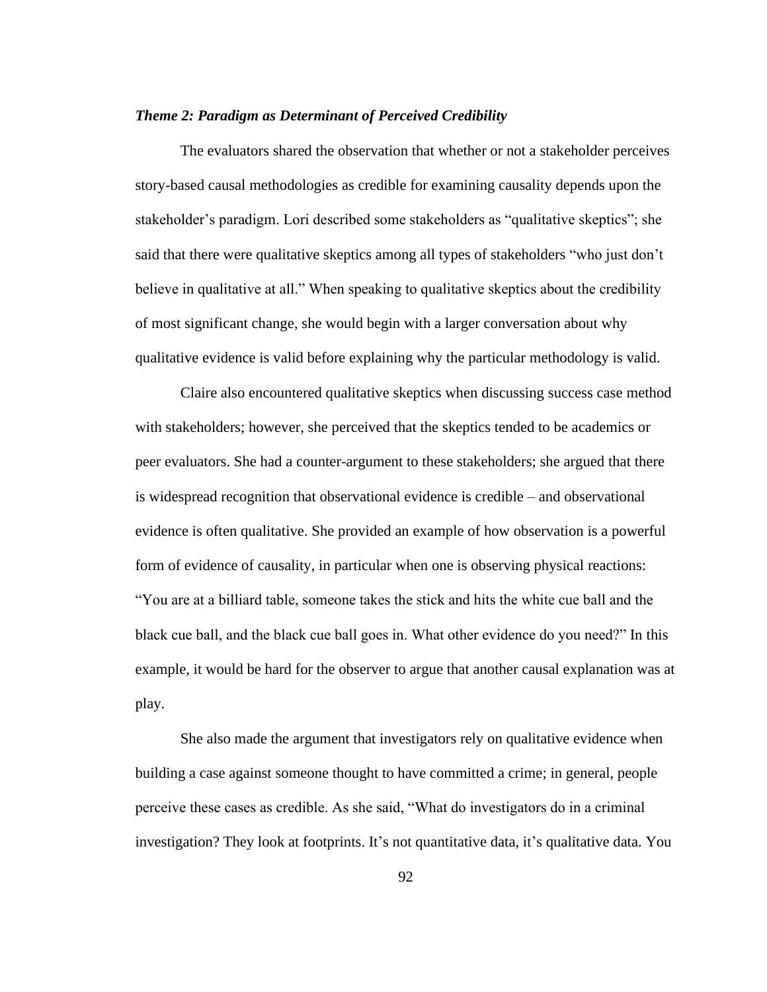# *Theme 2: Paradigm as Determinant of Perceived Credibility*

The evaluators shared the observation that whether or not a stakeholder perceives story-based causal methodologies as credible for examining causality depends upon the stakeholder's paradigm. Lori described some stakeholders as "qualitative skeptics"; she said that there were qualitative skeptics among all types of stakeholders "who just don't believe in qualitative at all." When speaking to qualitative skeptics about the credibility of most significant change, she would begin with a larger conversation about why qualitative evidence is valid before explaining why the particular methodology is valid.

Claire also encountered qualitative skeptics when discussing success case method with stakeholders; however, she perceived that the skeptics tended to be academics or peer evaluators. She had a counter-argument to these stakeholders; she argued that there is widespread recognition that observational evidence is credible – and observational evidence is often qualitative. She provided an example of how observation is a powerful form of evidence of causality, in particular when one is observing physical reactions: "You are at a billiard table, someone takes the stick and hits the white cue ball and the black cue ball, and the black cue ball goes in. What other evidence do you need?" In this example, it would be hard for the observer to argue that another causal explanation was at play.

She also made the argument that investigators rely on qualitative evidence when building a case against someone thought to have committed a crime; in general, people perceive these cases as credible. As she said, "What do investigators do in a criminal investigation? They look at footprints. It's not quantitative data, it's qualitative data. You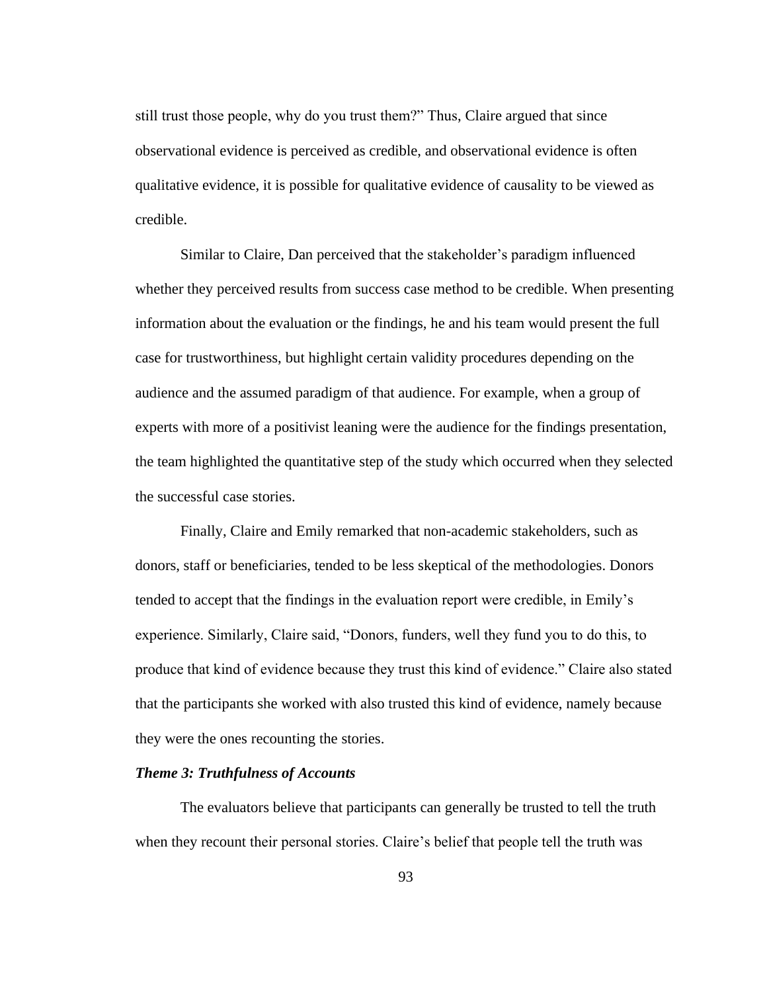still trust those people, why do you trust them?" Thus, Claire argued that since observational evidence is perceived as credible, and observational evidence is often qualitative evidence, it is possible for qualitative evidence of causality to be viewed as credible.

Similar to Claire, Dan perceived that the stakeholder's paradigm influenced whether they perceived results from success case method to be credible. When presenting information about the evaluation or the findings, he and his team would present the full case for trustworthiness, but highlight certain validity procedures depending on the audience and the assumed paradigm of that audience. For example, when a group of experts with more of a positivist leaning were the audience for the findings presentation, the team highlighted the quantitative step of the study which occurred when they selected the successful case stories.

Finally, Claire and Emily remarked that non-academic stakeholders, such as donors, staff or beneficiaries, tended to be less skeptical of the methodologies. Donors tended to accept that the findings in the evaluation report were credible, in Emily's experience. Similarly, Claire said, "Donors, funders, well they fund you to do this, to produce that kind of evidence because they trust this kind of evidence." Claire also stated that the participants she worked with also trusted this kind of evidence, namely because they were the ones recounting the stories.

#### *Theme 3: Truthfulness of Accounts*

The evaluators believe that participants can generally be trusted to tell the truth when they recount their personal stories. Claire's belief that people tell the truth was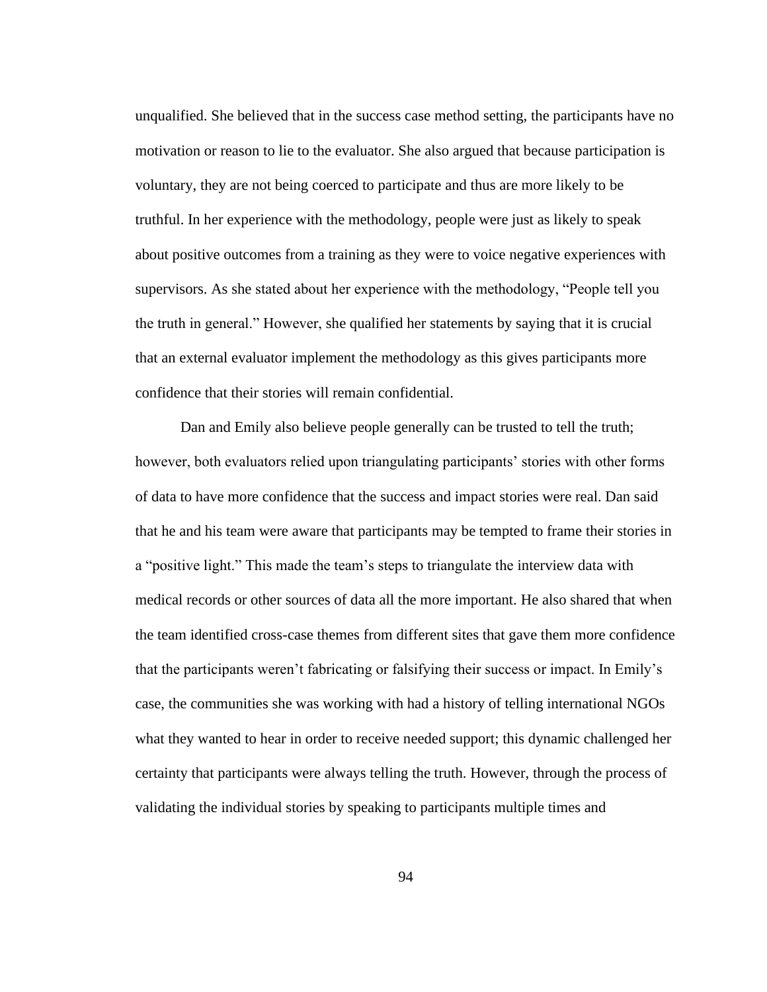unqualified. She believed that in the success case method setting, the participants have no motivation or reason to lie to the evaluator. She also argued that because participation is voluntary, they are not being coerced to participate and thus are more likely to be truthful. In her experience with the methodology, people were just as likely to speak about positive outcomes from a training as they were to voice negative experiences with supervisors. As she stated about her experience with the methodology, "People tell you the truth in general." However, she qualified her statements by saying that it is crucial that an external evaluator implement the methodology as this gives participants more confidence that their stories will remain confidential.

Dan and Emily also believe people generally can be trusted to tell the truth; however, both evaluators relied upon triangulating participants' stories with other forms of data to have more confidence that the success and impact stories were real. Dan said that he and his team were aware that participants may be tempted to frame their stories in a "positive light." This made the team's steps to triangulate the interview data with medical records or other sources of data all the more important. He also shared that when the team identified cross-case themes from different sites that gave them more confidence that the participants weren't fabricating or falsifying their success or impact. In Emily's case, the communities she was working with had a history of telling international NGOs what they wanted to hear in order to receive needed support; this dynamic challenged her certainty that participants were always telling the truth. However, through the process of validating the individual stories by speaking to participants multiple times and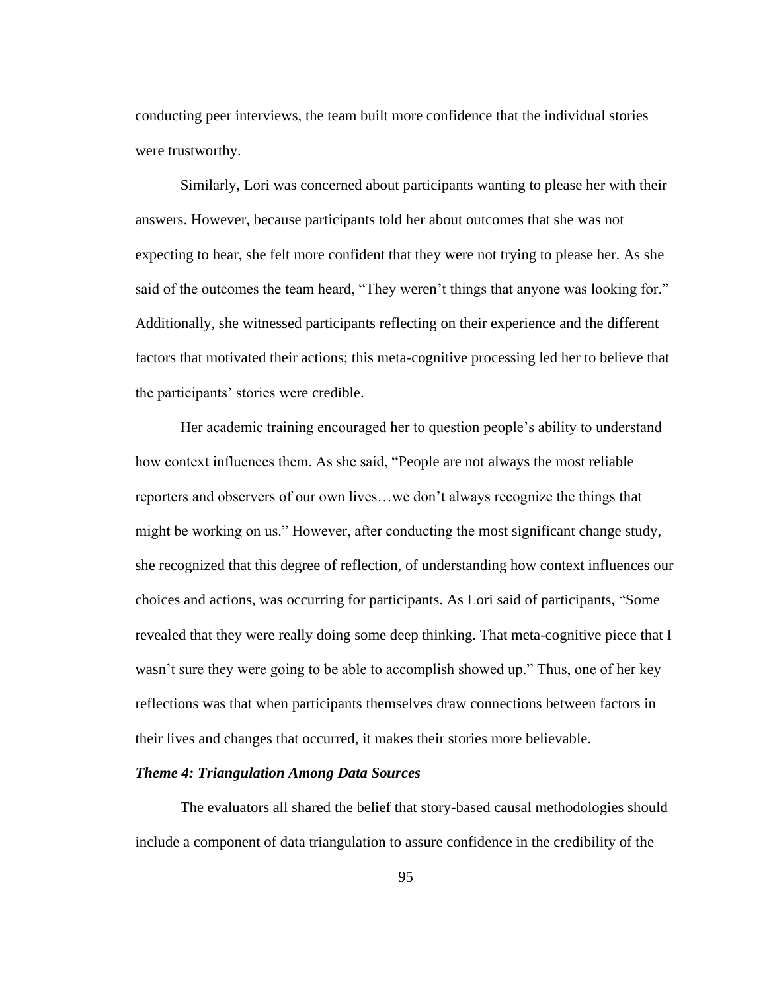conducting peer interviews, the team built more confidence that the individual stories were trustworthy.

Similarly, Lori was concerned about participants wanting to please her with their answers. However, because participants told her about outcomes that she was not expecting to hear, she felt more confident that they were not trying to please her. As she said of the outcomes the team heard, "They weren't things that anyone was looking for." Additionally, she witnessed participants reflecting on their experience and the different factors that motivated their actions; this meta-cognitive processing led her to believe that the participants' stories were credible.

Her academic training encouraged her to question people's ability to understand how context influences them. As she said, "People are not always the most reliable reporters and observers of our own lives…we don't always recognize the things that might be working on us." However, after conducting the most significant change study, she recognized that this degree of reflection, of understanding how context influences our choices and actions, was occurring for participants. As Lori said of participants, "Some revealed that they were really doing some deep thinking. That meta-cognitive piece that I wasn't sure they were going to be able to accomplish showed up." Thus, one of her key reflections was that when participants themselves draw connections between factors in their lives and changes that occurred, it makes their stories more believable.

### *Theme 4: Triangulation Among Data Sources*

The evaluators all shared the belief that story-based causal methodologies should include a component of data triangulation to assure confidence in the credibility of the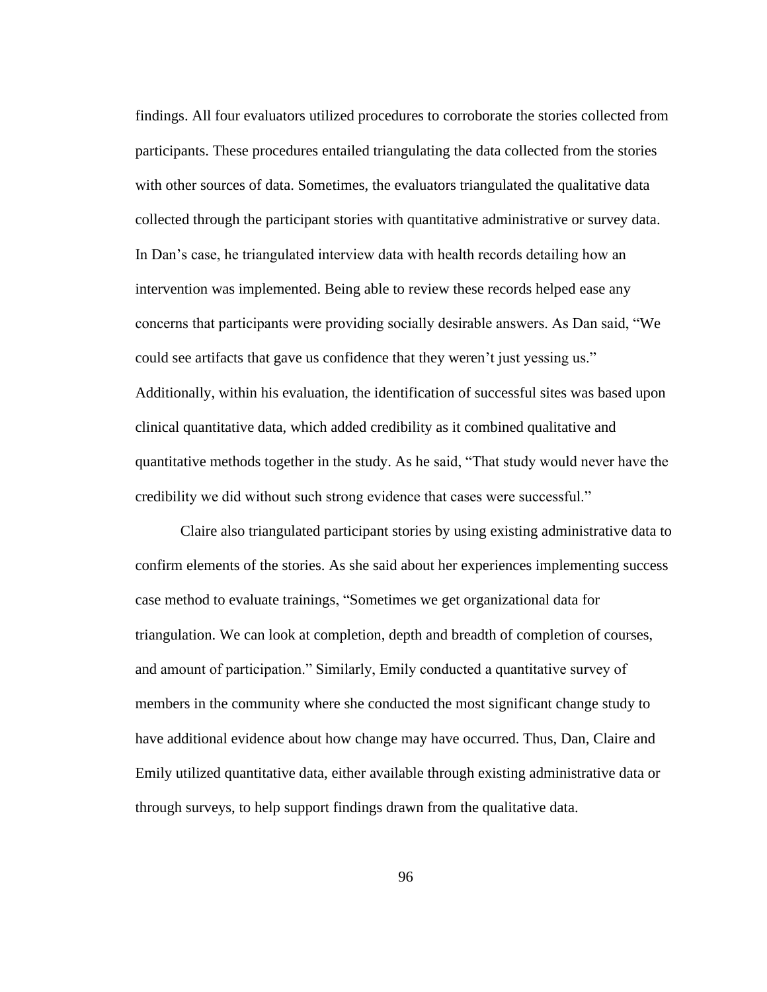findings. All four evaluators utilized procedures to corroborate the stories collected from participants. These procedures entailed triangulating the data collected from the stories with other sources of data. Sometimes, the evaluators triangulated the qualitative data collected through the participant stories with quantitative administrative or survey data. In Dan's case, he triangulated interview data with health records detailing how an intervention was implemented. Being able to review these records helped ease any concerns that participants were providing socially desirable answers. As Dan said, "We could see artifacts that gave us confidence that they weren't just yessing us." Additionally, within his evaluation, the identification of successful sites was based upon clinical quantitative data, which added credibility as it combined qualitative and quantitative methods together in the study. As he said, "That study would never have the credibility we did without such strong evidence that cases were successful."

Claire also triangulated participant stories by using existing administrative data to confirm elements of the stories. As she said about her experiences implementing success case method to evaluate trainings, "Sometimes we get organizational data for triangulation. We can look at completion, depth and breadth of completion of courses, and amount of participation." Similarly, Emily conducted a quantitative survey of members in the community where she conducted the most significant change study to have additional evidence about how change may have occurred. Thus, Dan, Claire and Emily utilized quantitative data, either available through existing administrative data or through surveys, to help support findings drawn from the qualitative data.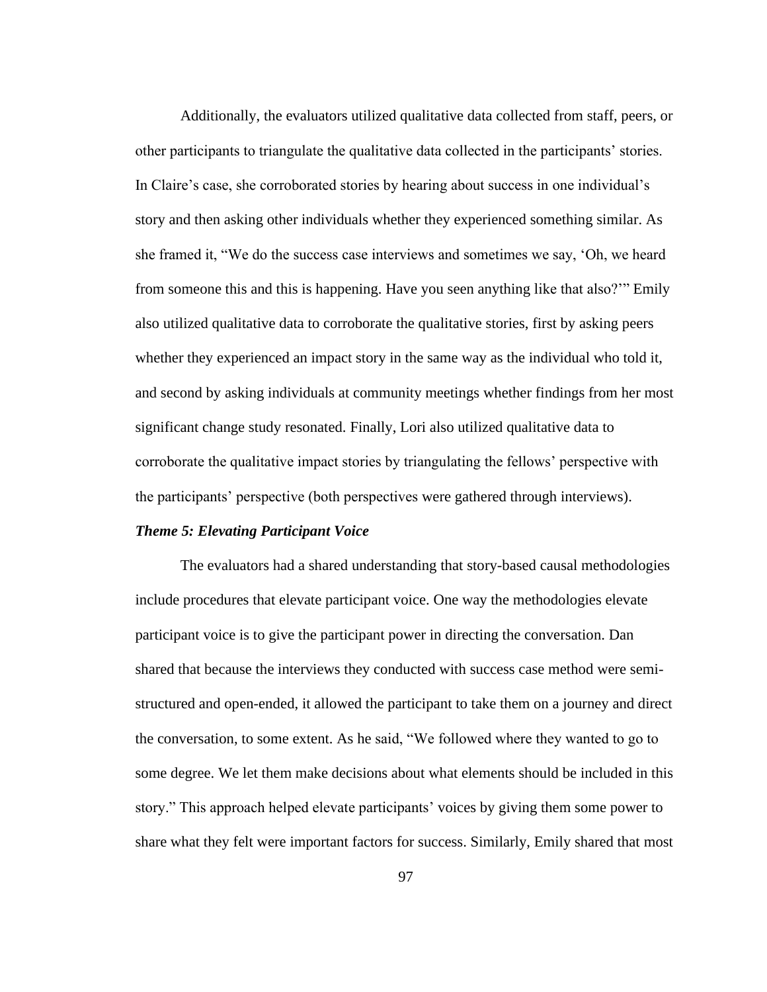Additionally, the evaluators utilized qualitative data collected from staff, peers, or other participants to triangulate the qualitative data collected in the participants' stories. In Claire's case, she corroborated stories by hearing about success in one individual's story and then asking other individuals whether they experienced something similar. As she framed it, "We do the success case interviews and sometimes we say, 'Oh, we heard from someone this and this is happening. Have you seen anything like that also?'" Emily also utilized qualitative data to corroborate the qualitative stories, first by asking peers whether they experienced an impact story in the same way as the individual who told it, and second by asking individuals at community meetings whether findings from her most significant change study resonated. Finally, Lori also utilized qualitative data to corroborate the qualitative impact stories by triangulating the fellows' perspective with the participants' perspective (both perspectives were gathered through interviews).

## *Theme 5: Elevating Participant Voice*

The evaluators had a shared understanding that story-based causal methodologies include procedures that elevate participant voice. One way the methodologies elevate participant voice is to give the participant power in directing the conversation. Dan shared that because the interviews they conducted with success case method were semistructured and open-ended, it allowed the participant to take them on a journey and direct the conversation, to some extent. As he said, "We followed where they wanted to go to some degree. We let them make decisions about what elements should be included in this story." This approach helped elevate participants' voices by giving them some power to share what they felt were important factors for success. Similarly, Emily shared that most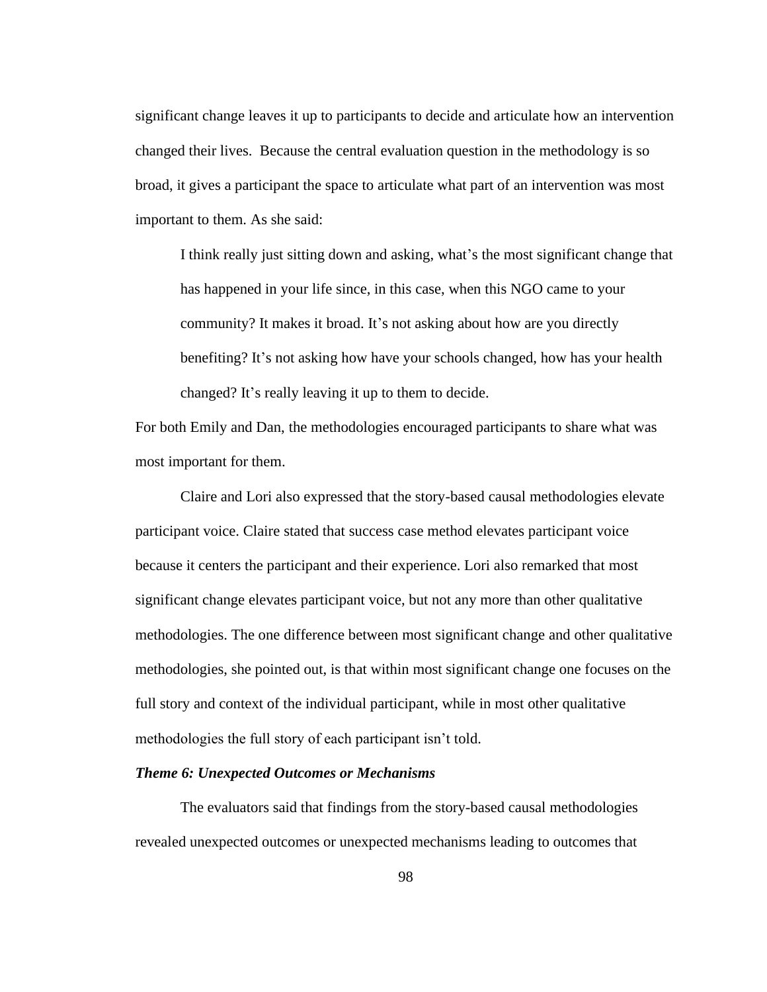significant change leaves it up to participants to decide and articulate how an intervention changed their lives. Because the central evaluation question in the methodology is so broad, it gives a participant the space to articulate what part of an intervention was most important to them. As she said:

I think really just sitting down and asking, what's the most significant change that has happened in your life since, in this case, when this NGO came to your community? It makes it broad. It's not asking about how are you directly benefiting? It's not asking how have your schools changed, how has your health changed? It's really leaving it up to them to decide.

For both Emily and Dan, the methodologies encouraged participants to share what was most important for them.

Claire and Lori also expressed that the story-based causal methodologies elevate participant voice. Claire stated that success case method elevates participant voice because it centers the participant and their experience. Lori also remarked that most significant change elevates participant voice, but not any more than other qualitative methodologies. The one difference between most significant change and other qualitative methodologies, she pointed out, is that within most significant change one focuses on the full story and context of the individual participant, while in most other qualitative methodologies the full story of each participant isn't told.

# *Theme 6: Unexpected Outcomes or Mechanisms*

The evaluators said that findings from the story-based causal methodologies revealed unexpected outcomes or unexpected mechanisms leading to outcomes that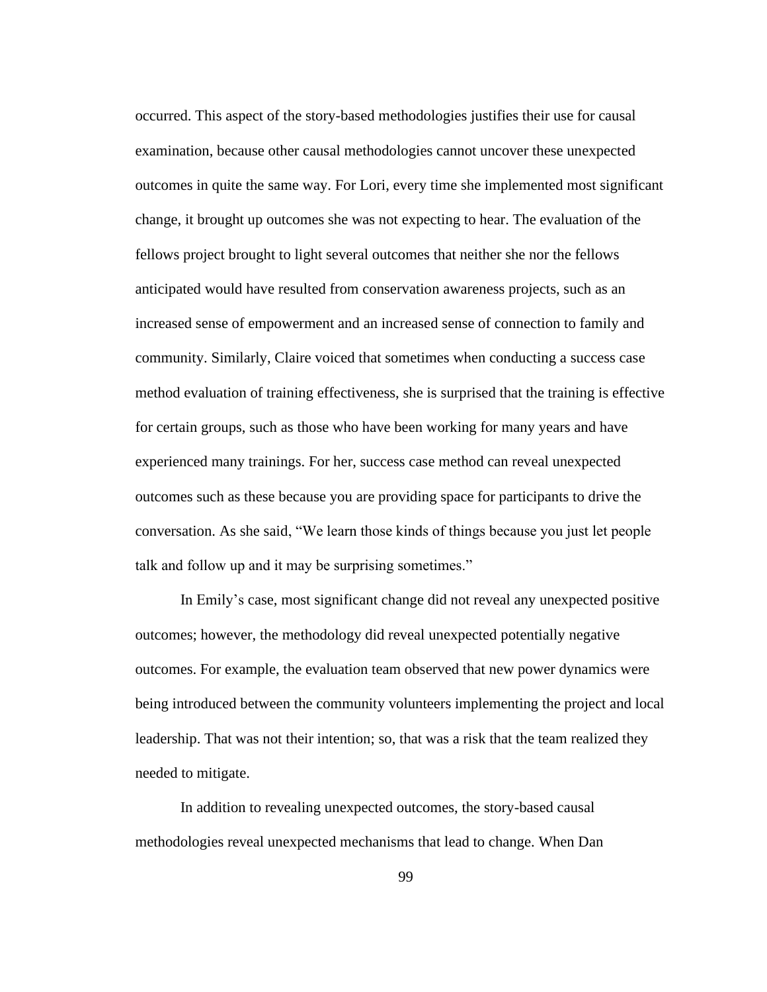occurred. This aspect of the story-based methodologies justifies their use for causal examination, because other causal methodologies cannot uncover these unexpected outcomes in quite the same way. For Lori, every time she implemented most significant change, it brought up outcomes she was not expecting to hear. The evaluation of the fellows project brought to light several outcomes that neither she nor the fellows anticipated would have resulted from conservation awareness projects, such as an increased sense of empowerment and an increased sense of connection to family and community. Similarly, Claire voiced that sometimes when conducting a success case method evaluation of training effectiveness, she is surprised that the training is effective for certain groups, such as those who have been working for many years and have experienced many trainings. For her, success case method can reveal unexpected outcomes such as these because you are providing space for participants to drive the conversation. As she said, "We learn those kinds of things because you just let people talk and follow up and it may be surprising sometimes."

In Emily's case, most significant change did not reveal any unexpected positive outcomes; however, the methodology did reveal unexpected potentially negative outcomes. For example, the evaluation team observed that new power dynamics were being introduced between the community volunteers implementing the project and local leadership. That was not their intention; so, that was a risk that the team realized they needed to mitigate.

In addition to revealing unexpected outcomes, the story-based causal methodologies reveal unexpected mechanisms that lead to change. When Dan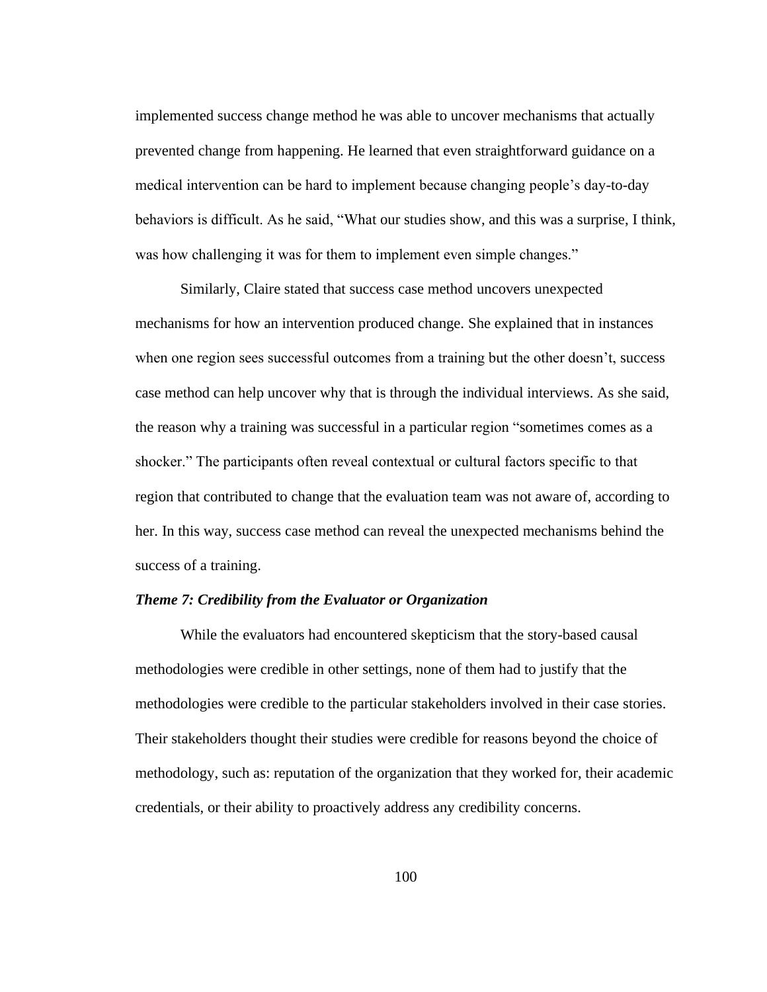implemented success change method he was able to uncover mechanisms that actually prevented change from happening. He learned that even straightforward guidance on a medical intervention can be hard to implement because changing people's day-to-day behaviors is difficult. As he said, "What our studies show, and this was a surprise, I think, was how challenging it was for them to implement even simple changes."

Similarly, Claire stated that success case method uncovers unexpected mechanisms for how an intervention produced change. She explained that in instances when one region sees successful outcomes from a training but the other doesn't, success case method can help uncover why that is through the individual interviews. As she said, the reason why a training was successful in a particular region "sometimes comes as a shocker." The participants often reveal contextual or cultural factors specific to that region that contributed to change that the evaluation team was not aware of, according to her. In this way, success case method can reveal the unexpected mechanisms behind the success of a training.

## *Theme 7: Credibility from the Evaluator or Organization*

While the evaluators had encountered skepticism that the story-based causal methodologies were credible in other settings, none of them had to justify that the methodologies were credible to the particular stakeholders involved in their case stories. Their stakeholders thought their studies were credible for reasons beyond the choice of methodology, such as: reputation of the organization that they worked for, their academic credentials, or their ability to proactively address any credibility concerns.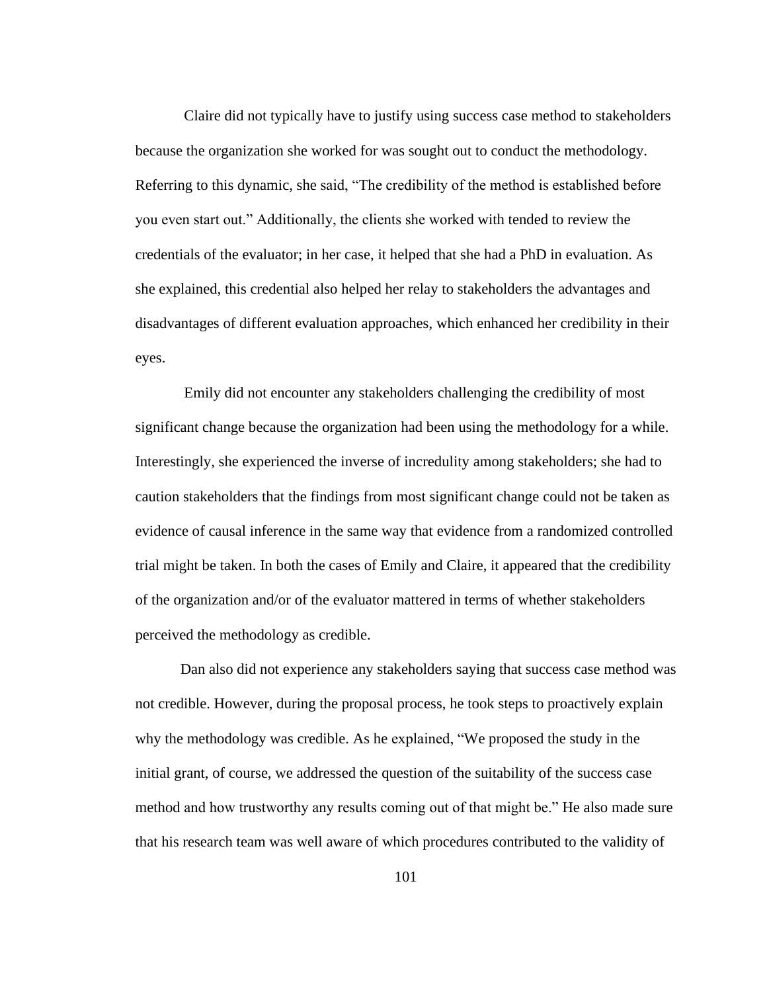Claire did not typically have to justify using success case method to stakeholders because the organization she worked for was sought out to conduct the methodology. Referring to this dynamic, she said, "The credibility of the method is established before you even start out." Additionally, the clients she worked with tended to review the credentials of the evaluator; in her case, it helped that she had a PhD in evaluation. As she explained, this credential also helped her relay to stakeholders the advantages and disadvantages of different evaluation approaches, which enhanced her credibility in their eyes.

Emily did not encounter any stakeholders challenging the credibility of most significant change because the organization had been using the methodology for a while. Interestingly, she experienced the inverse of incredulity among stakeholders; she had to caution stakeholders that the findings from most significant change could not be taken as evidence of causal inference in the same way that evidence from a randomized controlled trial might be taken. In both the cases of Emily and Claire, it appeared that the credibility of the organization and/or of the evaluator mattered in terms of whether stakeholders perceived the methodology as credible.

Dan also did not experience any stakeholders saying that success case method was not credible. However, during the proposal process, he took steps to proactively explain why the methodology was credible. As he explained, "We proposed the study in the initial grant, of course, we addressed the question of the suitability of the success case method and how trustworthy any results coming out of that might be." He also made sure that his research team was well aware of which procedures contributed to the validity of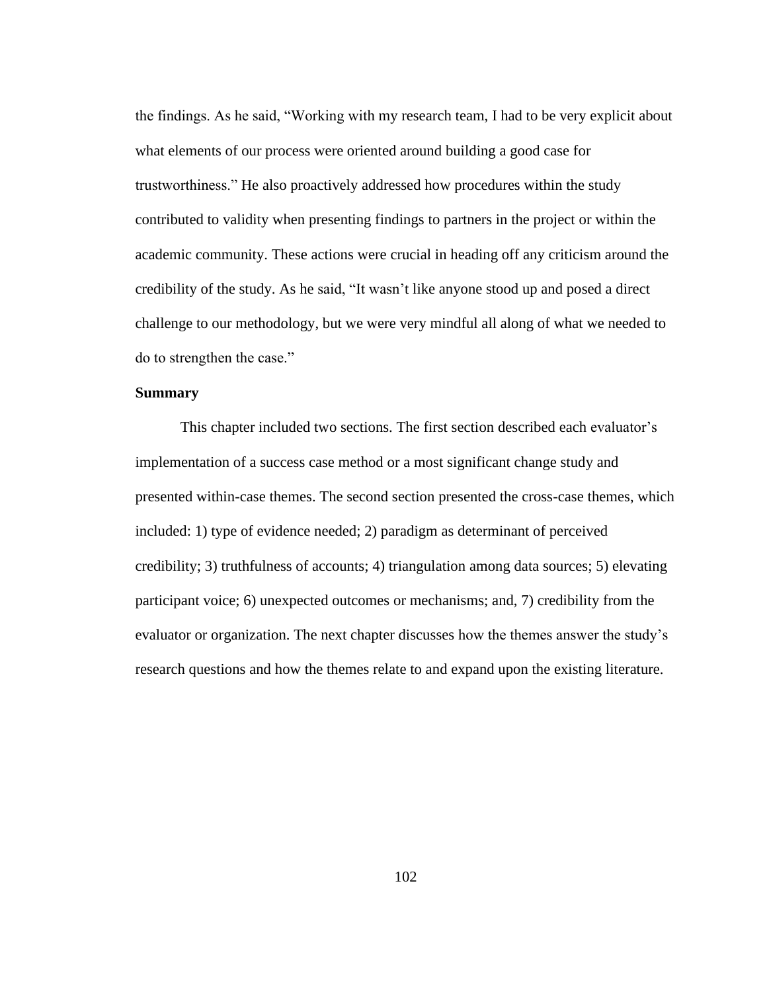the findings. As he said, "Working with my research team, I had to be very explicit about what elements of our process were oriented around building a good case for trustworthiness." He also proactively addressed how procedures within the study contributed to validity when presenting findings to partners in the project or within the academic community. These actions were crucial in heading off any criticism around the credibility of the study. As he said, "It wasn't like anyone stood up and posed a direct challenge to our methodology, but we were very mindful all along of what we needed to do to strengthen the case."

## **Summary**

This chapter included two sections. The first section described each evaluator's implementation of a success case method or a most significant change study and presented within-case themes. The second section presented the cross-case themes, which included: 1) type of evidence needed; 2) paradigm as determinant of perceived credibility; 3) truthfulness of accounts; 4) triangulation among data sources; 5) elevating participant voice; 6) unexpected outcomes or mechanisms; and, 7) credibility from the evaluator or organization. The next chapter discusses how the themes answer the study's research questions and how the themes relate to and expand upon the existing literature.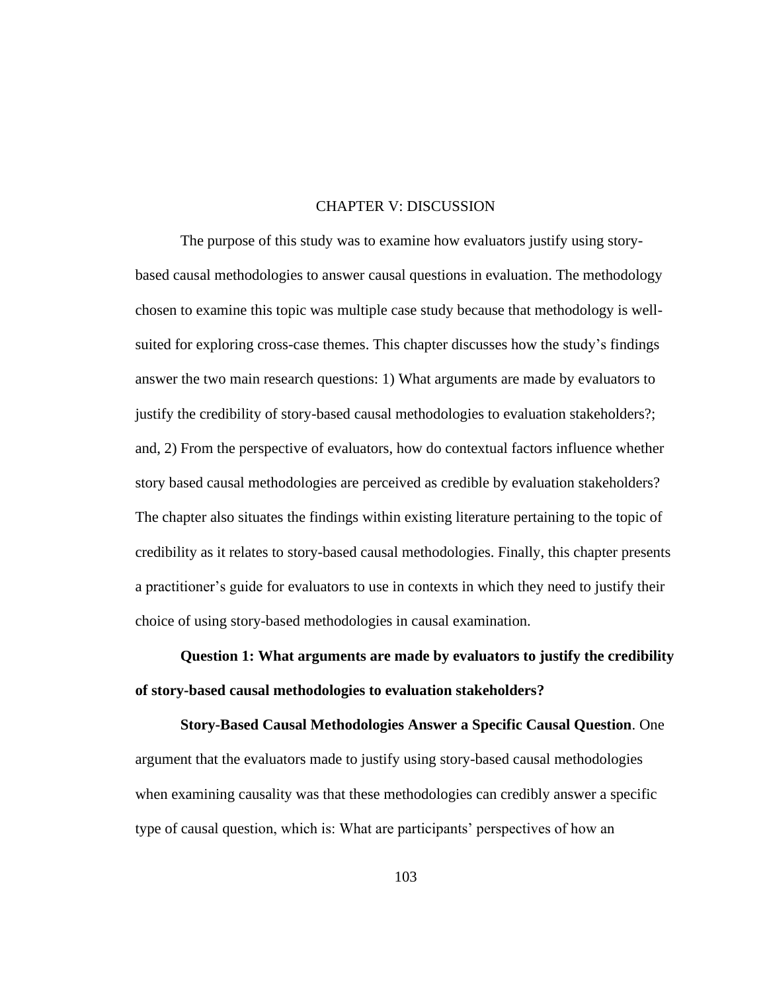### CHAPTER V: DISCUSSION

The purpose of this study was to examine how evaluators justify using storybased causal methodologies to answer causal questions in evaluation. The methodology chosen to examine this topic was multiple case study because that methodology is wellsuited for exploring cross-case themes. This chapter discusses how the study's findings answer the two main research questions: 1) What arguments are made by evaluators to justify the credibility of story-based causal methodologies to evaluation stakeholders?; and, 2) From the perspective of evaluators, how do contextual factors influence whether story based causal methodologies are perceived as credible by evaluation stakeholders? The chapter also situates the findings within existing literature pertaining to the topic of credibility as it relates to story-based causal methodologies. Finally, this chapter presents a practitioner's guide for evaluators to use in contexts in which they need to justify their choice of using story-based methodologies in causal examination.

**Question 1: What arguments are made by evaluators to justify the credibility of story-based causal methodologies to evaluation stakeholders?** 

**Story-Based Causal Methodologies Answer a Specific Causal Question**. One argument that the evaluators made to justify using story-based causal methodologies when examining causality was that these methodologies can credibly answer a specific type of causal question, which is: What are participants' perspectives of how an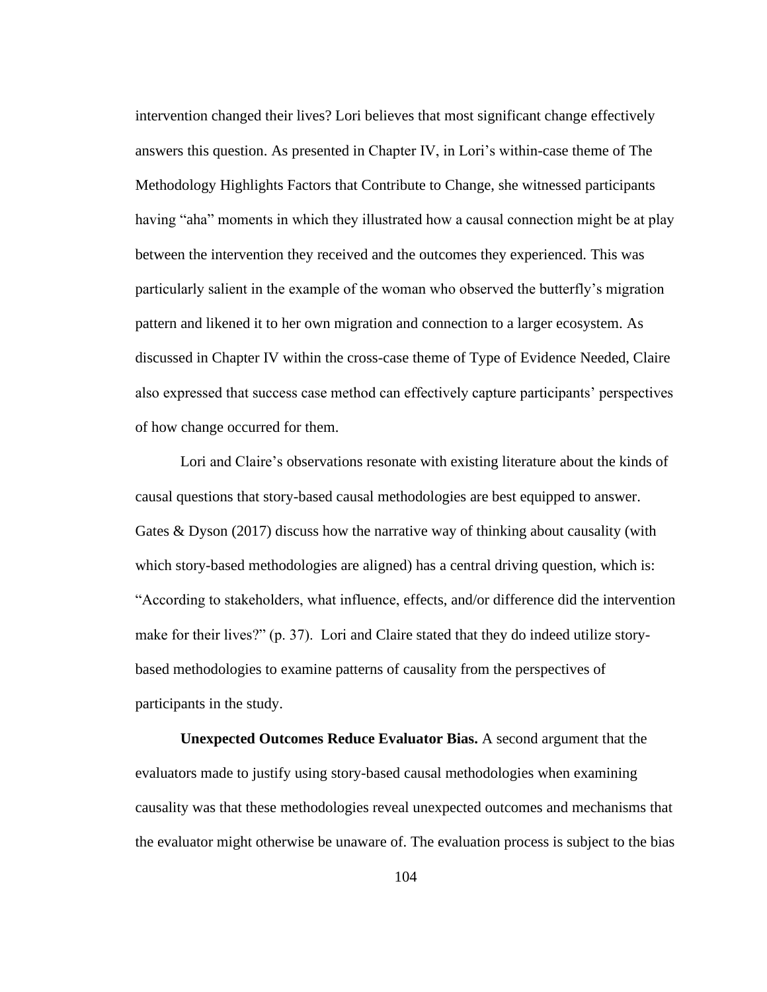intervention changed their lives? Lori believes that most significant change effectively answers this question. As presented in Chapter IV, in Lori's within-case theme of The Methodology Highlights Factors that Contribute to Change, she witnessed participants having "aha" moments in which they illustrated how a causal connection might be at play between the intervention they received and the outcomes they experienced. This was particularly salient in the example of the woman who observed the butterfly's migration pattern and likened it to her own migration and connection to a larger ecosystem. As discussed in Chapter IV within the cross-case theme of Type of Evidence Needed, Claire also expressed that success case method can effectively capture participants' perspectives of how change occurred for them.

Lori and Claire's observations resonate with existing literature about the kinds of causal questions that story-based causal methodologies are best equipped to answer. Gates & Dyson (2017) discuss how the narrative way of thinking about causality (with which story-based methodologies are aligned) has a central driving question, which is: "According to stakeholders, what influence, effects, and/or difference did the intervention make for their lives?" (p. 37). Lori and Claire stated that they do indeed utilize storybased methodologies to examine patterns of causality from the perspectives of participants in the study.

**Unexpected Outcomes Reduce Evaluator Bias.** A second argument that the evaluators made to justify using story-based causal methodologies when examining causality was that these methodologies reveal unexpected outcomes and mechanisms that the evaluator might otherwise be unaware of. The evaluation process is subject to the bias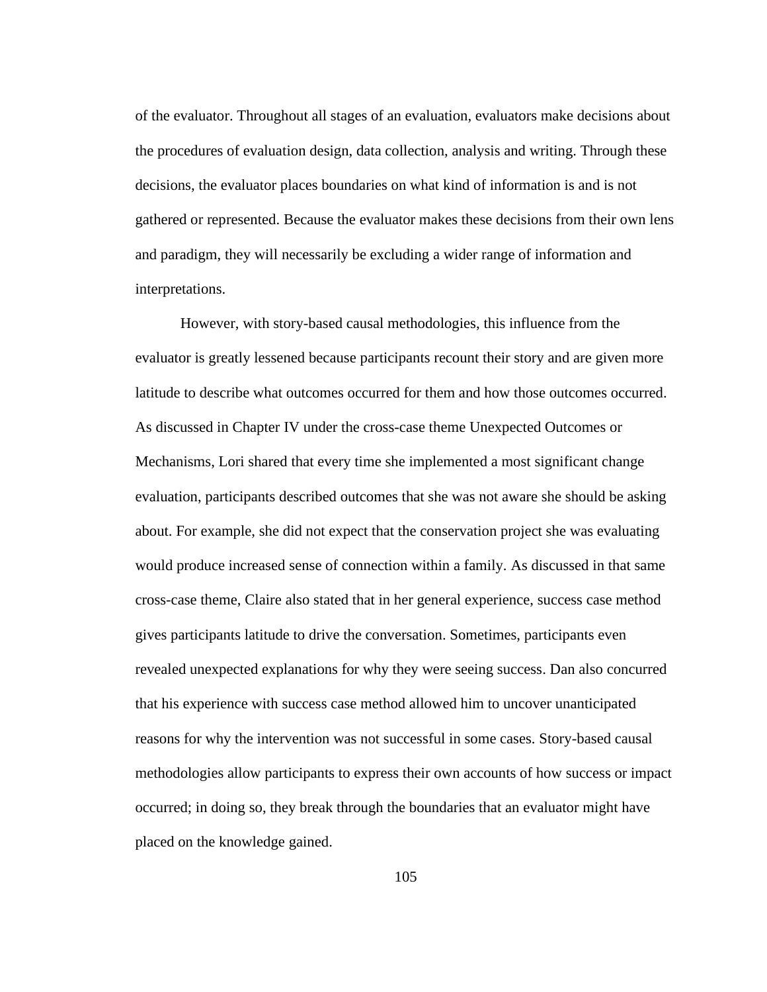of the evaluator. Throughout all stages of an evaluation, evaluators make decisions about the procedures of evaluation design, data collection, analysis and writing. Through these decisions, the evaluator places boundaries on what kind of information is and is not gathered or represented. Because the evaluator makes these decisions from their own lens and paradigm, they will necessarily be excluding a wider range of information and interpretations.

However, with story-based causal methodologies, this influence from the evaluator is greatly lessened because participants recount their story and are given more latitude to describe what outcomes occurred for them and how those outcomes occurred. As discussed in Chapter IV under the cross-case theme Unexpected Outcomes or Mechanisms, Lori shared that every time she implemented a most significant change evaluation, participants described outcomes that she was not aware she should be asking about. For example, she did not expect that the conservation project she was evaluating would produce increased sense of connection within a family. As discussed in that same cross-case theme, Claire also stated that in her general experience, success case method gives participants latitude to drive the conversation. Sometimes, participants even revealed unexpected explanations for why they were seeing success. Dan also concurred that his experience with success case method allowed him to uncover unanticipated reasons for why the intervention was not successful in some cases. Story-based causal methodologies allow participants to express their own accounts of how success or impact occurred; in doing so, they break through the boundaries that an evaluator might have placed on the knowledge gained.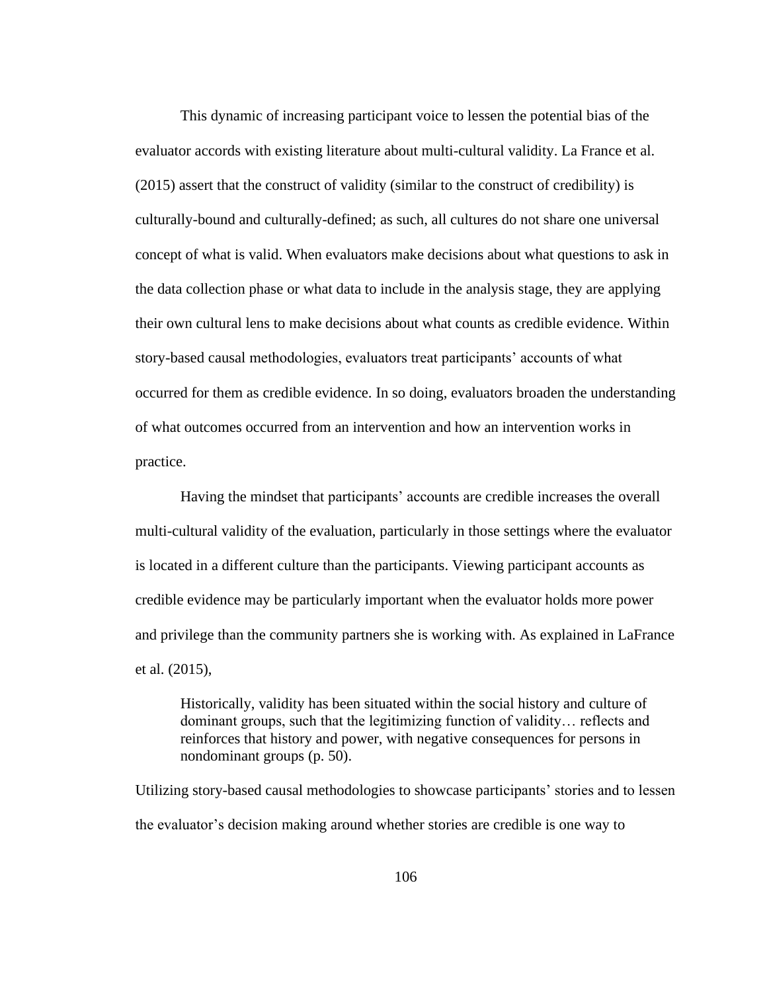This dynamic of increasing participant voice to lessen the potential bias of the evaluator accords with existing literature about multi-cultural validity. La France et al. (2015) assert that the construct of validity (similar to the construct of credibility) is culturally-bound and culturally-defined; as such, all cultures do not share one universal concept of what is valid. When evaluators make decisions about what questions to ask in the data collection phase or what data to include in the analysis stage, they are applying their own cultural lens to make decisions about what counts as credible evidence. Within story-based causal methodologies, evaluators treat participants' accounts of what occurred for them as credible evidence. In so doing, evaluators broaden the understanding of what outcomes occurred from an intervention and how an intervention works in practice.

Having the mindset that participants' accounts are credible increases the overall multi-cultural validity of the evaluation, particularly in those settings where the evaluator is located in a different culture than the participants. Viewing participant accounts as credible evidence may be particularly important when the evaluator holds more power and privilege than the community partners she is working with. As explained in LaFrance et al. (2015),

Historically, validity has been situated within the social history and culture of dominant groups, such that the legitimizing function of validity… reflects and reinforces that history and power, with negative consequences for persons in nondominant groups (p. 50).

Utilizing story-based causal methodologies to showcase participants' stories and to lessen the evaluator's decision making around whether stories are credible is one way to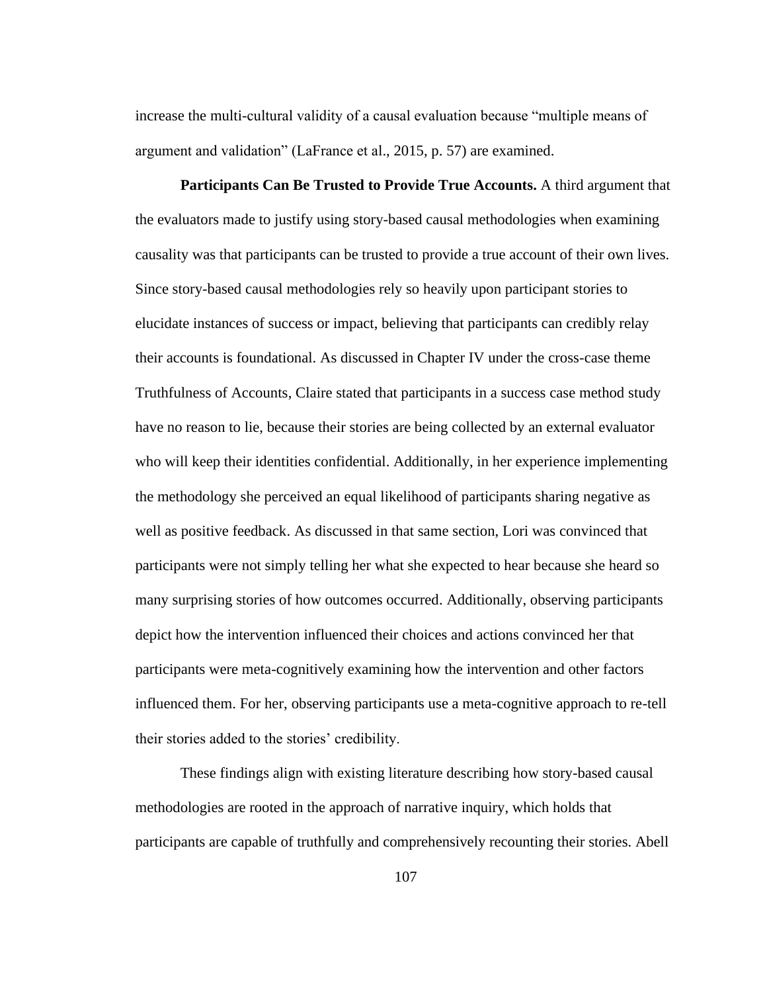increase the multi-cultural validity of a causal evaluation because "multiple means of argument and validation" (LaFrance et al., 2015, p. 57) are examined.

**Participants Can Be Trusted to Provide True Accounts.** A third argument that the evaluators made to justify using story-based causal methodologies when examining causality was that participants can be trusted to provide a true account of their own lives. Since story-based causal methodologies rely so heavily upon participant stories to elucidate instances of success or impact, believing that participants can credibly relay their accounts is foundational. As discussed in Chapter IV under the cross-case theme Truthfulness of Accounts, Claire stated that participants in a success case method study have no reason to lie, because their stories are being collected by an external evaluator who will keep their identities confidential. Additionally, in her experience implementing the methodology she perceived an equal likelihood of participants sharing negative as well as positive feedback. As discussed in that same section, Lori was convinced that participants were not simply telling her what she expected to hear because she heard so many surprising stories of how outcomes occurred. Additionally, observing participants depict how the intervention influenced their choices and actions convinced her that participants were meta-cognitively examining how the intervention and other factors influenced them. For her, observing participants use a meta-cognitive approach to re-tell their stories added to the stories' credibility.

These findings align with existing literature describing how story-based causal methodologies are rooted in the approach of narrative inquiry, which holds that participants are capable of truthfully and comprehensively recounting their stories. Abell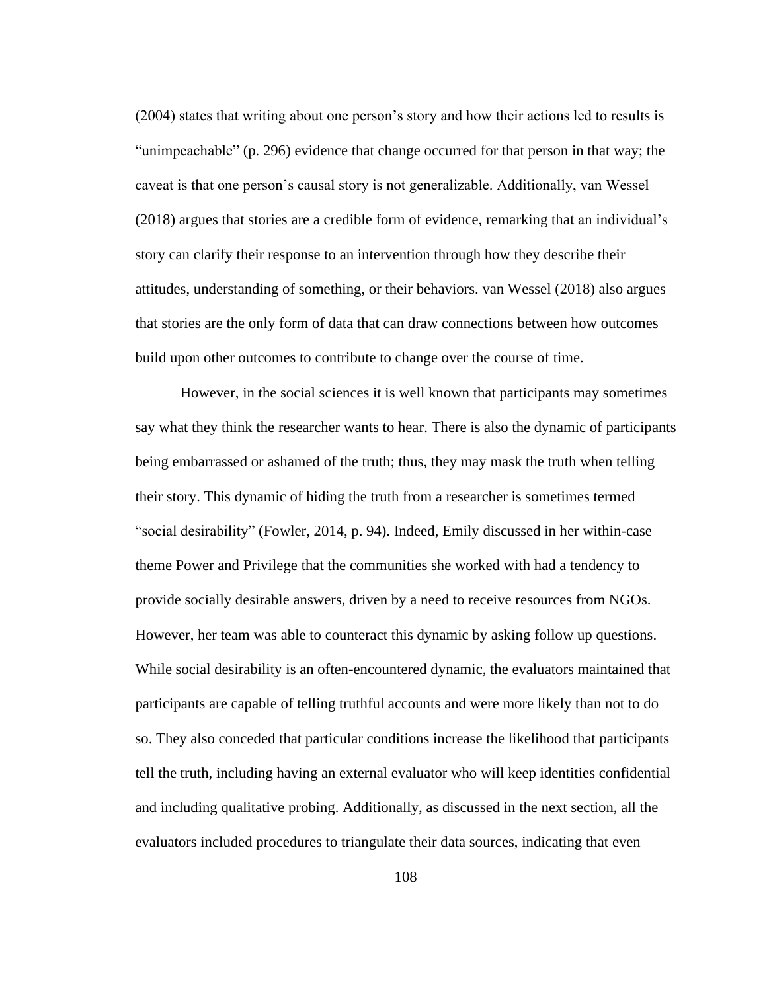(2004) states that writing about one person's story and how their actions led to results is "unimpeachable" (p. 296) evidence that change occurred for that person in that way; the caveat is that one person's causal story is not generalizable. Additionally, van Wessel (2018) argues that stories are a credible form of evidence, remarking that an individual's story can clarify their response to an intervention through how they describe their attitudes, understanding of something, or their behaviors. van Wessel (2018) also argues that stories are the only form of data that can draw connections between how outcomes build upon other outcomes to contribute to change over the course of time.

However, in the social sciences it is well known that participants may sometimes say what they think the researcher wants to hear. There is also the dynamic of participants being embarrassed or ashamed of the truth; thus, they may mask the truth when telling their story. This dynamic of hiding the truth from a researcher is sometimes termed "social desirability" (Fowler, 2014, p. 94). Indeed, Emily discussed in her within-case theme Power and Privilege that the communities she worked with had a tendency to provide socially desirable answers, driven by a need to receive resources from NGOs. However, her team was able to counteract this dynamic by asking follow up questions. While social desirability is an often-encountered dynamic, the evaluators maintained that participants are capable of telling truthful accounts and were more likely than not to do so. They also conceded that particular conditions increase the likelihood that participants tell the truth, including having an external evaluator who will keep identities confidential and including qualitative probing. Additionally, as discussed in the next section, all the evaluators included procedures to triangulate their data sources, indicating that even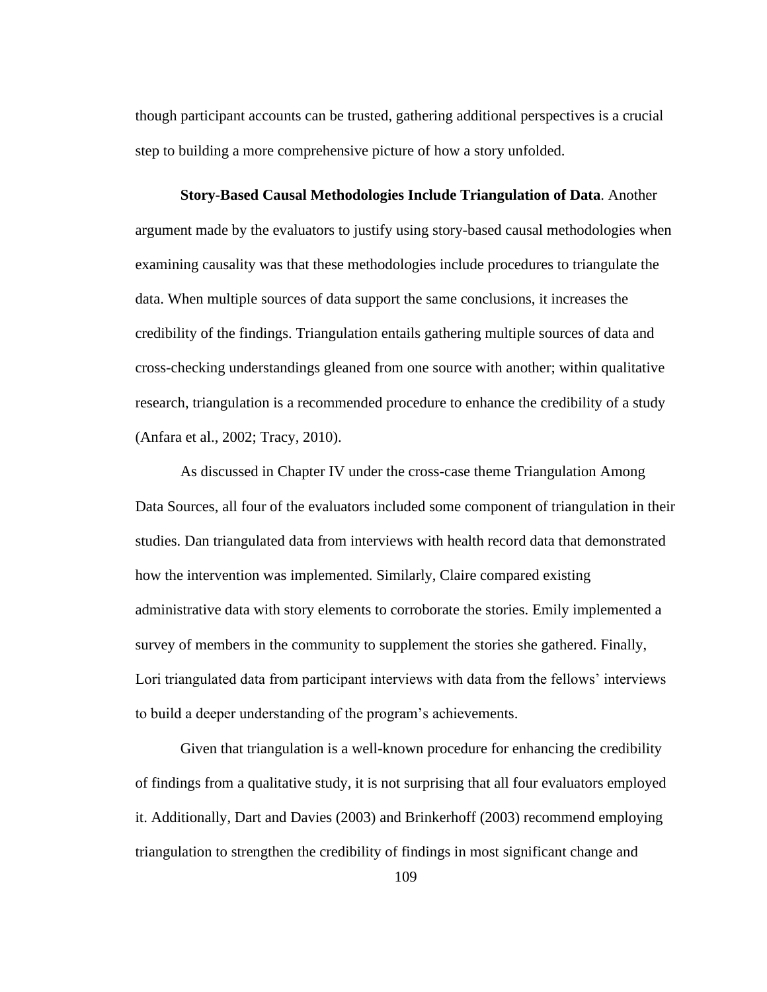though participant accounts can be trusted, gathering additional perspectives is a crucial step to building a more comprehensive picture of how a story unfolded.

**Story-Based Causal Methodologies Include Triangulation of Data**. Another argument made by the evaluators to justify using story-based causal methodologies when examining causality was that these methodologies include procedures to triangulate the data. When multiple sources of data support the same conclusions, it increases the credibility of the findings. Triangulation entails gathering multiple sources of data and cross-checking understandings gleaned from one source with another; within qualitative research, triangulation is a recommended procedure to enhance the credibility of a study (Anfara et al., 2002; Tracy, 2010).

As discussed in Chapter IV under the cross-case theme Triangulation Among Data Sources, all four of the evaluators included some component of triangulation in their studies. Dan triangulated data from interviews with health record data that demonstrated how the intervention was implemented. Similarly, Claire compared existing administrative data with story elements to corroborate the stories. Emily implemented a survey of members in the community to supplement the stories she gathered. Finally, Lori triangulated data from participant interviews with data from the fellows' interviews to build a deeper understanding of the program's achievements.

Given that triangulation is a well-known procedure for enhancing the credibility of findings from a qualitative study, it is not surprising that all four evaluators employed it. Additionally, Dart and Davies (2003) and Brinkerhoff (2003) recommend employing triangulation to strengthen the credibility of findings in most significant change and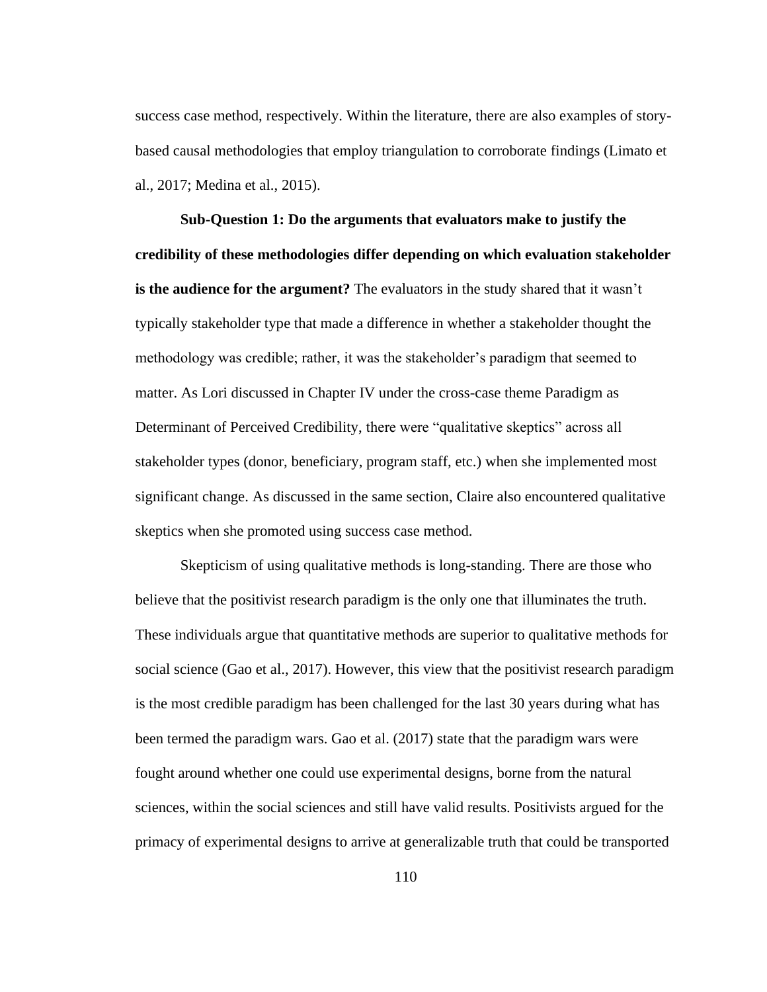success case method, respectively. Within the literature, there are also examples of storybased causal methodologies that employ triangulation to corroborate findings (Limato et al., 2017; Medina et al., 2015).

**Sub-Question 1: Do the arguments that evaluators make to justify the credibility of these methodologies differ depending on which evaluation stakeholder is the audience for the argument?** The evaluators in the study shared that it wasn't typically stakeholder type that made a difference in whether a stakeholder thought the methodology was credible; rather, it was the stakeholder's paradigm that seemed to matter. As Lori discussed in Chapter IV under the cross-case theme Paradigm as Determinant of Perceived Credibility, there were "qualitative skeptics" across all stakeholder types (donor, beneficiary, program staff, etc.) when she implemented most significant change. As discussed in the same section, Claire also encountered qualitative skeptics when she promoted using success case method.

Skepticism of using qualitative methods is long-standing. There are those who believe that the positivist research paradigm is the only one that illuminates the truth. These individuals argue that quantitative methods are superior to qualitative methods for social science (Gao et al., 2017). However, this view that the positivist research paradigm is the most credible paradigm has been challenged for the last 30 years during what has been termed the paradigm wars. Gao et al. (2017) state that the paradigm wars were fought around whether one could use experimental designs, borne from the natural sciences, within the social sciences and still have valid results. Positivists argued for the primacy of experimental designs to arrive at generalizable truth that could be transported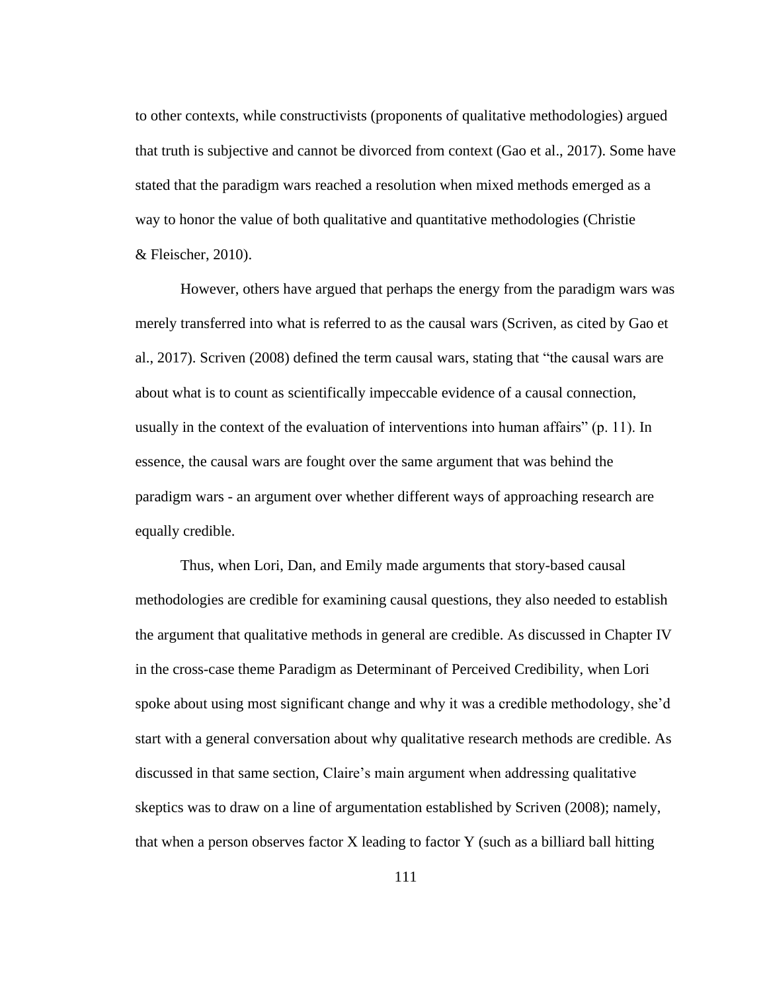to other contexts, while constructivists (proponents of qualitative methodologies) argued that truth is subjective and cannot be divorced from context (Gao et al., 2017). Some have stated that the paradigm wars reached a resolution when mixed methods emerged as a way to honor the value of both qualitative and quantitative methodologies (Christie & Fleischer, 2010).

However, others have argued that perhaps the energy from the paradigm wars was merely transferred into what is referred to as the causal wars (Scriven, as cited by Gao et al., 2017). Scriven (2008) defined the term causal wars, stating that "the causal wars are about what is to count as scientifically impeccable evidence of a causal connection, usually in the context of the evaluation of interventions into human affairs" (p. 11). In essence, the causal wars are fought over the same argument that was behind the paradigm wars - an argument over whether different ways of approaching research are equally credible.

Thus, when Lori, Dan, and Emily made arguments that story-based causal methodologies are credible for examining causal questions, they also needed to establish the argument that qualitative methods in general are credible. As discussed in Chapter IV in the cross-case theme Paradigm as Determinant of Perceived Credibility, when Lori spoke about using most significant change and why it was a credible methodology, she'd start with a general conversation about why qualitative research methods are credible. As discussed in that same section, Claire's main argument when addressing qualitative skeptics was to draw on a line of argumentation established by Scriven (2008); namely, that when a person observes factor X leading to factor Y (such as a billiard ball hitting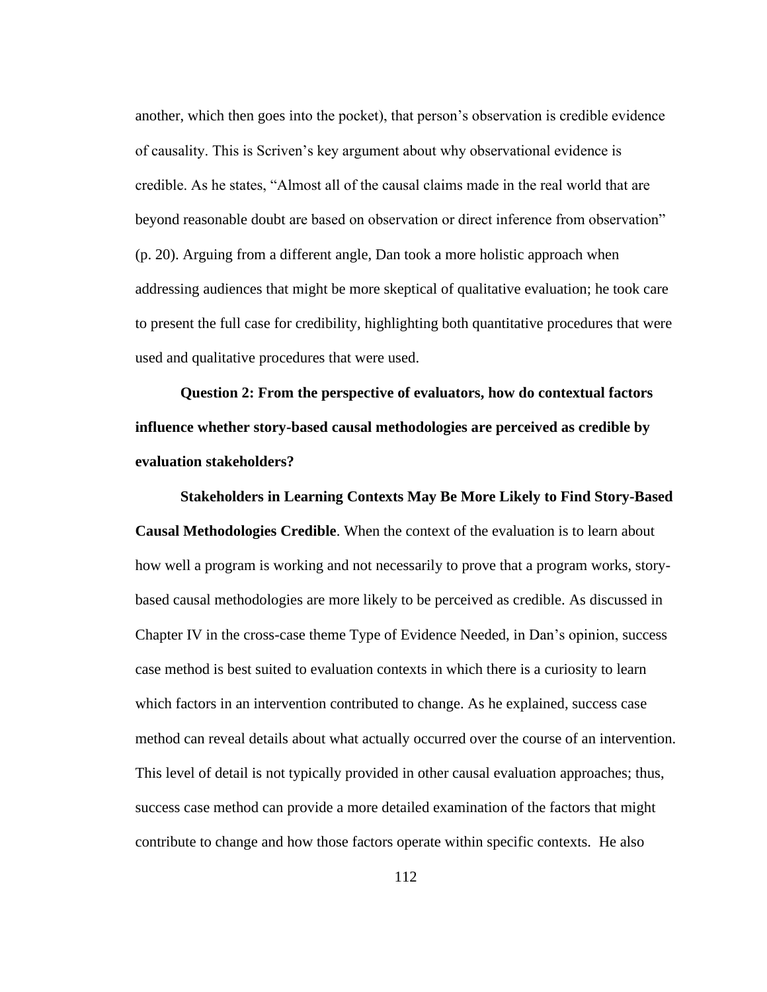another, which then goes into the pocket), that person's observation is credible evidence of causality. This is Scriven's key argument about why observational evidence is credible. As he states, "Almost all of the causal claims made in the real world that are beyond reasonable doubt are based on observation or direct inference from observation" (p. 20). Arguing from a different angle, Dan took a more holistic approach when addressing audiences that might be more skeptical of qualitative evaluation; he took care to present the full case for credibility, highlighting both quantitative procedures that were used and qualitative procedures that were used.

**Question 2: From the perspective of evaluators, how do contextual factors influence whether story-based causal methodologies are perceived as credible by evaluation stakeholders?** 

**Stakeholders in Learning Contexts May Be More Likely to Find Story-Based Causal Methodologies Credible**. When the context of the evaluation is to learn about how well a program is working and not necessarily to prove that a program works, storybased causal methodologies are more likely to be perceived as credible. As discussed in Chapter IV in the cross-case theme Type of Evidence Needed, in Dan's opinion, success case method is best suited to evaluation contexts in which there is a curiosity to learn which factors in an intervention contributed to change. As he explained, success case method can reveal details about what actually occurred over the course of an intervention. This level of detail is not typically provided in other causal evaluation approaches; thus, success case method can provide a more detailed examination of the factors that might contribute to change and how those factors operate within specific contexts. He also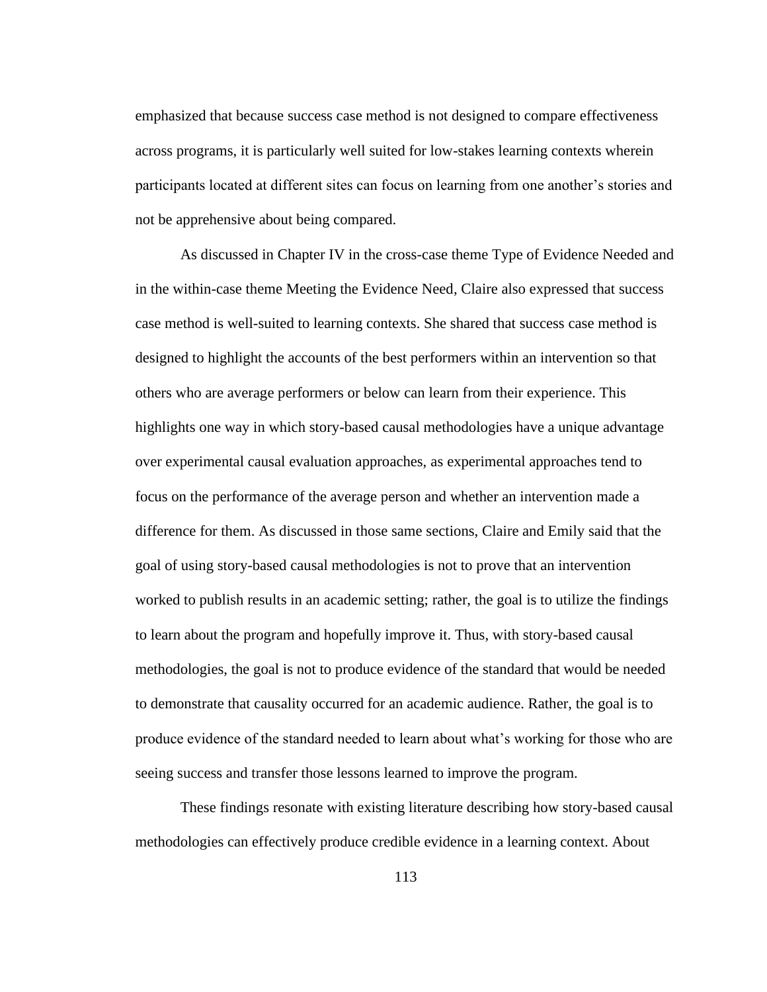emphasized that because success case method is not designed to compare effectiveness across programs, it is particularly well suited for low-stakes learning contexts wherein participants located at different sites can focus on learning from one another's stories and not be apprehensive about being compared.

As discussed in Chapter IV in the cross-case theme Type of Evidence Needed and in the within-case theme Meeting the Evidence Need, Claire also expressed that success case method is well-suited to learning contexts. She shared that success case method is designed to highlight the accounts of the best performers within an intervention so that others who are average performers or below can learn from their experience. This highlights one way in which story-based causal methodologies have a unique advantage over experimental causal evaluation approaches, as experimental approaches tend to focus on the performance of the average person and whether an intervention made a difference for them. As discussed in those same sections, Claire and Emily said that the goal of using story-based causal methodologies is not to prove that an intervention worked to publish results in an academic setting; rather, the goal is to utilize the findings to learn about the program and hopefully improve it. Thus, with story-based causal methodologies, the goal is not to produce evidence of the standard that would be needed to demonstrate that causality occurred for an academic audience. Rather, the goal is to produce evidence of the standard needed to learn about what's working for those who are seeing success and transfer those lessons learned to improve the program.

These findings resonate with existing literature describing how story-based causal methodologies can effectively produce credible evidence in a learning context. About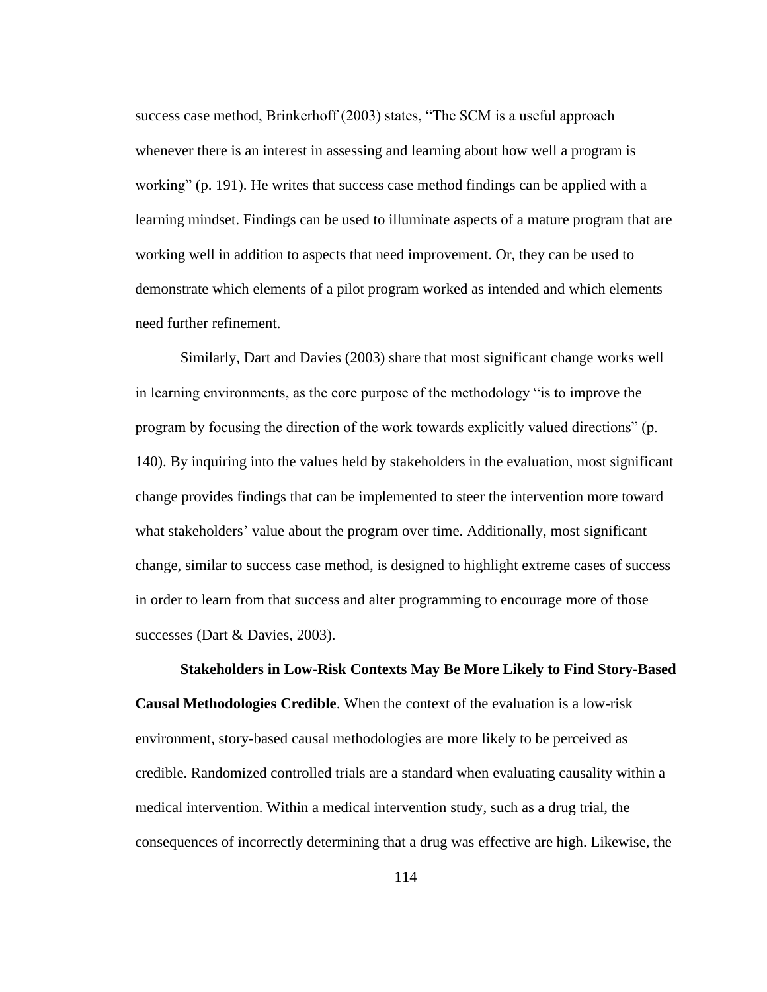success case method, Brinkerhoff (2003) states, "The SCM is a useful approach whenever there is an interest in assessing and learning about how well a program is working" (p. 191). He writes that success case method findings can be applied with a learning mindset. Findings can be used to illuminate aspects of a mature program that are working well in addition to aspects that need improvement. Or, they can be used to demonstrate which elements of a pilot program worked as intended and which elements need further refinement.

Similarly, Dart and Davies (2003) share that most significant change works well in learning environments, as the core purpose of the methodology "is to improve the program by focusing the direction of the work towards explicitly valued directions" (p. 140). By inquiring into the values held by stakeholders in the evaluation, most significant change provides findings that can be implemented to steer the intervention more toward what stakeholders' value about the program over time. Additionally, most significant change, similar to success case method, is designed to highlight extreme cases of success in order to learn from that success and alter programming to encourage more of those successes (Dart & Davies, 2003).

#### **Stakeholders in Low-Risk Contexts May Be More Likely to Find Story-Based**

**Causal Methodologies Credible**. When the context of the evaluation is a low-risk environment, story-based causal methodologies are more likely to be perceived as credible. Randomized controlled trials are a standard when evaluating causality within a medical intervention. Within a medical intervention study, such as a drug trial, the consequences of incorrectly determining that a drug was effective are high. Likewise, the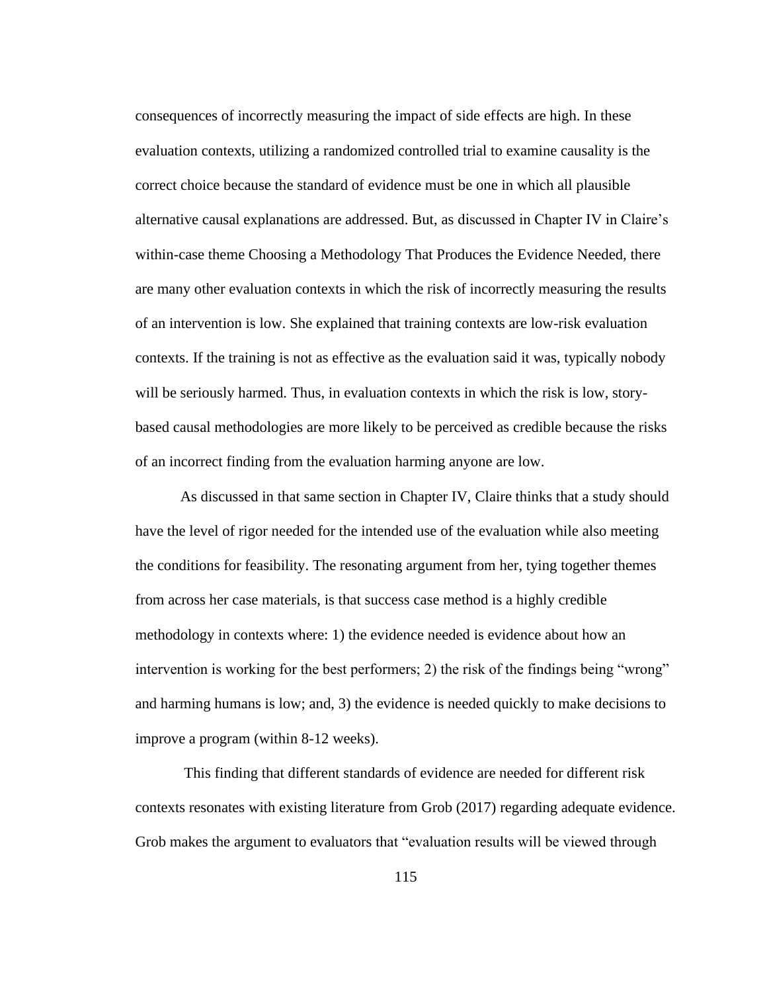consequences of incorrectly measuring the impact of side effects are high. In these evaluation contexts, utilizing a randomized controlled trial to examine causality is the correct choice because the standard of evidence must be one in which all plausible alternative causal explanations are addressed. But, as discussed in Chapter IV in Claire's within-case theme Choosing a Methodology That Produces the Evidence Needed, there are many other evaluation contexts in which the risk of incorrectly measuring the results of an intervention is low. She explained that training contexts are low-risk evaluation contexts. If the training is not as effective as the evaluation said it was, typically nobody will be seriously harmed. Thus, in evaluation contexts in which the risk is low, storybased causal methodologies are more likely to be perceived as credible because the risks of an incorrect finding from the evaluation harming anyone are low.

As discussed in that same section in Chapter IV, Claire thinks that a study should have the level of rigor needed for the intended use of the evaluation while also meeting the conditions for feasibility. The resonating argument from her, tying together themes from across her case materials, is that success case method is a highly credible methodology in contexts where: 1) the evidence needed is evidence about how an intervention is working for the best performers; 2) the risk of the findings being "wrong" and harming humans is low; and, 3) the evidence is needed quickly to make decisions to improve a program (within 8-12 weeks).

This finding that different standards of evidence are needed for different risk contexts resonates with existing literature from Grob (2017) regarding adequate evidence. Grob makes the argument to evaluators that "evaluation results will be viewed through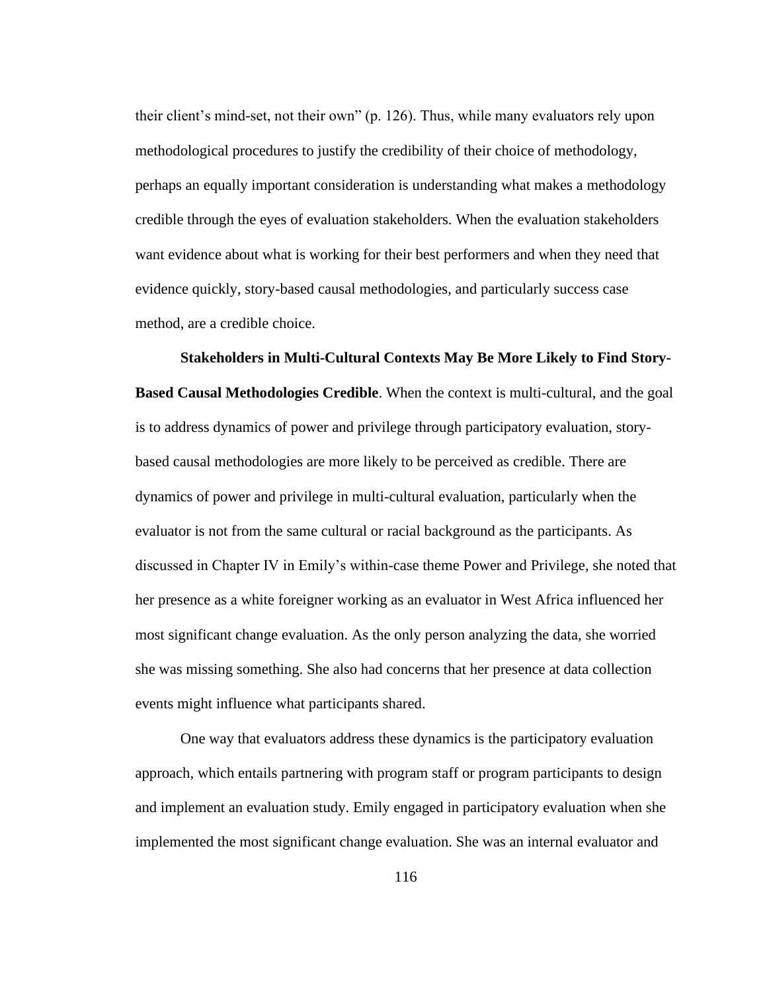their client's mind-set, not their own" (p. 126). Thus, while many evaluators rely upon methodological procedures to justify the credibility of their choice of methodology, perhaps an equally important consideration is understanding what makes a methodology credible through the eyes of evaluation stakeholders. When the evaluation stakeholders want evidence about what is working for their best performers and when they need that evidence quickly, story-based causal methodologies, and particularly success case method, are a credible choice.

**Stakeholders in Multi-Cultural Contexts May Be More Likely to Find Story-Based Causal Methodologies Credible**. When the context is multi-cultural, and the goal is to address dynamics of power and privilege through participatory evaluation, storybased causal methodologies are more likely to be perceived as credible. There are dynamics of power and privilege in multi-cultural evaluation, particularly when the evaluator is not from the same cultural or racial background as the participants. As discussed in Chapter IV in Emily's within-case theme Power and Privilege, she noted that her presence as a white foreigner working as an evaluator in West Africa influenced her most significant change evaluation. As the only person analyzing the data, she worried she was missing something. She also had concerns that her presence at data collection events might influence what participants shared.

One way that evaluators address these dynamics is the participatory evaluation approach, which entails partnering with program staff or program participants to design and implement an evaluation study. Emily engaged in participatory evaluation when she implemented the most significant change evaluation. She was an internal evaluator and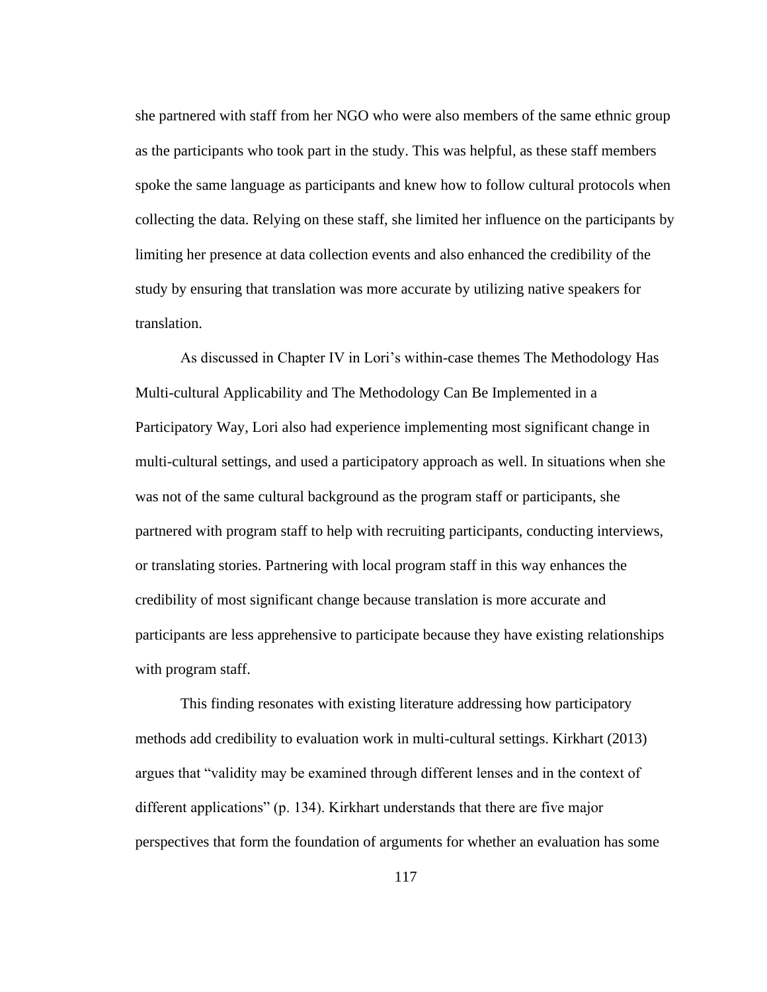she partnered with staff from her NGO who were also members of the same ethnic group as the participants who took part in the study. This was helpful, as these staff members spoke the same language as participants and knew how to follow cultural protocols when collecting the data. Relying on these staff, she limited her influence on the participants by limiting her presence at data collection events and also enhanced the credibility of the study by ensuring that translation was more accurate by utilizing native speakers for translation.

As discussed in Chapter IV in Lori's within-case themes The Methodology Has Multi-cultural Applicability and The Methodology Can Be Implemented in a Participatory Way, Lori also had experience implementing most significant change in multi-cultural settings, and used a participatory approach as well. In situations when she was not of the same cultural background as the program staff or participants, she partnered with program staff to help with recruiting participants, conducting interviews, or translating stories. Partnering with local program staff in this way enhances the credibility of most significant change because translation is more accurate and participants are less apprehensive to participate because they have existing relationships with program staff.

This finding resonates with existing literature addressing how participatory methods add credibility to evaluation work in multi-cultural settings. Kirkhart (2013) argues that "validity may be examined through different lenses and in the context of different applications" (p. 134). Kirkhart understands that there are five major perspectives that form the foundation of arguments for whether an evaluation has some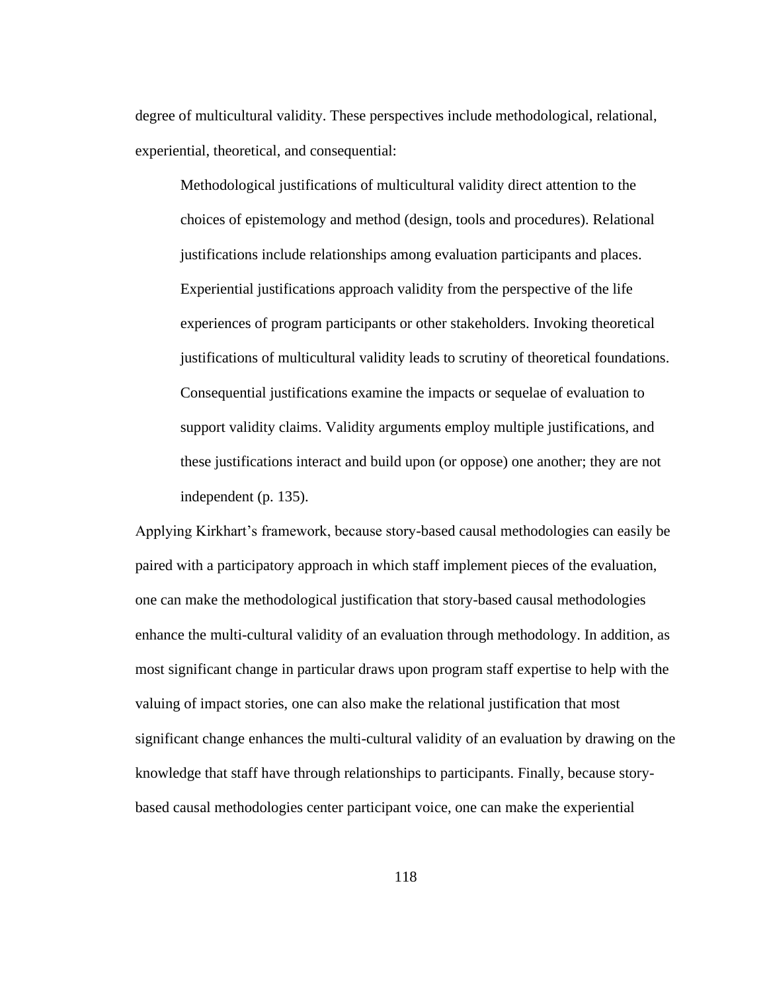degree of multicultural validity. These perspectives include methodological, relational, experiential, theoretical, and consequential:

Methodological justifications of multicultural validity direct attention to the choices of epistemology and method (design, tools and procedures). Relational justifications include relationships among evaluation participants and places. Experiential justifications approach validity from the perspective of the life experiences of program participants or other stakeholders. Invoking theoretical justifications of multicultural validity leads to scrutiny of theoretical foundations. Consequential justifications examine the impacts or sequelae of evaluation to support validity claims. Validity arguments employ multiple justifications, and these justifications interact and build upon (or oppose) one another; they are not independent (p. 135).

Applying Kirkhart's framework, because story-based causal methodologies can easily be paired with a participatory approach in which staff implement pieces of the evaluation, one can make the methodological justification that story-based causal methodologies enhance the multi-cultural validity of an evaluation through methodology. In addition, as most significant change in particular draws upon program staff expertise to help with the valuing of impact stories, one can also make the relational justification that most significant change enhances the multi-cultural validity of an evaluation by drawing on the knowledge that staff have through relationships to participants. Finally, because storybased causal methodologies center participant voice, one can make the experiential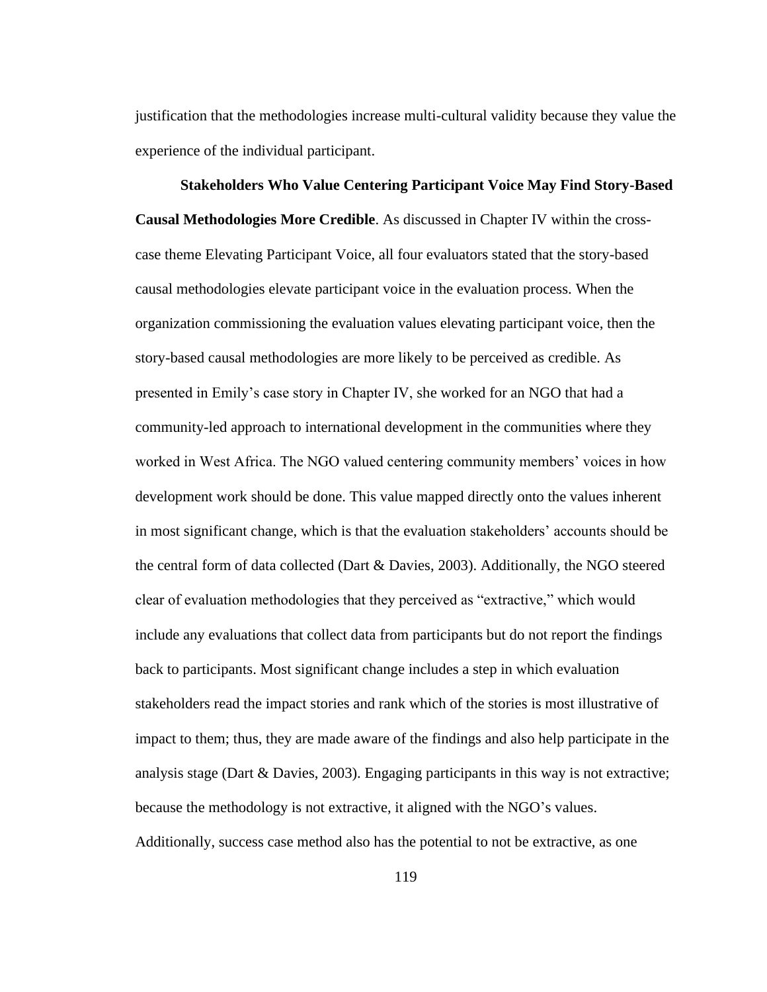justification that the methodologies increase multi-cultural validity because they value the experience of the individual participant.

**Stakeholders Who Value Centering Participant Voice May Find Story-Based Causal Methodologies More Credible**. As discussed in Chapter IV within the crosscase theme Elevating Participant Voice, all four evaluators stated that the story-based causal methodologies elevate participant voice in the evaluation process. When the organization commissioning the evaluation values elevating participant voice, then the story-based causal methodologies are more likely to be perceived as credible. As presented in Emily's case story in Chapter IV, she worked for an NGO that had a community-led approach to international development in the communities where they worked in West Africa. The NGO valued centering community members' voices in how development work should be done. This value mapped directly onto the values inherent in most significant change, which is that the evaluation stakeholders' accounts should be the central form of data collected (Dart & Davies, 2003). Additionally, the NGO steered clear of evaluation methodologies that they perceived as "extractive," which would include any evaluations that collect data from participants but do not report the findings back to participants. Most significant change includes a step in which evaluation stakeholders read the impact stories and rank which of the stories is most illustrative of impact to them; thus, they are made aware of the findings and also help participate in the analysis stage (Dart & Davies, 2003). Engaging participants in this way is not extractive; because the methodology is not extractive, it aligned with the NGO's values. Additionally, success case method also has the potential to not be extractive, as one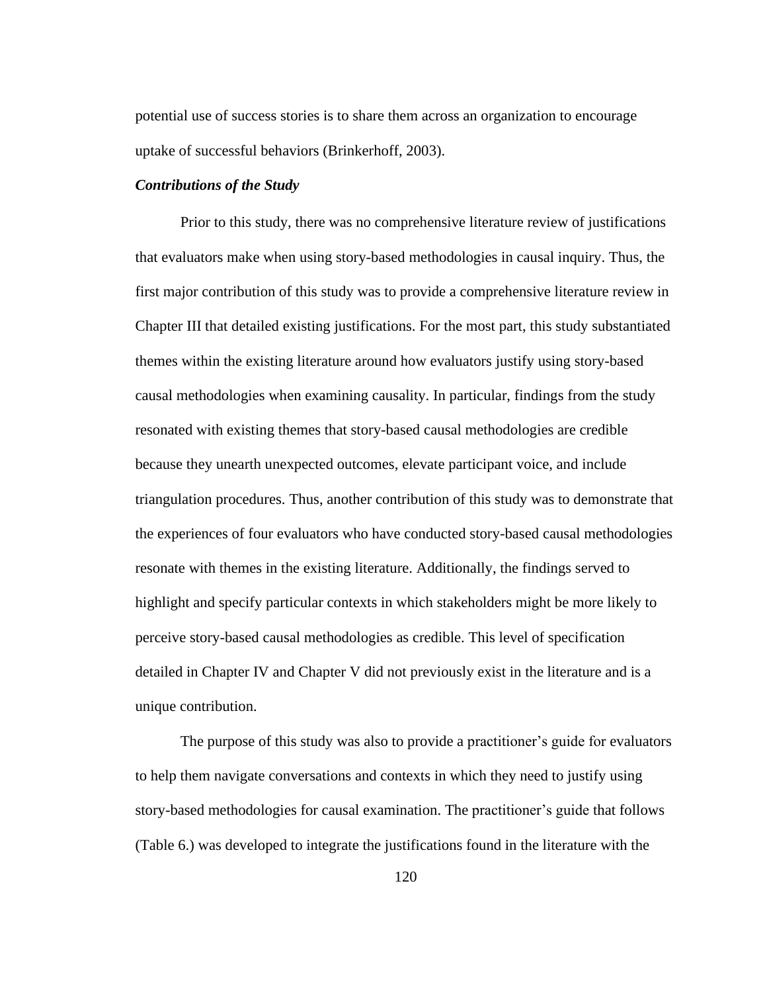potential use of success stories is to share them across an organization to encourage uptake of successful behaviors (Brinkerhoff, 2003).

#### *Contributions of the Study*

Prior to this study, there was no comprehensive literature review of justifications that evaluators make when using story-based methodologies in causal inquiry. Thus, the first major contribution of this study was to provide a comprehensive literature review in Chapter III that detailed existing justifications. For the most part, this study substantiated themes within the existing literature around how evaluators justify using story-based causal methodologies when examining causality. In particular, findings from the study resonated with existing themes that story-based causal methodologies are credible because they unearth unexpected outcomes, elevate participant voice, and include triangulation procedures. Thus, another contribution of this study was to demonstrate that the experiences of four evaluators who have conducted story-based causal methodologies resonate with themes in the existing literature. Additionally, the findings served to highlight and specify particular contexts in which stakeholders might be more likely to perceive story-based causal methodologies as credible. This level of specification detailed in Chapter IV and Chapter V did not previously exist in the literature and is a unique contribution.

The purpose of this study was also to provide a practitioner's guide for evaluators to help them navigate conversations and contexts in which they need to justify using story-based methodologies for causal examination. The practitioner's guide that follows (Table 6.) was developed to integrate the justifications found in the literature with the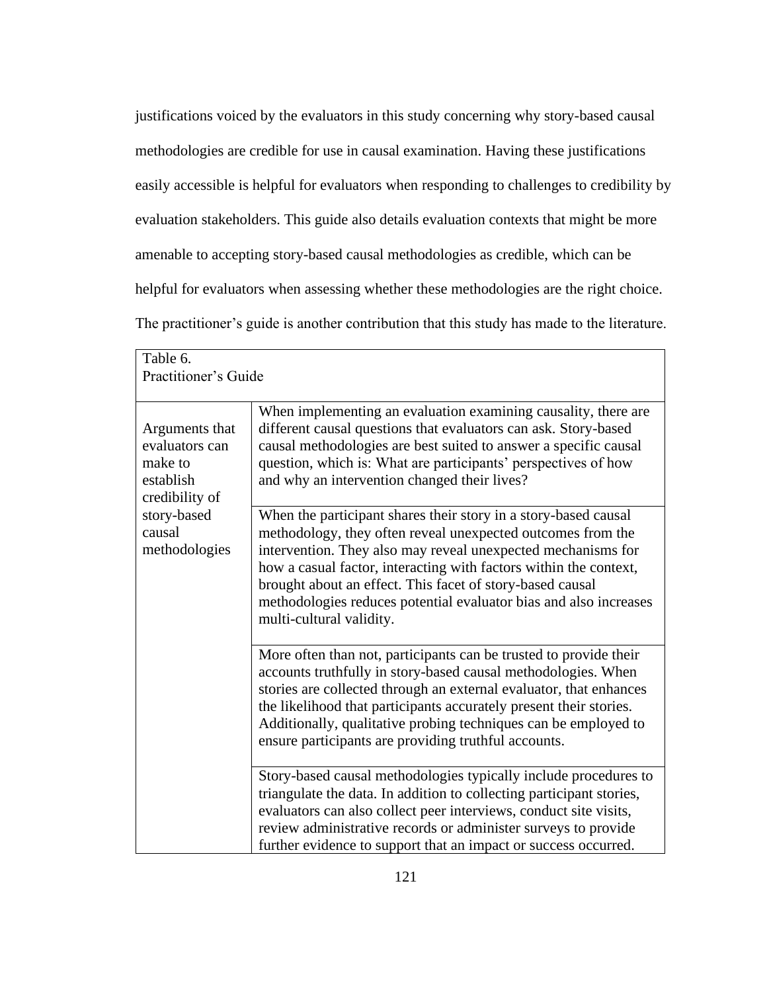justifications voiced by the evaluators in this study concerning why story-based causal methodologies are credible for use in causal examination. Having these justifications easily accessible is helpful for evaluators when responding to challenges to credibility by evaluation stakeholders. This guide also details evaluation contexts that might be more amenable to accepting story-based causal methodologies as credible, which can be helpful for evaluators when assessing whether these methodologies are the right choice. The practitioner's guide is another contribution that this study has made to the literature.

| Table 6.<br>Practitioner's Guide                                                                                     |                                                                                                                                                                                                                                                                                                                                                                                                                                   |
|----------------------------------------------------------------------------------------------------------------------|-----------------------------------------------------------------------------------------------------------------------------------------------------------------------------------------------------------------------------------------------------------------------------------------------------------------------------------------------------------------------------------------------------------------------------------|
| Arguments that<br>evaluators can<br>make to<br>establish<br>credibility of<br>story-based<br>causal<br>methodologies | When implementing an evaluation examining causality, there are<br>different causal questions that evaluators can ask. Story-based<br>causal methodologies are best suited to answer a specific causal<br>question, which is: What are participants' perspectives of how<br>and why an intervention changed their lives?                                                                                                           |
|                                                                                                                      | When the participant shares their story in a story-based causal<br>methodology, they often reveal unexpected outcomes from the<br>intervention. They also may reveal unexpected mechanisms for<br>how a casual factor, interacting with factors within the context,<br>brought about an effect. This facet of story-based causal<br>methodologies reduces potential evaluator bias and also increases<br>multi-cultural validity. |
|                                                                                                                      | More often than not, participants can be trusted to provide their<br>accounts truthfully in story-based causal methodologies. When<br>stories are collected through an external evaluator, that enhances<br>the likelihood that participants accurately present their stories.<br>Additionally, qualitative probing techniques can be employed to<br>ensure participants are providing truthful accounts.                         |
|                                                                                                                      | Story-based causal methodologies typically include procedures to<br>triangulate the data. In addition to collecting participant stories,<br>evaluators can also collect peer interviews, conduct site visits,<br>review administrative records or administer surveys to provide<br>further evidence to support that an impact or success occurred.                                                                                |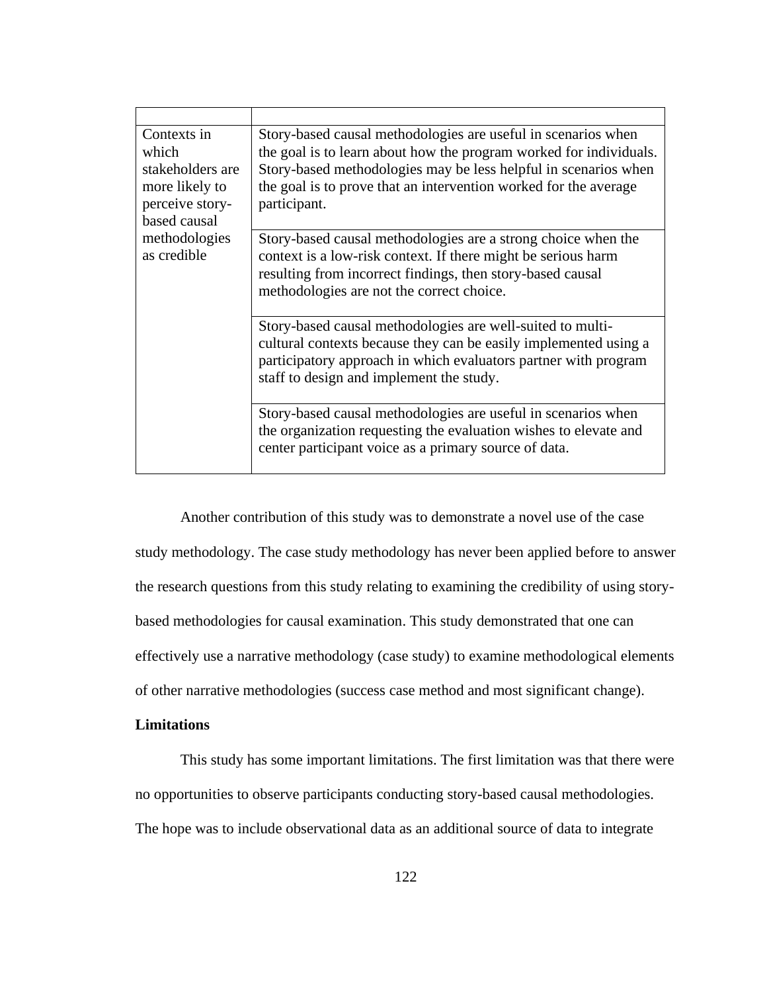| Contexts in<br>which<br>stakeholders are<br>more likely to<br>perceive story-<br>based causal<br>methodologies<br>as credible | Story-based causal methodologies are useful in scenarios when<br>the goal is to learn about how the program worked for individuals.<br>Story-based methodologies may be less helpful in scenarios when<br>the goal is to prove that an intervention worked for the average<br>participant. |
|-------------------------------------------------------------------------------------------------------------------------------|--------------------------------------------------------------------------------------------------------------------------------------------------------------------------------------------------------------------------------------------------------------------------------------------|
|                                                                                                                               | Story-based causal methodologies are a strong choice when the<br>context is a low-risk context. If there might be serious harm<br>resulting from incorrect findings, then story-based causal<br>methodologies are not the correct choice.                                                  |
|                                                                                                                               | Story-based causal methodologies are well-suited to multi-<br>cultural contexts because they can be easily implemented using a<br>participatory approach in which evaluators partner with program<br>staff to design and implement the study.                                              |
|                                                                                                                               | Story-based causal methodologies are useful in scenarios when<br>the organization requesting the evaluation wishes to elevate and<br>center participant voice as a primary source of data.                                                                                                 |

Another contribution of this study was to demonstrate a novel use of the case study methodology. The case study methodology has never been applied before to answer the research questions from this study relating to examining the credibility of using storybased methodologies for causal examination. This study demonstrated that one can effectively use a narrative methodology (case study) to examine methodological elements of other narrative methodologies (success case method and most significant change).

# **Limitations**

This study has some important limitations. The first limitation was that there were no opportunities to observe participants conducting story-based causal methodologies. The hope was to include observational data as an additional source of data to integrate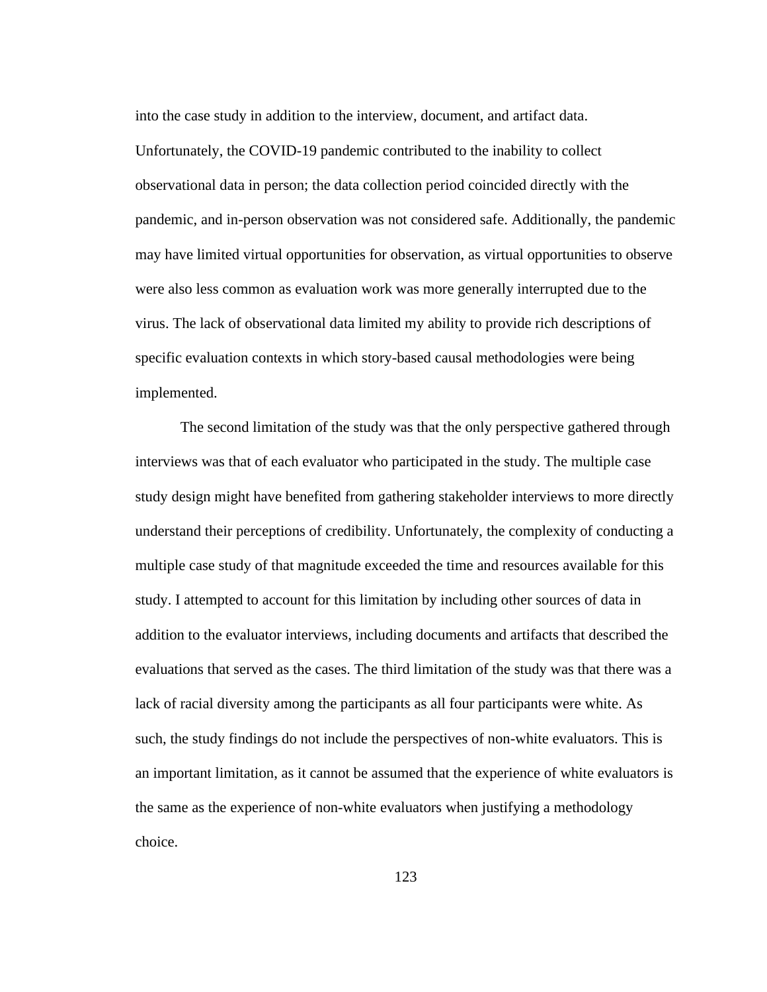into the case study in addition to the interview, document, and artifact data. Unfortunately, the COVID-19 pandemic contributed to the inability to collect observational data in person; the data collection period coincided directly with the pandemic, and in-person observation was not considered safe. Additionally, the pandemic may have limited virtual opportunities for observation, as virtual opportunities to observe were also less common as evaluation work was more generally interrupted due to the virus. The lack of observational data limited my ability to provide rich descriptions of specific evaluation contexts in which story-based causal methodologies were being implemented.

The second limitation of the study was that the only perspective gathered through interviews was that of each evaluator who participated in the study. The multiple case study design might have benefited from gathering stakeholder interviews to more directly understand their perceptions of credibility. Unfortunately, the complexity of conducting a multiple case study of that magnitude exceeded the time and resources available for this study. I attempted to account for this limitation by including other sources of data in addition to the evaluator interviews, including documents and artifacts that described the evaluations that served as the cases. The third limitation of the study was that there was a lack of racial diversity among the participants as all four participants were white. As such, the study findings do not include the perspectives of non-white evaluators. This is an important limitation, as it cannot be assumed that the experience of white evaluators is the same as the experience of non-white evaluators when justifying a methodology choice.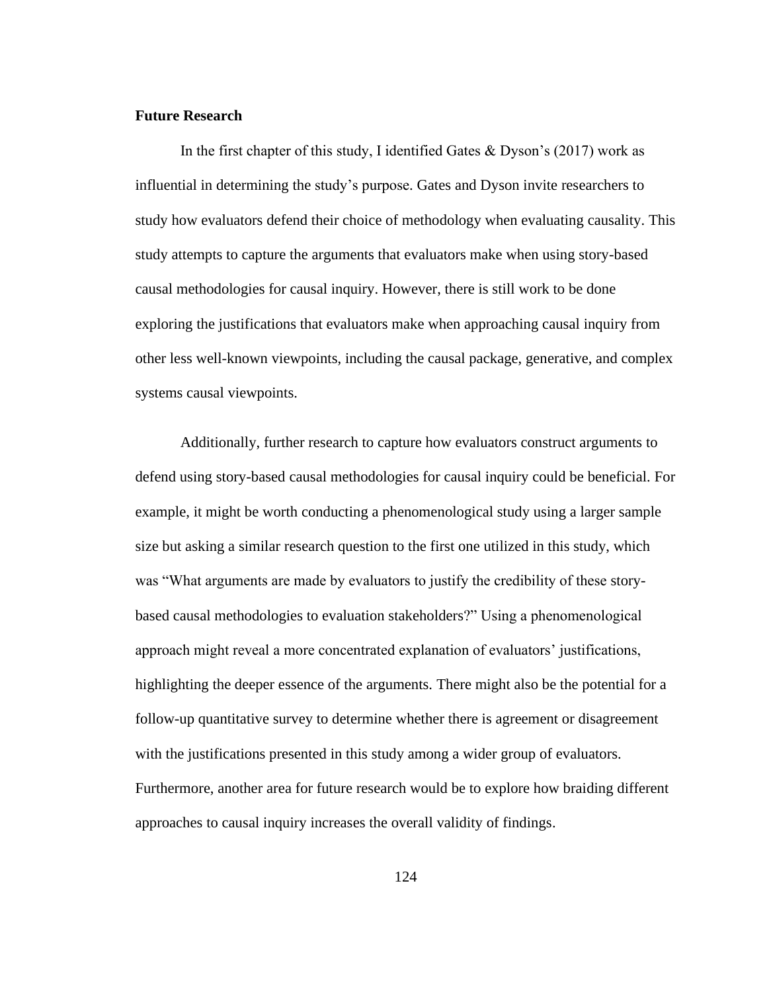## **Future Research**

In the first chapter of this study, I identified Gates & Dyson's  $(2017)$  work as influential in determining the study's purpose. Gates and Dyson invite researchers to study how evaluators defend their choice of methodology when evaluating causality. This study attempts to capture the arguments that evaluators make when using story-based causal methodologies for causal inquiry. However, there is still work to be done exploring the justifications that evaluators make when approaching causal inquiry from other less well-known viewpoints, including the causal package, generative, and complex systems causal viewpoints.

Additionally, further research to capture how evaluators construct arguments to defend using story-based causal methodologies for causal inquiry could be beneficial. For example, it might be worth conducting a phenomenological study using a larger sample size but asking a similar research question to the first one utilized in this study, which was "What arguments are made by evaluators to justify the credibility of these storybased causal methodologies to evaluation stakeholders?" Using a phenomenological approach might reveal a more concentrated explanation of evaluators' justifications, highlighting the deeper essence of the arguments. There might also be the potential for a follow-up quantitative survey to determine whether there is agreement or disagreement with the justifications presented in this study among a wider group of evaluators. Furthermore, another area for future research would be to explore how braiding different approaches to causal inquiry increases the overall validity of findings.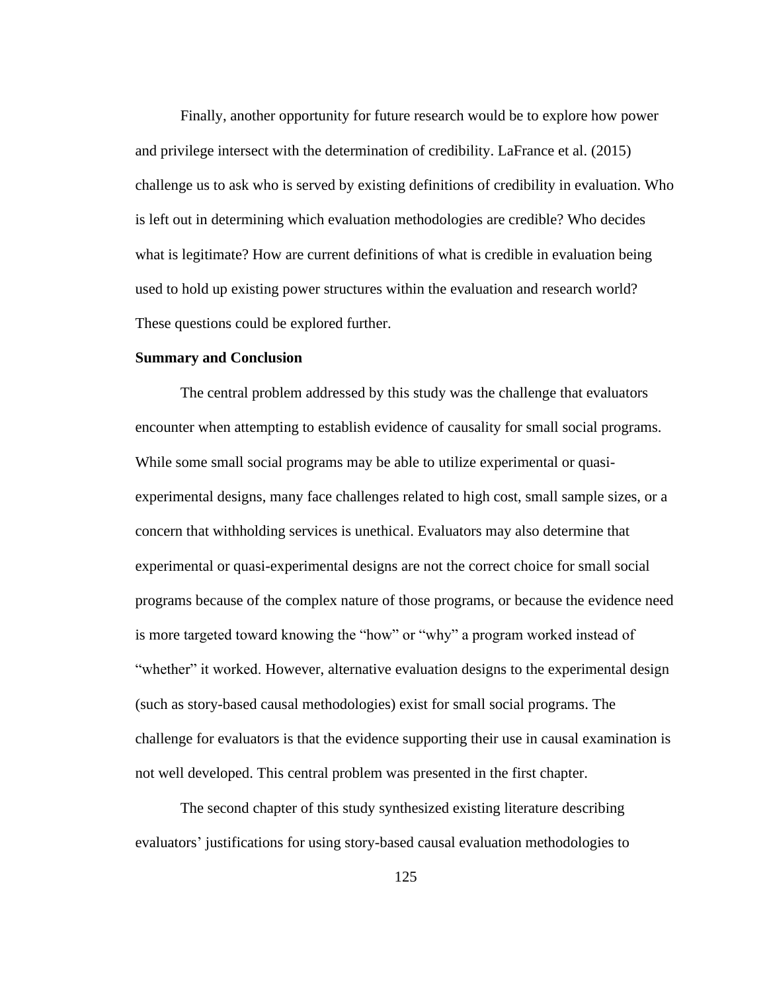Finally, another opportunity for future research would be to explore how power and privilege intersect with the determination of credibility. LaFrance et al. (2015) challenge us to ask who is served by existing definitions of credibility in evaluation. Who is left out in determining which evaluation methodologies are credible? Who decides what is legitimate? How are current definitions of what is credible in evaluation being used to hold up existing power structures within the evaluation and research world? These questions could be explored further.

## **Summary and Conclusion**

The central problem addressed by this study was the challenge that evaluators encounter when attempting to establish evidence of causality for small social programs. While some small social programs may be able to utilize experimental or quasiexperimental designs, many face challenges related to high cost, small sample sizes, or a concern that withholding services is unethical. Evaluators may also determine that experimental or quasi-experimental designs are not the correct choice for small social programs because of the complex nature of those programs, or because the evidence need is more targeted toward knowing the "how" or "why" a program worked instead of "whether" it worked. However, alternative evaluation designs to the experimental design (such as story-based causal methodologies) exist for small social programs. The challenge for evaluators is that the evidence supporting their use in causal examination is not well developed. This central problem was presented in the first chapter.

The second chapter of this study synthesized existing literature describing evaluators' justifications for using story-based causal evaluation methodologies to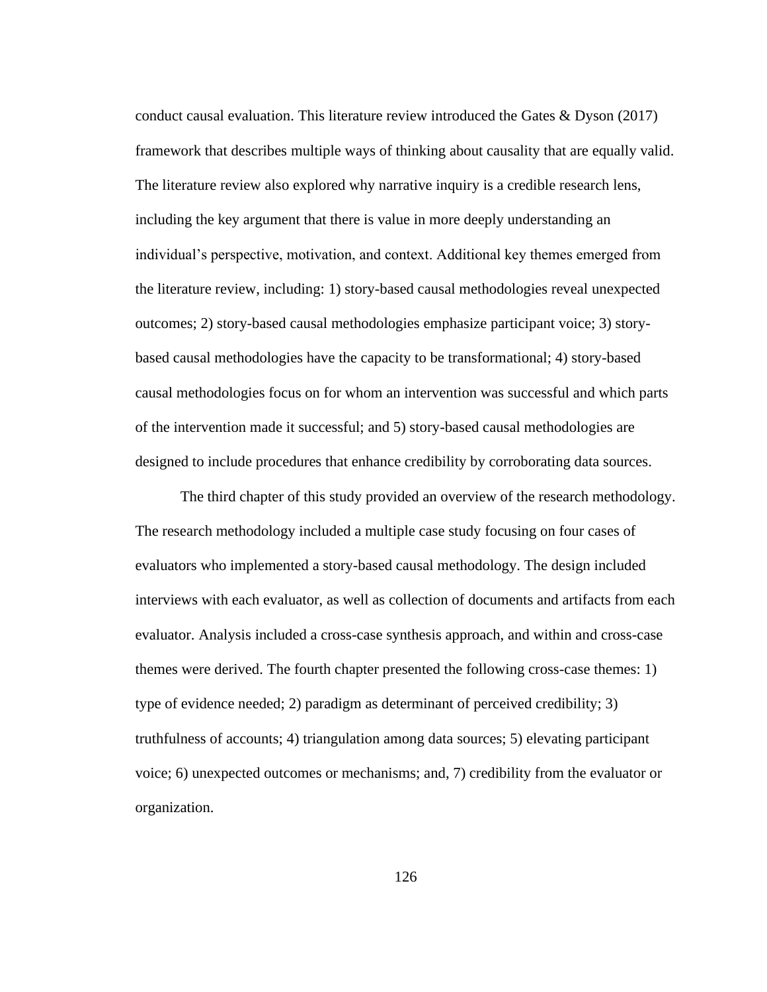conduct causal evaluation. This literature review introduced the Gates & Dyson (2017) framework that describes multiple ways of thinking about causality that are equally valid. The literature review also explored why narrative inquiry is a credible research lens, including the key argument that there is value in more deeply understanding an individual's perspective, motivation, and context. Additional key themes emerged from the literature review, including: 1) story-based causal methodologies reveal unexpected outcomes; 2) story-based causal methodologies emphasize participant voice; 3) storybased causal methodologies have the capacity to be transformational; 4) story-based causal methodologies focus on for whom an intervention was successful and which parts of the intervention made it successful; and 5) story-based causal methodologies are designed to include procedures that enhance credibility by corroborating data sources.

The third chapter of this study provided an overview of the research methodology. The research methodology included a multiple case study focusing on four cases of evaluators who implemented a story-based causal methodology. The design included interviews with each evaluator, as well as collection of documents and artifacts from each evaluator. Analysis included a cross-case synthesis approach, and within and cross-case themes were derived. The fourth chapter presented the following cross-case themes: 1) type of evidence needed; 2) paradigm as determinant of perceived credibility; 3) truthfulness of accounts; 4) triangulation among data sources; 5) elevating participant voice; 6) unexpected outcomes or mechanisms; and, 7) credibility from the evaluator or organization.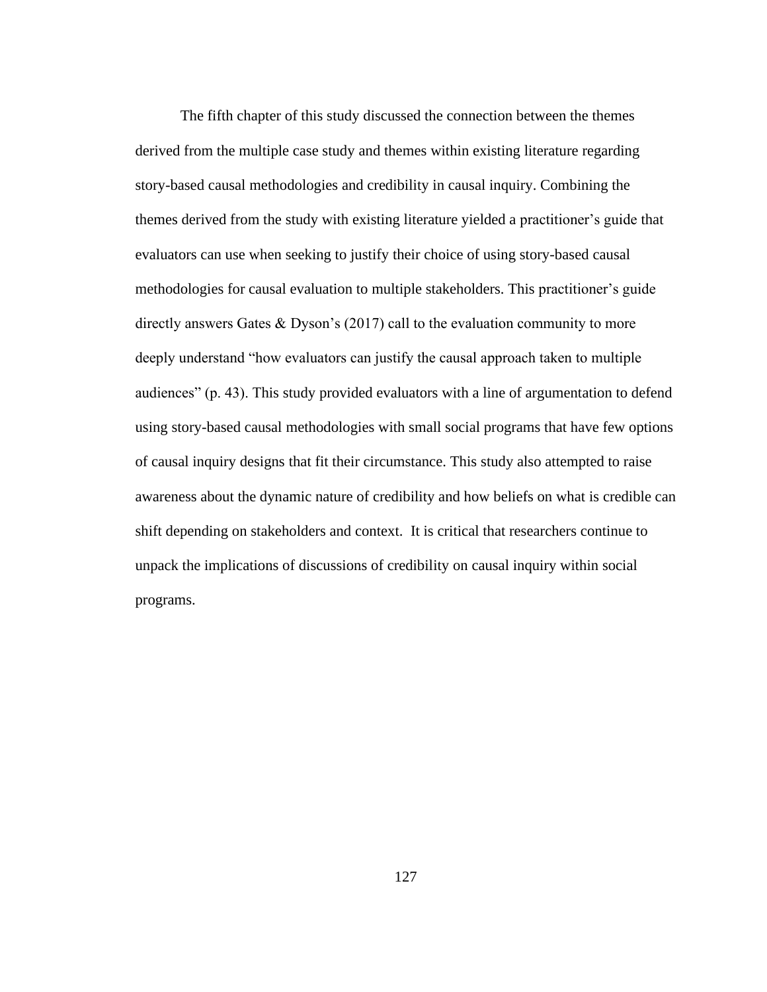The fifth chapter of this study discussed the connection between the themes derived from the multiple case study and themes within existing literature regarding story-based causal methodologies and credibility in causal inquiry. Combining the themes derived from the study with existing literature yielded a practitioner's guide that evaluators can use when seeking to justify their choice of using story-based causal methodologies for causal evaluation to multiple stakeholders. This practitioner's guide directly answers Gates & Dyson's (2017) call to the evaluation community to more deeply understand "how evaluators can justify the causal approach taken to multiple audiences" (p. 43). This study provided evaluators with a line of argumentation to defend using story-based causal methodologies with small social programs that have few options of causal inquiry designs that fit their circumstance. This study also attempted to raise awareness about the dynamic nature of credibility and how beliefs on what is credible can shift depending on stakeholders and context. It is critical that researchers continue to unpack the implications of discussions of credibility on causal inquiry within social programs.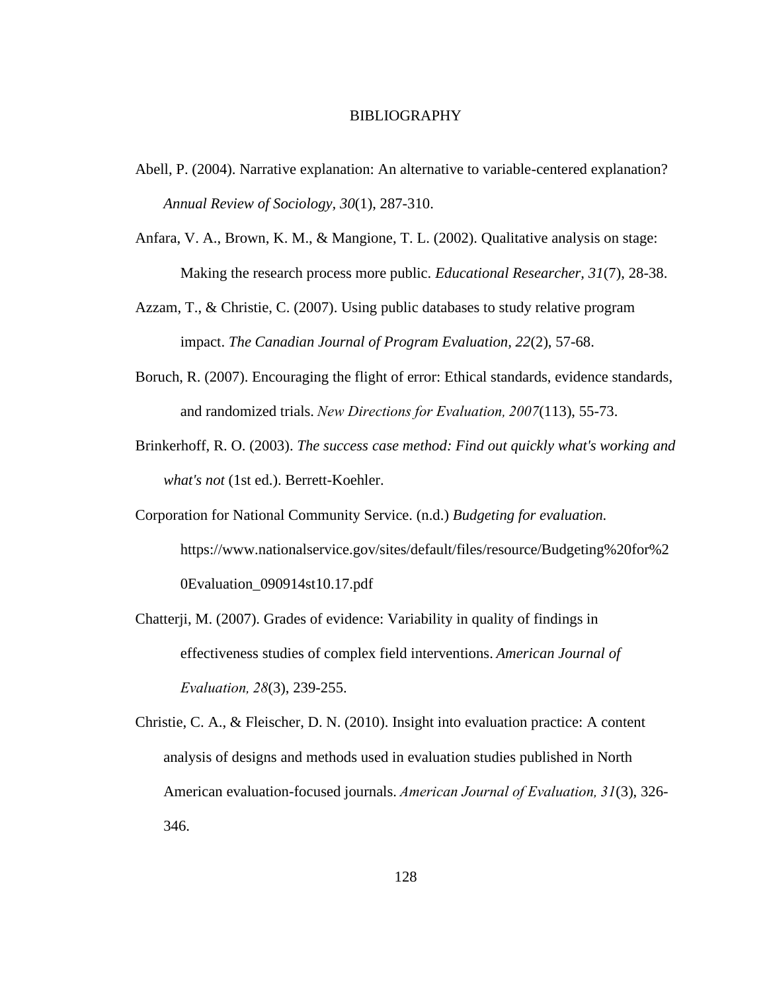## BIBLIOGRAPHY

- Abell, P. (2004). Narrative explanation: An alternative to variable-centered explanation? *Annual Review of Sociology, 30*(1), 287-310.
- Anfara, V. A., Brown, K. M., & Mangione, T. L. (2002). Qualitative analysis on stage: Making the research process more public. *Educational Researcher, 31*(7), 28-38.
- Azzam, T., & Christie, C. (2007). Using public databases to study relative program impact. *The Canadian Journal of Program Evaluation, 22*(2), 57-68.
- Boruch, R. (2007). Encouraging the flight of error: Ethical standards, evidence standards, and randomized trials. *New Directions for Evaluation, 2007*(113), 55-73.
- Brinkerhoff, R. O. (2003). *The success case method: Find out quickly what's working and what's not* (1st ed.). Berrett-Koehler.
- Corporation for National Community Service. (n.d.) *Budgeting for evaluation.* [https://www.nationalservice.gov/sites/default/files/resource/Budgeting%20for%2](https://www.nationalservice.gov/sites/default/files/resource/Budgeting%20for%20Evaluation_090914st10.17.pdf) [0Evaluation\\_090914st10.17.pdf](https://www.nationalservice.gov/sites/default/files/resource/Budgeting%20for%20Evaluation_090914st10.17.pdf)
- Chatterji, M. (2007). Grades of evidence: Variability in quality of findings in effectiveness studies of complex field interventions. *American Journal of Evaluation, 28*(3), 239-255.
- Christie, C. A., & Fleischer, D. N. (2010). Insight into evaluation practice: A content analysis of designs and methods used in evaluation studies published in North American evaluation-focused journals. *American Journal of Evaluation, 31*(3), 326- 346.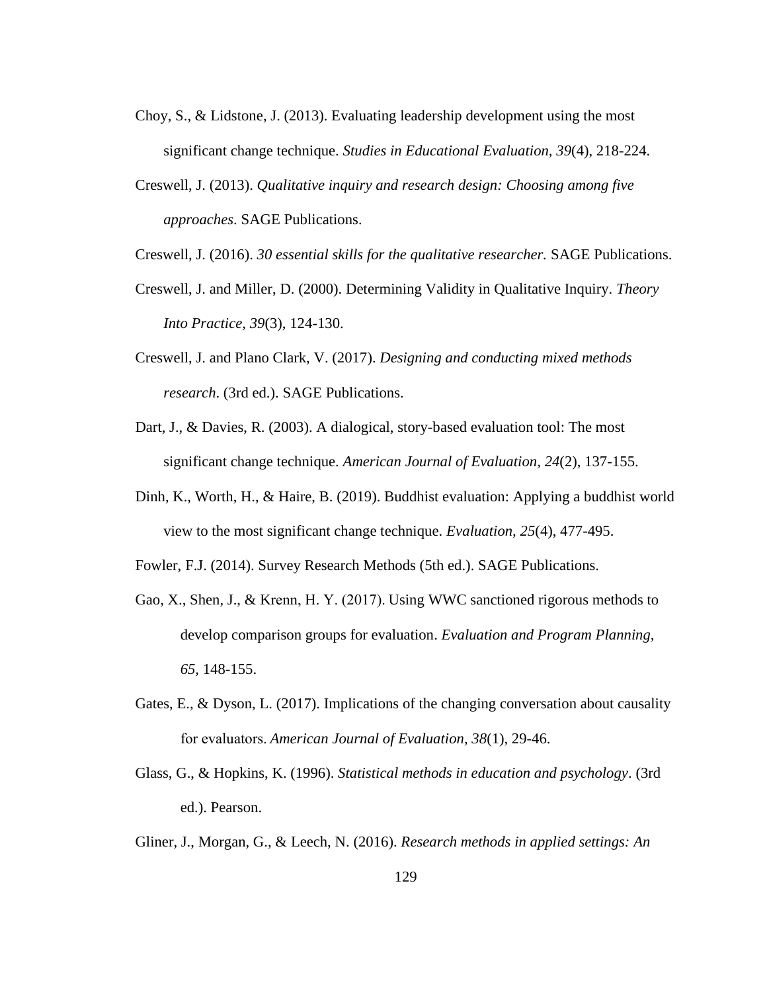- Choy, S., & Lidstone, J. (2013). Evaluating leadership development using the most significant change technique. *Studies in Educational Evaluation, 39*(4), 218-224.
- Creswell, J. (2013). *Qualitative inquiry and research design: Choosing among five approaches*. SAGE Publications.

Creswell, J. (2016). *30 essential skills for the qualitative researcher.* SAGE Publications.

- Creswell, J. and Miller, D. (2000). Determining Validity in Qualitative Inquiry. *Theory Into Practice, 39*(3), 124-130.
- Creswell, J. and Plano Clark, V. (2017). *Designing and conducting mixed methods research*. (3rd ed.). SAGE Publications.
- Dart, J., & Davies, R. (2003). A dialogical, story-based evaluation tool: The most significant change technique. *American Journal of Evaluation, 24*(2), 137-155.
- Dinh, K., Worth, H., & Haire, B. (2019). Buddhist evaluation: Applying a buddhist world view to the most significant change technique. *Evaluation, 25*(4), 477-495.

Fowler, F.J. (2014). Survey Research Methods (5th ed.). SAGE Publications.

- Gao, X., Shen, J., & Krenn, H. Y. (2017). Using WWC sanctioned rigorous methods to develop comparison groups for evaluation. *Evaluation and Program Planning, 65,* 148-155.
- Gates, E., & Dyson, L. (2017). Implications of the changing conversation about causality for evaluators. *American Journal of Evaluation, 38*(1), 29-46.
- Glass, G., & Hopkins, K. (1996). *Statistical methods in education and psychology*. (3rd ed.). Pearson.
- Gliner, J., Morgan, G., & Leech, N. (2016). *Research methods in applied settings: An*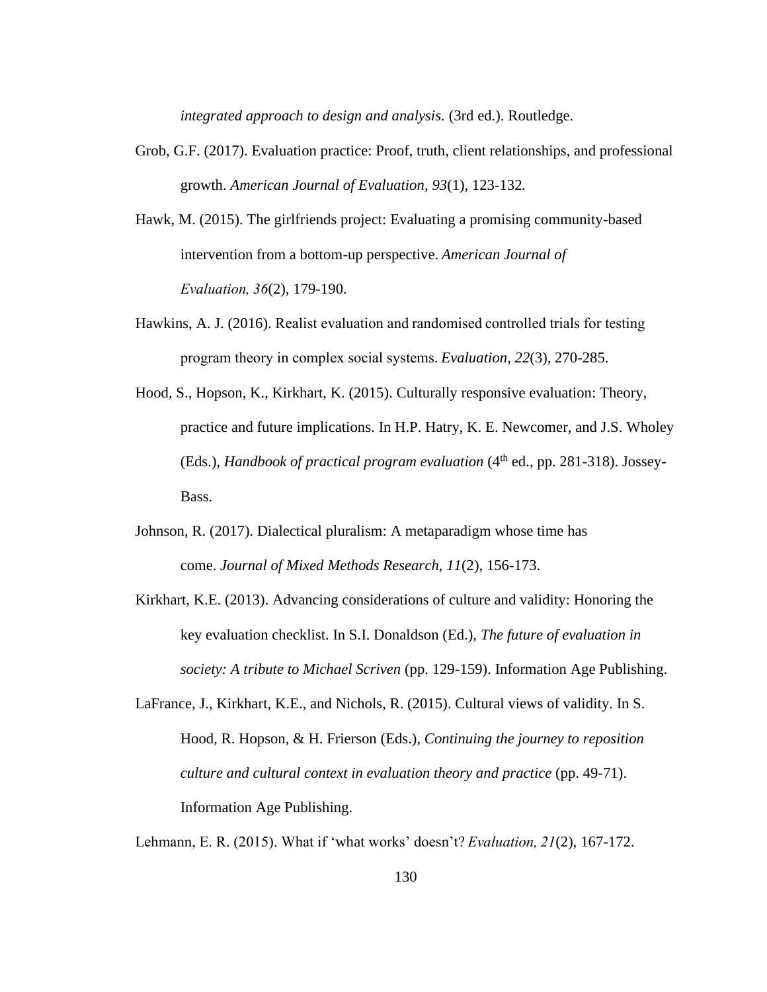*integrated approach to design and analysis.* (3rd ed.). Routledge.

- Grob, G.F. (2017). Evaluation practice: Proof, truth, client relationships, and professional growth. *American Journal of Evaluation, 93*(1), 123-132*.*
- Hawk, M. (2015). The girlfriends project: Evaluating a promising community-based intervention from a bottom-up perspective. *American Journal of Evaluation, 36*(2), 179-190.
- Hawkins, A. J. (2016). Realist evaluation and randomised controlled trials for testing program theory in complex social systems. *Evaluation, 22*(3), 270-285.
- Hood, S., Hopson, K., Kirkhart, K. (2015). Culturally responsive evaluation: Theory, practice and future implications. In H.P. Hatry, K. E. Newcomer, and J.S. Wholey (Eds.), *Handbook of practical program evaluation* (4<sup>th</sup> ed., pp. 281-318). Jossey-Bass.
- Johnson, R. (2017). Dialectical pluralism: A metaparadigm whose time has come. *Journal of Mixed Methods Research, 11*(2), 156-173.
- Kirkhart, K.E. (2013). Advancing considerations of culture and validity: Honoring the key evaluation checklist. In S.I. Donaldson (Ed.), *The future of evaluation in society: A tribute to Michael Scriven* (pp. 129-159). Information Age Publishing.
- LaFrance, J., Kirkhart, K.E., and Nichols, R. (2015). Cultural views of validity. In S. Hood, R. Hopson, & H. Frierson (Eds.), *Continuing the journey to reposition culture and cultural context in evaluation theory and practice* (pp. 49-71). Information Age Publishing.

Lehmann, E. R. (2015). What if 'what works' doesn't? *Evaluation, 21*(2), 167-172.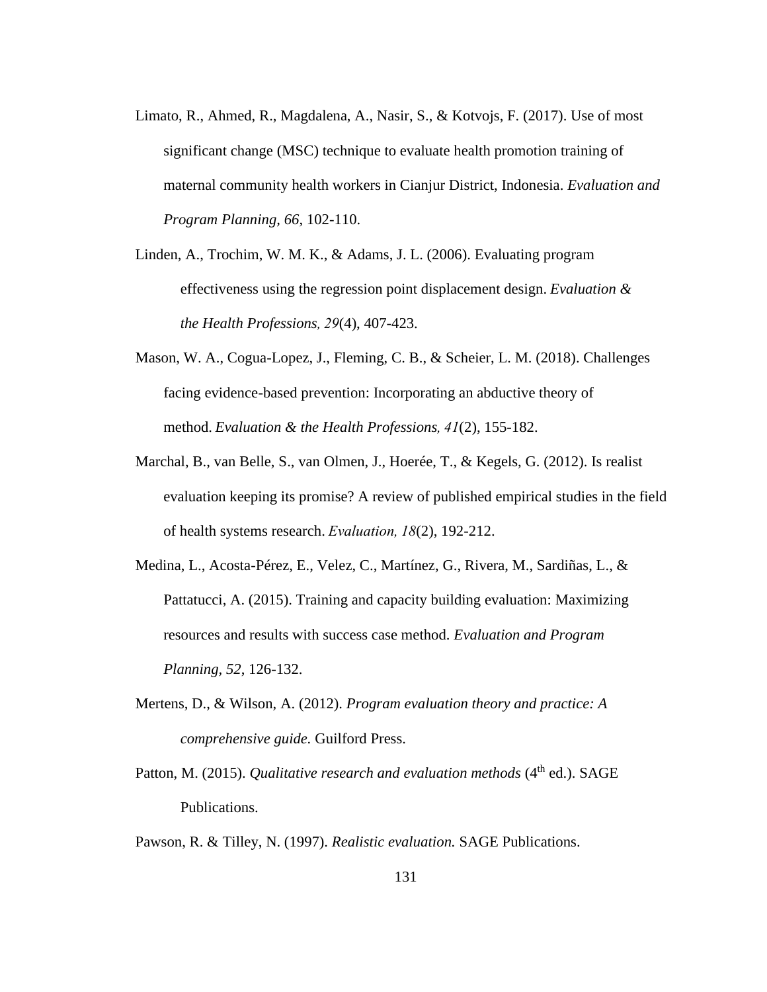- Limato, R., Ahmed, R., Magdalena, A., Nasir, S., & Kotvojs, F. (2017). Use of most significant change (MSC) technique to evaluate health promotion training of maternal community health workers in Cianjur District, Indonesia. *Evaluation and Program Planning, 66*, 102-110.
- Linden, A., Trochim, W. M. K., & Adams, J. L. (2006). Evaluating program effectiveness using the regression point displacement design. *Evaluation & the Health Professions, 29*(4), 407-423.
- Mason, W. A., Cogua-Lopez, J., Fleming, C. B., & Scheier, L. M. (2018). Challenges facing evidence-based prevention: Incorporating an abductive theory of method. *Evaluation & the Health Professions, 41*(2), 155-182.
- Marchal, B., van Belle, S., van Olmen, J., Hoerée, T., & Kegels, G. (2012). Is realist evaluation keeping its promise? A review of published empirical studies in the field of health systems research.*Evaluation, 18*(2), 192-212.
- Medina, L., Acosta-Pérez, E., Velez, C., Martínez, G., Rivera, M., Sardiñas, L., & Pattatucci, A. (2015). Training and capacity building evaluation: Maximizing resources and results with success case method. *Evaluation and Program Planning, 52*, 126-132.
- Mertens, D., & Wilson, A. (2012). *Program evaluation theory and practice: A comprehensive guide.* Guilford Press.
- Patton, M. (2015). *Qualitative research and evaluation methods* (4<sup>th</sup> ed.). SAGE Publications.
- Pawson, R. & Tilley, N. (1997). *Realistic evaluation.* SAGE Publications.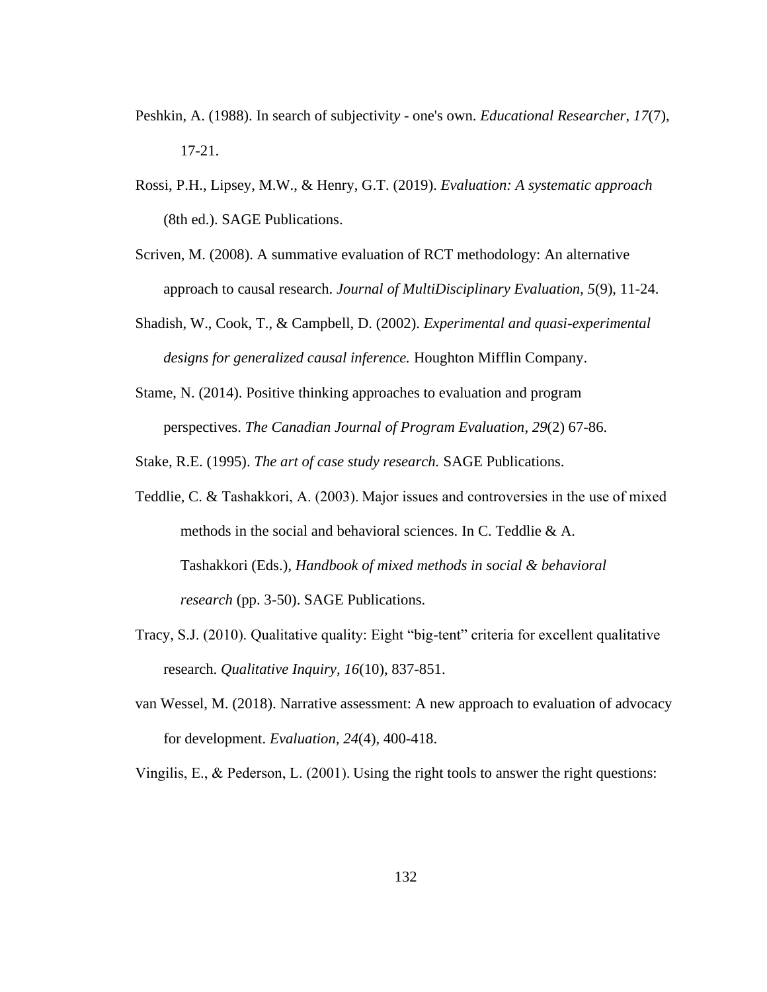- Peshkin, A. (1988). In search of subjectivit*y -* one's own. *Educational Researcher*, *17*(7), 17-21.
- Rossi, P.H., Lipsey, M.W., & Henry, G.T. (2019). *Evaluation: A systematic approach* (8th ed.). SAGE Publications.
- Scriven, M. (2008). A summative evaluation of RCT methodology: An alternative approach to causal research. *Journal of MultiDisciplinary Evaluation, 5*(9), 11-24.
- Shadish, W., Cook, T., & Campbell, D. (2002). *Experimental and quasi-experimental designs for generalized causal inference.* Houghton Mifflin Company.
- Stame, N. (2014). Positive thinking approaches to evaluation and program perspectives. *The Canadian Journal of Program Evaluation*, *29*(2) 67-86.

Stake, R.E. (1995). *The art of case study research.* SAGE Publications.

- Teddlie, C. & Tashakkori, A. (2003). Major issues and controversies in the use of mixed methods in the social and behavioral sciences. In C. Teddlie & A. Tashakkori (Eds.), *Handbook of mixed methods in social & behavioral research* (pp. 3-50). SAGE Publications.
- Tracy, S.J. (2010). Qualitative quality: Eight "big-tent" criteria for excellent qualitative research. *Qualitative Inquiry, 16*(10), 837-851.
- van Wessel, M. (2018). Narrative assessment: A new approach to evaluation of advocacy for development. *Evaluation, 24*(4), 400-418.

Vingilis, E., & Pederson, L. (2001). Using the right tools to answer the right questions: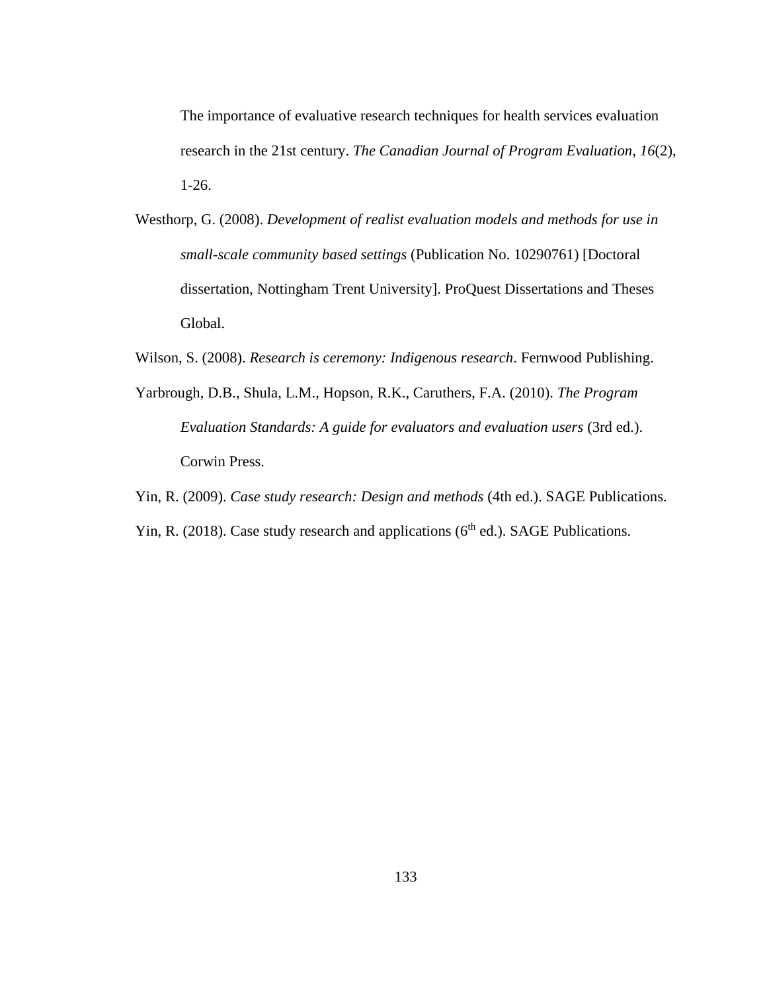The importance of evaluative research techniques for health services evaluation research in the 21st century. *The Canadian Journal of Program Evaluation, 16*(2), 1-26.

Westhorp, G. (2008). *Development of realist evaluation models and methods for use in small-scale community based settings* (Publication No. 10290761) [Doctoral dissertation, Nottingham Trent University]. ProQuest Dissertations and Theses Global.

Wilson, S. (2008). *Research is ceremony: Indigenous research*. Fernwood Publishing.

- Yarbrough, D.B., Shula, L.M., Hopson, R.K., Caruthers, F.A. (2010). *The Program Evaluation Standards: A guide for evaluators and evaluation users* (3rd ed.). Corwin Press.
- Yin, R. (2009). *Case study research: Design and methods* (4th ed.). SAGE Publications.
- Yin, R. (2018). Case study research and applications ( $6<sup>th</sup>$  ed.). SAGE Publications.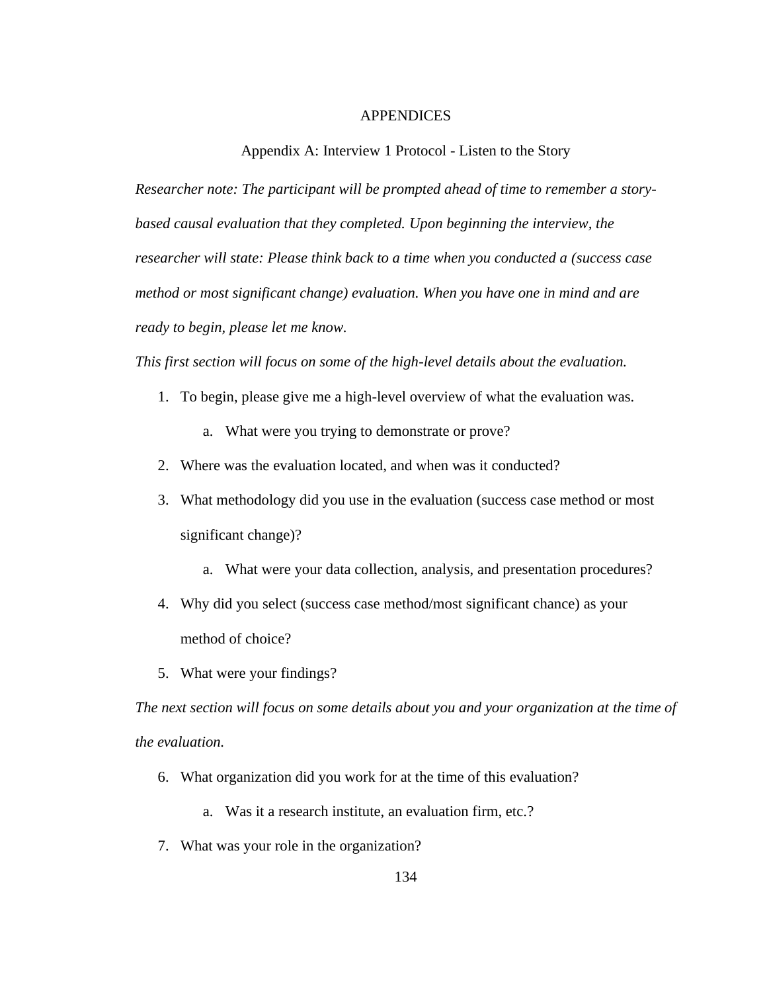### APPENDICES

Appendix A: Interview 1 Protocol - Listen to the Story

*Researcher note: The participant will be prompted ahead of time to remember a story*based causal evaluation that they completed. Upon beginning the interview, the *researcher will state: Please think back to a time when you conducted a (success case method or most significant change) evaluation. When you have one in mind and are ready to begin, please let me know.*

*This first section will focus on some of the high-level details about the evaluation.*

- 1. To begin, please give me a high-level overview of what the evaluation was.
	- a. What were you trying to demonstrate or prove?
- 2. Where was the evaluation located, and when was it conducted?
- 3. What methodology did you use in the evaluation (success case method or most significant change)?
	- a. What were your data collection, analysis, and presentation procedures?
- 4. Why did you select (success case method/most significant chance) as your method of choice?
- 5. What were your findings?

*The next section will focus on some details about you and your organization at the time of the evaluation.*

- 6. What organization did you work for at the time of this evaluation?
	- a. Was it a research institute, an evaluation firm, etc.?
- 7. What was your role in the organization?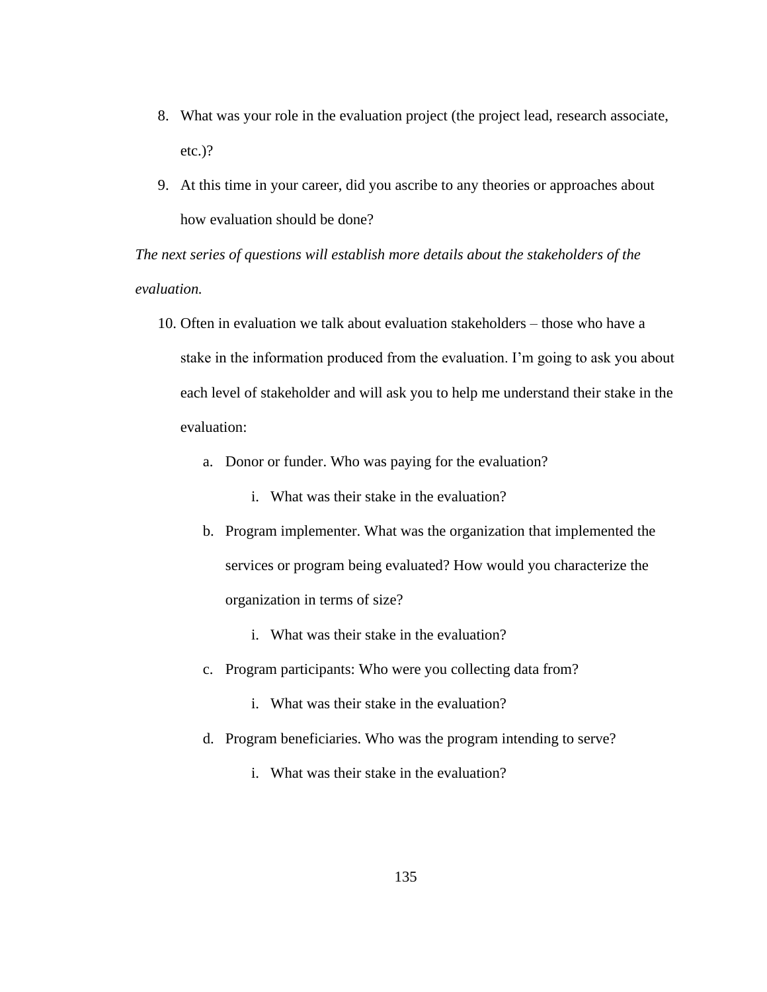- 8. What was your role in the evaluation project (the project lead, research associate, etc.)?
- 9. At this time in your career, did you ascribe to any theories or approaches about how evaluation should be done?

*The next series of questions will establish more details about the stakeholders of the evaluation.*

- 10. Often in evaluation we talk about evaluation stakeholders those who have a stake in the information produced from the evaluation. I'm going to ask you about each level of stakeholder and will ask you to help me understand their stake in the evaluation:
	- a. Donor or funder. Who was paying for the evaluation?
		- i. What was their stake in the evaluation?
	- b. Program implementer. What was the organization that implemented the services or program being evaluated? How would you characterize the organization in terms of size?
		- i. What was their stake in the evaluation?
	- c. Program participants: Who were you collecting data from?
		- i. What was their stake in the evaluation?
	- d. Program beneficiaries. Who was the program intending to serve?
		- i. What was their stake in the evaluation?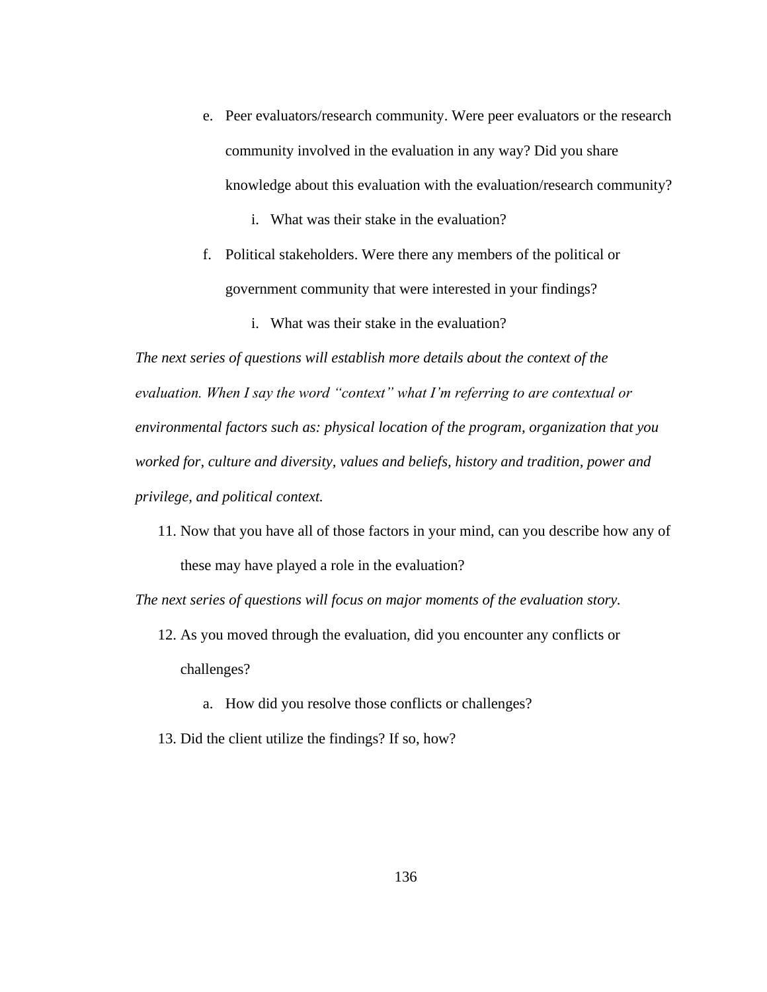- e. Peer evaluators/research community. Were peer evaluators or the research community involved in the evaluation in any way? Did you share knowledge about this evaluation with the evaluation/research community?
	- i. What was their stake in the evaluation?
- f. Political stakeholders. Were there any members of the political or government community that were interested in your findings?
	- i. What was their stake in the evaluation?

*The next series of questions will establish more details about the context of the evaluation. When I say the word "context" what I'm referring to are contextual or environmental factors such as: physical location of the program, organization that you worked for, culture and diversity, values and beliefs, history and tradition, power and privilege, and political context.*

11. Now that you have all of those factors in your mind, can you describe how any of these may have played a role in the evaluation?

*The next series of questions will focus on major moments of the evaluation story.* 

- 12. As you moved through the evaluation, did you encounter any conflicts or challenges?
	- a. How did you resolve those conflicts or challenges?
- 13. Did the client utilize the findings? If so, how?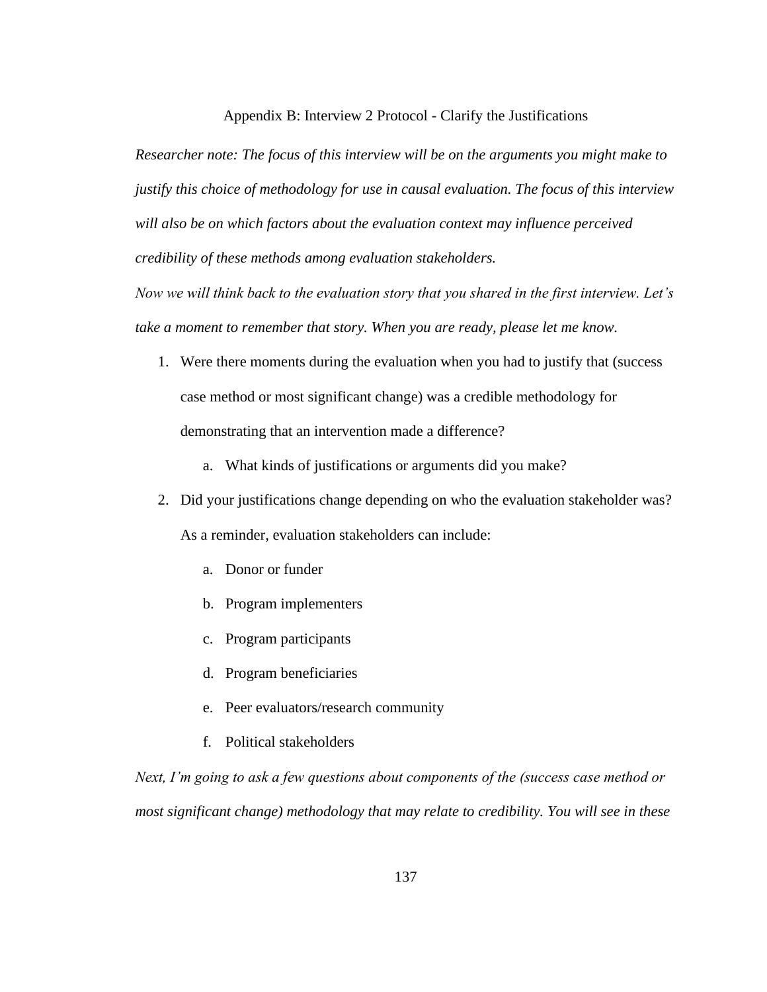Appendix B: Interview 2 Protocol - Clarify the Justifications

*Researcher note: The focus of this interview will be on the arguments you might make to justify this choice of methodology for use in causal evaluation. The focus of this interview will also be on which factors about the evaluation context may influence perceived credibility of these methods among evaluation stakeholders.* 

*Now we will think back to the evaluation story that you shared in the first interview. Let's take a moment to remember that story. When you are ready, please let me know.* 

- 1. Were there moments during the evaluation when you had to justify that (success case method or most significant change) was a credible methodology for demonstrating that an intervention made a difference?
	- a. What kinds of justifications or arguments did you make?
- 2. Did your justifications change depending on who the evaluation stakeholder was? As a reminder, evaluation stakeholders can include:
	- a. Donor or funder
	- b. Program implementers
	- c. Program participants
	- d. Program beneficiaries
	- e. Peer evaluators/research community
	- f. Political stakeholders

*Next, I'm going to ask a few questions about components of the (success case method or most significant change) methodology that may relate to credibility. You will see in these*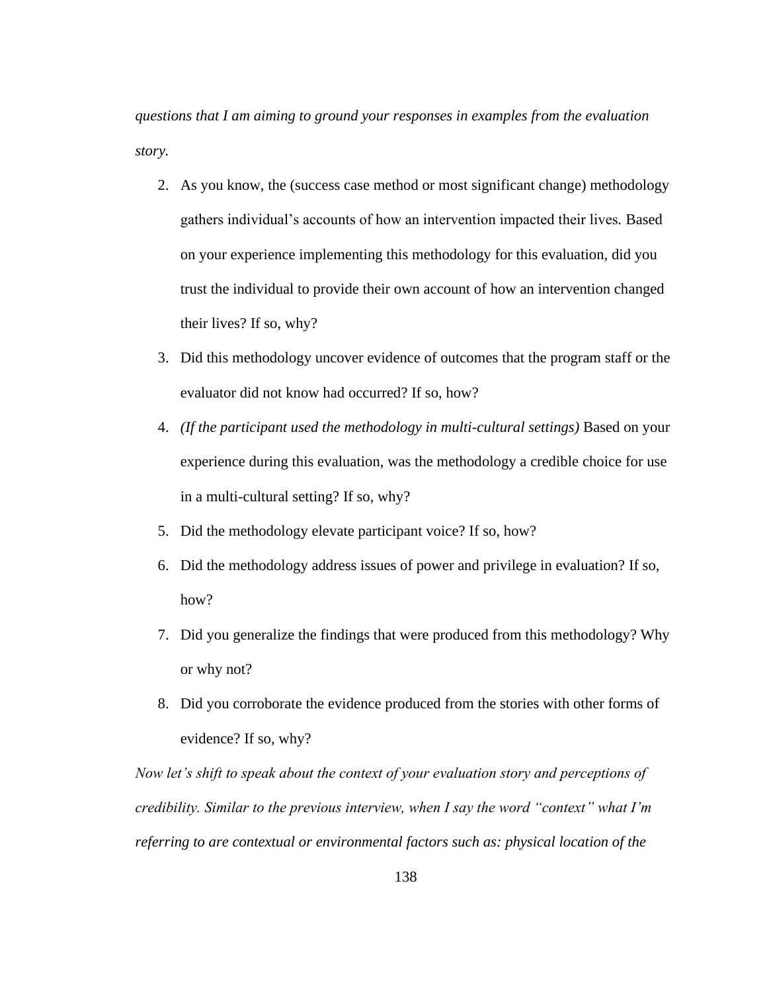*questions that I am aiming to ground your responses in examples from the evaluation story.* 

- 2. As you know, the (success case method or most significant change) methodology gathers individual's accounts of how an intervention impacted their lives*.* Based on your experience implementing this methodology for this evaluation, did you trust the individual to provide their own account of how an intervention changed their lives? If so, why?
- 3. Did this methodology uncover evidence of outcomes that the program staff or the evaluator did not know had occurred? If so, how?
- 4. *(If the participant used the methodology in multi-cultural settings)* Based on your experience during this evaluation, was the methodology a credible choice for use in a multi-cultural setting? If so, why?
- 5. Did the methodology elevate participant voice? If so, how?
- 6. Did the methodology address issues of power and privilege in evaluation? If so, how?
- 7. Did you generalize the findings that were produced from this methodology? Why or why not?
- 8. Did you corroborate the evidence produced from the stories with other forms of evidence? If so, why?

*Now let's shift to speak about the context of your evaluation story and perceptions of credibility. Similar to the previous interview, when I say the word "context" what I'm referring to are contextual or environmental factors such as: physical location of the*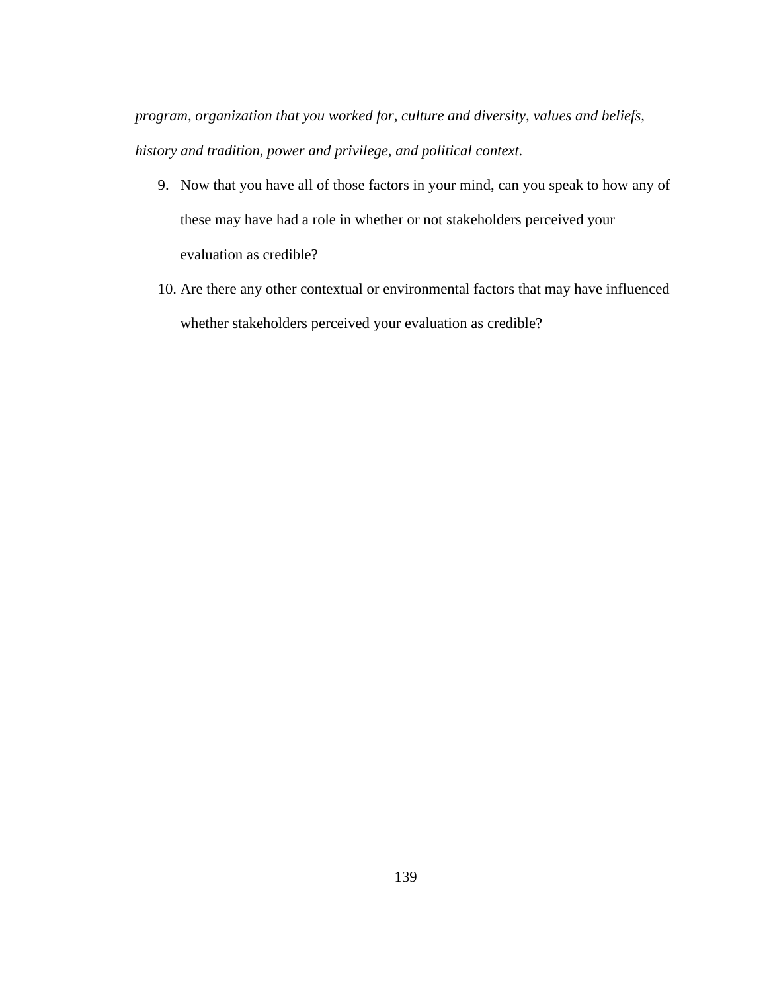*program, organization that you worked for, culture and diversity, values and beliefs, history and tradition, power and privilege, and political context.*

- 9. Now that you have all of those factors in your mind, can you speak to how any of these may have had a role in whether or not stakeholders perceived your evaluation as credible?
- 10. Are there any other contextual or environmental factors that may have influenced whether stakeholders perceived your evaluation as credible?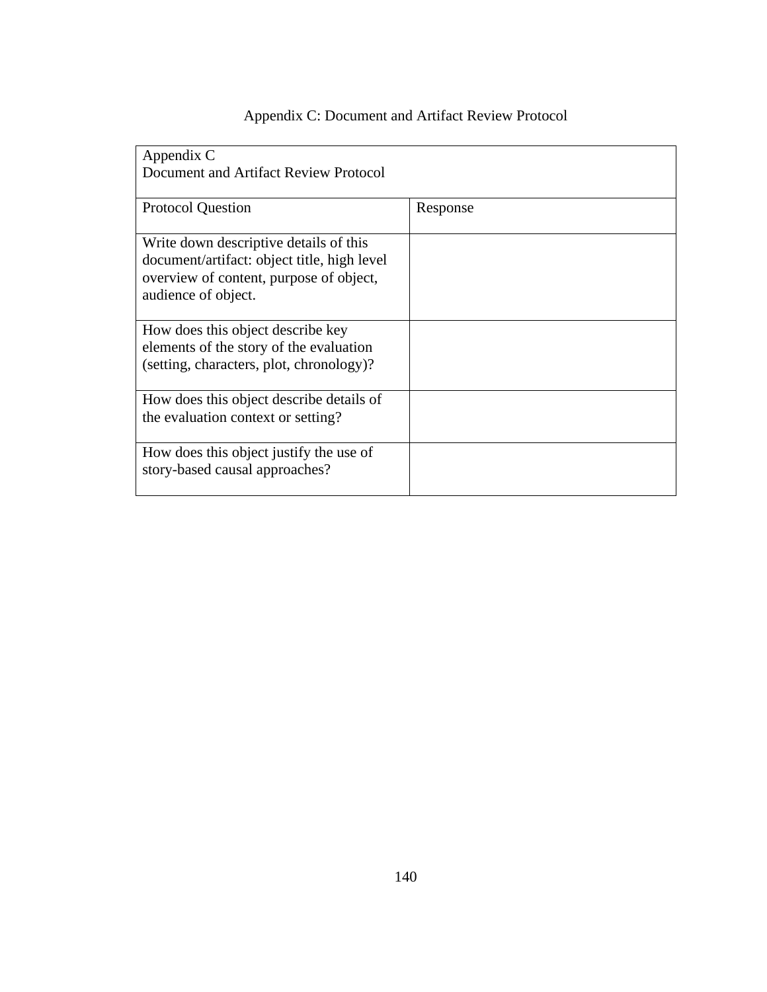| Appendix C                                                                                                                                              |          |
|---------------------------------------------------------------------------------------------------------------------------------------------------------|----------|
| Document and Artifact Review Protocol                                                                                                                   |          |
|                                                                                                                                                         |          |
| <b>Protocol Question</b>                                                                                                                                | Response |
| Write down descriptive details of this<br>document/artifact: object title, high level<br>overview of content, purpose of object,<br>audience of object. |          |
| How does this object describe key                                                                                                                       |          |
| elements of the story of the evaluation                                                                                                                 |          |
| (setting, characters, plot, chronology)?                                                                                                                |          |
| How does this object describe details of                                                                                                                |          |
| the evaluation context or setting?                                                                                                                      |          |
| How does this object justify the use of                                                                                                                 |          |
| story-based causal approaches?                                                                                                                          |          |
|                                                                                                                                                         |          |

## Appendix C: Document and Artifact Review Protocol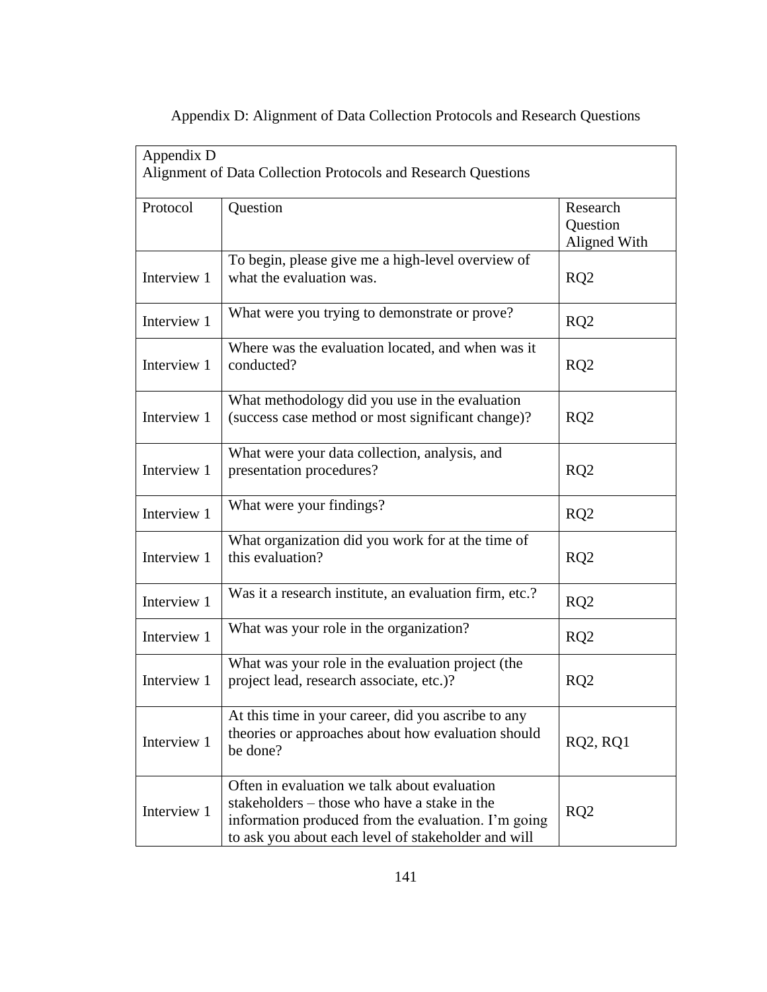| Appendix D  | Alignment of Data Collection Protocols and Research Questions                                                                                                                                              |                                             |
|-------------|------------------------------------------------------------------------------------------------------------------------------------------------------------------------------------------------------------|---------------------------------------------|
| Protocol    | Question                                                                                                                                                                                                   | Research<br><b>Question</b><br>Aligned With |
| Interview 1 | To begin, please give me a high-level overview of<br>what the evaluation was.                                                                                                                              | RQ2                                         |
| Interview 1 | What were you trying to demonstrate or prove?                                                                                                                                                              | RQ <sub>2</sub>                             |
| Interview 1 | Where was the evaluation located, and when was it<br>conducted?                                                                                                                                            | RQ2                                         |
| Interview 1 | What methodology did you use in the evaluation<br>(success case method or most significant change)?                                                                                                        | RQ2                                         |
| Interview 1 | What were your data collection, analysis, and<br>presentation procedures?                                                                                                                                  | RQ2                                         |
| Interview 1 | What were your findings?                                                                                                                                                                                   | RQ2                                         |
| Interview 1 | What organization did you work for at the time of<br>this evaluation?                                                                                                                                      | RQ2                                         |
| Interview 1 | Was it a research institute, an evaluation firm, etc.?                                                                                                                                                     | RQ <sub>2</sub>                             |
| Interview 1 | What was your role in the organization?                                                                                                                                                                    | RQ2                                         |
| Interview 1 | What was your role in the evaluation project (the<br>project lead, research associate, etc.)?                                                                                                              | RQ <sub>2</sub>                             |
| Interview 1 | At this time in your career, did you ascribe to any<br>theories or approaches about how evaluation should<br>be done?                                                                                      | <b>RQ2, RQ1</b>                             |
| Interview 1 | Often in evaluation we talk about evaluation<br>stakeholders – those who have a stake in the<br>information produced from the evaluation. I'm going<br>to ask you about each level of stakeholder and will | RQ2                                         |

## Appendix D: Alignment of Data Collection Protocols and Research Questions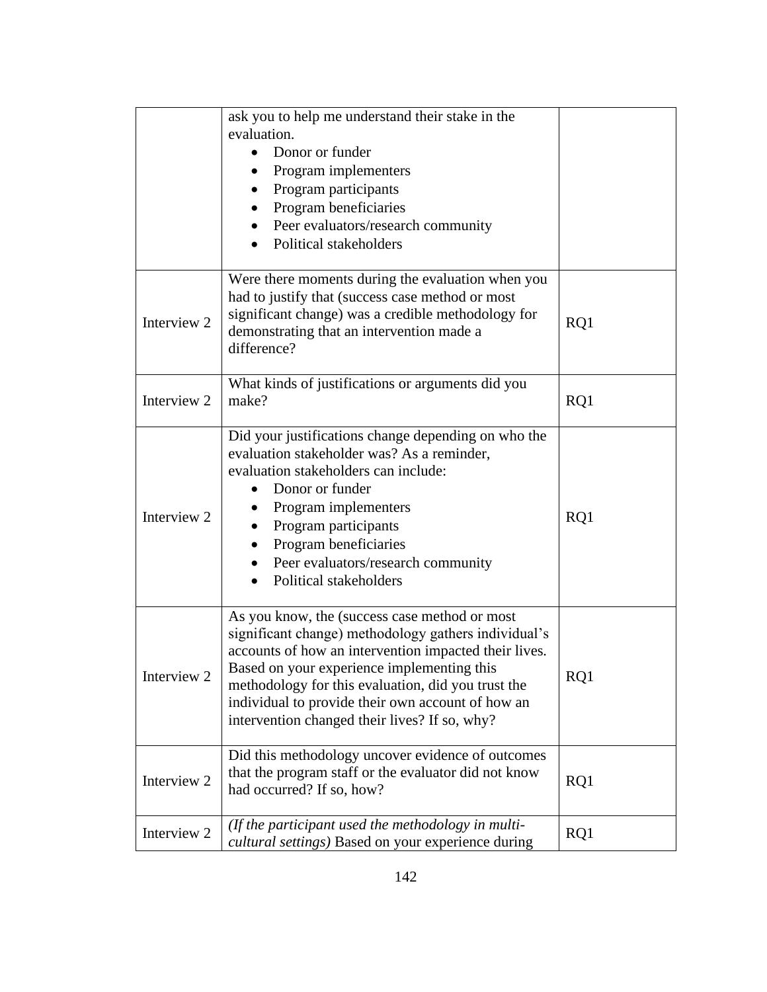|             | ask you to help me understand their stake in the<br>evaluation.<br>Donor or funder<br>Program implementers<br>Program participants<br>Program beneficiaries<br>Peer evaluators/research community<br>Political stakeholders<br>$\bullet$                                                                                                                                 |     |
|-------------|--------------------------------------------------------------------------------------------------------------------------------------------------------------------------------------------------------------------------------------------------------------------------------------------------------------------------------------------------------------------------|-----|
| Interview 2 | Were there moments during the evaluation when you<br>had to justify that (success case method or most<br>significant change) was a credible methodology for<br>demonstrating that an intervention made a<br>difference?                                                                                                                                                  | RQ1 |
| Interview 2 | What kinds of justifications or arguments did you<br>make?                                                                                                                                                                                                                                                                                                               | RQ1 |
| Interview 2 | Did your justifications change depending on who the<br>evaluation stakeholder was? As a reminder,<br>evaluation stakeholders can include:<br>Donor or funder<br>Program implementers<br>Program participants<br>Program beneficiaries<br>Peer evaluators/research community<br>Political stakeholders                                                                    | RQ1 |
| Interview 2 | As you know, the (success case method or most<br>significant change) methodology gathers individual's<br>accounts of how an intervention impacted their lives.<br>Based on your experience implementing this<br>methodology for this evaluation, did you trust the<br>individual to provide their own account of how an<br>intervention changed their lives? If so, why? | RQ1 |
| Interview 2 | Did this methodology uncover evidence of outcomes<br>that the program staff or the evaluator did not know<br>had occurred? If so, how?                                                                                                                                                                                                                                   | RQ1 |
| Interview 2 | (If the participant used the methodology in multi-<br>cultural settings) Based on your experience during                                                                                                                                                                                                                                                                 | RQ1 |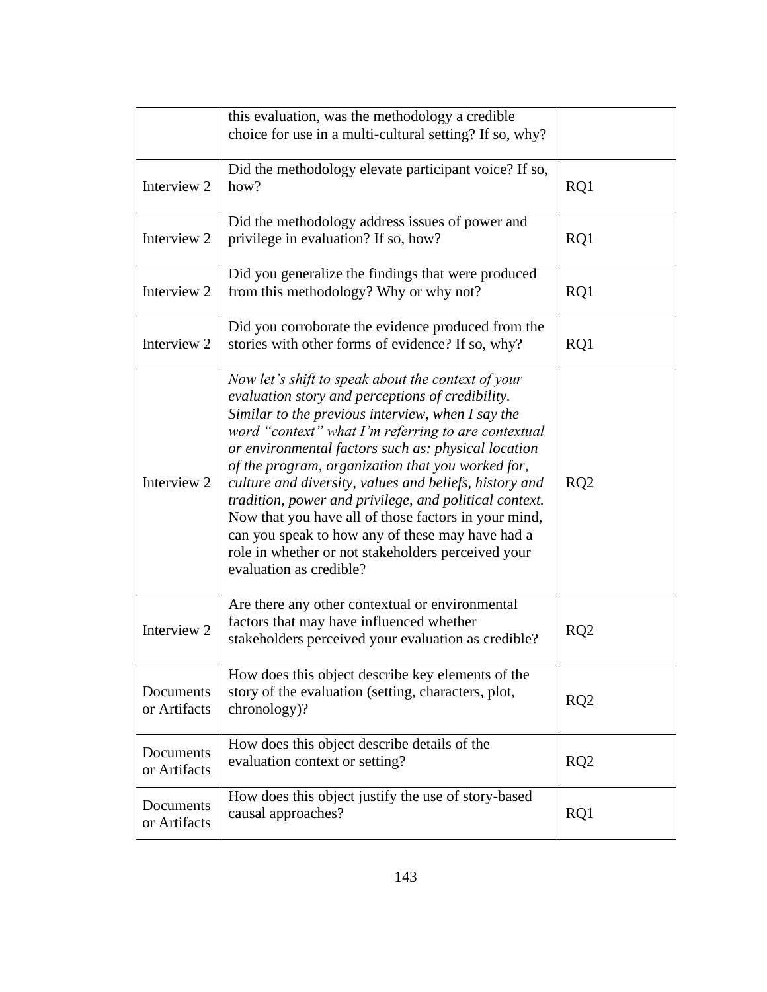|                           | this evaluation, was the methodology a credible<br>choice for use in a multi-cultural setting? If so, why?                                                                                                                                                                                                                                                                                                                                                                                                                                                                                                                                      |                 |
|---------------------------|-------------------------------------------------------------------------------------------------------------------------------------------------------------------------------------------------------------------------------------------------------------------------------------------------------------------------------------------------------------------------------------------------------------------------------------------------------------------------------------------------------------------------------------------------------------------------------------------------------------------------------------------------|-----------------|
| Interview 2               | Did the methodology elevate participant voice? If so,<br>how?                                                                                                                                                                                                                                                                                                                                                                                                                                                                                                                                                                                   | RQ1             |
| Interview 2               | Did the methodology address issues of power and<br>privilege in evaluation? If so, how?                                                                                                                                                                                                                                                                                                                                                                                                                                                                                                                                                         | RQ1             |
| Interview 2               | Did you generalize the findings that were produced<br>from this methodology? Why or why not?                                                                                                                                                                                                                                                                                                                                                                                                                                                                                                                                                    | RQ1             |
| Interview 2               | Did you corroborate the evidence produced from the<br>stories with other forms of evidence? If so, why?                                                                                                                                                                                                                                                                                                                                                                                                                                                                                                                                         | RQ1             |
| Interview 2               | Now let's shift to speak about the context of your<br>evaluation story and perceptions of credibility.<br>Similar to the previous interview, when I say the<br>word "context" what I'm referring to are contextual<br>or environmental factors such as: physical location<br>of the program, organization that you worked for,<br>culture and diversity, values and beliefs, history and<br>tradition, power and privilege, and political context.<br>Now that you have all of those factors in your mind,<br>can you speak to how any of these may have had a<br>role in whether or not stakeholders perceived your<br>evaluation as credible? | RQ2             |
| Interview 2               | Are there any other contextual or environmental<br>factors that may have influenced whether<br>stakeholders perceived your evaluation as credible?                                                                                                                                                                                                                                                                                                                                                                                                                                                                                              | RQ2             |
| Documents<br>or Artifacts | How does this object describe key elements of the<br>story of the evaluation (setting, characters, plot,<br>chronology)?                                                                                                                                                                                                                                                                                                                                                                                                                                                                                                                        | RQ <sub>2</sub> |
| Documents<br>or Artifacts | How does this object describe details of the<br>evaluation context or setting?                                                                                                                                                                                                                                                                                                                                                                                                                                                                                                                                                                  | RQ2             |
| Documents<br>or Artifacts | How does this object justify the use of story-based<br>causal approaches?                                                                                                                                                                                                                                                                                                                                                                                                                                                                                                                                                                       | RQ1             |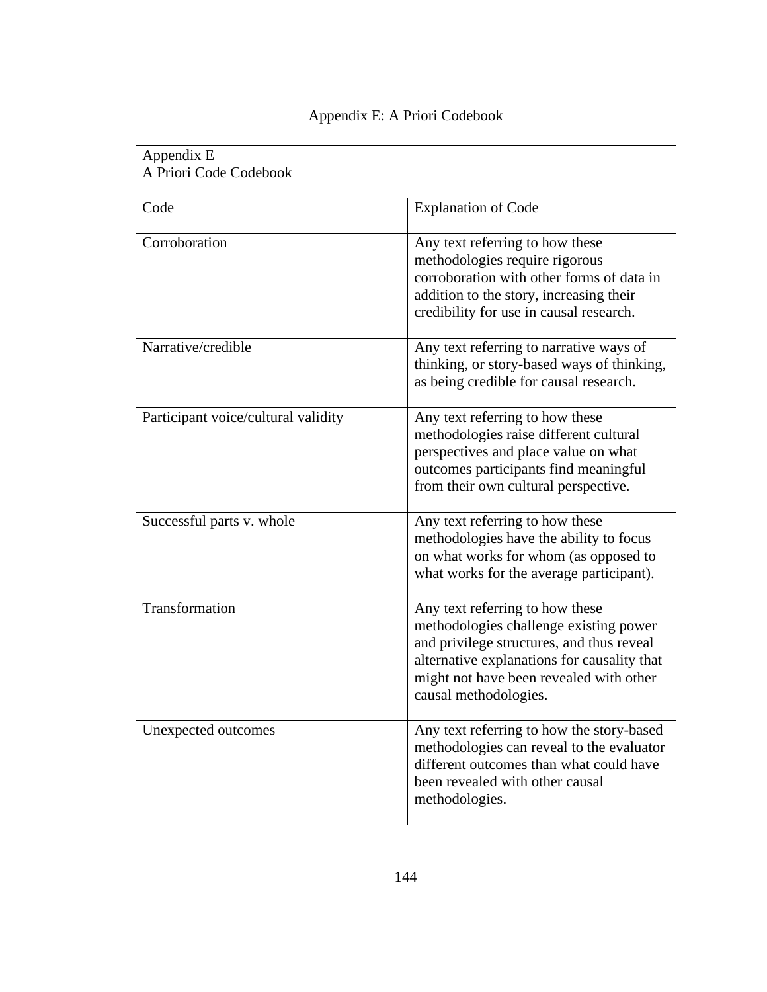| Appendix E<br>A Priori Code Codebook |                                                                                                                                                                                                                                           |
|--------------------------------------|-------------------------------------------------------------------------------------------------------------------------------------------------------------------------------------------------------------------------------------------|
| Code                                 | <b>Explanation of Code</b>                                                                                                                                                                                                                |
| Corroboration                        | Any text referring to how these<br>methodologies require rigorous<br>corroboration with other forms of data in<br>addition to the story, increasing their<br>credibility for use in causal research.                                      |
| Narrative/credible                   | Any text referring to narrative ways of<br>thinking, or story-based ways of thinking,<br>as being credible for causal research.                                                                                                           |
| Participant voice/cultural validity  | Any text referring to how these<br>methodologies raise different cultural<br>perspectives and place value on what<br>outcomes participants find meaningful<br>from their own cultural perspective.                                        |
| Successful parts v. whole            | Any text referring to how these<br>methodologies have the ability to focus<br>on what works for whom (as opposed to<br>what works for the average participant).                                                                           |
| Transformation                       | Any text referring to how these<br>methodologies challenge existing power<br>and privilege structures, and thus reveal<br>alternative explanations for causality that<br>might not have been revealed with other<br>causal methodologies. |
| Unexpected outcomes                  | Any text referring to how the story-based<br>methodologies can reveal to the evaluator<br>different outcomes than what could have<br>been revealed with other causal<br>methodologies.                                                    |

## Appendix E: A Priori Codebook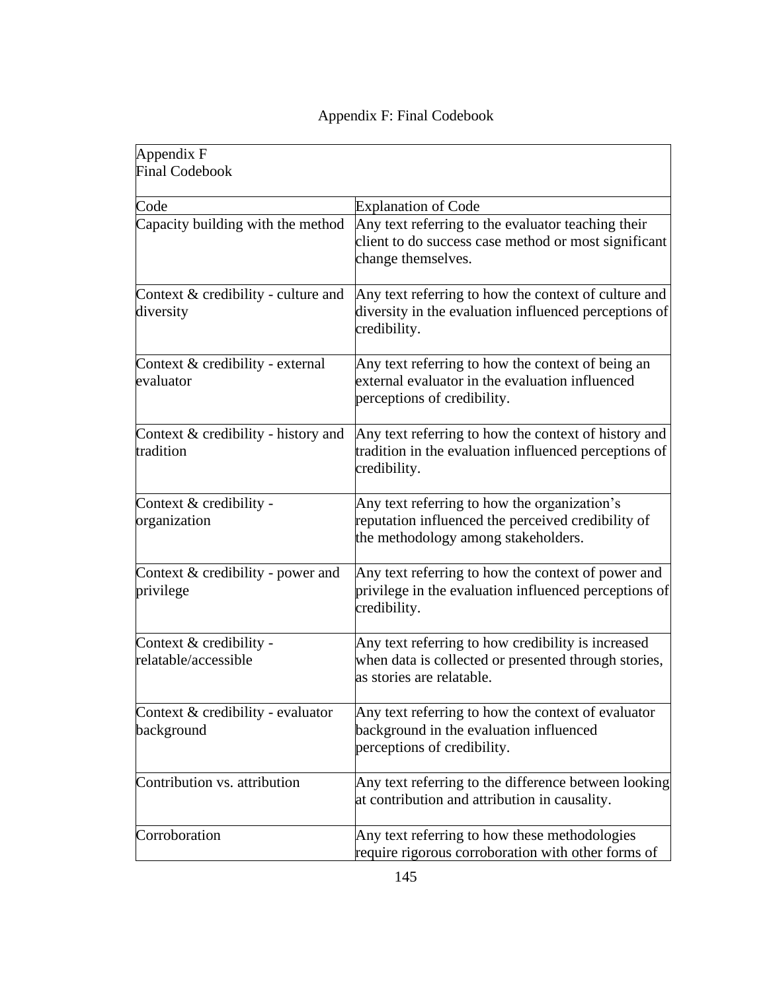| Appendix F                                         |                                                                                                                                           |
|----------------------------------------------------|-------------------------------------------------------------------------------------------------------------------------------------------|
| <b>Final Codebook</b>                              |                                                                                                                                           |
|                                                    |                                                                                                                                           |
| Code                                               | <b>Explanation of Code</b>                                                                                                                |
| Capacity building with the method                  | Any text referring to the evaluator teaching their<br>client to do success case method or most significant<br>change themselves.          |
| Context $&$ credibility - culture and<br>diversity | Any text referring to how the context of culture and<br>diversity in the evaluation influenced perceptions of<br>credibility.             |
| Context & credibility - external<br>evaluator      | Any text referring to how the context of being an<br>external evaluator in the evaluation influenced<br>perceptions of credibility.       |
| Context $&$ credibility - history and<br>tradition | Any text referring to how the context of history and<br>tradition in the evaluation influenced perceptions of<br>credibility.             |
| Context & credibility -<br>organization            | Any text referring to how the organization's<br>reputation influenced the perceived credibility of<br>the methodology among stakeholders. |
| Context $&$ credibility - power and<br>privilege   | Any text referring to how the context of power and<br>privilege in the evaluation influenced perceptions of<br>credibility.               |
| Context & credibility -<br>relatable/accessible    | Any text referring to how credibility is increased<br>when data is collected or presented through stories,<br>as stories are relatable.   |
| Context & credibility - evaluator<br>background    | Any text referring to how the context of evaluator<br>background in the evaluation influenced<br>perceptions of credibility.              |
| Contribution vs. attribution                       | Any text referring to the difference between looking<br>at contribution and attribution in causality.                                     |
| Corroboration                                      | Any text referring to how these methodologies                                                                                             |

|  |  |  | Appendix F: Final Codebook |
|--|--|--|----------------------------|
|--|--|--|----------------------------|

require rigorous corroboration with other forms of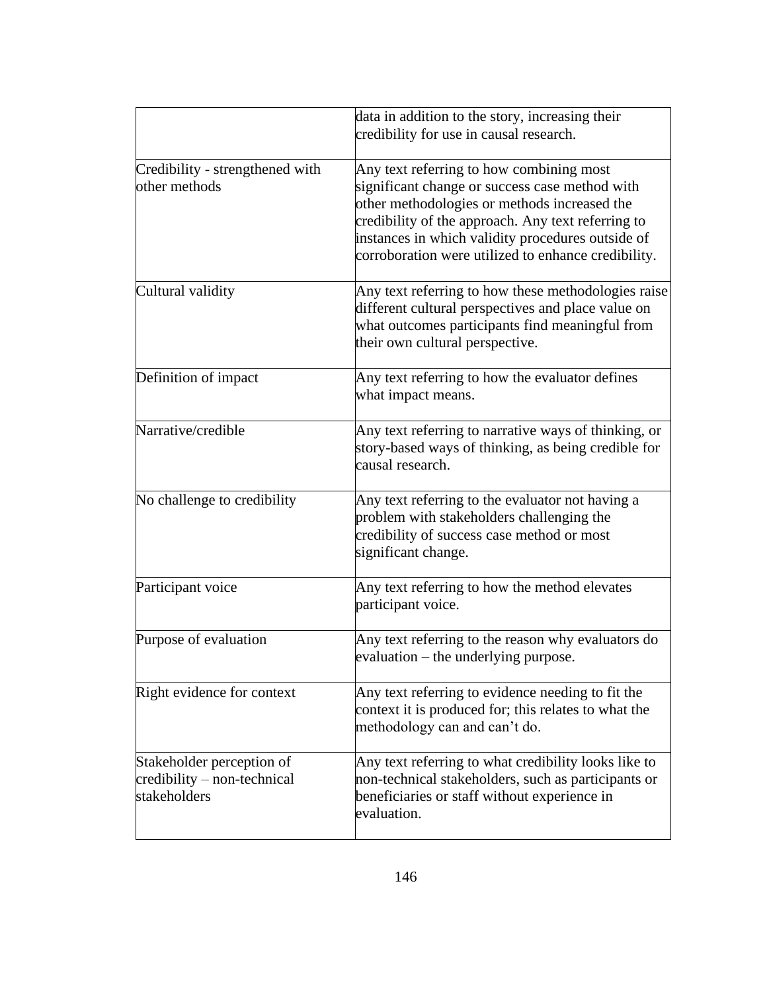|                                                                                   | data in addition to the story, increasing their<br>credibility for use in causal research.                                                                                                                                                                                                                   |
|-----------------------------------------------------------------------------------|--------------------------------------------------------------------------------------------------------------------------------------------------------------------------------------------------------------------------------------------------------------------------------------------------------------|
| Credibility - strengthened with<br>other methods                                  | Any text referring to how combining most<br>significant change or success case method with<br>other methodologies or methods increased the<br>credibility of the approach. Any text referring to<br>instances in which validity procedures outside of<br>corroboration were utilized to enhance credibility. |
| Cultural validity                                                                 | Any text referring to how these methodologies raise<br>different cultural perspectives and place value on<br>what outcomes participants find meaningful from<br>their own cultural perspective.                                                                                                              |
| Definition of impact                                                              | Any text referring to how the evaluator defines<br>what impact means.                                                                                                                                                                                                                                        |
| Narrative/credible                                                                | Any text referring to narrative ways of thinking, or<br>story-based ways of thinking, as being credible for<br>causal research.                                                                                                                                                                              |
| No challenge to credibility                                                       | Any text referring to the evaluator not having a<br>problem with stakeholders challenging the<br>credibility of success case method or most<br>significant change.                                                                                                                                           |
| Participant voice                                                                 | Any text referring to how the method elevates<br>participant voice.                                                                                                                                                                                                                                          |
| Purpose of evaluation                                                             | Any text referring to the reason why evaluators do<br>evaluation – the underlying purpose.                                                                                                                                                                                                                   |
| Right evidence for context                                                        | Any text referring to evidence needing to fit the<br>context it is produced for; this relates to what the<br>methodology can and can't do.                                                                                                                                                                   |
| Stakeholder perception of<br>$\alpha$ eredibility – non-technical<br>stakeholders | Any text referring to what credibility looks like to<br>non-technical stakeholders, such as participants or<br>beneficiaries or staff without experience in<br>evaluation.                                                                                                                                   |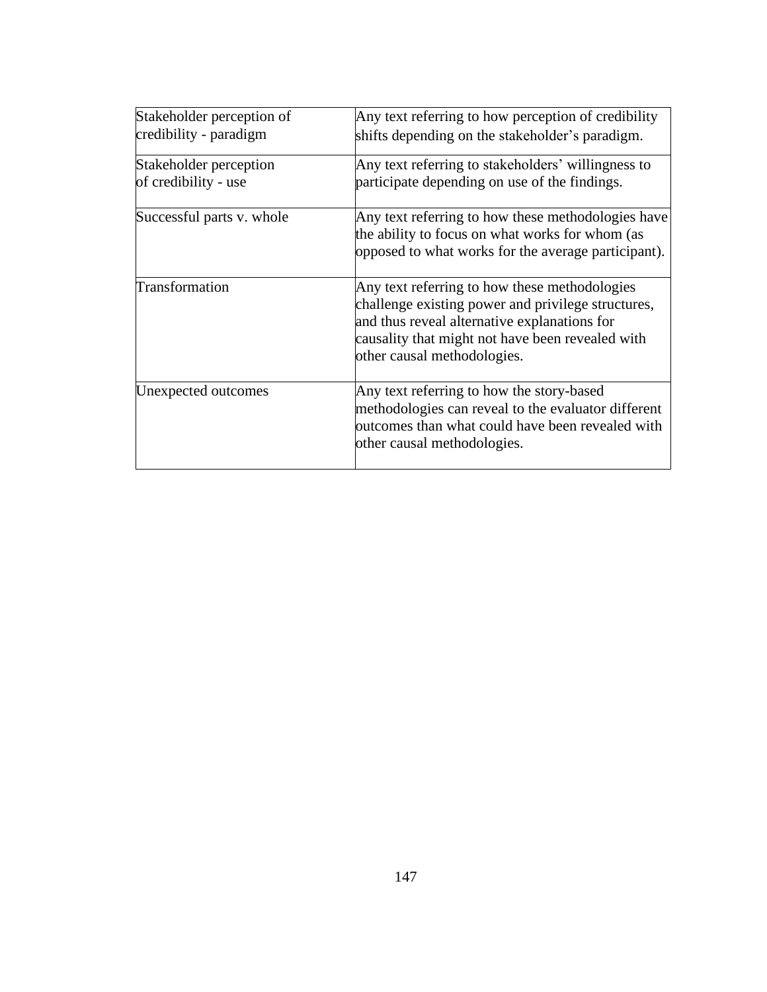| Stakeholder perception of                      | Any text referring to how perception of credibility                                                                                                                                                                                    |  |  |  |
|------------------------------------------------|----------------------------------------------------------------------------------------------------------------------------------------------------------------------------------------------------------------------------------------|--|--|--|
| credibility - paradigm                         | shifts depending on the stakeholder's paradigm.                                                                                                                                                                                        |  |  |  |
| Stakeholder perception<br>of credibility - use | Any text referring to stakeholders' willingness to<br>participate depending on use of the findings.                                                                                                                                    |  |  |  |
| Successful parts v. whole                      | Any text referring to how these methodologies have<br>the ability to focus on what works for whom (as<br>opposed to what works for the average participant).                                                                           |  |  |  |
| Transformation                                 | Any text referring to how these methodologies<br>challenge existing power and privilege structures,<br>and thus reveal alternative explanations for<br>causality that might not have been revealed with<br>other causal methodologies. |  |  |  |
| Unexpected outcomes                            | Any text referring to how the story-based<br>methodologies can reveal to the evaluator different<br>outcomes than what could have been revealed with<br>other causal methodologies.                                                    |  |  |  |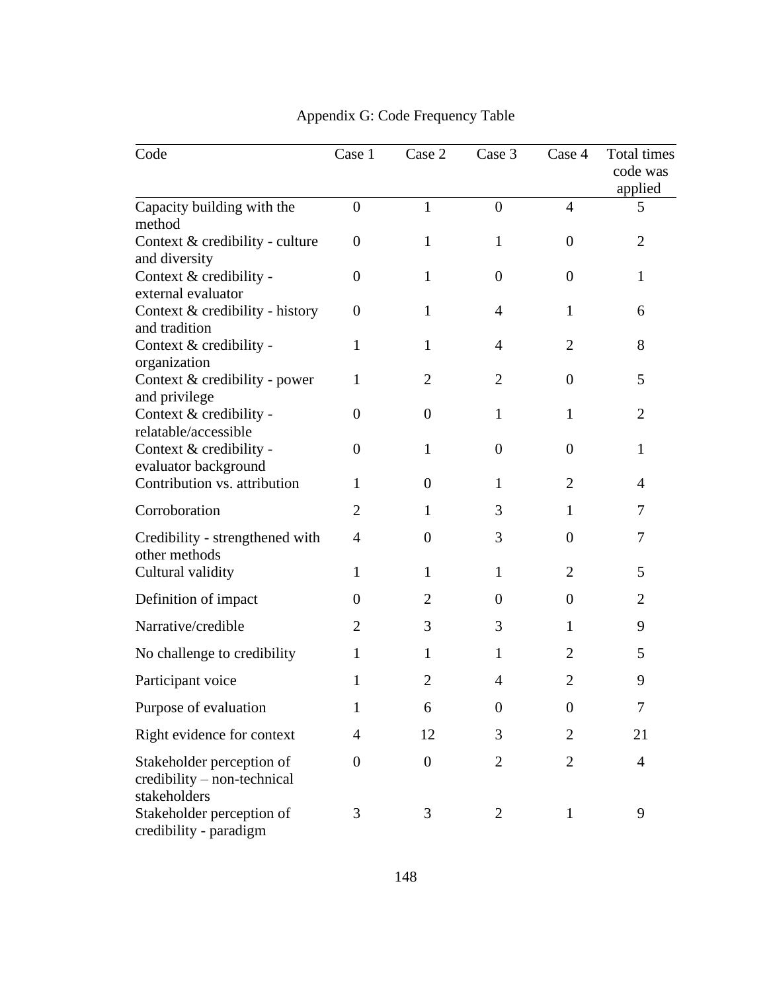| Code                                                                     | Case 1           | Case 2           | Case 3           | Case 4           | Total times<br>code was<br>applied |
|--------------------------------------------------------------------------|------------------|------------------|------------------|------------------|------------------------------------|
| Capacity building with the<br>method                                     | $\overline{0}$   | $\mathbf{1}$     | $\overline{0}$   | $\overline{4}$   | 5                                  |
| Context & credibility - culture<br>and diversity                         | $\overline{0}$   | 1                | 1                | $\theta$         | $\overline{2}$                     |
| Context & credibility -<br>external evaluator                            | $\overline{0}$   | $\mathbf{1}$     | $\overline{0}$   | $\boldsymbol{0}$ | $\mathbf{1}$                       |
| Context & credibility - history<br>and tradition                         | $\boldsymbol{0}$ | 1                | 4                | $\mathbf{1}$     | 6                                  |
| Context & credibility -<br>organization                                  | 1                | 1                | $\overline{4}$   | 2                | 8                                  |
| Context & credibility - power<br>and privilege                           | 1                | $\overline{2}$   | $\overline{2}$   | 0                | 5                                  |
| Context & credibility -<br>relatable/accessible                          | $\overline{0}$   | $\overline{0}$   | 1                | 1                | $\overline{2}$                     |
| Context & credibility -<br>evaluator background                          | $\overline{0}$   | 1                | $\overline{0}$   | $\theta$         | $\mathbf{1}$                       |
| Contribution vs. attribution                                             | 1                | $\overline{0}$   | 1                | 2                | 4                                  |
| Corroboration                                                            | $\overline{2}$   | 1                | 3                | 1                | 7                                  |
| Credibility - strengthened with<br>other methods                         | 4                | $\overline{0}$   | 3                | 0                | 7                                  |
| Cultural validity                                                        | 1                | 1                | 1                | 2                | 5                                  |
| Definition of impact                                                     | $\theta$         | 2                | $\overline{0}$   | $\boldsymbol{0}$ | $\overline{2}$                     |
| Narrative/credible                                                       | 2                | 3                | 3                | 1                | 9                                  |
| No challenge to credibility                                              | 1                | 1                | 1                | 2                | 5                                  |
| Participant voice                                                        | 1                | 2                | 4                | $\overline{2}$   | 9                                  |
| Purpose of evaluation                                                    | $\mathbf{1}$     | 6                | $\boldsymbol{0}$ | $\boldsymbol{0}$ | 7                                  |
| Right evidence for context                                               | $\overline{4}$   | 12               | 3                | $\overline{2}$   | 21                                 |
| Stakeholder perception of<br>credibility - non-technical<br>stakeholders | $\overline{0}$   | $\boldsymbol{0}$ | $\overline{2}$   | $\overline{2}$   | $\overline{4}$                     |
| Stakeholder perception of<br>credibility - paradigm                      | 3                | 3                | $\overline{2}$   | $\mathbf{1}$     | 9                                  |

## Appendix G: Code Frequency Table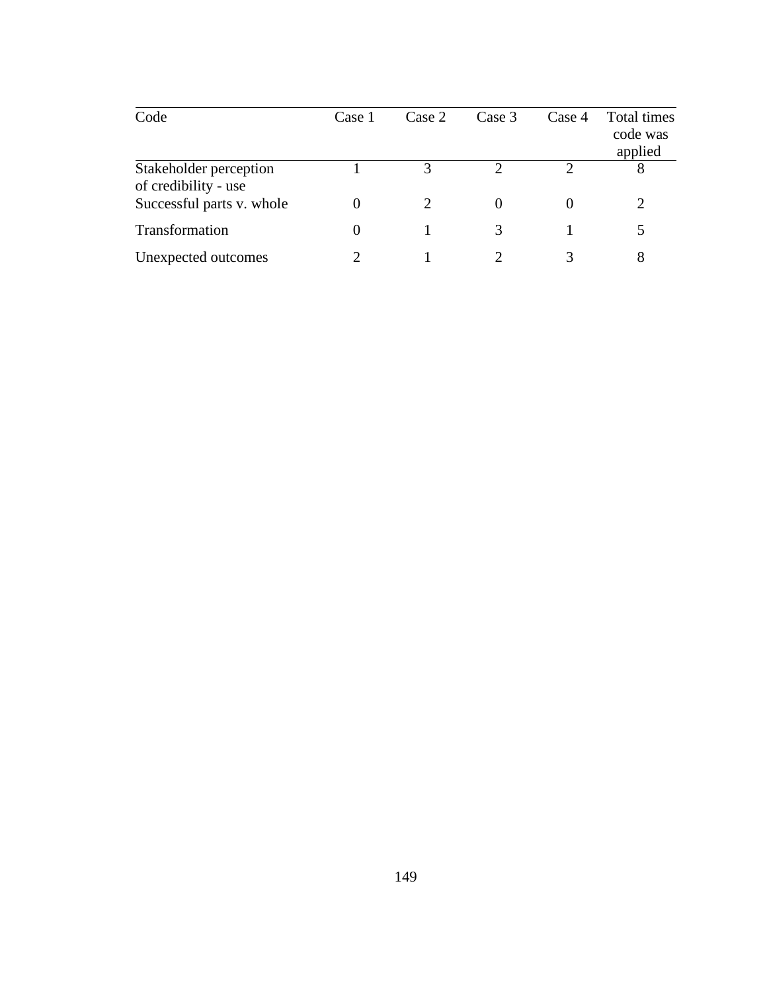| Code                                           | Case 1           | Case 2 | Case 3 | Case 4 | Total times<br>code was<br>applied |
|------------------------------------------------|------------------|--------|--------|--------|------------------------------------|
| Stakeholder perception<br>of credibility - use |                  | 3      | ↑      |        | 8                                  |
| Successful parts v. whole                      | $\left( \right)$ |        |        |        |                                    |
| Transformation                                 | $\theta$         |        |        |        |                                    |
| Unexpected outcomes                            |                  |        |        |        |                                    |